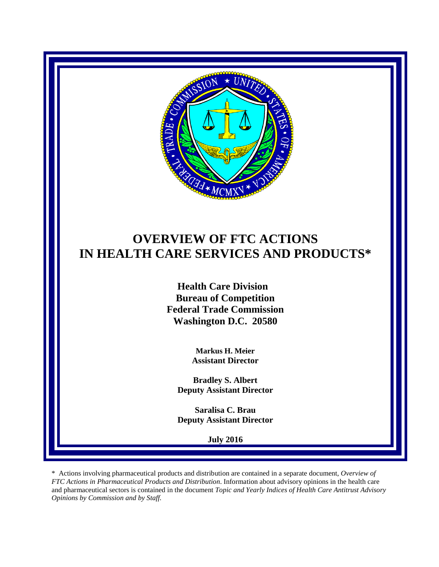

# **OVERVIEW OF FTC ACTIONS IN HEALTH CARE SERVICES AND PRODUCTS\***

 **Health Care Division Bureau of Competition Federal Trade Commission Washington D.C. 20580**

> **Markus H. Meier Assistant Director**

**Bradley S. Albert Deputy Assistant Director**

**Saralisa C. Brau Deputy Assistant Director**

**July 2016**

\* Actions involving pharmaceutical products and distribution are contained in a separate document, *Overview of FTC Actions in Pharmaceutical Products and Distribution*. Information about advisory opinions in the health care and pharmaceutical sectors is contained in the document *Topic and Yearly Indices of Health Care Antitrust Advisory Opinions by Commission and by Staff.*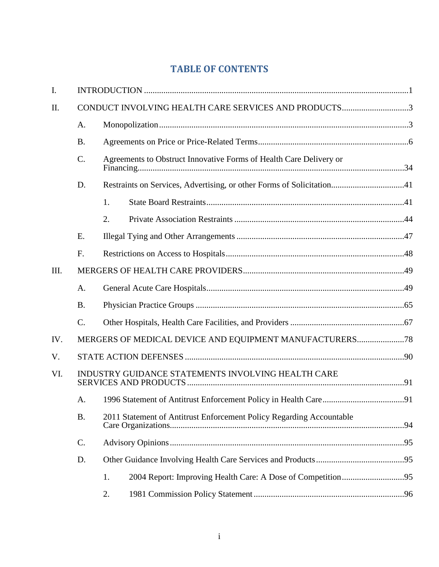# **TABLE OF CONTENTS**

| I.   |                                                      |                                                                      |  |  |
|------|------------------------------------------------------|----------------------------------------------------------------------|--|--|
| Π.   | CONDUCT INVOLVING HEALTH CARE SERVICES AND PRODUCTS3 |                                                                      |  |  |
|      | A.                                                   |                                                                      |  |  |
|      | <b>B.</b>                                            |                                                                      |  |  |
|      | C.                                                   | Agreements to Obstruct Innovative Forms of Health Care Delivery or   |  |  |
|      | D.                                                   |                                                                      |  |  |
|      |                                                      | 1.                                                                   |  |  |
|      |                                                      | 2.                                                                   |  |  |
|      | E.                                                   |                                                                      |  |  |
|      | F.                                                   |                                                                      |  |  |
| III. |                                                      |                                                                      |  |  |
|      | A.                                                   |                                                                      |  |  |
|      | <b>B.</b>                                            |                                                                      |  |  |
|      | $\mathcal{C}$ .                                      |                                                                      |  |  |
| IV.  |                                                      |                                                                      |  |  |
| V.   |                                                      |                                                                      |  |  |
| VI.  | INDUSTRY GUIDANCE STATEMENTS INVOLVING HEALTH CARE   |                                                                      |  |  |
|      | A.                                                   |                                                                      |  |  |
|      | <b>B.</b>                                            | 2011 Statement of Antitrust Enforcement Policy Regarding Accountable |  |  |
|      | $\mathcal{C}$ .                                      |                                                                      |  |  |
|      | D.                                                   |                                                                      |  |  |
|      |                                                      | 1.                                                                   |  |  |
|      |                                                      | 2.                                                                   |  |  |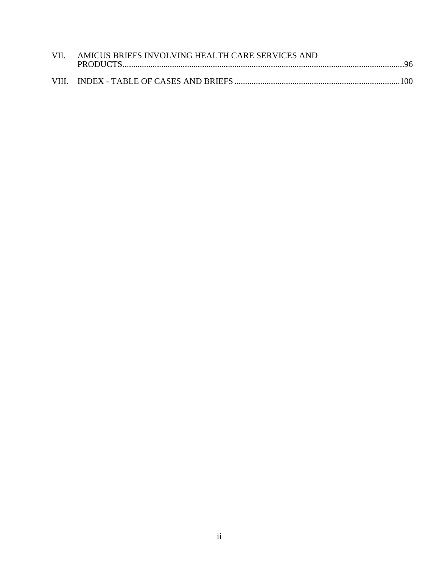| VII. AMICUS BRIEFS INVOLVING HEALTH CARE SERVICES AND |  |
|-------------------------------------------------------|--|
|                                                       |  |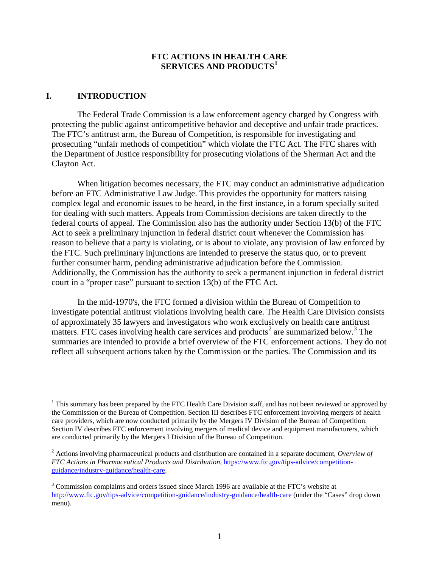#### **FTC ACTIONS IN HEALTH CARE SERVICES AND PRODUCTS[1](#page-3-1)**

#### <span id="page-3-0"></span>**I. INTRODUCTION**

The Federal Trade Commission is a law enforcement agency charged by Congress with protecting the public against anticompetitive behavior and deceptive and unfair trade practices. The FTC's antitrust arm, the Bureau of Competition, is responsible for investigating and prosecuting "unfair methods of competition" which violate the FTC Act. The FTC shares with the Department of Justice responsibility for prosecuting violations of the Sherman Act and the Clayton Act.

When litigation becomes necessary, the FTC may conduct an administrative adjudication before an FTC Administrative Law Judge. This provides the opportunity for matters raising complex legal and economic issues to be heard, in the first instance, in a forum specially suited for dealing with such matters. Appeals from Commission decisions are taken directly to the federal courts of appeal. The Commission also has the authority under Section 13(b) of the FTC Act to seek a preliminary injunction in federal district court whenever the Commission has reason to believe that a party is violating, or is about to violate, any provision of law enforced by the FTC. Such preliminary injunctions are intended to preserve the status quo, or to prevent further consumer harm, pending administrative adjudication before the Commission. Additionally, the Commission has the authority to seek a permanent injunction in federal district court in a "proper case" pursuant to section 13(b) of the FTC Act.

In the mid-1970's, the FTC formed a division within the Bureau of Competition to investigate potential antitrust violations involving health care. The Health Care Division consists of approximately 35 lawyers and investigators who work exclusively on health care antitrust matters. FTC cases involving health care services and products<sup>[2](#page-3-2)</sup> are summarized below.<sup>[3](#page-3-3)</sup> The summaries are intended to provide a brief overview of the FTC enforcement actions. They do not reflect all subsequent actions taken by the Commission or the parties. The Commission and its

<span id="page-3-1"></span> $<sup>1</sup>$  This summary has been prepared by the FTC Health Care Division staff, and has not been reviewed or approved by</sup> the Commission or the Bureau of Competition. Section III describes FTC enforcement involving mergers of health care providers, which are now conducted primarily by the Mergers IV Division of the Bureau of Competition. Section IV describes FTC enforcement involving mergers of medical device and equipment manufacturers, which are conducted primarily by the Mergers I Division of the Bureau of Competition.

<span id="page-3-2"></span><sup>2</sup> Actions involving pharmaceutical products and distribution are contained in a separate document*, Overview of FTC Actions in Pharmaceutical Products and Distribution*, [https://www.ftc.gov/tips-advice/competition](https://www.ftc.gov/tips-advice/competition-guidance/industry-guidance/health-care)[guidance/industry-guidance/health-care.](https://www.ftc.gov/tips-advice/competition-guidance/industry-guidance/health-care)

<span id="page-3-3"></span><sup>&</sup>lt;sup>3</sup> Commission complaints and orders issued since March 1996 are available at the FTC's website at <http://www.ftc.gov/tips-advice/competition-guidance/industry-guidance/health-care> (under the "Cases" drop down menu).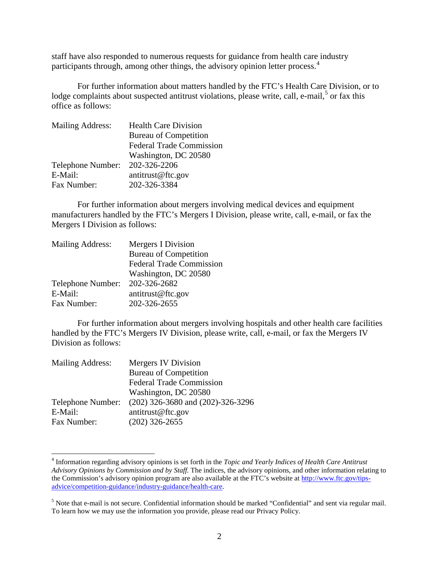staff have also responded to numerous requests for guidance from health care industry participants through, among other things, the advisory opinion letter process.<sup>[4](#page-4-0)</sup>

For further information about matters handled by the FTC's Health Care Division, or to lodge complaints about suspected antitrust violations, please write, call, e-mail,  $5$  or fax this office as follows:

| <b>Mailing Address:</b> | <b>Health Care Division</b>     |
|-------------------------|---------------------------------|
|                         | <b>Bureau of Competition</b>    |
|                         | <b>Federal Trade Commission</b> |
|                         | Washington, DC 20580            |
| Telephone Number:       | 202-326-2206                    |
| E-Mail:                 | antitrust@ftc.gov               |
| Fax Number:             | 202-326-3384                    |

For further information about mergers involving medical devices and equipment manufacturers handled by the FTC's Mergers I Division, please write, call, e-mail, or fax the Mergers I Division as follows:

| Mergers I Division              |
|---------------------------------|
| <b>Bureau of Competition</b>    |
| <b>Federal Trade Commission</b> |
| Washington, DC 20580            |
| 202-326-2682                    |
| antitrust@ftc.gov               |
| 202-326-2655                    |
|                                 |

For further information about mergers involving hospitals and other health care facilities handled by the FTC's Mergers IV Division, please write, call, e-mail, or fax the Mergers IV Division as follows:

| <b>Mailing Address:</b> | Mergers IV Division               |  |
|-------------------------|-----------------------------------|--|
|                         | <b>Bureau of Competition</b>      |  |
|                         | <b>Federal Trade Commission</b>   |  |
|                         | Washington, DC 20580              |  |
| Telephone Number:       | (202) 326-3680 and (202)-326-3296 |  |
| E-Mail:                 | antitrust@ftc.gov                 |  |
| Fax Number:             | $(202)$ 326-2655                  |  |

<span id="page-4-0"></span> <sup>4</sup> Information regarding advisory opinions is set forth in the *Topic and Yearly Indices of Health Care Antitrust Advisory Opinions by Commission and by Staff.* The indices, the advisory opinions, and other information relating to the Commission's advisory opinion program are also available at the FTC's website at [http://www.ftc.gov/tips](http://www.ftc.gov/tips-advice/competition-guidance/industry-guidance/health-care)[advice/competition-guidance/industry-guidance/health-care.](http://www.ftc.gov/tips-advice/competition-guidance/industry-guidance/health-care)

<span id="page-4-1"></span><sup>&</sup>lt;sup>5</sup> Note that e-mail is not secure. Confidential information should be marked "Confidential" and sent via regular mail. To learn how we may use the information you provide, please read our Privacy Policy.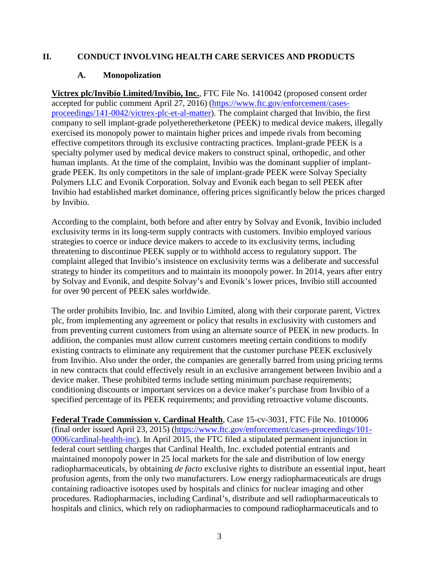# <span id="page-5-0"></span>**II. CONDUCT INVOLVING HEALTH CARE SERVICES AND PRODUCTS**

# **A. Monopolization**

<span id="page-5-1"></span>**Victrex plc/Invibio Limited/Invibio, Inc.**, FTC File No. 1410042 (proposed consent order accepted for public comment April 27, 2016) [\(https://www.ftc.gov/enforcement/cases](https://www.ftc.gov/enforcement/cases-proceedings/141-0042/victrex-plc-et-al-matter)[proceedings/141-0042/victrex-plc-et-al-matter\)](https://www.ftc.gov/enforcement/cases-proceedings/141-0042/victrex-plc-et-al-matter). The complaint charged that Invibio, the first company to sell implant-grade polyetheretherketone (PEEK) to medical device makers, illegally exercised its monopoly power to maintain higher prices and impede rivals from becoming effective competitors through its exclusive contracting practices. Implant-grade PEEK is a specialty polymer used by medical device makers to construct spinal, orthopedic, and other human implants. At the time of the complaint, Invibio was the dominant supplier of implantgrade PEEK. Its only competitors in the sale of implant-grade PEEK were Solvay Specialty Polymers LLC and Evonik Corporation. Solvay and Evonik each began to sell PEEK after Invibio had established market dominance, offering prices significantly below the prices charged by Invibio.

According to the complaint, both before and after entry by Solvay and Evonik, Invibio included exclusivity terms in its long-term supply contracts with customers. Invibio employed various strategies to coerce or induce device makers to accede to its exclusivity terms, including threatening to discontinue PEEK supply or to withhold access to regulatory support. The complaint alleged that Invibio's insistence on exclusivity terms was a deliberate and successful strategy to hinder its competitors and to maintain its monopoly power. In 2014, years after entry by Solvay and Evonik, and despite Solvay's and Evonik's lower prices, Invibio still accounted for over 90 percent of PEEK sales worldwide.

The order prohibits Invibio, Inc. and Invibio Limited, along with their corporate parent, Victrex plc, from implementing any agreement or policy that results in exclusivity with customers and from preventing current customers from using an alternate source of PEEK in new products. In addition, the companies must allow current customers meeting certain conditions to modify existing contracts to eliminate any requirement that the customer purchase PEEK exclusively from Invibio. Also under the order, the companies are generally barred from using pricing terms in new contracts that could effectively result in an exclusive arrangement between Invibio and a device maker. These prohibited terms include setting minimum purchase requirements; conditioning discounts or important services on a device maker's purchase from Invibio of a specified percentage of its PEEK requirements; and providing retroactive volume discounts.

**Federal Trade Commission v. Cardinal Health**, Case 15-cv-3031, FTC File No. 1010006 (final order issued April 23, 2015) [\(https://www.ftc.gov/enforcement/cases-proceedings/101-](https://www.ftc.gov/enforcement/cases-proceedings/101-0006/cardinal-health-inc) [0006/cardinal-health-inc\)](https://www.ftc.gov/enforcement/cases-proceedings/101-0006/cardinal-health-inc). In April 2015, the FTC filed a stipulated permanent injunction in federal court settling charges that Cardinal Health, Inc. excluded potential entrants and maintained monopoly power in 25 local markets for the sale and distribution of low energy radiopharmaceuticals, by obtaining *de facto* exclusive rights to distribute an essential input, heart profusion agents, from the only two manufacturers. Low energy radiopharmaceuticals are drugs containing radioactive isotopes used by hospitals and clinics for nuclear imaging and other procedures. Radiopharmacies, including Cardinal's, distribute and sell radiopharmaceuticals to hospitals and clinics, which rely on radiopharmacies to compound radiopharmaceuticals and to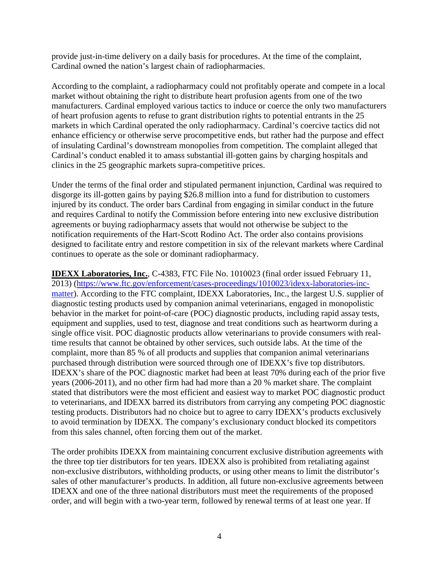provide just-in-time delivery on a daily basis for procedures. At the time of the complaint, Cardinal owned the nation's largest chain of radiopharmacies.

According to the complaint, a radiopharmacy could not profitably operate and compete in a local market without obtaining the right to distribute heart profusion agents from one of the two manufacturers. Cardinal employed various tactics to induce or coerce the only two manufacturers of heart profusion agents to refuse to grant distribution rights to potential entrants in the 25 markets in which Cardinal operated the only radiopharmacy. Cardinal's coercive tactics did not enhance efficiency or otherwise serve procompetitive ends, but rather had the purpose and effect of insulating Cardinal's downstream monopolies from competition. The complaint alleged that Cardinal's conduct enabled it to amass substantial ill-gotten gains by charging hospitals and clinics in the 25 geographic markets supra-competitive prices.

Under the terms of the final order and stipulated permanent injunction, Cardinal was required to disgorge its ill-gotten gains by paying \$26.8 million into a fund for distribution to customers injured by its conduct. The order bars Cardinal from engaging in similar conduct in the future and requires Cardinal to notify the Commission before entering into new exclusive distribution agreements or buying radiopharmacy assets that would not otherwise be subject to the notification requirements of the Hart-Scott Rodino Act. The order also contains provisions designed to facilitate entry and restore competition in six of the relevant markets where Cardinal continues to operate as the sole or dominant radiopharmacy.

**IDEXX Laboratories, Inc.**, C-4383, FTC File No. 1010023 (final order issued February 11, 2013) [\(https://www.ftc.gov/enforcement/cases-proceedings/1010023/idexx-laboratories-inc](https://www.ftc.gov/enforcement/cases-proceedings/1010023/idexx-laboratories-inc-matter)[matter\)](https://www.ftc.gov/enforcement/cases-proceedings/1010023/idexx-laboratories-inc-matter). According to the FTC complaint, IDEXX Laboratories, Inc., the largest U.S. supplier of diagnostic testing products used by companion animal veterinarians, engaged in monopolistic behavior in the market for point-of-care (POC) diagnostic products, including rapid assay tests, equipment and supplies, used to test, diagnose and treat conditions such as heartworm during a single office visit. POC diagnostic products allow veterinarians to provide consumers with realtime results that cannot be obtained by other services, such outside labs. At the time of the complaint, more than 85 % of all products and supplies that companion animal veterinarians purchased through distribution were sourced through one of IDEXX's five top distributors. IDEXX's share of the POC diagnostic market had been at least 70% during each of the prior five years (2006-2011), and no other firm had had more than a 20 % market share. The complaint stated that distributors were the most efficient and easiest way to market POC diagnostic product to veterinarians, and IDEXX barred its distributors from carrying any competing POC diagnostic testing products. Distributors had no choice but to agree to carry IDEXX's products exclusively to avoid termination by IDEXX. The company's exclusionary conduct blocked its competitors from this sales channel, often forcing them out of the market.

The order prohibits IDEXX from maintaining concurrent exclusive distribution agreements with the three top tier distributors for ten years. IDEXX also is prohibited from retaliating against non-exclusive distributors, withholding products, or using other means to limit the distributor's sales of other manufacturer's products. In addition, all future non-exclusive agreements between IDEXX and one of the three national distributors must meet the requirements of the proposed order, and will begin with a two-year term, followed by renewal terms of at least one year. If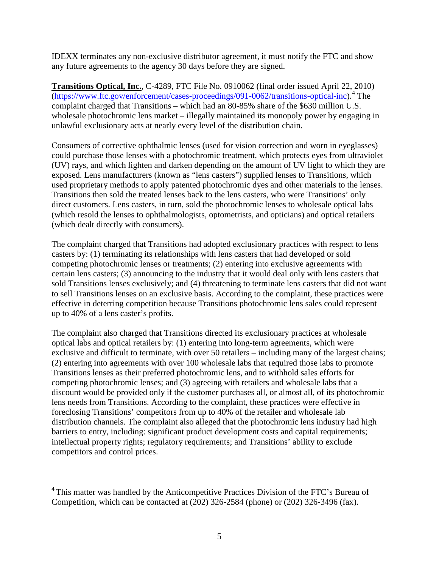IDEXX terminates any non-exclusive distributor agreement, it must notify the FTC and show any future agreements to the agency 30 days before they are signed.

**Transitions Optical, Inc.**, C-4289, FTC File No. 0910062 (final order issued April 22, 2010) [\(https://www.ftc.gov/enforcement/cases-proceedings/091-0062/transitions-optical-inc\)](https://www.ftc.gov/enforcement/cases-proceedings/091-0062/transitions-optical-inc).[4](#page-7-0) The complaint charged that Transitions – which had an 80-85% share of the \$630 million U.S. wholesale photochromic lens market – illegally maintained its monopoly power by engaging in unlawful exclusionary acts at nearly every level of the distribution chain.

Consumers of corrective ophthalmic lenses (used for vision correction and worn in eyeglasses) could purchase those lenses with a photochromic treatment, which protects eyes from ultraviolet (UV) rays, and which lighten and darken depending on the amount of UV light to which they are exposed. Lens manufacturers (known as "lens casters") supplied lenses to Transitions, which used proprietary methods to apply patented photochromic dyes and other materials to the lenses. Transitions then sold the treated lenses back to the lens casters, who were Transitions' only direct customers. Lens casters, in turn, sold the photochromic lenses to wholesale optical labs (which resold the lenses to ophthalmologists, optometrists, and opticians) and optical retailers (which dealt directly with consumers).

The complaint charged that Transitions had adopted exclusionary practices with respect to lens casters by: (1) terminating its relationships with lens casters that had developed or sold competing photochromic lenses or treatments; (2) entering into exclusive agreements with certain lens casters; (3) announcing to the industry that it would deal only with lens casters that sold Transitions lenses exclusively; and (4) threatening to terminate lens casters that did not want to sell Transitions lenses on an exclusive basis. According to the complaint, these practices were effective in deterring competition because Transitions photochromic lens sales could represent up to 40% of a lens caster's profits.

The complaint also charged that Transitions directed its exclusionary practices at wholesale optical labs and optical retailers by: (1) entering into long-term agreements, which were exclusive and difficult to terminate, with over 50 retailers – including many of the largest chains; (2) entering into agreements with over 100 wholesale labs that required those labs to promote Transitions lenses as their preferred photochromic lens, and to withhold sales efforts for competing photochromic lenses; and (3) agreeing with retailers and wholesale labs that a discount would be provided only if the customer purchases all, or almost all, of its photochromic lens needs from Transitions. According to the complaint, these practices were effective in foreclosing Transitions' competitors from up to 40% of the retailer and wholesale lab distribution channels. The complaint also alleged that the photochromic lens industry had high barriers to entry, including: significant product development costs and capital requirements; intellectual property rights; regulatory requirements; and Transitions' ability to exclude competitors and control prices.

<span id="page-7-0"></span><sup>&</sup>lt;sup>4</sup> This matter was handled by the Anticompetitive Practices Division of the FTC's Bureau of Competition, which can be contacted at (202) 326-2584 (phone) or (202) 326-3496 (fax).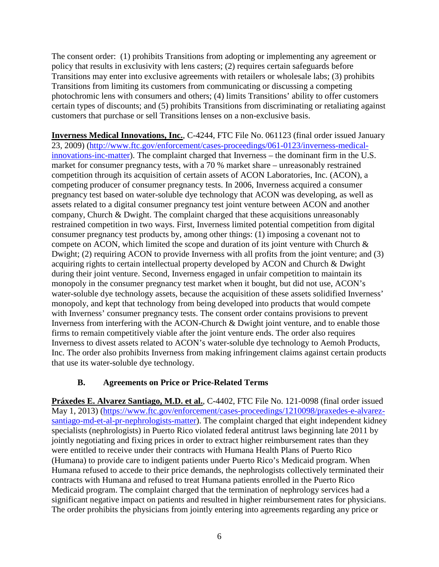The consent order: (1) prohibits Transitions from adopting or implementing any agreement or policy that results in exclusivity with lens casters; (2) requires certain safeguards before Transitions may enter into exclusive agreements with retailers or wholesale labs; (3) prohibits Transitions from limiting its customers from communicating or discussing a competing photochromic lens with consumers and others; (4) limits Transitions' ability to offer customers certain types of discounts; and (5) prohibits Transitions from discriminating or retaliating against customers that purchase or sell Transitions lenses on a non-exclusive basis.

**Inverness Medical Innovations, Inc.**, C-4244, FTC File No. 061123 (final order issued January 23, 2009) [\(http://www.ftc.gov/enforcement/cases-proceedings/061-0123/inverness-medical](http://www.ftc.gov/enforcement/cases-proceedings/061-0123/inverness-medical-innovations-inc-matter)[innovations-inc-matter\)](http://www.ftc.gov/enforcement/cases-proceedings/061-0123/inverness-medical-innovations-inc-matter). The complaint charged that Inverness – the dominant firm in the U.S. market for consumer pregnancy tests, with a 70 % market share – unreasonably restrained competition through its acquisition of certain assets of ACON Laboratories, Inc. (ACON), a competing producer of consumer pregnancy tests. In 2006, Inverness acquired a consumer pregnancy test based on water-soluble dye technology that ACON was developing, as well as assets related to a digital consumer pregnancy test joint venture between ACON and another company, Church & Dwight. The complaint charged that these acquisitions unreasonably restrained competition in two ways. First, Inverness limited potential competition from digital consumer pregnancy test products by, among other things: (1) imposing a covenant not to compete on ACON, which limited the scope and duration of its joint venture with Church & Dwight; (2) requiring ACON to provide Inverness with all profits from the joint venture; and (3) acquiring rights to certain intellectual property developed by ACON and Church & Dwight during their joint venture. Second, Inverness engaged in unfair competition to maintain its monopoly in the consumer pregnancy test market when it bought, but did not use, ACON's water-soluble dye technology assets, because the acquisition of these assets solidified Inverness' monopoly, and kept that technology from being developed into products that would compete with Inverness' consumer pregnancy tests. The consent order contains provisions to prevent Inverness from interfering with the ACON-Church & Dwight joint venture, and to enable those firms to remain competitively viable after the joint venture ends. The order also requires Inverness to divest assets related to ACON's water-soluble dye technology to Aemoh Products, Inc. The order also prohibits Inverness from making infringement claims against certain products that use its water-soluble dye technology.

# **B. Agreements on Price or Price-Related Terms**

<span id="page-8-0"></span>**Práxedes E. Alvarez Santiago, M.D. et al.**, C-4402, FTC File No. 121-0098 (final order issued May 1, 2013) [\(https://www.ftc.gov/enforcement/cases-proceedings/1210098/praxedes-e-alvarez](https://www.ftc.gov/enforcement/cases-proceedings/1210098/praxedes-e-alvarez-santiago-md-et-al-pr-nephrologists-matter)[santiago-md-et-al-pr-nephrologists-matter\)](https://www.ftc.gov/enforcement/cases-proceedings/1210098/praxedes-e-alvarez-santiago-md-et-al-pr-nephrologists-matter). The complaint charged that eight independent kidney specialists (nephrologists) in Puerto Rico violated federal antitrust laws beginning late 2011 by jointly negotiating and fixing prices in order to extract higher reimbursement rates than they were entitled to receive under their contracts with Humana Health Plans of Puerto Rico (Humana) to provide care to indigent patients under Puerto Rico's Medicaid program. When Humana refused to accede to their price demands, the nephrologists collectively terminated their contracts with Humana and refused to treat Humana patients enrolled in the Puerto Rico Medicaid program. The complaint charged that the termination of nephrology services had a significant negative impact on patients and resulted in higher reimbursement rates for physicians. The order prohibits the physicians from jointly entering into agreements regarding any price or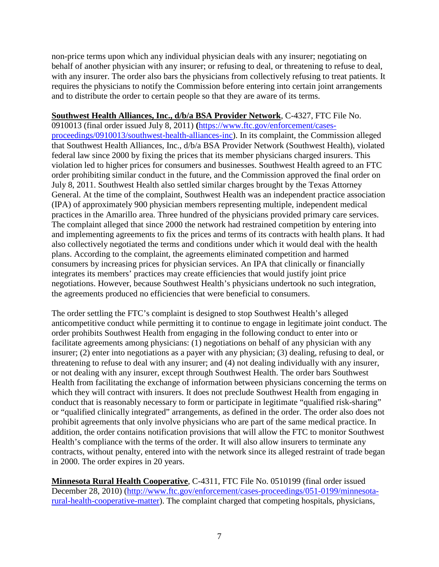non-price terms upon which any individual physician deals with any insurer; negotiating on behalf of another physician with any insurer; or refusing to deal, or threatening to refuse to deal, with any insurer. The order also bars the physicians from collectively refusing to treat patients. It requires the physicians to notify the Commission before entering into certain joint arrangements and to distribute the order to certain people so that they are aware of its terms.

#### **Southwest Health Alliances, Inc., d/b/a BSA Provider Network**, C-4327, FTC File No.

0910013 (final order issued July 8, 2011) **(**[https://www.ftc.gov/enforcement/cases](https://www.ftc.gov/enforcement/cases-proceedings/0910013/southwest-health-alliances-inc)[proceedings/0910013/southwest-health-alliances-inc\)](https://www.ftc.gov/enforcement/cases-proceedings/0910013/southwest-health-alliances-inc). In its complaint, the Commission alleged that Southwest Health Alliances, Inc., d/b/a BSA Provider Network (Southwest Health), violated federal law since 2000 by fixing the prices that its member physicians charged insurers. This violation led to higher prices for consumers and businesses. Southwest Health agreed to an FTC order prohibiting similar conduct in the future, and the Commission approved the final order on July 8, 2011. Southwest Health also settled similar charges brought by the Texas Attorney General. At the time of the complaint, Southwest Health was an independent practice association (IPA) of approximately 900 physician members representing multiple, independent medical practices in the Amarillo area. Three hundred of the physicians provided primary care services. The complaint alleged that since 2000 the network had restrained competition by entering into and implementing agreements to fix the prices and terms of its contracts with health plans. It had also collectively negotiated the terms and conditions under which it would deal with the health plans. According to the complaint, the agreements eliminated competition and harmed consumers by increasing prices for physician services. An IPA that clinically or financially integrates its members' practices may create efficiencies that would justify joint price negotiations. However, because Southwest Health's physicians undertook no such integration, the agreements produced no efficiencies that were beneficial to consumers.

The order settling the FTC's complaint is designed to stop Southwest Health's alleged anticompetitive conduct while permitting it to continue to engage in legitimate joint conduct. The order prohibits Southwest Health from engaging in the following conduct to enter into or facilitate agreements among physicians: (1) negotiations on behalf of any physician with any insurer; (2) enter into negotiations as a payer with any physician; (3) dealing, refusing to deal, or threatening to refuse to deal with any insurer; and (4) not dealing individually with any insurer, or not dealing with any insurer, except through Southwest Health. The order bars Southwest Health from facilitating the exchange of information between physicians concerning the terms on which they will contract with insurers. It does not preclude Southwest Health from engaging in conduct that is reasonably necessary to form or participate in legitimate "qualified risk-sharing" or "qualified clinically integrated" arrangements, as defined in the order. The order also does not prohibit agreements that only involve physicians who are part of the same medical practice. In addition, the order contains notification provisions that will allow the FTC to monitor Southwest Health's compliance with the terms of the order. It will also allow insurers to terminate any contracts, without penalty, entered into with the network since its alleged restraint of trade began in 2000. The order expires in 20 years.

**Minnesota Rural Health Cooperative**, C-4311, FTC File No. 0510199 (final order issued December 28, 2010) [\(http://www.ftc.gov/enforcement/cases-proceedings/051-0199/minnesota](http://www.ftc.gov/enforcement/cases-proceedings/051-0199/minnesota-rural-health-cooperative-matter)[rural-health-cooperative-matter\)](http://www.ftc.gov/enforcement/cases-proceedings/051-0199/minnesota-rural-health-cooperative-matter). The complaint charged that competing hospitals, physicians,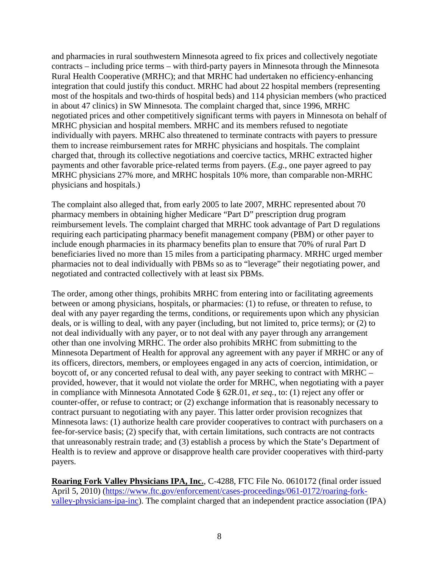and pharmacies in rural southwestern Minnesota agreed to fix prices and collectively negotiate contracts – including price terms – with third-party payers in Minnesota through the Minnesota Rural Health Cooperative (MRHC); and that MRHC had undertaken no efficiency-enhancing integration that could justify this conduct. MRHC had about 22 hospital members (representing most of the hospitals and two-thirds of hospital beds) and 114 physician members (who practiced in about 47 clinics) in SW Minnesota. The complaint charged that, since 1996, MRHC negotiated prices and other competitively significant terms with payers in Minnesota on behalf of MRHC physician and hospital members. MRHC and its members refused to negotiate individually with payers. MRHC also threatened to terminate contracts with payers to pressure them to increase reimbursement rates for MRHC physicians and hospitals. The complaint charged that, through its collective negotiations and coercive tactics, MRHC extracted higher payments and other favorable price-related terms from payers. (*E.g.*, one payer agreed to pay MRHC physicians 27% more, and MRHC hospitals 10% more, than comparable non-MRHC physicians and hospitals.)

The complaint also alleged that, from early 2005 to late 2007, MRHC represented about 70 pharmacy members in obtaining higher Medicare "Part D" prescription drug program reimbursement levels. The complaint charged that MRHC took advantage of Part D regulations requiring each participating pharmacy benefit management company (PBM) or other payer to include enough pharmacies in its pharmacy benefits plan to ensure that 70% of rural Part D beneficiaries lived no more than 15 miles from a participating pharmacy. MRHC urged member pharmacies not to deal individually with PBMs so as to "leverage" their negotiating power, and negotiated and contracted collectively with at least six PBMs.

The order, among other things, prohibits MRHC from entering into or facilitating agreements between or among physicians, hospitals, or pharmacies: (1) to refuse, or threaten to refuse, to deal with any payer regarding the terms, conditions, or requirements upon which any physician deals, or is willing to deal, with any payer (including, but not limited to, price terms); or (2) to not deal individually with any payer, or to not deal with any payer through any arrangement other than one involving MRHC. The order also prohibits MRHC from submitting to the Minnesota Department of Health for approval any agreement with any payer if MRHC or any of its officers, directors, members, or employees engaged in any acts of coercion, intimidation, or boycott of, or any concerted refusal to deal with, any payer seeking to contract with MRHC – provided, however, that it would not violate the order for MRHC, when negotiating with a payer in compliance with Minnesota Annotated Code § 62R.01, *et seq.*, to: (1) reject any offer or counter-offer, or refuse to contract; or (2) exchange information that is reasonably necessary to contract pursuant to negotiating with any payer. This latter order provision recognizes that Minnesota laws: (1) authorize health care provider cooperatives to contract with purchasers on a fee-for-service basis; (2) specify that, with certain limitations, such contracts are not contracts that unreasonably restrain trade; and (3) establish a process by which the State's Department of Health is to review and approve or disapprove health care provider cooperatives with third-party payers.

**Roaring Fork Valley Physicians IPA, Inc.**, C-4288, FTC File No. 0610172 (final order issued April 5, 2010) [\(https://www.ftc.gov/enforcement/cases-proceedings/061-0172/roaring-fork](https://www.ftc.gov/enforcement/cases-proceedings/061-0172/roaring-fork-valley-physicians-ipa-inc)[valley-physicians-ipa-inc\)](https://www.ftc.gov/enforcement/cases-proceedings/061-0172/roaring-fork-valley-physicians-ipa-inc). The complaint charged that an independent practice association (IPA)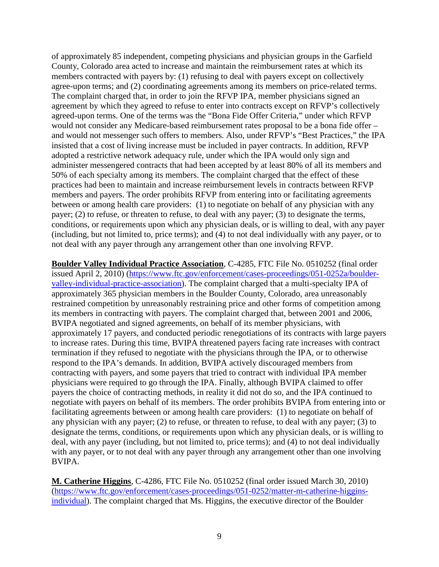of approximately 85 independent, competing physicians and physician groups in the Garfield County, Colorado area acted to increase and maintain the reimbursement rates at which its members contracted with payers by: (1) refusing to deal with payers except on collectively agree-upon terms; and (2) coordinating agreements among its members on price-related terms. The complaint charged that, in order to join the RFVP IPA, member physicians signed an agreement by which they agreed to refuse to enter into contracts except on RFVP's collectively agreed-upon terms. One of the terms was the "Bona Fide Offer Criteria," under which RFVP would not consider any Medicare-based reimbursement rates proposal to be a bona fide offer – and would not messenger such offers to members. Also, under RFVP's "Best Practices," the IPA insisted that a cost of living increase must be included in payer contracts. In addition, RFVP adopted a restrictive network adequacy rule, under which the IPA would only sign and administer messengered contracts that had been accepted by at least 80% of all its members and 50% of each specialty among its members. The complaint charged that the effect of these practices had been to maintain and increase reimbursement levels in contracts between RFVP members and payers. The order prohibits RFVP from entering into or facilitating agreements between or among health care providers: (1) to negotiate on behalf of any physician with any payer; (2) to refuse, or threaten to refuse, to deal with any payer; (3) to designate the terms, conditions, or requirements upon which any physician deals, or is willing to deal, with any payer (including, but not limited to, price terms); and (4) to not deal individually with any payer, or to not deal with any payer through any arrangement other than one involving RFVP.

**Boulder Valley Individual Practice Association**, C-4285, FTC File No. 0510252 (final order issued April 2, 2010) [\(https://www.ftc.gov/enforcement/cases-proceedings/051-0252a/boulder](https://www.ftc.gov/enforcement/cases-proceedings/051-0252a/boulder-valley-individual-practice-association)[valley-individual-practice-association\)](https://www.ftc.gov/enforcement/cases-proceedings/051-0252a/boulder-valley-individual-practice-association). The complaint charged that a multi-specialty IPA of approximately 365 physician members in the Boulder County, Colorado, area unreasonably restrained competition by unreasonably restraining price and other forms of competition among its members in contracting with payers. The complaint charged that, between 2001 and 2006, BVIPA negotiated and signed agreements, on behalf of its member physicians, with approximately 17 payers, and conducted periodic renegotiations of its contracts with large payers to increase rates. During this time, BVIPA threatened payers facing rate increases with contract termination if they refused to negotiate with the physicians through the IPA, or to otherwise respond to the IPA's demands. In addition, BVIPA actively discouraged members from contracting with payers, and some payers that tried to contract with individual IPA member physicians were required to go through the IPA. Finally, although BVIPA claimed to offer payers the choice of contracting methods, in reality it did not do so, and the IPA continued to negotiate with payers on behalf of its members. The order prohibits BVIPA from entering into or facilitating agreements between or among health care providers: (1) to negotiate on behalf of any physician with any payer; (2) to refuse, or threaten to refuse, to deal with any payer; (3) to designate the terms, conditions, or requirements upon which any physician deals, or is willing to deal, with any payer (including, but not limited to, price terms); and (4) to not deal individually with any payer, or to not deal with any payer through any arrangement other than one involving BVIPA.

**M. Catherine Higgins**, C-4286, FTC File No. 0510252 (final order issued March 30, 2010) [\(https://www.ftc.gov/enforcement/cases-proceedings/051-0252/matter-m-catherine-higgins](https://www.ftc.gov/enforcement/cases-proceedings/051-0252/matter-m-catherine-higgins-individual)[individual\)](https://www.ftc.gov/enforcement/cases-proceedings/051-0252/matter-m-catherine-higgins-individual). The complaint charged that Ms. Higgins, the executive director of the Boulder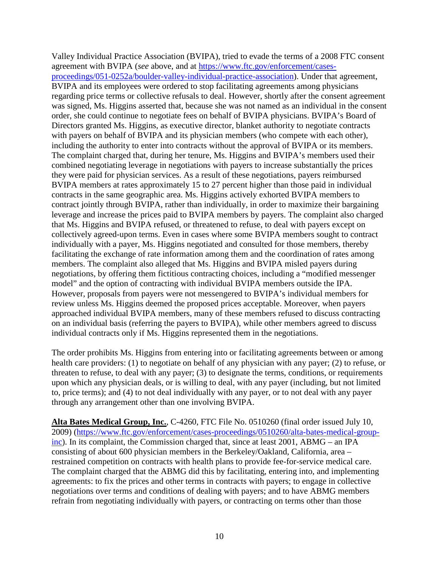Valley Individual Practice Association (BVIPA), tried to evade the terms of a 2008 FTC consent agreement with BVIPA (*see* above, and at [https://www.ftc.gov/enforcement/cases](https://www.ftc.gov/enforcement/cases-proceedings/051-0252a/boulder-valley-individual-practice-association)[proceedings/051-0252a/boulder-valley-individual-practice-association\)](https://www.ftc.gov/enforcement/cases-proceedings/051-0252a/boulder-valley-individual-practice-association). Under that agreement, BVIPA and its employees were ordered to stop facilitating agreements among physicians regarding price terms or collective refusals to deal. However, shortly after the consent agreement was signed, Ms. Higgins asserted that, because she was not named as an individual in the consent order, she could continue to negotiate fees on behalf of BVIPA physicians. BVIPA's Board of Directors granted Ms. Higgins, as executive director, blanket authority to negotiate contracts with payers on behalf of BVIPA and its physician members (who compete with each other), including the authority to enter into contracts without the approval of BVIPA or its members. The complaint charged that, during her tenure, Ms. Higgins and BVIPA's members used their combined negotiating leverage in negotiations with payers to increase substantially the prices they were paid for physician services. As a result of these negotiations, payers reimbursed BVIPA members at rates approximately 15 to 27 percent higher than those paid in individual contracts in the same geographic area. Ms. Higgins actively exhorted BVIPA members to contract jointly through BVIPA, rather than individually, in order to maximize their bargaining leverage and increase the prices paid to BVIPA members by payers. The complaint also charged that Ms. Higgins and BVIPA refused, or threatened to refuse, to deal with payers except on collectively agreed-upon terms. Even in cases where some BVIPA members sought to contract individually with a payer, Ms. Higgins negotiated and consulted for those members, thereby facilitating the exchange of rate information among them and the coordination of rates among members. The complaint also alleged that Ms. Higgins and BVIPA misled payers during negotiations, by offering them fictitious contracting choices, including a "modified messenger model" and the option of contracting with individual BVIPA members outside the IPA. However, proposals from payers were not messengered to BVIPA's individual members for review unless Ms. Higgins deemed the proposed prices acceptable. Moreover, when payers approached individual BVIPA members, many of these members refused to discuss contracting on an individual basis (referring the payers to BVIPA), while other members agreed to discuss individual contracts only if Ms. Higgins represented them in the negotiations.

The order prohibits Ms. Higgins from entering into or facilitating agreements between or among health care providers: (1) to negotiate on behalf of any physician with any payer; (2) to refuse, or threaten to refuse, to deal with any payer; (3) to designate the terms, conditions, or requirements upon which any physician deals, or is willing to deal, with any payer (including, but not limited to, price terms); and (4) to not deal individually with any payer, or to not deal with any payer through any arrangement other than one involving BVIPA.

**Alta Bates Medical Group, Inc.**, C-4260, FTC File No. 0510260 (final order issued July 10, 2009) [\(https://www.ftc.gov/enforcement/cases-proceedings/0510260/alta-bates-medical-group](https://www.ftc.gov/enforcement/cases-proceedings/0510260/alta-bates-medical-group-inc)[inc\)](https://www.ftc.gov/enforcement/cases-proceedings/0510260/alta-bates-medical-group-inc). In its complaint, the Commission charged that, since at least 2001, ABMG – an IPA consisting of about 600 physician members in the Berkeley/Oakland, California, area – restrained competition on contracts with health plans to provide fee-for-service medical care. The complaint charged that the ABMG did this by facilitating, entering into, and implementing agreements: to fix the prices and other terms in contracts with payers; to engage in collective negotiations over terms and conditions of dealing with payers; and to have ABMG members refrain from negotiating individually with payers, or contracting on terms other than those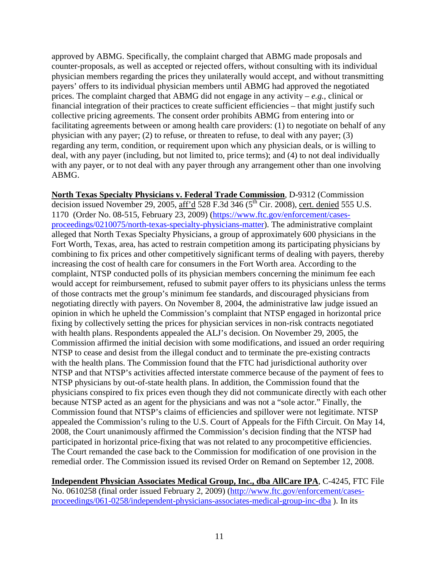approved by ABMG. Specifically, the complaint charged that ABMG made proposals and counter-proposals, as well as accepted or rejected offers, without consulting with its individual physician members regarding the prices they unilaterally would accept, and without transmitting payers' offers to its individual physician members until ABMG had approved the negotiated prices. The complaint charged that ABMG did not engage in any activity –  $e.g.,$  clinical or financial integration of their practices to create sufficient efficiencies – that might justify such collective pricing agreements. The consent order prohibits ABMG from entering into or facilitating agreements between or among health care providers: (1) to negotiate on behalf of any physician with any payer; (2) to refuse, or threaten to refuse, to deal with any payer; (3) regarding any term, condition, or requirement upon which any physician deals, or is willing to deal, with any payer (including, but not limited to, price terms); and (4) to not deal individually with any payer, or to not deal with any payer through any arrangement other than one involving ABMG.

**North Texas Specialty Physicians v. Federal Trade Commission**, D-9312 (Commission decision issued November 29, 2005,  $\frac{\text{aff'}d}{\text{ad}}$  528 F.3d 346 (5<sup>th</sup> Cir. 2008), cert. denied 555 U.S. 1170 (Order No. 08-515, February 23, 2009) [\(https://www.ftc.gov/enforcement/cases](https://www.ftc.gov/enforcement/cases-proceedings/0210075/north-texas-specialty-physicians-matter)[proceedings/0210075/north-texas-specialty-physicians-matter\)](https://www.ftc.gov/enforcement/cases-proceedings/0210075/north-texas-specialty-physicians-matter). The administrative complaint alleged that North Texas Specialty Physicians, a group of approximately 600 physicians in the Fort Worth, Texas, area, has acted to restrain competition among its participating physicians by combining to fix prices and other competitively significant terms of dealing with payers, thereby increasing the cost of health care for consumers in the Fort Worth area. According to the complaint, NTSP conducted polls of its physician members concerning the minimum fee each would accept for reimbursement, refused to submit payer offers to its physicians unless the terms of those contracts met the group's minimum fee standards, and discouraged physicians from negotiating directly with payers. On November 8, 2004, the administrative law judge issued an opinion in which he upheld the Commission's complaint that NTSP engaged in horizontal price fixing by collectively setting the prices for physician services in non-risk contracts negotiated with health plans. Respondents appealed the ALJ's decision. On November 29, 2005, the Commission affirmed the initial decision with some modifications, and issued an order requiring NTSP to cease and desist from the illegal conduct and to terminate the pre-existing contracts with the health plans. The Commission found that the FTC had jurisdictional authority over NTSP and that NTSP's activities affected interstate commerce because of the payment of fees to NTSP physicians by out-of-state health plans. In addition, the Commission found that the physicians conspired to fix prices even though they did not communicate directly with each other because NTSP acted as an agent for the physicians and was not a "sole actor." Finally, the Commission found that NTSP's claims of efficiencies and spillover were not legitimate. NTSP appealed the Commission's ruling to the U.S. Court of Appeals for the Fifth Circuit. On May 14, 2008, the Court unanimously affirmed the Commission's decision finding that the NTSP had participated in horizontal price-fixing that was not related to any procompetitive efficiencies. The Court remanded the case back to the Commission for modification of one provision in the remedial order. The Commission issued its revised Order on Remand on September 12, 2008.

**Independent Physician Associates Medical Group, Inc., dba AllCare IPA**, C-4245, FTC File No. 0610258 (final order issued February 2, 2009) [\(http://www.ftc.gov/enforcement/cases](http://www.ftc.gov/enforcement/cases-proceedings/061-0258/independent-physicians-associates-medical-group-inc-dba)[proceedings/061-0258/independent-physicians-associates-medical-group-inc-dba](http://www.ftc.gov/enforcement/cases-proceedings/061-0258/independent-physicians-associates-medical-group-inc-dba) ). In its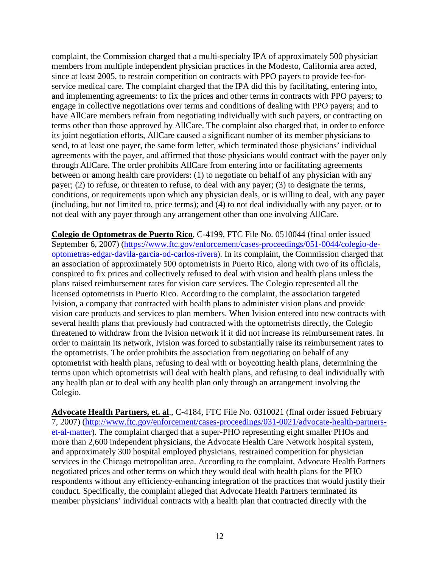complaint, the Commission charged that a multi-specialty IPA of approximately 500 physician members from multiple independent physician practices in the Modesto, California area acted, since at least 2005, to restrain competition on contracts with PPO payers to provide fee-forservice medical care. The complaint charged that the IPA did this by facilitating, entering into, and implementing agreements: to fix the prices and other terms in contracts with PPO payers; to engage in collective negotiations over terms and conditions of dealing with PPO payers; and to have AllCare members refrain from negotiating individually with such payers, or contracting on terms other than those approved by AllCare. The complaint also charged that, in order to enforce its joint negotiation efforts, AllCare caused a significant number of its member physicians to send, to at least one payer, the same form letter, which terminated those physicians' individual agreements with the payer, and affirmed that those physicians would contract with the payer only through AllCare. The order prohibits AllCare from entering into or facilitating agreements between or among health care providers: (1) to negotiate on behalf of any physician with any payer; (2) to refuse, or threaten to refuse, to deal with any payer; (3) to designate the terms, conditions, or requirements upon which any physician deals, or is willing to deal, with any payer (including, but not limited to, price terms); and (4) to not deal individually with any payer, or to not deal with any payer through any arrangement other than one involving AllCare.

**Colegio de Optometras de Puerto Rico**, C-4199, FTC File No. 0510044 (final order issued September 6, 2007) [\(https://www.ftc.gov/enforcement/cases-proceedings/051-0044/colegio-de](https://www.ftc.gov/enforcement/cases-proceedings/051-0044/colegio-de-optometras-edgar-davila-garcia-od-carlos-rivera)[optometras-edgar-davila-garcia-od-carlos-rivera\)](https://www.ftc.gov/enforcement/cases-proceedings/051-0044/colegio-de-optometras-edgar-davila-garcia-od-carlos-rivera). In its complaint, the Commission charged that an association of approximately 500 optometrists in Puerto Rico, along with two of its officials, conspired to fix prices and collectively refused to deal with vision and health plans unless the plans raised reimbursement rates for vision care services. The Colegio represented all the licensed optometrists in Puerto Rico. According to the complaint, the association targeted Ivision, a company that contracted with health plans to administer vision plans and provide vision care products and services to plan members. When Ivision entered into new contracts with several health plans that previously had contracted with the optometrists directly, the Colegio threatened to withdraw from the Ivision network if it did not increase its reimbursement rates. In order to maintain its network, Ivision was forced to substantially raise its reimbursement rates to the optometrists. The order prohibits the association from negotiating on behalf of any optometrist with health plans, refusing to deal with or boycotting health plans, determining the terms upon which optometrists will deal with health plans, and refusing to deal individually with any health plan or to deal with any health plan only through an arrangement involving the Colegio.

**Advocate Health Partners, et. al**., C-4184, FTC File No. 0310021 (final order issued February 7, 2007) [\(http://www.ftc.gov/enforcement/cases-proceedings/031-0021/advocate-health-partners](http://www.ftc.gov/enforcement/cases-proceedings/031-0021/advocate-health-partners-et-al-matter)[et-al-matter\)](http://www.ftc.gov/enforcement/cases-proceedings/031-0021/advocate-health-partners-et-al-matter). The complaint charged that a super-PHO representing eight smaller PHOs and more than 2,600 independent physicians, the Advocate Health Care Network hospital system, and approximately 300 hospital employed physicians, restrained competition for physician services in the Chicago metropolitan area. According to the complaint, Advocate Health Partners negotiated prices and other terms on which they would deal with health plans for the PHO respondents without any efficiency-enhancing integration of the practices that would justify their conduct. Specifically, the complaint alleged that Advocate Health Partners terminated its member physicians' individual contracts with a health plan that contracted directly with the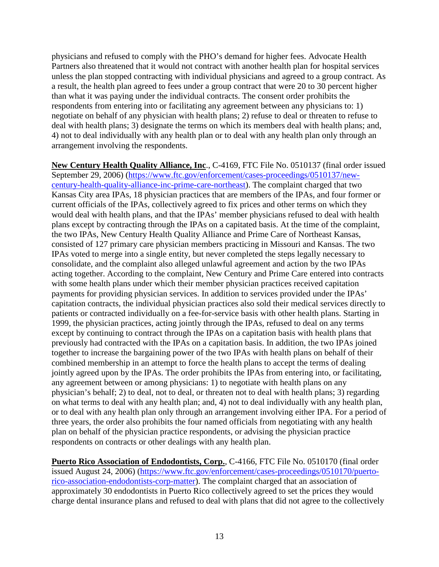physicians and refused to comply with the PHO's demand for higher fees. Advocate Health Partners also threatened that it would not contract with another health plan for hospital services unless the plan stopped contracting with individual physicians and agreed to a group contract. As a result, the health plan agreed to fees under a group contract that were 20 to 30 percent higher than what it was paying under the individual contracts. The consent order prohibits the respondents from entering into or facilitating any agreement between any physicians to: 1) negotiate on behalf of any physician with health plans; 2) refuse to deal or threaten to refuse to deal with health plans; 3) designate the terms on which its members deal with health plans; and, 4) not to deal individually with any health plan or to deal with any health plan only through an arrangement involving the respondents.

**New Century Health Quality Alliance, Inc**., C-4169, FTC File No. 0510137 (final order issued September 29, 2006) [\(https://www.ftc.gov/enforcement/cases-proceedings/0510137/new](https://www.ftc.gov/enforcement/cases-proceedings/0510137/new-century-health-quality-alliance-inc-prime-care-northeast)[century-health-quality-alliance-inc-prime-care-northeast\)](https://www.ftc.gov/enforcement/cases-proceedings/0510137/new-century-health-quality-alliance-inc-prime-care-northeast). The complaint charged that two Kansas City area IPAs, 18 physician practices that are members of the IPAs, and four former or current officials of the IPAs, collectively agreed to fix prices and other terms on which they would deal with health plans, and that the IPAs' member physicians refused to deal with health plans except by contracting through the IPAs on a capitated basis. At the time of the complaint, the two IPAs, New Century Health Quality Alliance and Prime Care of Northeast Kansas, consisted of 127 primary care physician members practicing in Missouri and Kansas. The two IPAs voted to merge into a single entity, but never completed the steps legally necessary to consolidate, and the complaint also alleged unlawful agreement and action by the two IPAs acting together. According to the complaint, New Century and Prime Care entered into contracts with some health plans under which their member physician practices received capitation payments for providing physician services. In addition to services provided under the IPAs' capitation contracts, the individual physician practices also sold their medical services directly to patients or contracted individually on a fee-for-service basis with other health plans. Starting in 1999, the physician practices, acting jointly through the IPAs, refused to deal on any terms except by continuing to contract through the IPAs on a capitation basis with health plans that previously had contracted with the IPAs on a capitation basis. In addition, the two IPAs joined together to increase the bargaining power of the two IPAs with health plans on behalf of their combined membership in an attempt to force the health plans to accept the terms of dealing jointly agreed upon by the IPAs. The order prohibits the IPAs from entering into, or facilitating, any agreement between or among physicians: 1) to negotiate with health plans on any physician's behalf; 2) to deal, not to deal, or threaten not to deal with health plans; 3) regarding on what terms to deal with any health plan; and, 4) not to deal individually with any health plan, or to deal with any health plan only through an arrangement involving either IPA. For a period of three years, the order also prohibits the four named officials from negotiating with any health plan on behalf of the physician practice respondents, or advising the physician practice respondents on contracts or other dealings with any health plan.

**Puerto Rico Association of Endodontists, Corp.**, C-4166, FTC File No. 0510170 (final order issued August 24, 2006) [\(https://www.ftc.gov/enforcement/cases-proceedings/0510170/puerto](https://www.ftc.gov/enforcement/cases-proceedings/0510170/puerto-rico-association-endodontists-corp-matter)[rico-association-endodontists-corp-matter\)](https://www.ftc.gov/enforcement/cases-proceedings/0510170/puerto-rico-association-endodontists-corp-matter). The complaint charged that an association of approximately 30 endodontists in Puerto Rico collectively agreed to set the prices they would charge dental insurance plans and refused to deal with plans that did not agree to the collectively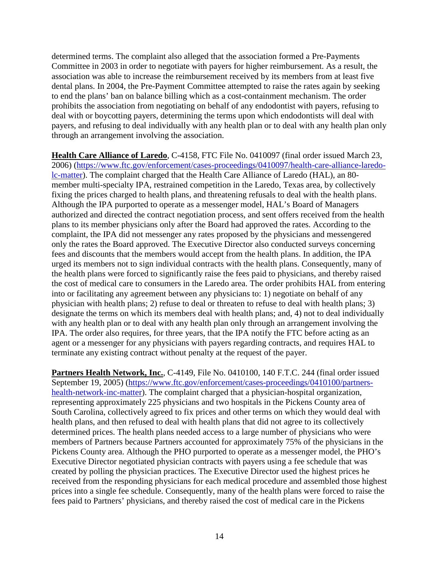determined terms. The complaint also alleged that the association formed a Pre-Payments Committee in 2003 in order to negotiate with payers for higher reimbursement. As a result, the association was able to increase the reimbursement received by its members from at least five dental plans. In 2004, the Pre-Payment Committee attempted to raise the rates again by seeking to end the plans' ban on balance billing which as a cost-containment mechanism. The order prohibits the association from negotiating on behalf of any endodontist with payers, refusing to deal with or boycotting payers, determining the terms upon which endodontists will deal with payers, and refusing to deal individually with any health plan or to deal with any health plan only through an arrangement involving the association.

**Health Care Alliance of Laredo**, C-4158, FTC File No. 0410097 (final order issued March 23, 2006) [\(https://www.ftc.gov/enforcement/cases-proceedings/0410097/health-care-alliance-laredo](https://www.ftc.gov/enforcement/cases-proceedings/0410097/health-care-alliance-laredo-lc-matter)[lc-matter\)](https://www.ftc.gov/enforcement/cases-proceedings/0410097/health-care-alliance-laredo-lc-matter). The complaint charged that the Health Care Alliance of Laredo (HAL), an 80 member multi-specialty IPA, restrained competition in the Laredo, Texas area, by collectively fixing the prices charged to health plans, and threatening refusals to deal with the health plans. Although the IPA purported to operate as a messenger model, HAL's Board of Managers authorized and directed the contract negotiation process, and sent offers received from the health plans to its member physicians only after the Board had approved the rates. According to the complaint, the IPA did not messenger any rates proposed by the physicians and messengered only the rates the Board approved. The Executive Director also conducted surveys concerning fees and discounts that the members would accept from the health plans. In addition, the IPA urged its members not to sign individual contracts with the health plans. Consequently, many of the health plans were forced to significantly raise the fees paid to physicians, and thereby raised the cost of medical care to consumers in the Laredo area. The order prohibits HAL from entering into or facilitating any agreement between any physicians to: 1) negotiate on behalf of any physician with health plans; 2) refuse to deal or threaten to refuse to deal with health plans; 3) designate the terms on which its members deal with health plans; and, 4) not to deal individually with any health plan or to deal with any health plan only through an arrangement involving the IPA. The order also requires, for three years, that the IPA notify the FTC before acting as an agent or a messenger for any physicians with payers regarding contracts, and requires HAL to terminate any existing contract without penalty at the request of the payer.

**Partners Health Network, Inc.**, C-4149, File No. 0410100, 140 F.T.C. 244 (final order issued September 19, 2005) [\(https://www.ftc.gov/enforcement/cases-proceedings/0410100/partners](https://www.ftc.gov/enforcement/cases-proceedings/0410100/partners-health-network-inc-matter)[health-network-inc-matter\)](https://www.ftc.gov/enforcement/cases-proceedings/0410100/partners-health-network-inc-matter). The complaint charged that a physician-hospital organization, representing approximately 225 physicians and two hospitals in the Pickens County area of South Carolina, collectively agreed to fix prices and other terms on which they would deal with health plans, and then refused to deal with health plans that did not agree to its collectively determined prices. The health plans needed access to a large number of physicians who were members of Partners because Partners accounted for approximately 75% of the physicians in the Pickens County area. Although the PHO purported to operate as a messenger model, the PHO's Executive Director negotiated physician contracts with payers using a fee schedule that was created by polling the physician practices. The Executive Director used the highest prices he received from the responding physicians for each medical procedure and assembled those highest prices into a single fee schedule. Consequently, many of the health plans were forced to raise the fees paid to Partners' physicians, and thereby raised the cost of medical care in the Pickens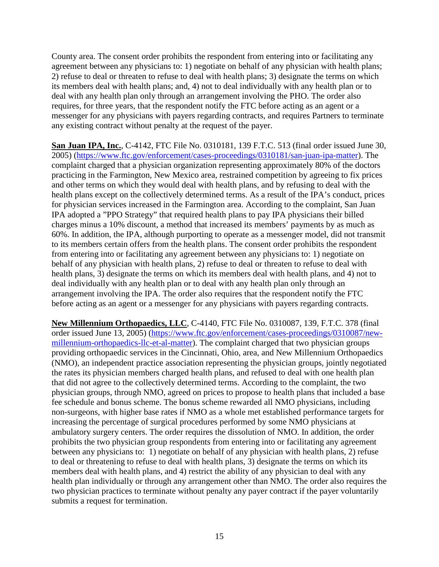County area. The consent order prohibits the respondent from entering into or facilitating any agreement between any physicians to: 1) negotiate on behalf of any physician with health plans; 2) refuse to deal or threaten to refuse to deal with health plans; 3) designate the terms on which its members deal with health plans; and, 4) not to deal individually with any health plan or to deal with any health plan only through an arrangement involving the PHO. The order also requires, for three years, that the respondent notify the FTC before acting as an agent or a messenger for any physicians with payers regarding contracts, and requires Partners to terminate any existing contract without penalty at the request of the payer.

**San Juan IPA, Inc.**, C-4142, FTC File No. 0310181, 139 F.T.C. 513 (final order issued June 30, 2005) [\(https://www.ftc.gov/enforcement/cases-proceedings/0310181/san-juan-ipa-matter\)](https://www.ftc.gov/enforcement/cases-proceedings/0310181/san-juan-ipa-matter). The complaint charged that a physician organization representing approximately 80% of the doctors practicing in the Farmington, New Mexico area, restrained competition by agreeing to fix prices and other terms on which they would deal with health plans, and by refusing to deal with the health plans except on the collectively determined terms. As a result of the IPA's conduct, prices for physician services increased in the Farmington area. According to the complaint, San Juan IPA adopted a "PPO Strategy" that required health plans to pay IPA physicians their billed charges minus a 10% discount, a method that increased its members' payments by as much as 60%. In addition, the IPA, although purporting to operate as a messenger model, did not transmit to its members certain offers from the health plans. The consent order prohibits the respondent from entering into or facilitating any agreement between any physicians to: 1) negotiate on behalf of any physician with health plans, 2) refuse to deal or threaten to refuse to deal with health plans, 3) designate the terms on which its members deal with health plans, and 4) not to deal individually with any health plan or to deal with any health plan only through an arrangement involving the IPA. The order also requires that the respondent notify the FTC before acting as an agent or a messenger for any physicians with payers regarding contracts.

**New Millennium Orthopaedics, LLC**, C-4140, FTC File No. 0310087, 139, F.T.C. 378 (final order issued June 13, 2005) [\(https://www.ftc.gov/enforcement/cases-proceedings/0310087/new](https://www.ftc.gov/enforcement/cases-proceedings/0310087/new-millennium-orthopaedics-llc-et-al-matter)[millennium-orthopaedics-llc-et-al-matter\)](https://www.ftc.gov/enforcement/cases-proceedings/0310087/new-millennium-orthopaedics-llc-et-al-matter). The complaint charged that two physician groups providing orthopaedic services in the Cincinnati, Ohio, area, and New Millennium Orthopaedics (NMO), an independent practice association representing the physician groups, jointly negotiated the rates its physician members charged health plans, and refused to deal with one health plan that did not agree to the collectively determined terms. According to the complaint, the two physician groups, through NMO, agreed on prices to propose to health plans that included a base fee schedule and bonus scheme. The bonus scheme rewarded all NMO physicians, including non-surgeons, with higher base rates if NMO as a whole met established performance targets for increasing the percentage of surgical procedures performed by some NMO physicians at ambulatory surgery centers. The order requires the dissolution of NMO. In addition, the order prohibits the two physician group respondents from entering into or facilitating any agreement between any physicians to: 1) negotiate on behalf of any physician with health plans, 2) refuse to deal or threatening to refuse to deal with health plans, 3) designate the terms on which its members deal with health plans, and 4) restrict the ability of any physician to deal with any health plan individually or through any arrangement other than NMO. The order also requires the two physician practices to terminate without penalty any payer contract if the payer voluntarily submits a request for termination.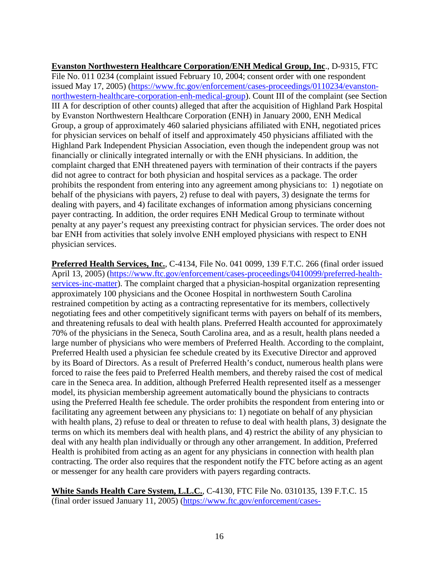**Evanston Northwestern Healthcare Corporation/ENH Medical Group, Inc**., D-9315, FTC File No. 011 0234 (complaint issued February 10, 2004; consent order with one respondent issued May 17, 2005) [\(https://www.ftc.gov/enforcement/cases-proceedings/0110234/evanston](https://www.ftc.gov/enforcement/cases-proceedings/0110234/evanston-northwestern-healthcare-corporation-enh-medical-group)[northwestern-healthcare-corporation-enh-medical-group\)](https://www.ftc.gov/enforcement/cases-proceedings/0110234/evanston-northwestern-healthcare-corporation-enh-medical-group). Count III of the complaint (see Section III A for description of other counts) alleged that after the acquisition of Highland Park Hospital by Evanston Northwestern Healthcare Corporation (ENH) in January 2000, ENH Medical Group, a group of approximately 460 salaried physicians affiliated with ENH, negotiated prices for physician services on behalf of itself and approximately 450 physicians affiliated with the Highland Park Independent Physician Association, even though the independent group was not financially or clinically integrated internally or with the ENH physicians. In addition, the complaint charged that ENH threatened payers with termination of their contracts if the payers did not agree to contract for both physician and hospital services as a package. The order prohibits the respondent from entering into any agreement among physicians to: 1) negotiate on behalf of the physicians with payers, 2) refuse to deal with payers, 3) designate the terms for dealing with payers, and 4) facilitate exchanges of information among physicians concerning payer contracting. In addition, the order requires ENH Medical Group to terminate without penalty at any payer's request any preexisting contract for physician services. The order does not bar ENH from activities that solely involve ENH employed physicians with respect to ENH physician services.

**Preferred Health Services, Inc.**, C-4134, File No. 041 0099, 139 F.T.C. 266 (final order issued April 13, 2005) [\(https://www.ftc.gov/enforcement/cases-proceedings/0410099/preferred-health](https://www.ftc.gov/enforcement/cases-proceedings/0410099/preferred-health-services-inc-matter)[services-inc-matter\)](https://www.ftc.gov/enforcement/cases-proceedings/0410099/preferred-health-services-inc-matter). The complaint charged that a physician-hospital organization representing approximately 100 physicians and the Oconee Hospital in northwestern South Carolina restrained competition by acting as a contracting representative for its members, collectively negotiating fees and other competitively significant terms with payers on behalf of its members, and threatening refusals to deal with health plans. Preferred Health accounted for approximately 70% of the physicians in the Seneca, South Carolina area, and as a result, health plans needed a large number of physicians who were members of Preferred Health. According to the complaint, Preferred Health used a physician fee schedule created by its Executive Director and approved by its Board of Directors. As a result of Preferred Health's conduct, numerous health plans were forced to raise the fees paid to Preferred Health members, and thereby raised the cost of medical care in the Seneca area. In addition, although Preferred Health represented itself as a messenger model, its physician membership agreement automatically bound the physicians to contracts using the Preferred Health fee schedule. The order prohibits the respondent from entering into or facilitating any agreement between any physicians to: 1) negotiate on behalf of any physician with health plans, 2) refuse to deal or threaten to refuse to deal with health plans, 3) designate the terms on which its members deal with health plans, and 4) restrict the ability of any physician to deal with any health plan individually or through any other arrangement. In addition, Preferred Health is prohibited from acting as an agent for any physicians in connection with health plan contracting. The order also requires that the respondent notify the FTC before acting as an agent or messenger for any health care providers with payers regarding contracts.

**White Sands Health Care System, L.L.C.**, C-4130, FTC File No. 0310135, 139 F.T.C. 15 (final order issued January 11, 2005) [\(https://www.ftc.gov/enforcement/cases-](https://www.ftc.gov/enforcement/cases-proceedings/0310135/white-sands-health-care-system-llc-et-al-matter)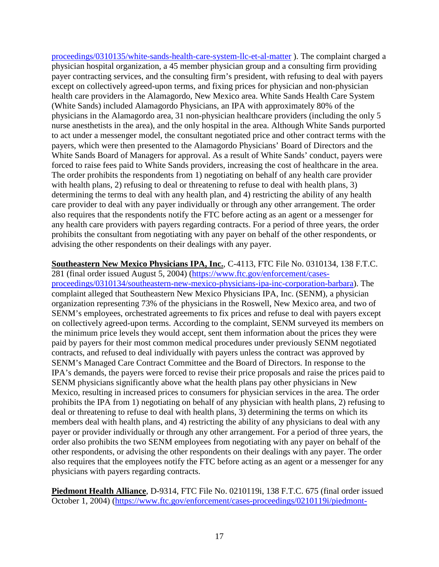[proceedings/0310135/white-sands-health-care-system-llc-et-al-matter](https://www.ftc.gov/enforcement/cases-proceedings/0310135/white-sands-health-care-system-llc-et-al-matter) ). The complaint charged a physician hospital organization, a 45 member physician group and a consulting firm providing payer contracting services, and the consulting firm's president, with refusing to deal with payers except on collectively agreed-upon terms, and fixing prices for physician and non-physician health care providers in the Alamagordo, New Mexico area. White Sands Health Care System (White Sands) included Alamagordo Physicians, an IPA with approximately 80% of the physicians in the Alamagordo area, 31 non-physician healthcare providers (including the only 5 nurse anesthetists in the area), and the only hospital in the area. Although White Sands purported to act under a messenger model, the consultant negotiated price and other contract terms with the payers, which were then presented to the Alamagordo Physicians' Board of Directors and the White Sands Board of Managers for approval. As a result of White Sands' conduct, payers were forced to raise fees paid to White Sands providers, increasing the cost of healthcare in the area. The order prohibits the respondents from 1) negotiating on behalf of any health care provider with health plans, 2) refusing to deal or threatening to refuse to deal with health plans, 3) determining the terms to deal with any health plan, and 4) restricting the ability of any health care provider to deal with any payer individually or through any other arrangement. The order also requires that the respondents notify the FTC before acting as an agent or a messenger for any health care providers with payers regarding contracts. For a period of three years, the order prohibits the consultant from negotiating with any payer on behalf of the other respondents, or advising the other respondents on their dealings with any payer.

**Southeastern New Mexico Physicians IPA, Inc.**, C-4113, FTC File No. 0310134, 138 F.T.C. 281 (final order issued August 5, 2004) [\(https://www.ftc.gov/enforcement/cases](https://www.ftc.gov/enforcement/cases-proceedings/0310134/southeastern-new-mexico-physicians-ipa-inc-corporation-barbara)[proceedings/0310134/southeastern-new-mexico-physicians-ipa-inc-corporation-barbara\)](https://www.ftc.gov/enforcement/cases-proceedings/0310134/southeastern-new-mexico-physicians-ipa-inc-corporation-barbara). The complaint alleged that Southeastern New Mexico Physicians IPA, Inc. (SENM), a physician organization representing 73% of the physicians in the Roswell, New Mexico area, and two of SENM's employees, orchestrated agreements to fix prices and refuse to deal with payers except on collectively agreed-upon terms. According to the complaint, SENM surveyed its members on the minimum price levels they would accept, sent them information about the prices they were paid by payers for their most common medical procedures under previously SENM negotiated contracts, and refused to deal individually with payers unless the contract was approved by SENM's Managed Care Contract Committee and the Board of Directors. In response to the IPA's demands, the payers were forced to revise their price proposals and raise the prices paid to SENM physicians significantly above what the health plans pay other physicians in New Mexico, resulting in increased prices to consumers for physician services in the area. The order prohibits the IPA from 1) negotiating on behalf of any physician with health plans, 2) refusing to deal or threatening to refuse to deal with health plans, 3) determining the terms on which its members deal with health plans, and 4) restricting the ability of any physicians to deal with any payer or provider individually or through any other arrangement. For a period of three years, the order also prohibits the two SENM employees from negotiating with any payer on behalf of the other respondents, or advising the other respondents on their dealings with any payer. The order also requires that the employees notify the FTC before acting as an agent or a messenger for any physicians with payers regarding contracts.

**Piedmont Health Alliance**, D-9314, FTC File No. 0210119i, 138 F.T.C. 675 (final order issued October 1, 2004) [\(https://www.ftc.gov/enforcement/cases-proceedings/0210119i/piedmont-](https://www.ftc.gov/enforcement/cases-proceedings/0210119i/piedmont-health-alliance-inc-et-al-matter)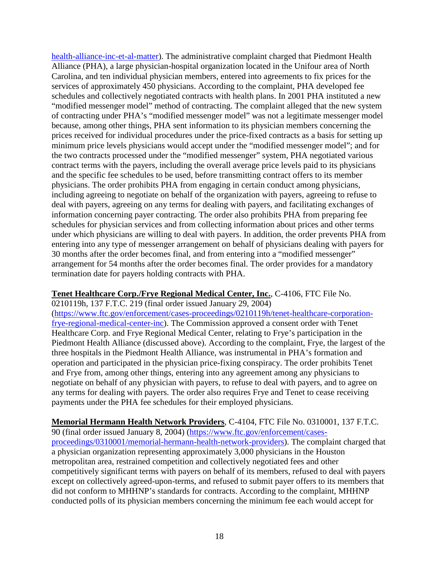[health-alliance-inc-et-al-matter\)](https://www.ftc.gov/enforcement/cases-proceedings/0210119i/piedmont-health-alliance-inc-et-al-matter). The administrative complaint charged that Piedmont Health Alliance (PHA), a large physician-hospital organization located in the Unifour area of North Carolina, and ten individual physician members, entered into agreements to fix prices for the services of approximately 450 physicians. According to the complaint, PHA developed fee schedules and collectively negotiated contracts with health plans. In 2001 PHA instituted a new "modified messenger model" method of contracting. The complaint alleged that the new system of contracting under PHA's "modified messenger model" was not a legitimate messenger model because, among other things, PHA sent information to its physician members concerning the prices received for individual procedures under the price-fixed contracts as a basis for setting up minimum price levels physicians would accept under the "modified messenger model"; and for the two contracts processed under the "modified messenger" system, PHA negotiated various contract terms with the payers, including the overall average price levels paid to its physicians and the specific fee schedules to be used, before transmitting contract offers to its member physicians. The order prohibits PHA from engaging in certain conduct among physicians, including agreeing to negotiate on behalf of the organization with payers, agreeing to refuse to deal with payers, agreeing on any terms for dealing with payers, and facilitating exchanges of information concerning payer contracting. The order also prohibits PHA from preparing fee schedules for physician services and from collecting information about prices and other terms under which physicians are willing to deal with payers. In addition, the order prevents PHA from entering into any type of messenger arrangement on behalf of physicians dealing with payers for 30 months after the order becomes final, and from entering into a "modified messenger" arrangement for 54 months after the order becomes final. The order provides for a mandatory termination date for payers holding contracts with PHA.

# **Tenet Healthcare Corp./Frye Regional Medical Center, Inc.**, C-4106, FTC File No.

0210119h, 137 F.T.C. 219 (final order issued January 29, 2004)

[\(https://www.ftc.gov/enforcement/cases-proceedings/0210119h/tenet-healthcare-corporation](https://www.ftc.gov/enforcement/cases-proceedings/0210119h/tenet-healthcare-corporation-frye-regional-medical-center-inc)[frye-regional-medical-center-inc\)](https://www.ftc.gov/enforcement/cases-proceedings/0210119h/tenet-healthcare-corporation-frye-regional-medical-center-inc). The Commission approved a consent order with Tenet Healthcare Corp. and Frye Regional Medical Center, relating to Frye's participation in the Piedmont Health Alliance (discussed above). According to the complaint, Frye, the largest of the three hospitals in the Piedmont Health Alliance, was instrumental in PHA's formation and operation and participated in the physician price-fixing conspiracy. The order prohibits Tenet and Frye from, among other things, entering into any agreement among any physicians to negotiate on behalf of any physician with payers, to refuse to deal with payers, and to agree on any terms for dealing with payers. The order also requires Frye and Tenet to cease receiving payments under the PHA fee schedules for their employed physicians.

**Memorial Hermann Health Network Providers**, C-4104, FTC File No. 0310001, 137 F.T.C. 90 (final order issued January 8, 2004) [\(https://www.ftc.gov/enforcement/cases](https://www.ftc.gov/enforcement/cases-proceedings/0310001/memorial-hermann-health-network-providers)[proceedings/0310001/memorial-hermann-health-network-providers\)](https://www.ftc.gov/enforcement/cases-proceedings/0310001/memorial-hermann-health-network-providers). The complaint charged that a physician organization representing approximately 3,000 physicians in the Houston metropolitan area, restrained competition and collectively negotiated fees and other competitively significant terms with payers on behalf of its members, refused to deal with payers except on collectively agreed-upon-terms, and refused to submit payer offers to its members that did not conform to MHHNP's standards for contracts. According to the complaint, MHHNP conducted polls of its physician members concerning the minimum fee each would accept for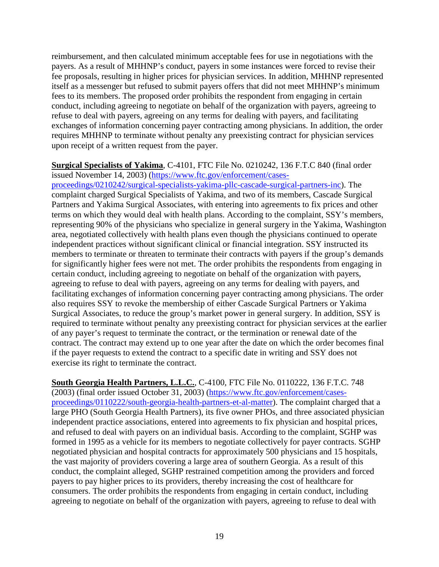reimbursement, and then calculated minimum acceptable fees for use in negotiations with the payers. As a result of MHHNP's conduct, payers in some instances were forced to revise their fee proposals, resulting in higher prices for physician services. In addition, MHHNP represented itself as a messenger but refused to submit payers offers that did not meet MHHNP's minimum fees to its members. The proposed order prohibits the respondent from engaging in certain conduct, including agreeing to negotiate on behalf of the organization with payers, agreeing to refuse to deal with payers, agreeing on any terms for dealing with payers, and facilitating exchanges of information concerning payer contracting among physicians. In addition, the order requires MHHNP to terminate without penalty any preexisting contract for physician services upon receipt of a written request from the payer.

#### **Surgical Specialists of Yakima**, C-4101, FTC File No. 0210242, 136 F.T.C 840 (final order issued November 14, 2003) [\(https://www.ftc.gov/enforcement/cases-](https://www.ftc.gov/enforcement/cases-proceedings/0210242/surgical-specialists-yakima-pllc-cascade-surgical-partners-inc)

[proceedings/0210242/surgical-specialists-yakima-pllc-cascade-surgical-partners-inc\)](https://www.ftc.gov/enforcement/cases-proceedings/0210242/surgical-specialists-yakima-pllc-cascade-surgical-partners-inc). The complaint charged Surgical Specialists of Yakima, and two of its members, Cascade Surgical Partners and Yakima Surgical Associates, with entering into agreements to fix prices and other terms on which they would deal with health plans. According to the complaint, SSY's members, representing 90% of the physicians who specialize in general surgery in the Yakima, Washington area, negotiated collectively with health plans even though the physicians continued to operate independent practices without significant clinical or financial integration. SSY instructed its members to terminate or threaten to terminate their contracts with payers if the group's demands for significantly higher fees were not met. The order prohibits the respondents from engaging in certain conduct, including agreeing to negotiate on behalf of the organization with payers, agreeing to refuse to deal with payers, agreeing on any terms for dealing with payers, and facilitating exchanges of information concerning payer contracting among physicians. The order also requires SSY to revoke the membership of either Cascade Surgical Partners or Yakima Surgical Associates, to reduce the group's market power in general surgery. In addition, SSY is required to terminate without penalty any preexisting contract for physician services at the earlier of any payer's request to terminate the contract, or the termination or renewal date of the contract. The contract may extend up to one year after the date on which the order becomes final if the payer requests to extend the contract to a specific date in writing and SSY does not exercise its right to terminate the contract.

**South Georgia Health Partners, L.L.C.**, C-4100, FTC File No. 0110222, 136 F.T.C. 748 (2003) (final order issued October 31, 2003) [\(https://www.ftc.gov/enforcement/cases](https://www.ftc.gov/enforcement/cases-proceedings/0110222/south-georgia-health-partners-et-al-matter)[proceedings/0110222/south-georgia-health-partners-et-al-matter\)](https://www.ftc.gov/enforcement/cases-proceedings/0110222/south-georgia-health-partners-et-al-matter). The complaint charged that a large PHO (South Georgia Health Partners), its five owner PHOs, and three associated physician independent practice associations, entered into agreements to fix physician and hospital prices, and refused to deal with payers on an individual basis. According to the complaint, SGHP was formed in 1995 as a vehicle for its members to negotiate collectively for payer contracts. SGHP negotiated physician and hospital contracts for approximately 500 physicians and 15 hospitals, the vast majority of providers covering a large area of southern Georgia. As a result of this conduct, the complaint alleged, SGHP restrained competition among the providers and forced payers to pay higher prices to its providers, thereby increasing the cost of healthcare for consumers. The order prohibits the respondents from engaging in certain conduct, including agreeing to negotiate on behalf of the organization with payers, agreeing to refuse to deal with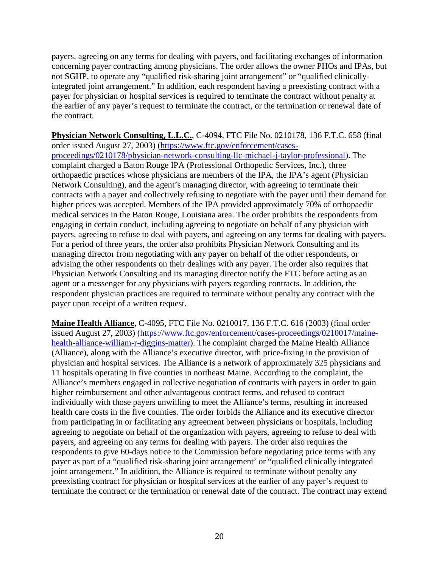payers, agreeing on any terms for dealing with payers, and facilitating exchanges of information concerning payer contracting among physicians. The order allows the owner PHOs and IPAs, but not SGHP, to operate any "qualified risk-sharing joint arrangement" or "qualified clinicallyintegrated joint arrangement." In addition, each respondent having a preexisting contract with a payer for physician or hospital services is required to terminate the contract without penalty at the earlier of any payer's request to terminate the contract, or the termination or renewal date of the contract.

**Physician Network Consulting, L.L.C.**, C-4094, FTC File No. 0210178, 136 F.T.C. 658 (final order issued August 27, 2003) [\(https://www.ftc.gov/enforcement/cases](https://www.ftc.gov/enforcement/cases-proceedings/0210178/physician-network-consulting-llc-michael-j-taylor-professional)[proceedings/0210178/physician-network-consulting-llc-michael-j-taylor-professional\)](https://www.ftc.gov/enforcement/cases-proceedings/0210178/physician-network-consulting-llc-michael-j-taylor-professional). The complaint charged a Baton Rouge IPA (Professional Orthopedic Services, Inc.), three orthopaedic practices whose physicians are members of the IPA, the IPA's agent (Physician Network Consulting), and the agent's managing director, with agreeing to terminate their contracts with a payer and collectively refusing to negotiate with the payer until their demand for higher prices was accepted. Members of the IPA provided approximately 70% of orthopaedic medical services in the Baton Rouge, Louisiana area. The order prohibits the respondents from engaging in certain conduct, including agreeing to negotiate on behalf of any physician with payers, agreeing to refuse to deal with payers, and agreeing on any terms for dealing with payers. For a period of three years, the order also prohibits Physician Network Consulting and its managing director from negotiating with any payer on behalf of the other respondents, or advising the other respondents on their dealings with any payer. The order also requires that Physician Network Consulting and its managing director notify the FTC before acting as an agent or a messenger for any physicians with payers regarding contracts. In addition, the respondent physician practices are required to terminate without penalty any contract with the payer upon receipt of a written request.

**Maine Health Alliance**, C-4095, FTC File No. 0210017, 136 F.T.C. 616 (2003) (final order issued August 27, 2003) [\(https://www.ftc.gov/enforcement/cases-proceedings/0210017/maine](https://www.ftc.gov/enforcement/cases-proceedings/0210017/maine-health-alliance-william-r-diggins-matter)[health-alliance-william-r-diggins-matter\)](https://www.ftc.gov/enforcement/cases-proceedings/0210017/maine-health-alliance-william-r-diggins-matter). The complaint charged the Maine Health Alliance (Alliance), along with the Alliance's executive director, with price-fixing in the provision of physician and hospital services. The Alliance is a network of approximately 325 physicians and 11 hospitals operating in five counties in northeast Maine. According to the complaint, the Alliance's members engaged in collective negotiation of contracts with payers in order to gain higher reimbursement and other advantageous contract terms, and refused to contract individually with those payers unwilling to meet the Alliance's terms, resulting in increased health care costs in the five counties. The order forbids the Alliance and its executive director from participating in or facilitating any agreement between physicians or hospitals, including agreeing to negotiate on behalf of the organization with payers, agreeing to refuse to deal with payers, and agreeing on any terms for dealing with payers. The order also requires the respondents to give 60-days notice to the Commission before negotiating price terms with any payer as part of a "qualified risk-sharing joint arrangement' or "qualified clinically integrated joint arrangement." In addition, the Alliance is required to terminate without penalty any preexisting contract for physician or hospital services at the earlier of any payer's request to terminate the contract or the termination or renewal date of the contract. The contract may extend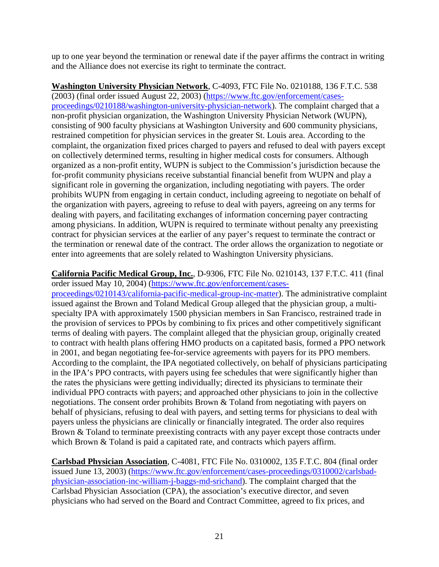up to one year beyond the termination or renewal date if the payer affirms the contract in writing and the Alliance does not exercise its right to terminate the contract.

**Washington University Physician Network**, C-4093, FTC File No. 0210188, 136 F.T.C. 538 (2003) (final order issued August 22, 2003) [\(https://www.ftc.gov/enforcement/cases](https://www.ftc.gov/enforcement/cases-proceedings/0210188/washington-university-physician-network)[proceedings/0210188/washington-university-physician-network\)](https://www.ftc.gov/enforcement/cases-proceedings/0210188/washington-university-physician-network). The complaint charged that a non-profit physician organization, the Washington University Physician Network (WUPN), consisting of 900 faculty physicians at Washington University and 600 community physicians, restrained competition for physician services in the greater St. Louis area. According to the complaint, the organization fixed prices charged to payers and refused to deal with payers except on collectively determined terms, resulting in higher medical costs for consumers. Although organized as a non-profit entity, WUPN is subject to the Commission's jurisdiction because the for-profit community physicians receive substantial financial benefit from WUPN and play a significant role in governing the organization, including negotiating with payers. The order prohibits WUPN from engaging in certain conduct, including agreeing to negotiate on behalf of the organization with payers, agreeing to refuse to deal with payers, agreeing on any terms for dealing with payers, and facilitating exchanges of information concerning payer contracting among physicians. In addition, WUPN is required to terminate without penalty any preexisting contract for physician services at the earlier of any payer's request to terminate the contract or the termination or renewal date of the contract. The order allows the organization to negotiate or enter into agreements that are solely related to Washington University physicians.

#### **California Pacific Medical Group, Inc.**, D-9306, FTC File No. 0210143, 137 F.T.C. 411 (final order issued May 10, 2004) [\(https://www.ftc.gov/enforcement/cases-](https://www.ftc.gov/enforcement/cases-proceedings/0210143/california-pacific-medical-group-inc-matter)

[proceedings/0210143/california-pacific-medical-group-inc-matter\)](https://www.ftc.gov/enforcement/cases-proceedings/0210143/california-pacific-medical-group-inc-matter). The administrative complaint issued against the Brown and Toland Medical Group alleged that the physician group, a multispecialty IPA with approximately 1500 physician members in San Francisco, restrained trade in the provision of services to PPOs by combining to fix prices and other competitively significant terms of dealing with payers. The complaint alleged that the physician group, originally created to contract with health plans offering HMO products on a capitated basis, formed a PPO network in 2001, and began negotiating fee-for-service agreements with payers for its PPO members. According to the complaint, the IPA negotiated collectively, on behalf of physicians participating in the IPA's PPO contracts, with payers using fee schedules that were significantly higher than the rates the physicians were getting individually; directed its physicians to terminate their individual PPO contracts with payers; and approached other physicians to join in the collective negotiations. The consent order prohibits Brown & Toland from negotiating with payers on behalf of physicians, refusing to deal with payers, and setting terms for physicians to deal with payers unless the physicians are clinically or financially integrated. The order also requires Brown & Toland to terminate preexisting contracts with any payer except those contracts under which Brown & Toland is paid a capitated rate, and contracts which payers affirm.

**Carlsbad Physician Association**, C-4081, FTC File No. 0310002, 135 F.T.C. 804 (final order issued June 13, 2003) [\(https://www.ftc.gov/enforcement/cases-proceedings/0310002/carlsbad](https://www.ftc.gov/enforcement/cases-proceedings/0310002/carlsbad-physician-association-inc-william-j-baggs-md-srichand)[physician-association-inc-william-j-baggs-md-srichand\)](https://www.ftc.gov/enforcement/cases-proceedings/0310002/carlsbad-physician-association-inc-william-j-baggs-md-srichand). The complaint charged that the Carlsbad Physician Association (CPA), the association's executive director, and seven physicians who had served on the Board and Contract Committee, agreed to fix prices, and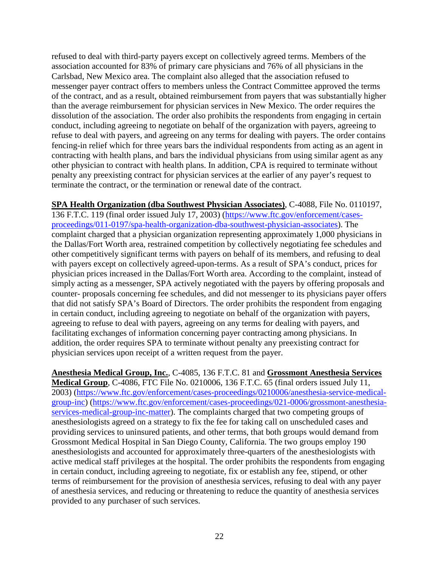refused to deal with third-party payers except on collectively agreed terms. Members of the association accounted for 83% of primary care physicians and 76% of all physicians in the Carlsbad, New Mexico area. The complaint also alleged that the association refused to messenger payer contract offers to members unless the Contract Committee approved the terms of the contract, and as a result, obtained reimbursement from payers that was substantially higher than the average reimbursement for physician services in New Mexico. The order requires the dissolution of the association. The order also prohibits the respondents from engaging in certain conduct, including agreeing to negotiate on behalf of the organization with payers, agreeing to refuse to deal with payers, and agreeing on any terms for dealing with payers. The order contains fencing-in relief which for three years bars the individual respondents from acting as an agent in contracting with health plans, and bars the individual physicians from using similar agent as any other physician to contract with health plans. In addition, CPA is required to terminate without penalty any preexisting contract for physician services at the earlier of any payer's request to terminate the contract, or the termination or renewal date of the contract.

**SPA Health Organization (dba Southwest Physician Associates)**, C-4088, File No. 0110197, 136 F.T.C. 119 (final order issued July 17, 2003) [\(https://www.ftc.gov/enforcement/cases-](https://www.ftc.gov/enforcement/cases-proceedings/011-0197/spa-health-organization-dba-southwest-physician-associates)

[proceedings/011-0197/spa-health-organization-dba-southwest-physician-associates\)](https://www.ftc.gov/enforcement/cases-proceedings/011-0197/spa-health-organization-dba-southwest-physician-associates). The complaint charged that a physician organization representing approximately 1,000 physicians in the Dallas/Fort Worth area, restrained competition by collectively negotiating fee schedules and other competitively significant terms with payers on behalf of its members, and refusing to deal with payers except on collectively agreed-upon-terms. As a result of SPA's conduct, prices for physician prices increased in the Dallas/Fort Worth area. According to the complaint, instead of simply acting as a messenger, SPA actively negotiated with the payers by offering proposals and counter- proposals concerning fee schedules, and did not messenger to its physicians payer offers that did not satisfy SPA's Board of Directors. The order prohibits the respondent from engaging in certain conduct, including agreeing to negotiate on behalf of the organization with payers, agreeing to refuse to deal with payers, agreeing on any terms for dealing with payers, and facilitating exchanges of information concerning payer contracting among physicians. In addition, the order requires SPA to terminate without penalty any preexisting contract for physician services upon receipt of a written request from the payer.

**Anesthesia Medical Group, Inc.**, C-4085, 136 F.T.C. 81 and **Grossmont Anesthesia Services Medical Group**, C-4086, FTC File No. 0210006, 136 F.T.C. 65 (final orders issued July 11, 2003) [\(https://www.ftc.gov/enforcement/cases-proceedings/0210006/anesthesia-service-medical](https://www.ftc.gov/enforcement/cases-proceedings/0210006/anesthesia-service-medical-group-inc)[group-inc\)](https://www.ftc.gov/enforcement/cases-proceedings/0210006/anesthesia-service-medical-group-inc) [\(https://www.ftc.gov/enforcement/cases-proceedings/021-0006/grossmont-anesthesia](https://www.ftc.gov/enforcement/cases-proceedings/021-0006/grossmont-anesthesia-services-medical-group-inc-matter)[services-medical-group-inc-matter\)](https://www.ftc.gov/enforcement/cases-proceedings/021-0006/grossmont-anesthesia-services-medical-group-inc-matter). The complaints charged that two competing groups of anesthesiologists agreed on a strategy to fix the fee for taking call on unscheduled cases and providing services to uninsured patients, and other terms, that both groups would demand from Grossmont Medical Hospital in San Diego County, California. The two groups employ 190 anesthesiologists and accounted for approximately three-quarters of the anesthesiologists with active medical staff privileges at the hospital. The order prohibits the respondents from engaging in certain conduct, including agreeing to negotiate, fix or establish any fee, stipend, or other terms of reimbursement for the provision of anesthesia services, refusing to deal with any payer of anesthesia services, and reducing or threatening to reduce the quantity of anesthesia services provided to any purchaser of such services.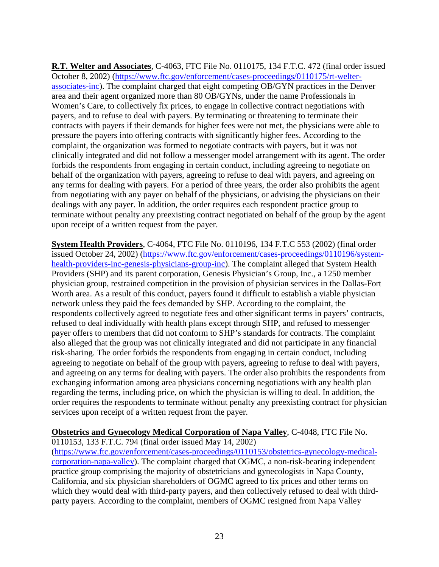**R.T. Welter and Associates**, C-4063, FTC File No. 0110175, 134 F.T.C. 472 (final order issued October 8, 2002) [\(https://www.ftc.gov/enforcement/cases-proceedings/0110175/rt-welter](https://www.ftc.gov/enforcement/cases-proceedings/0110175/rt-welter-associates-inc)[associates-inc\)](https://www.ftc.gov/enforcement/cases-proceedings/0110175/rt-welter-associates-inc). The complaint charged that eight competing OB/GYN practices in the Denver area and their agent organized more than 80 OB/GYNs, under the name Professionals in Women's Care, to collectively fix prices, to engage in collective contract negotiations with payers, and to refuse to deal with payers. By terminating or threatening to terminate their contracts with payers if their demands for higher fees were not met, the physicians were able to pressure the payers into offering contracts with significantly higher fees. According to the complaint, the organization was formed to negotiate contracts with payers, but it was not clinically integrated and did not follow a messenger model arrangement with its agent. The order forbids the respondents from engaging in certain conduct, including agreeing to negotiate on behalf of the organization with payers, agreeing to refuse to deal with payers, and agreeing on any terms for dealing with payers. For a period of three years, the order also prohibits the agent from negotiating with any payer on behalf of the physicians, or advising the physicians on their dealings with any payer. In addition, the order requires each respondent practice group to terminate without penalty any preexisting contract negotiated on behalf of the group by the agent upon receipt of a written request from the payer.

**System Health Providers**, C-4064, FTC File No. 0110196, 134 F.T.C 553 (2002) (final order issued October 24, 2002) [\(https://www.ftc.gov/enforcement/cases-proceedings/0110196/system](https://www.ftc.gov/enforcement/cases-proceedings/0110196/system-health-providers-inc-genesis-physicians-group-inc)[health-providers-inc-genesis-physicians-group-inc\)](https://www.ftc.gov/enforcement/cases-proceedings/0110196/system-health-providers-inc-genesis-physicians-group-inc). The complaint alleged that System Health Providers (SHP) and its parent corporation, Genesis Physician's Group, Inc., a 1250 member physician group, restrained competition in the provision of physician services in the Dallas-Fort Worth area. As a result of this conduct, payers found it difficult to establish a viable physician network unless they paid the fees demanded by SHP. According to the complaint, the respondents collectively agreed to negotiate fees and other significant terms in payers' contracts, refused to deal individually with health plans except through SHP, and refused to messenger payer offers to members that did not conform to SHP's standards for contracts. The complaint also alleged that the group was not clinically integrated and did not participate in any financial risk-sharing. The order forbids the respondents from engaging in certain conduct, including agreeing to negotiate on behalf of the group with payers, agreeing to refuse to deal with payers, and agreeing on any terms for dealing with payers. The order also prohibits the respondents from exchanging information among area physicians concerning negotiations with any health plan regarding the terms, including price, on which the physician is willing to deal. In addition, the order requires the respondents to terminate without penalty any preexisting contract for physician services upon receipt of a written request from the payer.

# **Obstetrics and Gynecology Medical Corporation of Napa Valley**, C-4048, FTC File No.

0110153, 133 F.T.C. 794 (final order issued May 14, 2002)

[\(https://www.ftc.gov/enforcement/cases-proceedings/0110153/obstetrics-gynecology-medical](https://www.ftc.gov/enforcement/cases-proceedings/0110153/obstetrics-gynecology-medical-corporation-napa-valley)[corporation-napa-valley\)](https://www.ftc.gov/enforcement/cases-proceedings/0110153/obstetrics-gynecology-medical-corporation-napa-valley). The complaint charged that OGMC, a non-risk-bearing independent practice group comprising the majority of obstetricians and gynecologists in Napa County, California, and six physician shareholders of OGMC agreed to fix prices and other terms on which they would deal with third-party payers, and then collectively refused to deal with thirdparty payers. According to the complaint, members of OGMC resigned from Napa Valley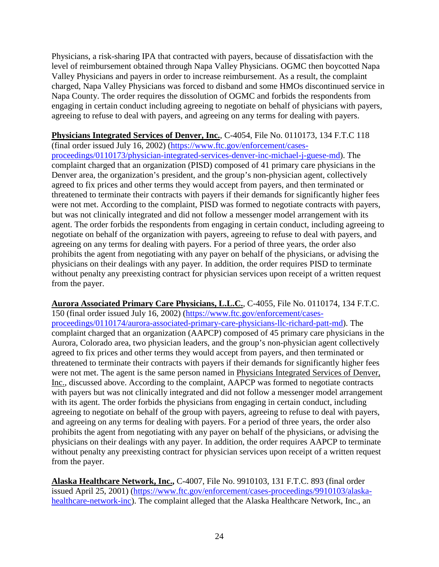Physicians, a risk-sharing IPA that contracted with payers, because of dissatisfaction with the level of reimbursement obtained through Napa Valley Physicians. OGMC then boycotted Napa Valley Physicians and payers in order to increase reimbursement. As a result, the complaint charged, Napa Valley Physicians was forced to disband and some HMOs discontinued service in Napa County. The order requires the dissolution of OGMC and forbids the respondents from engaging in certain conduct including agreeing to negotiate on behalf of physicians with payers, agreeing to refuse to deal with payers, and agreeing on any terms for dealing with payers.

**Physicians Integrated Services of Denver, Inc.**, C-4054, File No. 0110173, 134 F.T.C 118 (final order issued July 16, 2002) [\(https://www.ftc.gov/enforcement/cases](https://www.ftc.gov/enforcement/cases-proceedings/0110173/physician-integrated-services-denver-inc-michael-j-guese-md)[proceedings/0110173/physician-integrated-services-denver-inc-michael-j-guese-md\)](https://www.ftc.gov/enforcement/cases-proceedings/0110173/physician-integrated-services-denver-inc-michael-j-guese-md). The complaint charged that an organization (PISD) composed of 41 primary care physicians in the Denver area, the organization's president, and the group's non-physician agent, collectively agreed to fix prices and other terms they would accept from payers, and then terminated or threatened to terminate their contracts with payers if their demands for significantly higher fees were not met. According to the complaint, PISD was formed to negotiate contracts with payers, but was not clinically integrated and did not follow a messenger model arrangement with its agent. The order forbids the respondents from engaging in certain conduct, including agreeing to negotiate on behalf of the organization with payers, agreeing to refuse to deal with payers, and agreeing on any terms for dealing with payers. For a period of three years, the order also prohibits the agent from negotiating with any payer on behalf of the physicians, or advising the physicians on their dealings with any payer. In addition, the order requires PISD to terminate without penalty any preexisting contract for physician services upon receipt of a written request from the payer.

**Aurora Associated Primary Care Physicians, L.L.C.**, C-4055, File No. 0110174, 134 F.T.C. 150 (final order issued July 16, 2002) [\(https://www.ftc.gov/enforcement/cases](https://www.ftc.gov/enforcement/cases-proceedings/0110174/aurora-associated-primary-care-physicians-llc-richard-patt-md)[proceedings/0110174/aurora-associated-primary-care-physicians-llc-richard-patt-md\)](https://www.ftc.gov/enforcement/cases-proceedings/0110174/aurora-associated-primary-care-physicians-llc-richard-patt-md). The complaint charged that an organization (AAPCP) composed of 45 primary care physicians in the Aurora, Colorado area, two physician leaders, and the group's non-physician agent collectively agreed to fix prices and other terms they would accept from payers, and then terminated or threatened to terminate their contracts with payers if their demands for significantly higher fees were not met. The agent is the same person named in Physicians Integrated Services of Denver, Inc., discussed above. According to the complaint, AAPCP was formed to negotiate contracts with payers but was not clinically integrated and did not follow a messenger model arrangement with its agent. The order forbids the physicians from engaging in certain conduct, including agreeing to negotiate on behalf of the group with payers, agreeing to refuse to deal with payers, and agreeing on any terms for dealing with payers. For a period of three years, the order also prohibits the agent from negotiating with any payer on behalf of the physicians, or advising the physicians on their dealings with any payer. In addition, the order requires AAPCP to terminate without penalty any preexisting contract for physician services upon receipt of a written request from the payer.

**Alaska Healthcare Network, Inc.,** C-4007, File No. 9910103, 131 F.T.C. 893 (final order issued April 25, 2001) [\(https://www.ftc.gov/enforcement/cases-proceedings/9910103/alaska](https://www.ftc.gov/enforcement/cases-proceedings/9910103/alaska-healthcare-network-inc)[healthcare-network-inc\)](https://www.ftc.gov/enforcement/cases-proceedings/9910103/alaska-healthcare-network-inc). The complaint alleged that the Alaska Healthcare Network, Inc., an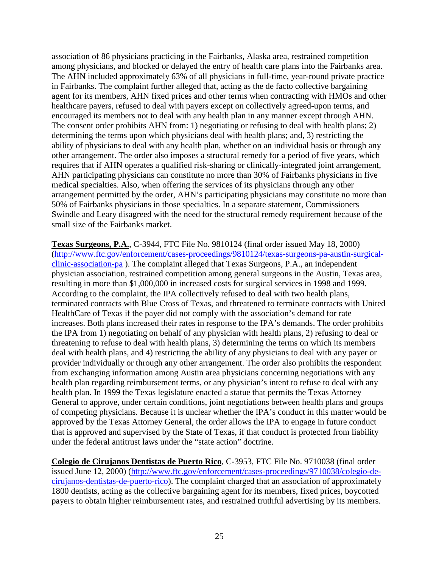association of 86 physicians practicing in the Fairbanks, Alaska area, restrained competition among physicians, and blocked or delayed the entry of health care plans into the Fairbanks area. The AHN included approximately 63% of all physicians in full-time, year-round private practice in Fairbanks. The complaint further alleged that, acting as the de facto collective bargaining agent for its members, AHN fixed prices and other terms when contracting with HMOs and other healthcare payers, refused to deal with payers except on collectively agreed-upon terms, and encouraged its members not to deal with any health plan in any manner except through AHN. The consent order prohibits AHN from: 1) negotiating or refusing to deal with health plans; 2) determining the terms upon which physicians deal with health plans; and, 3) restricting the ability of physicians to deal with any health plan, whether on an individual basis or through any other arrangement. The order also imposes a structural remedy for a period of five years, which requires that if AHN operates a qualified risk-sharing or clinically-integrated joint arrangement, AHN participating physicians can constitute no more than 30% of Fairbanks physicians in five medical specialties. Also, when offering the services of its physicians through any other arrangement permitted by the order, AHN's participating physicians may constitute no more than 50% of Fairbanks physicians in those specialties. In a separate statement, Commissioners Swindle and Leary disagreed with the need for the structural remedy requirement because of the small size of the Fairbanks market.

**Texas Surgeons, P.A.**, C-3944, FTC File No. 9810124 (final order issued May 18, 2000) [\(http://www.ftc.gov/enforcement/cases-proceedings/9810124/texas-surgeons-pa-austin-surgical](http://www.ftc.gov/enforcement/cases-proceedings/9810124/texas-surgeons-pa-austin-surgical-clinic-association-pa)[clinic-association-pa](http://www.ftc.gov/enforcement/cases-proceedings/9810124/texas-surgeons-pa-austin-surgical-clinic-association-pa) ). The complaint alleged that Texas Surgeons, P.A., an independent physician association, restrained competition among general surgeons in the Austin, Texas area, resulting in more than \$1,000,000 in increased costs for surgical services in 1998 and 1999. According to the complaint, the IPA collectively refused to deal with two health plans, terminated contracts with Blue Cross of Texas, and threatened to terminate contracts with United HealthCare of Texas if the payer did not comply with the association's demand for rate increases. Both plans increased their rates in response to the IPA's demands. The order prohibits the IPA from 1) negotiating on behalf of any physician with health plans, 2) refusing to deal or threatening to refuse to deal with health plans, 3) determining the terms on which its members deal with health plans, and 4) restricting the ability of any physicians to deal with any payer or provider individually or through any other arrangement. The order also prohibits the respondent from exchanging information among Austin area physicians concerning negotiations with any health plan regarding reimbursement terms, or any physician's intent to refuse to deal with any health plan. In 1999 the Texas legislature enacted a statue that permits the Texas Attorney General to approve, under certain conditions, joint negotiations between health plans and groups of competing physicians. Because it is unclear whether the IPA's conduct in this matter would be approved by the Texas Attorney General, the order allows the IPA to engage in future conduct that is approved and supervised by the State of Texas, if that conduct is protected from liability under the federal antitrust laws under the "state action" doctrine.

**Colegio de Cirujanos Dentistas de Puerto Rico**, C-3953, FTC File No. 9710038 (final order issued June 12, 2000) [\(http://www.ftc.gov/enforcement/cases-proceedings/9710038/colegio-de](http://www.ftc.gov/enforcement/cases-proceedings/9710038/colegio-de-cirujanos-dentistas-de-puerto-rico)[cirujanos-dentistas-de-puerto-rico\)](http://www.ftc.gov/enforcement/cases-proceedings/9710038/colegio-de-cirujanos-dentistas-de-puerto-rico). The complaint charged that an association of approximately 1800 dentists, acting as the collective bargaining agent for its members, fixed prices, boycotted payers to obtain higher reimbursement rates, and restrained truthful advertising by its members.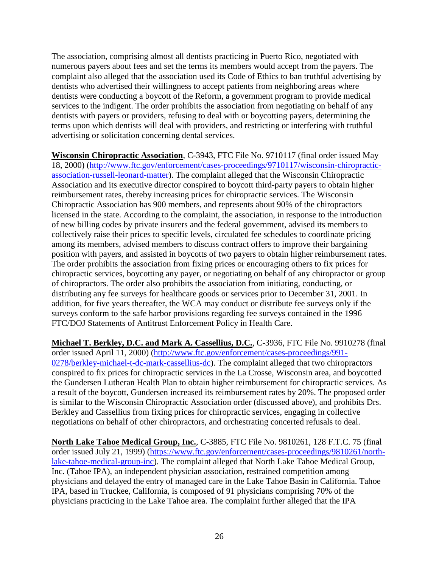The association, comprising almost all dentists practicing in Puerto Rico, negotiated with numerous payers about fees and set the terms its members would accept from the payers. The complaint also alleged that the association used its Code of Ethics to ban truthful advertising by dentists who advertised their willingness to accept patients from neighboring areas where dentists were conducting a boycott of the Reform, a government program to provide medical services to the indigent. The order prohibits the association from negotiating on behalf of any dentists with payers or providers, refusing to deal with or boycotting payers, determining the terms upon which dentists will deal with providers, and restricting or interfering with truthful advertising or solicitation concerning dental services.

**Wisconsin Chiropractic Association**, C-3943, FTC File No. 9710117 (final order issued May 18, 2000) [\(http://www.ftc.gov/enforcement/cases-proceedings/9710117/wisconsin-chiropractic](http://www.ftc.gov/enforcement/cases-proceedings/9710117/wisconsin-chiropractic-association-russell-leonard-matter)[association-russell-leonard-matter\)](http://www.ftc.gov/enforcement/cases-proceedings/9710117/wisconsin-chiropractic-association-russell-leonard-matter). The complaint alleged that the Wisconsin Chiropractic Association and its executive director conspired to boycott third-party payers to obtain higher reimbursement rates, thereby increasing prices for chiropractic services. The Wisconsin Chiropractic Association has 900 members, and represents about 90% of the chiropractors licensed in the state. According to the complaint, the association, in response to the introduction of new billing codes by private insurers and the federal government, advised its members to collectively raise their prices to specific levels, circulated fee schedules to coordinate pricing among its members, advised members to discuss contract offers to improve their bargaining position with payers, and assisted in boycotts of two payers to obtain higher reimbursement rates. The order prohibits the association from fixing prices or encouraging others to fix prices for chiropractic services, boycotting any payer, or negotiating on behalf of any chiropractor or group of chiropractors. The order also prohibits the association from initiating, conducting, or distributing any fee surveys for healthcare goods or services prior to December 31, 2001. In addition, for five years thereafter, the WCA may conduct or distribute fee surveys only if the surveys conform to the safe harbor provisions regarding fee surveys contained in the 1996 FTC/DOJ Statements of Antitrust Enforcement Policy in Health Care.

**Michael T. Berkley, D.C. and Mark A. Cassellius, D.C.**, C-3936, FTC File No. 9910278 (final order issued April 11, 2000) [\(http://www.ftc.gov/enforcement/cases-proceedings/991-](http://www.ftc.gov/enforcement/cases-proceedings/991-0278/berkley-michael-t-dc-mark-cassellius-dc) [0278/berkley-michael-t-dc-mark-cassellius-dc\)](http://www.ftc.gov/enforcement/cases-proceedings/991-0278/berkley-michael-t-dc-mark-cassellius-dc). The complaint alleged that two chiropractors conspired to fix prices for chiropractic services in the La Crosse, Wisconsin area, and boycotted the Gundersen Lutheran Health Plan to obtain higher reimbursement for chiropractic services. As a result of the boycott, Gundersen increased its reimbursement rates by 20%. The proposed order is similar to the Wisconsin Chiropractic Association order (discussed above), and prohibits Drs. Berkley and Cassellius from fixing prices for chiropractic services, engaging in collective negotiations on behalf of other chiropractors, and orchestrating concerted refusals to deal.

**North Lake Tahoe Medical Group, Inc.**, C-3885, FTC File No. 9810261, 128 F.T.C. 75 (final order issued July 21, 1999) [\(https://www.ftc.gov/enforcement/cases-proceedings/9810261/north](https://www.ftc.gov/enforcement/cases-proceedings/9810261/north-lake-tahoe-medical-group-inc)[lake-tahoe-medical-group-inc\)](https://www.ftc.gov/enforcement/cases-proceedings/9810261/north-lake-tahoe-medical-group-inc). The complaint alleged that North Lake Tahoe Medical Group, Inc. (Tahoe IPA), an independent physician association, restrained competition among physicians and delayed the entry of managed care in the Lake Tahoe Basin in California. Tahoe IPA, based in Truckee, California, is composed of 91 physicians comprising 70% of the physicians practicing in the Lake Tahoe area. The complaint further alleged that the IPA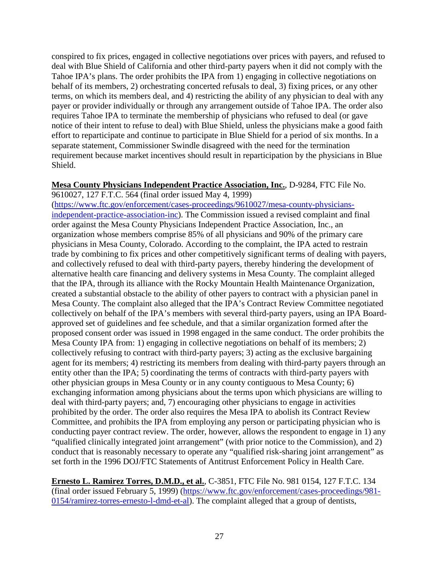conspired to fix prices, engaged in collective negotiations over prices with payers, and refused to deal with Blue Shield of California and other third-party payers when it did not comply with the Tahoe IPA's plans. The order prohibits the IPA from 1) engaging in collective negotiations on behalf of its members, 2) orchestrating concerted refusals to deal, 3) fixing prices, or any other terms, on which its members deal, and 4) restricting the ability of any physician to deal with any payer or provider individually or through any arrangement outside of Tahoe IPA. The order also requires Tahoe IPA to terminate the membership of physicians who refused to deal (or gave notice of their intent to refuse to deal) with Blue Shield, unless the physicians make a good faith effort to reparticipate and continue to participate in Blue Shield for a period of six months. In a separate statement, Commissioner Swindle disagreed with the need for the termination requirement because market incentives should result in reparticipation by the physicians in Blue Shield.

#### **Mesa County Physicians Independent Practice Association, Inc.**, D-9284, FTC File No.

9610027, 127 F.T.C. 564 (final order issued May 4, 1999) [\(https://www.ftc.gov/enforcement/cases-proceedings/9610027/mesa-county-physicians](https://www.ftc.gov/enforcement/cases-proceedings/9610027/mesa-county-physicians-independent-practice-association-inc)[independent-practice-association-inc\)](https://www.ftc.gov/enforcement/cases-proceedings/9610027/mesa-county-physicians-independent-practice-association-inc). The Commission issued a revised complaint and final order against the Mesa County Physicians Independent Practice Association, Inc., an organization whose members comprise 85% of all physicians and 90% of the primary care physicians in Mesa County, Colorado. According to the complaint, the IPA acted to restrain trade by combining to fix prices and other competitively significant terms of dealing with payers, and collectively refused to deal with third-party payers, thereby hindering the development of alternative health care financing and delivery systems in Mesa County. The complaint alleged that the IPA, through its alliance with the Rocky Mountain Health Maintenance Organization, created a substantial obstacle to the ability of other payers to contract with a physician panel in Mesa County. The complaint also alleged that the IPA's Contract Review Committee negotiated collectively on behalf of the IPA's members with several third-party payers, using an IPA Boardapproved set of guidelines and fee schedule, and that a similar organization formed after the proposed consent order was issued in 1998 engaged in the same conduct. The order prohibits the Mesa County IPA from: 1) engaging in collective negotiations on behalf of its members; 2) collectively refusing to contract with third-party payers; 3) acting as the exclusive bargaining agent for its members; 4) restricting its members from dealing with third-party payers through an entity other than the IPA; 5) coordinating the terms of contracts with third-party payers with other physician groups in Mesa County or in any county contiguous to Mesa County; 6) exchanging information among physicians about the terms upon which physicians are willing to deal with third-party payers; and, 7) encouraging other physicians to engage in activities prohibited by the order. The order also requires the Mesa IPA to abolish its Contract Review Committee, and prohibits the IPA from employing any person or participating physician who is conducting payer contract review. The order, however, allows the respondent to engage in 1) any "qualified clinically integrated joint arrangement" (with prior notice to the Commission), and 2) conduct that is reasonably necessary to operate any "qualified risk-sharing joint arrangement" as set forth in the 1996 DOJ/FTC Statements of Antitrust Enforcement Policy in Health Care.

**Ernesto L. Ramirez Torres, D.M.D., et al.**, C-3851, FTC File No. 981 0154, 127 F.T.C. 134 (final order issued February 5, 1999) [\(https://www.ftc.gov/enforcement/cases-proceedings/981-](https://www.ftc.gov/enforcement/cases-proceedings/981-0154/ramirez-torres-ernesto-l-dmd-et-al) [0154/ramirez-torres-ernesto-l-dmd-et-al\)](https://www.ftc.gov/enforcement/cases-proceedings/981-0154/ramirez-torres-ernesto-l-dmd-et-al). The complaint alleged that a group of dentists,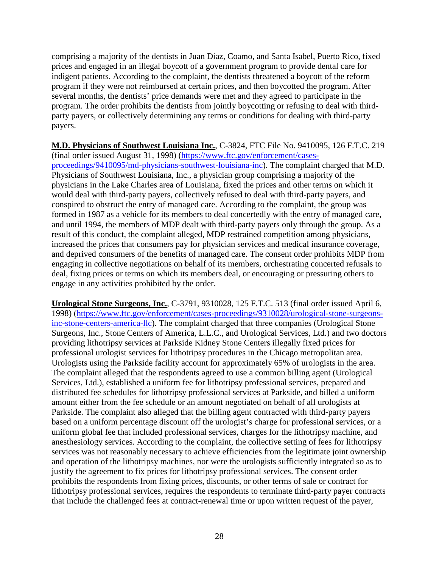comprising a majority of the dentists in Juan Diaz, Coamo, and Santa Isabel, Puerto Rico, fixed prices and engaged in an illegal boycott of a government program to provide dental care for indigent patients. According to the complaint, the dentists threatened a boycott of the reform program if they were not reimbursed at certain prices, and then boycotted the program. After several months, the dentists' price demands were met and they agreed to participate in the program. The order prohibits the dentists from jointly boycotting or refusing to deal with thirdparty payers, or collectively determining any terms or conditions for dealing with third-party payers.

**M.D. Physicians of Southwest Louisiana Inc.**, C-3824, FTC File No. 9410095, 126 F.T.C. 219 (final order issued August 31, 1998) [\(https://www.ftc.gov/enforcement/cases](https://www.ftc.gov/enforcement/cases-proceedings/9410095/md-physicians-southwest-louisiana-inc)[proceedings/9410095/md-physicians-southwest-louisiana-inc\)](https://www.ftc.gov/enforcement/cases-proceedings/9410095/md-physicians-southwest-louisiana-inc). The complaint charged that M.D. Physicians of Southwest Louisiana, Inc., a physician group comprising a majority of the physicians in the Lake Charles area of Louisiana, fixed the prices and other terms on which it would deal with third-party payers, collectively refused to deal with third-party payers, and conspired to obstruct the entry of managed care. According to the complaint, the group was formed in 1987 as a vehicle for its members to deal concertedly with the entry of managed care, and until 1994, the members of MDP dealt with third-party payers only through the group. As a result of this conduct, the complaint alleged, MDP restrained competition among physicians, increased the prices that consumers pay for physician services and medical insurance coverage, and deprived consumers of the benefits of managed care. The consent order prohibits MDP from engaging in collective negotiations on behalf of its members, orchestrating concerted refusals to deal, fixing prices or terms on which its members deal, or encouraging or pressuring others to engage in any activities prohibited by the order.

**Urological Stone Surgeons, Inc.**, C-3791, 9310028, 125 F.T.C. 513 (final order issued April 6, 1998) [\(https://www.ftc.gov/enforcement/cases-proceedings/9310028/urological-stone-surgeons](https://www.ftc.gov/enforcement/cases-proceedings/9310028/urological-stone-surgeons-inc-stone-centers-america-llc)[inc-stone-centers-america-llc\)](https://www.ftc.gov/enforcement/cases-proceedings/9310028/urological-stone-surgeons-inc-stone-centers-america-llc). The complaint charged that three companies (Urological Stone Surgeons, Inc., Stone Centers of America, L.L.C., and Urological Services, Ltd.) and two doctors providing lithotripsy services at Parkside Kidney Stone Centers illegally fixed prices for professional urologist services for lithotripsy procedures in the Chicago metropolitan area. Urologists using the Parkside facility account for approximately 65% of urologists in the area. The complaint alleged that the respondents agreed to use a common billing agent (Urological Services, Ltd.), established a uniform fee for lithotripsy professional services, prepared and distributed fee schedules for lithotripsy professional services at Parkside, and billed a uniform amount either from the fee schedule or an amount negotiated on behalf of all urologists at Parkside. The complaint also alleged that the billing agent contracted with third-party payers based on a uniform percentage discount off the urologist's charge for professional services, or a uniform global fee that included professional services, charges for the lithotripsy machine, and anesthesiology services. According to the complaint, the collective setting of fees for lithotripsy services was not reasonably necessary to achieve efficiencies from the legitimate joint ownership and operation of the lithotripsy machines, nor were the urologists sufficiently integrated so as to justify the agreement to fix prices for lithotripsy professional services. The consent order prohibits the respondents from fixing prices, discounts, or other terms of sale or contract for lithotripsy professional services, requires the respondents to terminate third-party payer contracts that include the challenged fees at contract-renewal time or upon written request of the payer,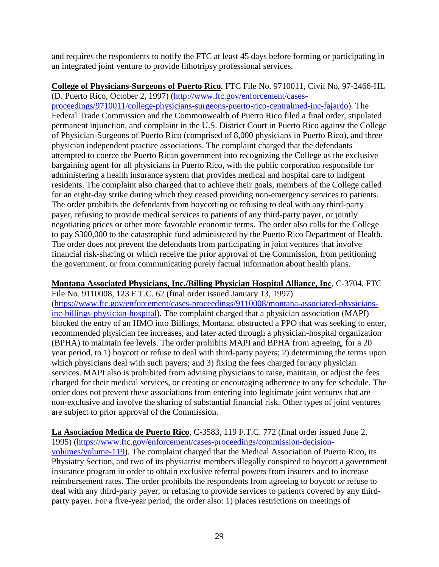and requires the respondents to notify the FTC at least 45 days before forming or participating in an integrated joint venture to provide lithotripsy professional services.

**College of Physicians-Surgeons of Puerto Rico**, FTC File No. 9710011, Civil No. 97-2466-HL (D. Puerto Rico, October 2, 1997) [\(http://www.ftc.gov/enforcement/cases](http://www.ftc.gov/enforcement/cases-proceedings/9710011/college-physicians-surgeons-puerto-rico-centralmed-inc-fajardo)[proceedings/9710011/college-physicians-surgeons-puerto-rico-centralmed-inc-fajardo\)](http://www.ftc.gov/enforcement/cases-proceedings/9710011/college-physicians-surgeons-puerto-rico-centralmed-inc-fajardo). The Federal Trade Commission and the Commonwealth of Puerto Rico filed a final order, stipulated permanent injunction, and complaint in the U.S. District Court in Puerto Rico against the College of Physician-Surgeons of Puerto Rico (comprised of 8,000 physicians in Puerto Rico), and three physician independent practice associations. The complaint charged that the defendants attempted to coerce the Puerto Rican government into recognizing the College as the exclusive bargaining agent for all physicians in Puerto Rico, with the public corporation responsible for administering a health insurance system that provides medical and hospital care to indigent residents. The complaint also charged that to achieve their goals, members of the College called for an eight-day strike during which they ceased providing non-emergency services to patients. The order prohibits the defendants from boycotting or refusing to deal with any third-party payer, refusing to provide medical services to patients of any third-party payer, or jointly negotiating prices or other more favorable economic terms. The order also calls for the College to pay \$300,000 to the catastrophic fund administered by the Puerto Rico Department of Health. The order does not prevent the defendants from participating in joint ventures that involve financial risk-sharing or which receive the prior approval of the Commission, from petitioning the government, or from communicating purely factual information about health plans.

**Montana Associated Physicians, Inc./Billing Physician Hospital Alliance, Inc**, C-3704, FTC File No. 9110008, 123 F.T.C. 62 (final order issued January 13, 1997)

[\(https://www.ftc.gov/enforcement/cases-proceedings/9110008/montana-associated-physicians](https://www.ftc.gov/enforcement/cases-proceedings/9110008/montana-associated-physicians-inc-billings-physician-hospital)[inc-billings-physician-hospital\)](https://www.ftc.gov/enforcement/cases-proceedings/9110008/montana-associated-physicians-inc-billings-physician-hospital). The complaint charged that a physician association (MAPI) blocked the entry of an HMO into Billings, Montana, obstructed a PPO that was seeking to enter, recommended physician fee increases, and later acted through a physician-hospital organization (BPHA) to maintain fee levels. The order prohibits MAPI and BPHA from agreeing, for a 20 year period, to 1) boycott or refuse to deal with third-party payers; 2) determining the terms upon which physicians deal with such payers; and 3) fixing the fees charged for any physician services. MAPI also is prohibited from advising physicians to raise, maintain, or adjust the fees charged for their medical services, or creating or encouraging adherence to any fee schedule. The order does not prevent these associations from entering into legitimate joint ventures that are non-exclusive and involve the sharing of substantial financial risk. Other types of joint ventures are subject to prior approval of the Commission.

**La Asociacion Medica de Puerto Rico**, C-3583, 119 F.T.C. 772 (final order issued June 2, 1995) [\(https://www.ftc.gov/enforcement/cases-proceedings/commission-decision](https://www.ftc.gov/enforcement/cases-proceedings/commission-decision-volumes/volume-119)[volumes/volume-119\)](https://www.ftc.gov/enforcement/cases-proceedings/commission-decision-volumes/volume-119). The complaint charged that the Medical Association of Puerto Rico, its Physiatry Section, and two of its physiatrist members illegally conspired to boycott a government insurance program in order to obtain exclusive referral powers from insurers and to increase reimbursement rates. The order prohibits the respondents from agreeing to boycott or refuse to deal with any third-party payer, or refusing to provide services to patients covered by any thirdparty payer. For a five-year period, the order also: 1) places restrictions on meetings of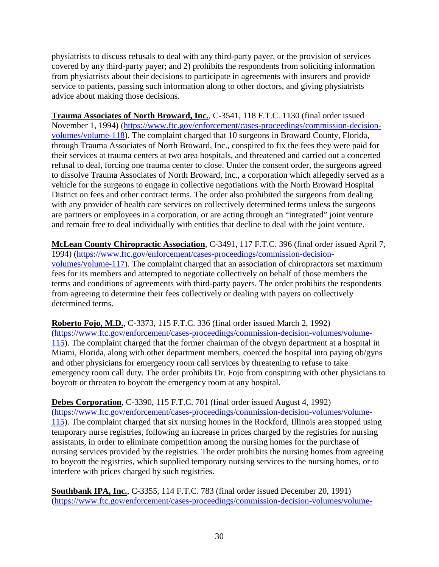physiatrists to discuss refusals to deal with any third-party payer, or the provision of services covered by any third-party payer; and 2) prohibits the respondents from soliciting information from physiatrists about their decisions to participate in agreements with insurers and provide service to patients, passing such information along to other doctors, and giving physiatrists advice about making those decisions.

**Trauma Associates of North Broward, Inc.**, C-3541, 118 F.T.C. 1130 (final order issued November 1, 1994) [\(https://www.ftc.gov/enforcement/cases-proceedings/commission-decision](https://www.ftc.gov/enforcement/cases-proceedings/commission-decision-volumes/volume-118)[volumes/volume-118\)](https://www.ftc.gov/enforcement/cases-proceedings/commission-decision-volumes/volume-118). The complaint charged that 10 surgeons in Broward County, Florida, through Trauma Associates of North Broward, Inc., conspired to fix the fees they were paid for their services at trauma centers at two area hospitals, and threatened and carried out a concerted refusal to deal, forcing one trauma center to close. Under the consent order, the surgeons agreed to dissolve Trauma Associates of North Broward, Inc., a corporation which allegedly served as a vehicle for the surgeons to engage in collective negotiations with the North Broward Hospital District on fees and other contract terms. The order also prohibited the surgeons from dealing with any provider of health care services on collectively determined terms unless the surgeons are partners or employees in a corporation, or are acting through an "integrated" joint venture and remain free to deal individually with entities that decline to deal with the joint venture.

**McLean County Chiropractic Association**, C-3491, 117 F.T.C. 396 (final order issued April 7, 1994) [\(https://www.ftc.gov/enforcement/cases-proceedings/commission-decision](https://www.ftc.gov/enforcement/cases-proceedings/commission-decision-volumes/volume-117)[volumes/volume-117\)](https://www.ftc.gov/enforcement/cases-proceedings/commission-decision-volumes/volume-117). The complaint charged that an association of chiropractors set maximum fees for its members and attempted to negotiate collectively on behalf of those members the terms and conditions of agreements with third-party payers. The order prohibits the respondents from agreeing to determine their fees collectively or dealing with payers on collectively determined terms.

**Roberto Fojo, M.D.**, C-3373, 115 F.T.C. 336 (final order issued March 2, 1992) [\(https://www.ftc.gov/enforcement/cases-proceedings/commission-decision-volumes/volume-](https://www.ftc.gov/enforcement/cases-proceedings/commission-decision-volumes/volume-115)[115\)](https://www.ftc.gov/enforcement/cases-proceedings/commission-decision-volumes/volume-115). The complaint charged that the former chairman of the ob/gyn department at a hospital in Miami, Florida, along with other department members, coerced the hospital into paying ob/gyns and other physicians for emergency room call services by threatening to refuse to take emergency room call duty. The order prohibits Dr. Fojo from conspiring with other physicians to boycott or threaten to boycott the emergency room at any hospital.

**Debes Corporation**, C-3390, 115 F.T.C. 701 (final order issued August 4, 1992)

[\(https://www.ftc.gov/enforcement/cases-proceedings/commission-decision-volumes/volume-](https://www.ftc.gov/enforcement/cases-proceedings/commission-decision-volumes/volume-115)[115\)](https://www.ftc.gov/enforcement/cases-proceedings/commission-decision-volumes/volume-115). The complaint charged that six nursing homes in the Rockford, Illinois area stopped using temporary nurse registries, following an increase in prices charged by the registries for nursing assistants, in order to eliminate competition among the nursing homes for the purchase of nursing services provided by the registries. The order prohibits the nursing homes from agreeing to boycott the registries, which supplied temporary nursing services to the nursing homes, or to interfere with prices charged by such registries.

**Southbank IPA, Inc.**, C-3355, 114 F.T.C. 783 (final order issued December 20, 1991) [\(https://www.ftc.gov/enforcement/cases-proceedings/commission-decision-volumes/volume-](https://www.ftc.gov/enforcement/cases-proceedings/commission-decision-volumes/volume-114)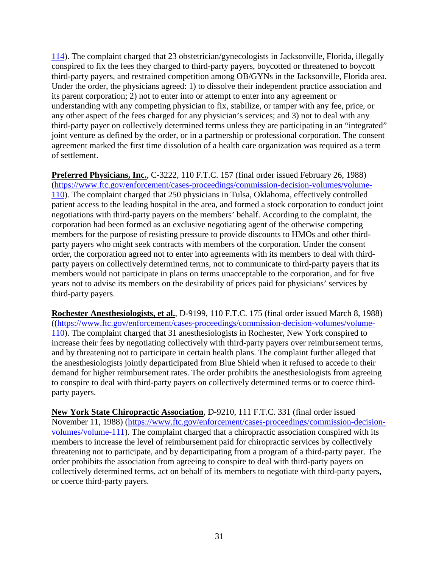[114\)](https://www.ftc.gov/enforcement/cases-proceedings/commission-decision-volumes/volume-114). The complaint charged that 23 obstetrician/gynecologists in Jacksonville, Florida, illegally conspired to fix the fees they charged to third-party payers, boycotted or threatened to boycott third-party payers, and restrained competition among OB/GYNs in the Jacksonville, Florida area. Under the order, the physicians agreed: 1) to dissolve their independent practice association and its parent corporation; 2) not to enter into or attempt to enter into any agreement or understanding with any competing physician to fix, stabilize, or tamper with any fee, price, or any other aspect of the fees charged for any physician's services; and 3) not to deal with any third-party payer on collectively determined terms unless they are participating in an "integrated" joint venture as defined by the order, or in a partnership or professional corporation. The consent agreement marked the first time dissolution of a health care organization was required as a term of settlement.

**Preferred Physicians, Inc.**, C-3222, 110 F.T.C. 157 (final order issued February 26, 1988) [\(https://www.ftc.gov/enforcement/cases-proceedings/commission-decision-volumes/volume-](https://www.ftc.gov/enforcement/cases-proceedings/commission-decision-volumes/volume-110)[110\)](https://www.ftc.gov/enforcement/cases-proceedings/commission-decision-volumes/volume-110). The complaint charged that 250 physicians in Tulsa, Oklahoma, effectively controlled patient access to the leading hospital in the area, and formed a stock corporation to conduct joint negotiations with third-party payers on the members' behalf. According to the complaint, the corporation had been formed as an exclusive negotiating agent of the otherwise competing members for the purpose of resisting pressure to provide discounts to HMOs and other thirdparty payers who might seek contracts with members of the corporation. Under the consent order, the corporation agreed not to enter into agreements with its members to deal with thirdparty payers on collectively determined terms, not to communicate to third-party payers that its members would not participate in plans on terms unacceptable to the corporation, and for five years not to advise its members on the desirability of prices paid for physicians' services by third-party payers.

**Rochester Anesthesiologists, et al.**, D-9199, 110 F.T.C. 175 (final order issued March 8, 1988) ([\(https://www.ftc.gov/enforcement/cases-proceedings/commission-decision-volumes/volume-](https://www.ftc.gov/enforcement/cases-proceedings/commission-decision-volumes/volume-110)[110\)](https://www.ftc.gov/enforcement/cases-proceedings/commission-decision-volumes/volume-110). The complaint charged that 31 anesthesiologists in Rochester, New York conspired to increase their fees by negotiating collectively with third-party payers over reimbursement terms, and by threatening not to participate in certain health plans. The complaint further alleged that the anesthesiologists jointly departicipated from Blue Shield when it refused to accede to their demand for higher reimbursement rates. The order prohibits the anesthesiologists from agreeing to conspire to deal with third-party payers on collectively determined terms or to coerce thirdparty payers.

**New York State Chiropractic Association**, D-9210, 111 F.T.C. 331 (final order issued November 11, 1988) [\(https://www.ftc.gov/enforcement/cases-proceedings/commission-decision](https://www.ftc.gov/enforcement/cases-proceedings/commission-decision-volumes/volume-111)[volumes/volume-111\)](https://www.ftc.gov/enforcement/cases-proceedings/commission-decision-volumes/volume-111). The complaint charged that a chiropractic association conspired with its members to increase the level of reimbursement paid for chiropractic services by collectively threatening not to participate, and by departicipating from a program of a third-party payer. The order prohibits the association from agreeing to conspire to deal with third-party payers on collectively determined terms, act on behalf of its members to negotiate with third-party payers, or coerce third-party payers.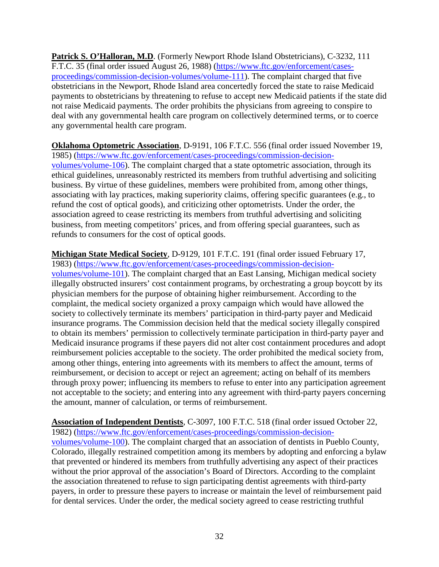Patrick S. O'Halloran, M.D. (Formerly Newport Rhode Island Obstetricians), C-3232, 111 F.T.C. 35 (final order issued August 26, 1988) [\(https://www.ftc.gov/enforcement/cases](https://www.ftc.gov/enforcement/cases-proceedings/commission-decision-volumes/volume-111)[proceedings/commission-decision-volumes/volume-111\)](https://www.ftc.gov/enforcement/cases-proceedings/commission-decision-volumes/volume-111). The complaint charged that five obstetricians in the Newport, Rhode Island area concertedly forced the state to raise Medicaid payments to obstetricians by threatening to refuse to accept new Medicaid patients if the state did not raise Medicaid payments. The order prohibits the physicians from agreeing to conspire to deal with any governmental health care program on collectively determined terms, or to coerce any governmental health care program.

**Oklahoma Optometric Association**, D-9191, 106 F.T.C. 556 (final order issued November 19, 1985) [\(https://www.ftc.gov/enforcement/cases-proceedings/commission-decision](https://www.ftc.gov/enforcement/cases-proceedings/commission-decision-volumes/volume-106)[volumes/volume-106\)](https://www.ftc.gov/enforcement/cases-proceedings/commission-decision-volumes/volume-106). The complaint charged that a state optometric association, through its ethical guidelines, unreasonably restricted its members from truthful advertising and soliciting business. By virtue of these guidelines, members were prohibited from, among other things, associating with lay practices, making superiority claims, offering specific guarantees (e.g., to refund the cost of optical goods), and criticizing other optometrists. Under the order, the association agreed to cease restricting its members from truthful advertising and soliciting business, from meeting competitors' prices, and from offering special guarantees, such as refunds to consumers for the cost of optical goods.

**Michigan State Medical Society**, D-9129, 101 F.T.C. 191 (final order issued February 17, 1983) [\(https://www.ftc.gov/enforcement/cases-proceedings/commission-decision](https://www.ftc.gov/enforcement/cases-proceedings/commission-decision-volumes/volume-101)[volumes/volume-101\)](https://www.ftc.gov/enforcement/cases-proceedings/commission-decision-volumes/volume-101). The complaint charged that an East Lansing, Michigan medical society illegally obstructed insurers' cost containment programs, by orchestrating a group boycott by its physician members for the purpose of obtaining higher reimbursement. According to the complaint, the medical society organized a proxy campaign which would have allowed the society to collectively terminate its members' participation in third-party payer and Medicaid insurance programs. The Commission decision held that the medical society illegally conspired to obtain its members' permission to collectively terminate participation in third-party payer and Medicaid insurance programs if these payers did not alter cost containment procedures and adopt reimbursement policies acceptable to the society. The order prohibited the medical society from, among other things, entering into agreements with its members to affect the amount, terms of reimbursement, or decision to accept or reject an agreement; acting on behalf of its members through proxy power; influencing its members to refuse to enter into any participation agreement not acceptable to the society; and entering into any agreement with third-party payers concerning the amount, manner of calculation, or terms of reimbursement.

**Association of Independent Dentists**, C-3097, 100 F.T.C. 518 (final order issued October 22, 1982) [\(https://www.ftc.gov/enforcement/cases-proceedings/commission-decision](https://www.ftc.gov/enforcement/cases-proceedings/commission-decision-volumes/volume-100)[volumes/volume-100\)](https://www.ftc.gov/enforcement/cases-proceedings/commission-decision-volumes/volume-100). The complaint charged that an association of dentists in Pueblo County, Colorado, illegally restrained competition among its members by adopting and enforcing a bylaw that prevented or hindered its members from truthfully advertising any aspect of their practices without the prior approval of the association's Board of Directors. According to the complaint the association threatened to refuse to sign participating dentist agreements with third-party payers, in order to pressure these payers to increase or maintain the level of reimbursement paid for dental services. Under the order, the medical society agreed to cease restricting truthful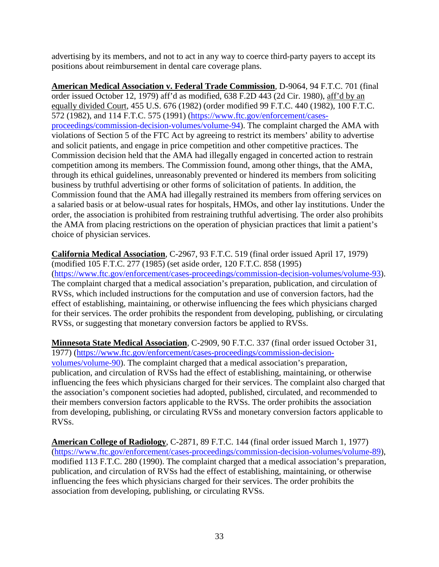advertising by its members, and not to act in any way to coerce third-party payers to accept its positions about reimbursement in dental care coverage plans.

**American Medical Association v. Federal Trade Commission**, D-9064, 94 F.T.C. 701 (final order issued October 12, 1979) aff'd as modified, 638 F.2D 443 (2d Cir. 1980), aff'd by an equally divided Court, 455 U.S. 676 (1982) (order modified 99 F.T.C. 440 (1982), 100 F.T.C. 572 (1982), and 114 F.T.C. 575 (1991) [\(https://www.ftc.gov/enforcement/cases](https://www.ftc.gov/enforcement/cases-proceedings/commission-decision-volumes/volume-94)[proceedings/commission-decision-volumes/volume-94\)](https://www.ftc.gov/enforcement/cases-proceedings/commission-decision-volumes/volume-94). The complaint charged the AMA with violations of Section 5 of the FTC Act by agreeing to restrict its members' ability to advertise and solicit patients, and engage in price competition and other competitive practices. The Commission decision held that the AMA had illegally engaged in concerted action to restrain competition among its members. The Commission found, among other things, that the AMA, through its ethical guidelines, unreasonably prevented or hindered its members from soliciting business by truthful advertising or other forms of solicitation of patients. In addition, the Commission found that the AMA had illegally restrained its members from offering services on a salaried basis or at below-usual rates for hospitals, HMOs, and other lay institutions. Under the order, the association is prohibited from restraining truthful advertising. The order also prohibits the AMA from placing restrictions on the operation of physician practices that limit a patient's choice of physician services.

**California Medical Association**, C-2967, 93 F.T.C. 519 (final order issued April 17, 1979) (modified 105 F.T.C. 277 (1985) (set aside order, 120 F.T.C. 858 (1995) [\(https://www.ftc.gov/enforcement/cases-proceedings/commission-decision-volumes/volume-93\)](https://www.ftc.gov/enforcement/cases-proceedings/commission-decision-volumes/volume-93). The complaint charged that a medical association's preparation, publication, and circulation of RVSs, which included instructions for the computation and use of conversion factors, had the effect of establishing, maintaining, or otherwise influencing the fees which physicians charged for their services. The order prohibits the respondent from developing, publishing, or circulating RVSs, or suggesting that monetary conversion factors be applied to RVSs.

**Minnesota State Medical Association**, C-2909, 90 F.T.C. 337 (final order issued October 31, 1977) [\(https://www.ftc.gov/enforcement/cases-proceedings/commission-decision](https://www.ftc.gov/enforcement/cases-proceedings/commission-decision-volumes/volume-90)[volumes/volume-90\)](https://www.ftc.gov/enforcement/cases-proceedings/commission-decision-volumes/volume-90). The complaint charged that a medical association's preparation, publication, and circulation of RVSs had the effect of establishing, maintaining, or otherwise influencing the fees which physicians charged for their services. The complaint also charged that the association's component societies had adopted, published, circulated, and recommended to their members conversion factors applicable to the RVSs. The order prohibits the association from developing, publishing, or circulating RVSs and monetary conversion factors applicable to RVSs.

**American College of Radiology**, C-2871, 89 F.T.C. 144 (final order issued March 1, 1977) [\(https://www.ftc.gov/enforcement/cases-proceedings/commission-decision-volumes/volume-89\)](https://www.ftc.gov/enforcement/cases-proceedings/commission-decision-volumes/volume-89), modified 113 F.T.C. 280 (1990). The complaint charged that a medical association's preparation, publication, and circulation of RVSs had the effect of establishing, maintaining, or otherwise influencing the fees which physicians charged for their services. The order prohibits the association from developing, publishing, or circulating RVSs.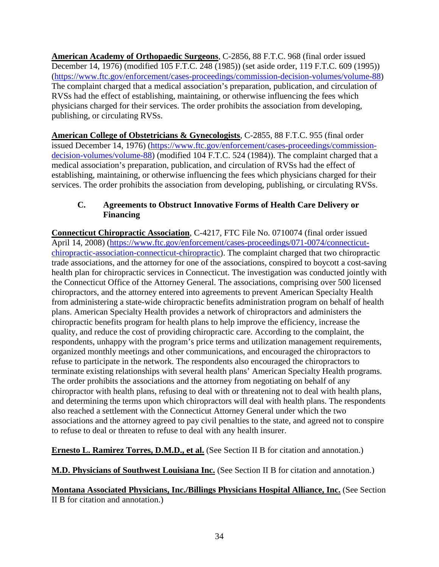**American Academy of Orthopaedic Surgeons**, C-2856, 88 F.T.C. 968 (final order issued December 14, 1976) (modified 105 F.T.C. 248 (1985)) (set aside order, 119 F.T.C. 609 (1995)) [\(https://www.ftc.gov/enforcement/cases-proceedings/commission-decision-volumes/volume-88\)](https://www.ftc.gov/enforcement/cases-proceedings/commission-decision-volumes/volume-88) The complaint charged that a medical association's preparation, publication, and circulation of RVSs had the effect of establishing, maintaining, or otherwise influencing the fees which physicians charged for their services. The order prohibits the association from developing, publishing, or circulating RVSs.

**American College of Obstetricians & Gynecologists**, C-2855, 88 F.T.C. 955 (final order issued December 14, 1976) [\(https://www.ftc.gov/enforcement/cases-proceedings/commission](https://www.ftc.gov/enforcement/cases-proceedings/commission-decision-volumes/volume-88)[decision-volumes/volume-88\)](https://www.ftc.gov/enforcement/cases-proceedings/commission-decision-volumes/volume-88) (modified 104 F.T.C. 524 (1984)). The complaint charged that a medical association's preparation, publication, and circulation of RVSs had the effect of establishing, maintaining, or otherwise influencing the fees which physicians charged for their services. The order prohibits the association from developing, publishing, or circulating RVSs.

## **C. Agreements to Obstruct Innovative Forms of Health Care Delivery or Financing**

**Connecticut Chiropractic Association**, C-4217, FTC File No. 0710074 (final order issued April 14, 2008) [\(https://www.ftc.gov/enforcement/cases-proceedings/071-0074/connecticut](https://www.ftc.gov/enforcement/cases-proceedings/071-0074/connecticut-chiropractic-association-connecticut-chiropractic)[chiropractic-association-connecticut-chiropractic\)](https://www.ftc.gov/enforcement/cases-proceedings/071-0074/connecticut-chiropractic-association-connecticut-chiropractic). The complaint charged that two chiropractic trade associations, and the attorney for one of the associations, conspired to boycott a cost-saving health plan for chiropractic services in Connecticut. The investigation was conducted jointly with the Connecticut Office of the Attorney General. The associations, comprising over 500 licensed chiropractors, and the attorney entered into agreements to prevent American Specialty Health from administering a state-wide chiropractic benefits administration program on behalf of health plans. American Specialty Health provides a network of chiropractors and administers the chiropractic benefits program for health plans to help improve the efficiency, increase the quality, and reduce the cost of providing chiropractic care. According to the complaint, the respondents, unhappy with the program's price terms and utilization management requirements, organized monthly meetings and other communications, and encouraged the chiropractors to refuse to participate in the network. The respondents also encouraged the chiropractors to terminate existing relationships with several health plans' American Specialty Health programs. The order prohibits the associations and the attorney from negotiating on behalf of any chiropractor with health plans, refusing to deal with or threatening not to deal with health plans, and determining the terms upon which chiropractors will deal with health plans. The respondents also reached a settlement with the Connecticut Attorney General under which the two associations and the attorney agreed to pay civil penalties to the state, and agreed not to conspire to refuse to deal or threaten to refuse to deal with any health insurer.

**Ernesto L. Ramirez Torres, D.M.D., et al.** (See Section II B for citation and annotation.)

**M.D. Physicians of Southwest Louisiana Inc.** (See Section II B for citation and annotation.)

# **Montana Associated Physicians, Inc./Billings Physicians Hospital Alliance, Inc.** (See Section II B for citation and annotation.)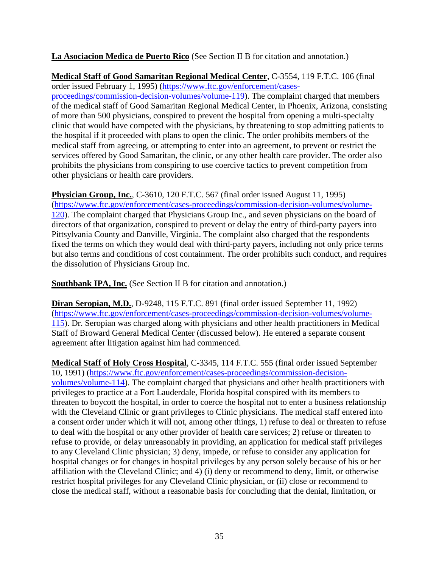**La Asociacion Medica de Puerto Rico** (See Section II B for citation and annotation.)

**Medical Staff of Good Samaritan Regional Medical Center**, C-3554, 119 F.T.C. 106 (final order issued February 1, 1995) [\(https://www.ftc.gov/enforcement/cases](https://www.ftc.gov/enforcement/cases-proceedings/commission-decision-volumes/volume-119)[proceedings/commission-decision-volumes/volume-119\)](https://www.ftc.gov/enforcement/cases-proceedings/commission-decision-volumes/volume-119). The complaint charged that members of the medical staff of Good Samaritan Regional Medical Center, in Phoenix, Arizona, consisting of more than 500 physicians, conspired to prevent the hospital from opening a multi-specialty clinic that would have competed with the physicians, by threatening to stop admitting patients to the hospital if it proceeded with plans to open the clinic. The order prohibits members of the medical staff from agreeing, or attempting to enter into an agreement, to prevent or restrict the services offered by Good Samaritan, the clinic, or any other health care provider. The order also prohibits the physicians from conspiring to use coercive tactics to prevent competition from other physicians or health care providers.

**Physician Group, Inc.**, C-3610, 120 F.T.C. 567 (final order issued August 11, 1995) [\(https://www.ftc.gov/enforcement/cases-proceedings/commission-decision-volumes/volume-](https://www.ftc.gov/enforcement/cases-proceedings/commission-decision-volumes/volume-120)[120\)](https://www.ftc.gov/enforcement/cases-proceedings/commission-decision-volumes/volume-120). The complaint charged that Physicians Group Inc., and seven physicians on the board of directors of that organization, conspired to prevent or delay the entry of third-party payers into Pittsylvania County and Danville, Virginia. The complaint also charged that the respondents fixed the terms on which they would deal with third-party payers, including not only price terms but also terms and conditions of cost containment. The order prohibits such conduct, and requires the dissolution of Physicians Group Inc.

**Southbank IPA, Inc.** (See Section II B for citation and annotation.)

**Diran Seropian, M.D.**, D-9248, 115 F.T.C. 891 (final order issued September 11, 1992) [\(https://www.ftc.gov/enforcement/cases-proceedings/commission-decision-volumes/volume-](https://www.ftc.gov/enforcement/cases-proceedings/commission-decision-volumes/volume-115)[115\)](https://www.ftc.gov/enforcement/cases-proceedings/commission-decision-volumes/volume-115). Dr. Seropian was charged along with physicians and other health practitioners in Medical Staff of Broward General Medical Center (discussed below). He entered a separate consent agreement after litigation against him had commenced.

**Medical Staff of Holy Cross Hospital**, C-3345, 114 F.T.C. 555 (final order issued September 10, 1991) [\(https://www.ftc.gov/enforcement/cases-proceedings/commission-decision](https://www.ftc.gov/enforcement/cases-proceedings/commission-decision-volumes/volume-114)[volumes/volume-114\)](https://www.ftc.gov/enforcement/cases-proceedings/commission-decision-volumes/volume-114). The complaint charged that physicians and other health practitioners with privileges to practice at a Fort Lauderdale, Florida hospital conspired with its members to threaten to boycott the hospital, in order to coerce the hospital not to enter a business relationship with the Cleveland Clinic or grant privileges to Clinic physicians. The medical staff entered into a consent order under which it will not, among other things, 1) refuse to deal or threaten to refuse to deal with the hospital or any other provider of health care services; 2) refuse or threaten to refuse to provide, or delay unreasonably in providing, an application for medical staff privileges to any Cleveland Clinic physician; 3) deny, impede, or refuse to consider any application for hospital changes or for changes in hospital privileges by any person solely because of his or her affiliation with the Cleveland Clinic; and 4) (i) deny or recommend to deny, limit, or otherwise restrict hospital privileges for any Cleveland Clinic physician, or (ii) close or recommend to close the medical staff, without a reasonable basis for concluding that the denial, limitation, or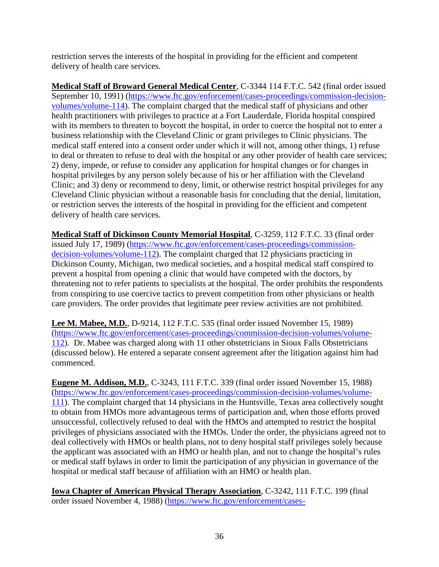restriction serves the interests of the hospital in providing for the efficient and competent delivery of health care services.

**Medical Staff of Broward General Medical Center**, C-3344 114 F.T.C. 542 (final order issued September 10, 1991) [\(https://www.ftc.gov/enforcement/cases-proceedings/commission-decision](https://www.ftc.gov/enforcement/cases-proceedings/commission-decision-volumes/volume-114)[volumes/volume-114\)](https://www.ftc.gov/enforcement/cases-proceedings/commission-decision-volumes/volume-114). The complaint charged that the medical staff of physicians and other health practitioners with privileges to practice at a Fort Lauderdale, Florida hospital conspired with its members to threaten to boycott the hospital, in order to coerce the hospital not to enter a business relationship with the Cleveland Clinic or grant privileges to Clinic physicians. The medical staff entered into a consent order under which it will not, among other things, 1) refuse to deal or threaten to refuse to deal with the hospital or any other provider of health care services; 2) deny, impede, or refuse to consider any application for hospital changes or for changes in hospital privileges by any person solely because of his or her affiliation with the Cleveland Clinic; and 3) deny or recommend to deny, limit, or otherwise restrict hospital privileges for any Cleveland Clinic physician without a reasonable basis for concluding that the denial, limitation, or restriction serves the interests of the hospital in providing for the efficient and competent delivery of health care services.

**Medical Staff of Dickinson County Memorial Hospital**, C-3259, 112 F.T.C. 33 (final order issued July 17, 1989) [\(https://www.ftc.gov/enforcement/cases-proceedings/commission](https://www.ftc.gov/enforcement/cases-proceedings/commission-decision-volumes/volume-112)[decision-volumes/volume-112\)](https://www.ftc.gov/enforcement/cases-proceedings/commission-decision-volumes/volume-112). The complaint charged that 12 physicians practicing in Dickinson County, Michigan, two medical societies, and a hospital medical staff conspired to prevent a hospital from opening a clinic that would have competed with the doctors, by threatening not to refer patients to specialists at the hospital. The order prohibits the respondents from conspiring to use coercive tactics to prevent competition from other physicians or health care providers. The order provides that legitimate peer review activities are not prohibited.

**Lee M. Mabee, M.D.**, D-9214, 112 F.T.C. 535 (final order issued November 15, 1989) [\(https://www.ftc.gov/enforcement/cases-proceedings/commission-decision-volumes/volume-](https://www.ftc.gov/enforcement/cases-proceedings/commission-decision-volumes/volume-112)[112\)](https://www.ftc.gov/enforcement/cases-proceedings/commission-decision-volumes/volume-112). Dr. Mabee was charged along with 11 other obstetricians in Sioux Falls Obstetricians (discussed below). He entered a separate consent agreement after the litigation against him had commenced.

**Eugene M. Addison, M.D.**, C-3243, 111 F.T.C. 339 (final order issued November 15, 1988) [\(https://www.ftc.gov/enforcement/cases-proceedings/commission-decision-volumes/volume-](https://www.ftc.gov/enforcement/cases-proceedings/commission-decision-volumes/volume-111)[111\)](https://www.ftc.gov/enforcement/cases-proceedings/commission-decision-volumes/volume-111). The complaint charged that 14 physicians in the Huntsville, Texas area collectively sought to obtain from HMOs more advantageous terms of participation and, when those efforts proved unsuccessful, collectively refused to deal with the HMOs and attempted to restrict the hospital privileges of physicians associated with the HMOs. Under the order, the physicians agreed not to deal collectively with HMOs or health plans, not to deny hospital staff privileges solely because the applicant was associated with an HMO or health plan, and not to change the hospital's rules or medical staff bylaws in order to limit the participation of any physician in governance of the hospital or medical staff because of affiliation with an HMO or health plan.

**Iowa Chapter of American Physical Therapy Association**, C-3242, 111 F.T.C. 199 (final order issued November 4, 1988) [\(https://www.ftc.gov/enforcement/cases-](https://www.ftc.gov/enforcement/cases-proceedings/commission-decision-volumes/volume-111)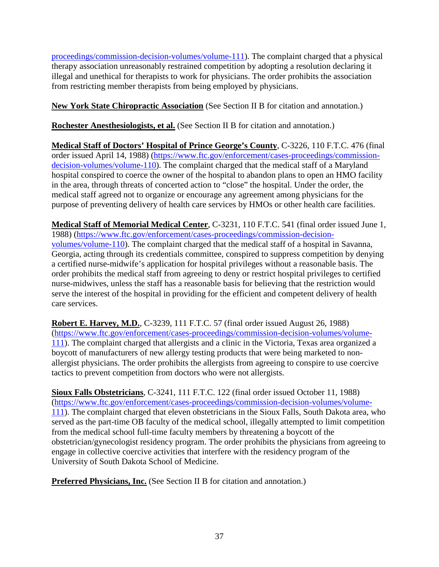[proceedings/commission-decision-volumes/volume-111\)](https://www.ftc.gov/enforcement/cases-proceedings/commission-decision-volumes/volume-111). The complaint charged that a physical therapy association unreasonably restrained competition by adopting a resolution declaring it illegal and unethical for therapists to work for physicians. The order prohibits the association from restricting member therapists from being employed by physicians.

**New York State Chiropractic Association** (See Section II B for citation and annotation.)

**Rochester Anesthesiologists, et al.** (See Section II B for citation and annotation.)

**Medical Staff of Doctors' Hospital of Prince George's County**, C-3226, 110 F.T.C. 476 (final order issued April 14, 1988) [\(https://www.ftc.gov/enforcement/cases-proceedings/commission](https://www.ftc.gov/enforcement/cases-proceedings/commission-decision-volumes/volume-110)[decision-volumes/volume-110\)](https://www.ftc.gov/enforcement/cases-proceedings/commission-decision-volumes/volume-110). The complaint charged that the medical staff of a Maryland hospital conspired to coerce the owner of the hospital to abandon plans to open an HMO facility in the area, through threats of concerted action to "close" the hospital. Under the order, the medical staff agreed not to organize or encourage any agreement among physicians for the purpose of preventing delivery of health care services by HMOs or other health care facilities.

**Medical Staff of Memorial Medical Center**, C-3231, 110 F.T.C. 541 (final order issued June 1, 1988) [\(https://www.ftc.gov/enforcement/cases-proceedings/commission-decision](https://www.ftc.gov/enforcement/cases-proceedings/commission-decision-volumes/volume-110)[volumes/volume-110\)](https://www.ftc.gov/enforcement/cases-proceedings/commission-decision-volumes/volume-110). The complaint charged that the medical staff of a hospital in Savanna, Georgia, acting through its credentials committee, conspired to suppress competition by denying a certified nurse-midwife's application for hospital privileges without a reasonable basis. The order prohibits the medical staff from agreeing to deny or restrict hospital privileges to certified nurse-midwives, unless the staff has a reasonable basis for believing that the restriction would serve the interest of the hospital in providing for the efficient and competent delivery of health care services.

**Robert E. Harvey, M.D.**, C-3239, 111 F.T.C. 57 (final order issued August 26, 1988) [\(https://www.ftc.gov/enforcement/cases-proceedings/commission-decision-volumes/volume-](https://www.ftc.gov/enforcement/cases-proceedings/commission-decision-volumes/volume-111)[111\)](https://www.ftc.gov/enforcement/cases-proceedings/commission-decision-volumes/volume-111). The complaint charged that allergists and a clinic in the Victoria, Texas area organized a boycott of manufacturers of new allergy testing products that were being marketed to nonallergist physicians. The order prohibits the allergists from agreeing to conspire to use coercive tactics to prevent competition from doctors who were not allergists.

**Sioux Falls Obstetricians**, C-3241, 111 F.T.C. 122 (final order issued October 11, 1988) [\(https://www.ftc.gov/enforcement/cases-proceedings/commission-decision-volumes/volume-](https://www.ftc.gov/enforcement/cases-proceedings/commission-decision-volumes/volume-111)[111\)](https://www.ftc.gov/enforcement/cases-proceedings/commission-decision-volumes/volume-111). The complaint charged that eleven obstetricians in the Sioux Falls, South Dakota area, who served as the part-time OB faculty of the medical school, illegally attempted to limit competition from the medical school full-time faculty members by threatening a boycott of the obstetrician/gynecologist residency program. The order prohibits the physicians from agreeing to engage in collective coercive activities that interfere with the residency program of the University of South Dakota School of Medicine.

**Preferred Physicians, Inc.** (See Section II B for citation and annotation.)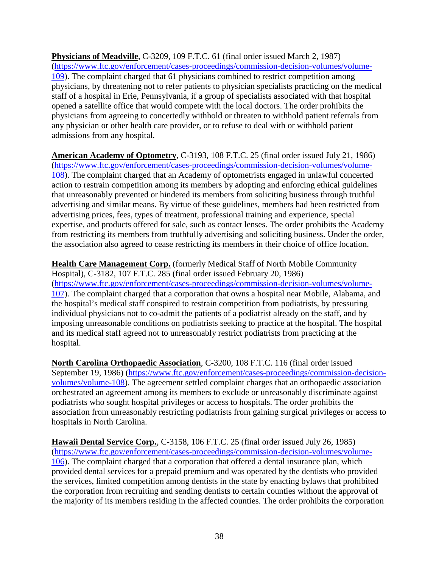**Physicians of Meadville**, C-3209, 109 F.T.C. 61 (final order issued March 2, 1987) [\(https://www.ftc.gov/enforcement/cases-proceedings/commission-decision-volumes/volume-](https://www.ftc.gov/enforcement/cases-proceedings/commission-decision-volumes/volume-109)[109\)](https://www.ftc.gov/enforcement/cases-proceedings/commission-decision-volumes/volume-109). The complaint charged that 61 physicians combined to restrict competition among physicians, by threatening not to refer patients to physician specialists practicing on the medical staff of a hospital in Erie, Pennsylvania, if a group of specialists associated with that hospital opened a satellite office that would compete with the local doctors. The order prohibits the physicians from agreeing to concertedly withhold or threaten to withhold patient referrals from any physician or other health care provider, or to refuse to deal with or withhold patient admissions from any hospital.

**American Academy of Optometry**, C-3193, 108 F.T.C. 25 (final order issued July 21, 1986) [\(https://www.ftc.gov/enforcement/cases-proceedings/commission-decision-volumes/volume-](https://www.ftc.gov/enforcement/cases-proceedings/commission-decision-volumes/volume-108)[108\)](https://www.ftc.gov/enforcement/cases-proceedings/commission-decision-volumes/volume-108). The complaint charged that an Academy of optometrists engaged in unlawful concerted action to restrain competition among its members by adopting and enforcing ethical guidelines that unreasonably prevented or hindered its members from soliciting business through truthful advertising and similar means. By virtue of these guidelines, members had been restricted from advertising prices, fees, types of treatment, professional training and experience, special expertise, and products offered for sale, such as contact lenses. The order prohibits the Academy from restricting its members from truthfully advertising and soliciting business. Under the order, the association also agreed to cease restricting its members in their choice of office location.

**Health Care Management Corp.** (formerly Medical Staff of North Mobile Community Hospital), C-3182, 107 F.T.C. 285 (final order issued February 20, 1986) [\(https://www.ftc.gov/enforcement/cases-proceedings/commission-decision-volumes/volume-](https://www.ftc.gov/enforcement/cases-proceedings/commission-decision-volumes/volume-107)[107\)](https://www.ftc.gov/enforcement/cases-proceedings/commission-decision-volumes/volume-107). The complaint charged that a corporation that owns a hospital near Mobile, Alabama, and the hospital's medical staff conspired to restrain competition from podiatrists, by pressuring individual physicians not to co-admit the patients of a podiatrist already on the staff, and by imposing unreasonable conditions on podiatrists seeking to practice at the hospital. The hospital and its medical staff agreed not to unreasonably restrict podiatrists from practicing at the hospital.

**North Carolina Orthopaedic Association**, C-3200, 108 F.T.C. 116 (final order issued September 19, 1986) [\(https://www.ftc.gov/enforcement/cases-proceedings/commission-decision](https://www.ftc.gov/enforcement/cases-proceedings/commission-decision-volumes/volume-108)[volumes/volume-108\)](https://www.ftc.gov/enforcement/cases-proceedings/commission-decision-volumes/volume-108). The agreement settled complaint charges that an orthopaedic association orchestrated an agreement among its members to exclude or unreasonably discriminate against podiatrists who sought hospital privileges or access to hospitals. The order prohibits the association from unreasonably restricting podiatrists from gaining surgical privileges or access to hospitals in North Carolina.

**Hawaii Dental Service Corp.**, C-3158, 106 F.T.C. 25 (final order issued July 26, 1985) [\(https://www.ftc.gov/enforcement/cases-proceedings/commission-decision-volumes/volume-](https://www.ftc.gov/enforcement/cases-proceedings/commission-decision-volumes/volume-106)[106\)](https://www.ftc.gov/enforcement/cases-proceedings/commission-decision-volumes/volume-106). The complaint charged that a corporation that offered a dental insurance plan, which provided dental services for a prepaid premium and was operated by the dentists who provided the services, limited competition among dentists in the state by enacting bylaws that prohibited the corporation from recruiting and sending dentists to certain counties without the approval of the majority of its members residing in the affected counties. The order prohibits the corporation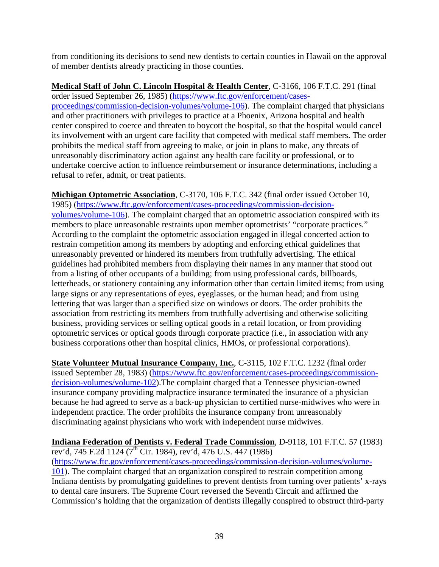from conditioning its decisions to send new dentists to certain counties in Hawaii on the approval of member dentists already practicing in those counties.

**Medical Staff of John C. Lincoln Hospital & Health Center**, C-3166, 106 F.T.C. 291 (final order issued September 26, 1985) [\(https://www.ftc.gov/enforcement/cases](https://www.ftc.gov/enforcement/cases-proceedings/commission-decision-volumes/volume-106)[proceedings/commission-decision-volumes/volume-106\)](https://www.ftc.gov/enforcement/cases-proceedings/commission-decision-volumes/volume-106). The complaint charged that physicians and other practitioners with privileges to practice at a Phoenix, Arizona hospital and health center conspired to coerce and threaten to boycott the hospital, so that the hospital would cancel its involvement with an urgent care facility that competed with medical staff members. The order prohibits the medical staff from agreeing to make, or join in plans to make, any threats of unreasonably discriminatory action against any health care facility or professional, or to undertake coercive action to influence reimbursement or insurance determinations, including a refusal to refer, admit, or treat patients.

**Michigan Optometric Association**, C-3170, 106 F.T.C. 342 (final order issued October 10, 1985) [\(https://www.ftc.gov/enforcement/cases-proceedings/commission-decision](https://www.ftc.gov/enforcement/cases-proceedings/commission-decision-volumes/volume-106)[volumes/volume-106\)](https://www.ftc.gov/enforcement/cases-proceedings/commission-decision-volumes/volume-106). The complaint charged that an optometric association conspired with its members to place unreasonable restraints upon member optometrists' "corporate practices." According to the complaint the optometric association engaged in illegal concerted action to restrain competition among its members by adopting and enforcing ethical guidelines that unreasonably prevented or hindered its members from truthfully advertising. The ethical guidelines had prohibited members from displaying their names in any manner that stood out from a listing of other occupants of a building; from using professional cards, billboards, letterheads, or stationery containing any information other than certain limited items; from using large signs or any representations of eyes, eyeglasses, or the human head; and from using lettering that was larger than a specified size on windows or doors. The order prohibits the association from restricting its members from truthfully advertising and otherwise soliciting business, providing services or selling optical goods in a retail location, or from providing optometric services or optical goods through corporate practice (i.e., in association with any business corporations other than hospital clinics, HMOs, or professional corporations).

**State Volunteer Mutual Insurance Company, Inc.**, C-3115, 102 F.T.C. 1232 (final order issued September 28, 1983) [\(https://www.ftc.gov/enforcement/cases-proceedings/commission](https://www.ftc.gov/enforcement/cases-proceedings/commission-decision-volumes/volume-102)[decision-volumes/volume-102\)](https://www.ftc.gov/enforcement/cases-proceedings/commission-decision-volumes/volume-102).The complaint charged that a Tennessee physician-owned insurance company providing malpractice insurance terminated the insurance of a physician because he had agreed to serve as a back-up physician to certified nurse-midwives who were in independent practice. The order prohibits the insurance company from unreasonably discriminating against physicians who work with independent nurse midwives.

**Indiana Federation of Dentists v. Federal Trade Commission**, D-9118, 101 F.T.C. 57 (1983) rev'd, 745 F.2d 1124 (7<sup>th</sup> Cir. 1984), rev'd, 476 U.S. 447 (1986) [\(https://www.ftc.gov/enforcement/cases-proceedings/commission-decision-volumes/volume-](https://www.ftc.gov/enforcement/cases-proceedings/commission-decision-volumes/volume-101)[101\)](https://www.ftc.gov/enforcement/cases-proceedings/commission-decision-volumes/volume-101). The complaint charged that an organization conspired to restrain competition among Indiana dentists by promulgating guidelines to prevent dentists from turning over patients' x-rays to dental care insurers. The Supreme Court reversed the Seventh Circuit and affirmed the Commission's holding that the organization of dentists illegally conspired to obstruct third-party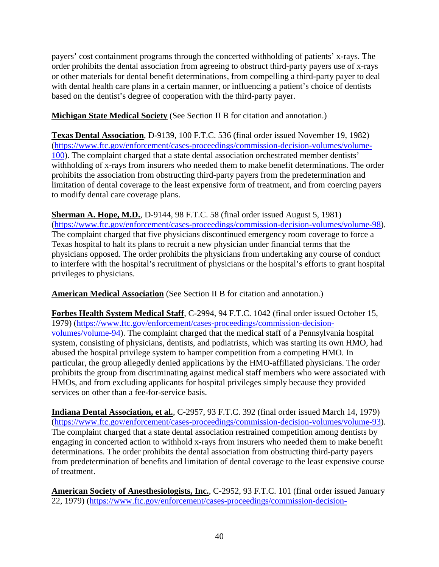payers' cost containment programs through the concerted withholding of patients' x-rays. The order prohibits the dental association from agreeing to obstruct third-party payers use of x-rays or other materials for dental benefit determinations, from compelling a third-party payer to deal with dental health care plans in a certain manner, or influencing a patient's choice of dentists based on the dentist's degree of cooperation with the third-party payer.

**Michigan State Medical Society** (See Section II B for citation and annotation.)

**Texas Dental Association**, D-9139, 100 F.T.C. 536 (final order issued November 19, 1982) [\(https://www.ftc.gov/enforcement/cases-proceedings/commission-decision-volumes/volume-](https://www.ftc.gov/enforcement/cases-proceedings/commission-decision-volumes/volume-100)[100\)](https://www.ftc.gov/enforcement/cases-proceedings/commission-decision-volumes/volume-100). The complaint charged that a state dental association orchestrated member dentists' withholding of x-rays from insurers who needed them to make benefit determinations. The order prohibits the association from obstructing third-party payers from the predetermination and limitation of dental coverage to the least expensive form of treatment, and from coercing payers to modify dental care coverage plans.

**Sherman A. Hope, M.D.**, D-9144, 98 F.T.C. 58 (final order issued August 5, 1981) [\(https://www.ftc.gov/enforcement/cases-proceedings/commission-decision-volumes/volume-98\)](https://www.ftc.gov/enforcement/cases-proceedings/commission-decision-volumes/volume-98). The complaint charged that five physicians discontinued emergency room coverage to force a Texas hospital to halt its plans to recruit a new physician under financial terms that the physicians opposed. The order prohibits the physicians from undertaking any course of conduct to interfere with the hospital's recruitment of physicians or the hospital's efforts to grant hospital privileges to physicians.

**American Medical Association** (See Section II B for citation and annotation.)

**Forbes Health System Medical Staff**, C-2994, 94 F.T.C. 1042 (final order issued October 15, 1979) [\(https://www.ftc.gov/enforcement/cases-proceedings/commission-decision](https://www.ftc.gov/enforcement/cases-proceedings/commission-decision-volumes/volume-94)[volumes/volume-94\)](https://www.ftc.gov/enforcement/cases-proceedings/commission-decision-volumes/volume-94). The complaint charged that the medical staff of a Pennsylvania hospital system, consisting of physicians, dentists, and podiatrists, which was starting its own HMO, had abused the hospital privilege system to hamper competition from a competing HMO. In particular, the group allegedly denied applications by the HMO-affiliated physicians. The order prohibits the group from discriminating against medical staff members who were associated with HMOs, and from excluding applicants for hospital privileges simply because they provided services on other than a fee-for-service basis.

**Indiana Dental Association, et al.**, C-2957, 93 F.T.C. 392 (final order issued March 14, 1979) [\(https://www.ftc.gov/enforcement/cases-proceedings/commission-decision-volumes/volume-93\)](https://www.ftc.gov/enforcement/cases-proceedings/commission-decision-volumes/volume-93). The complaint charged that a state dental association restrained competition among dentists by engaging in concerted action to withhold x-rays from insurers who needed them to make benefit determinations. The order prohibits the dental association from obstructing third-party payers from predetermination of benefits and limitation of dental coverage to the least expensive course of treatment.

**American Society of Anesthesiologists, Inc.**, C-2952, 93 F.T.C. 101 (final order issued January 22, 1979) [\(https://www.ftc.gov/enforcement/cases-proceedings/commission-decision-](https://www.ftc.gov/enforcement/cases-proceedings/commission-decision-volumes/volume-93)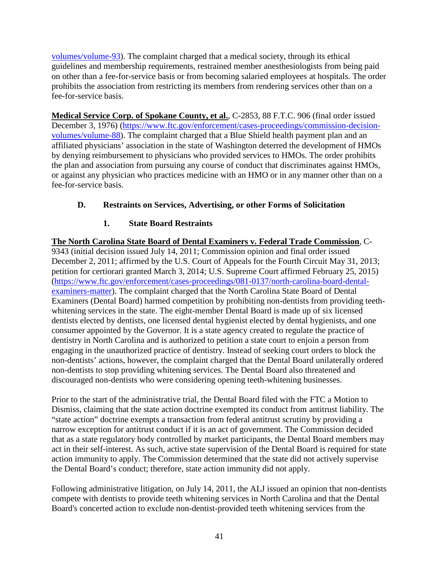[volumes/volume-93\)](https://www.ftc.gov/enforcement/cases-proceedings/commission-decision-volumes/volume-93). The complaint charged that a medical society, through its ethical guidelines and membership requirements, restrained member anesthesiologists from being paid on other than a fee-for-service basis or from becoming salaried employees at hospitals. The order prohibits the association from restricting its members from rendering services other than on a fee-for-service basis.

**Medical Service Corp. of Spokane County, et al.**, C-2853, 88 F.T.C. 906 (final order issued December 3, 1976) [\(https://www.ftc.gov/enforcement/cases-proceedings/commission-decision](https://www.ftc.gov/enforcement/cases-proceedings/commission-decision-volumes/volume-88)[volumes/volume-88\)](https://www.ftc.gov/enforcement/cases-proceedings/commission-decision-volumes/volume-88). The complaint charged that a Blue Shield health payment plan and an affiliated physicians' association in the state of Washington deterred the development of HMOs by denying reimbursement to physicians who provided services to HMOs. The order prohibits the plan and association from pursuing any course of conduct that discriminates against HMOs, or against any physician who practices medicine with an HMO or in any manner other than on a fee-for-service basis.

# **D. Restraints on Services, Advertising, or other Forms of Solicitation**

# **1. State Board Restraints**

**The North Carolina State Board of Dental Examiners v. Federal Trade Commission**, C-9343 (initial decision issued July 14, 2011; Commission opinion and final order issued December 2, 2011; affirmed by the U.S. Court of Appeals for the Fourth Circuit May 31, 2013; petition for certiorari granted March 3, 2014; U.S. Supreme Court affirmed February 25, 2015) [\(https://www.ftc.gov/enforcement/cases-proceedings/081-0137/north-carolina-board-dental](https://www.ftc.gov/enforcement/cases-proceedings/081-0137/north-carolina-board-dental-examiners-matter)[examiners-matter\)](https://www.ftc.gov/enforcement/cases-proceedings/081-0137/north-carolina-board-dental-examiners-matter). The complaint charged that the North Carolina State Board of Dental Examiners (Dental Board) harmed competition by prohibiting non-dentists from providing teethwhitening services in the state. The eight-member Dental Board is made up of six licensed dentists elected by dentists, one licensed dental hygienist elected by dental hygienists, and one consumer appointed by the Governor. It is a state agency created to regulate the practice of dentistry in North Carolina and is authorized to petition a state court to enjoin a person from engaging in the unauthorized practice of dentistry. Instead of seeking court orders to block the non-dentists' actions, however, the complaint charged that the Dental Board unilaterally ordered non-dentists to stop providing whitening services. The Dental Board also threatened and discouraged non-dentists who were considering opening teeth-whitening businesses.

Prior to the start of the administrative trial, the Dental Board filed with the FTC a Motion to Dismiss, claiming that the state action doctrine exempted its conduct from antitrust liability. The "state action" doctrine exempts a transaction from federal antitrust scrutiny by providing a narrow exception for antitrust conduct if it is an act of government. The Commission decided that as a state regulatory body controlled by market participants, the Dental Board members may act in their self-interest. As such, active state supervision of the Dental Board is required for state action immunity to apply. The Commission determined that the state did not actively supervise the Dental Board's conduct; therefore, state action immunity did not apply.

Following administrative litigation, on July 14, 2011, the ALJ issued an opinion that non-dentists compete with dentists to provide teeth whitening services in North Carolina and that the Dental Board's concerted action to exclude non-dentist-provided teeth whitening services from the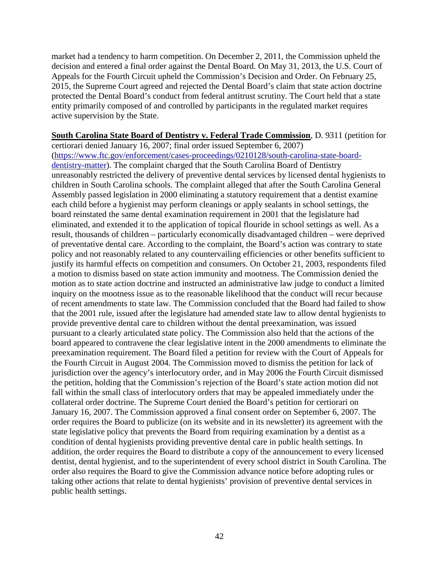market had a tendency to harm competition. On December 2, 2011, the Commission upheld the decision and entered a final order against the Dental Board. On May 31, 2013, the U.S. Court of Appeals for the Fourth Circuit upheld the Commission's Decision and Order. On February 25, 2015, the Supreme Court agreed and rejected the Dental Board's claim that state action doctrine protected the Dental Board's conduct from federal antitrust scrutiny. The Court held that a state entity primarily composed of and controlled by participants in the regulated market requires active supervision by the State.

**South Carolina State Board of Dentistry v. Federal Trade Commission**, D. 9311 (petition for certiorari denied January 16, 2007; final order issued September 6, 2007) [\(https://www.ftc.gov/enforcement/cases-proceedings/0210128/south-carolina-state-board](https://www.ftc.gov/enforcement/cases-proceedings/0210128/south-carolina-state-board-dentistry-matter)[dentistry-matter\)](https://www.ftc.gov/enforcement/cases-proceedings/0210128/south-carolina-state-board-dentistry-matter). The complaint charged that the South Carolina Board of Dentistry unreasonably restricted the delivery of preventive dental services by licensed dental hygienists to children in South Carolina schools. The complaint alleged that after the South Carolina General Assembly passed legislation in 2000 eliminating a statutory requirement that a dentist examine each child before a hygienist may perform cleanings or apply sealants in school settings, the board reinstated the same dental examination requirement in 2001 that the legislature had eliminated, and extended it to the application of topical flouride in school settings as well. As a result, thousands of children – particularly economically disadvantaged children – were deprived of preventative dental care. According to the complaint, the Board's action was contrary to state policy and not reasonably related to any countervailing efficiencies or other benefits sufficient to justify its harmful effects on competition and consumers. On October 21, 2003, respondents filed a motion to dismiss based on state action immunity and mootness. The Commission denied the motion as to state action doctrine and instructed an administrative law judge to conduct a limited inquiry on the mootness issue as to the reasonable likelihood that the conduct will recur because of recent amendments to state law. The Commission concluded that the Board had failed to show that the 2001 rule, issued after the legislature had amended state law to allow dental hygienists to provide preventive dental care to children without the dental preexamination, was issued pursuant to a clearly articulated state policy. The Commission also held that the actions of the board appeared to contravene the clear legislative intent in the 2000 amendments to eliminate the preexamination requirement. The Board filed a petition for review with the Court of Appeals for the Fourth Circuit in August 2004. The Commission moved to dismiss the petition for lack of jurisdiction over the agency's interlocutory order, and in May 2006 the Fourth Circuit dismissed the petition, holding that the Commission's rejection of the Board's state action motion did not fall within the small class of interlocutory orders that may be appealed immediately under the collateral order doctrine. The Supreme Court denied the Board's petition for certiorari on January 16, 2007. The Commission approved a final consent order on September 6, 2007. The order requires the Board to publicize (on its website and in its newsletter) its agreement with the state legislative policy that prevents the Board from requiring examination by a dentist as a condition of dental hygienists providing preventive dental care in public health settings. In addition, the order requires the Board to distribute a copy of the announcement to every licensed dentist, dental hygienist, and to the superintendent of every school district in South Carolina. The order also requires the Board to give the Commission advance notice before adopting rules or taking other actions that relate to dental hygienists' provision of preventive dental services in public health settings.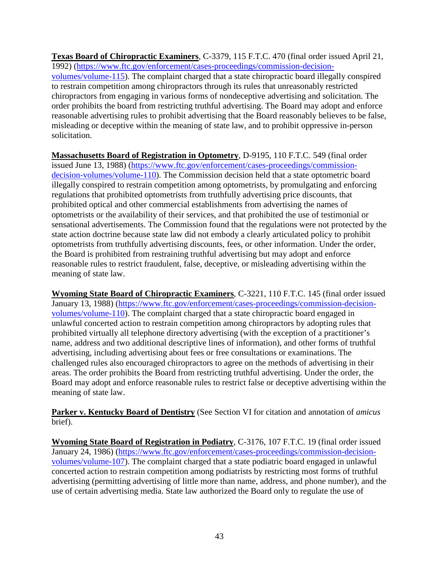**Texas Board of Chiropractic Examiners**, C-3379, 115 F.T.C. 470 (final order issued April 21, 1992) [\(https://www.ftc.gov/enforcement/cases-proceedings/commission-decision](https://www.ftc.gov/enforcement/cases-proceedings/commission-decision-volumes/volume-115)[volumes/volume-115\)](https://www.ftc.gov/enforcement/cases-proceedings/commission-decision-volumes/volume-115). The complaint charged that a state chiropractic board illegally conspired to restrain competition among chiropractors through its rules that unreasonably restricted chiropractors from engaging in various forms of nondeceptive advertising and solicitation. The order prohibits the board from restricting truthful advertising. The Board may adopt and enforce reasonable advertising rules to prohibit advertising that the Board reasonably believes to be false, misleading or deceptive within the meaning of state law, and to prohibit oppressive in-person solicitation.

**Massachusetts Board of Registration in Optometry**, D-9195, 110 F.T.C. 549 (final order issued June 13, 1988) [\(https://www.ftc.gov/enforcement/cases-proceedings/commission](https://www.ftc.gov/enforcement/cases-proceedings/commission-decision-volumes/volume-110)[decision-volumes/volume-110\)](https://www.ftc.gov/enforcement/cases-proceedings/commission-decision-volumes/volume-110). The Commission decision held that a state optometric board illegally conspired to restrain competition among optometrists, by promulgating and enforcing regulations that prohibited optometrists from truthfully advertising price discounts, that prohibited optical and other commercial establishments from advertising the names of optometrists or the availability of their services, and that prohibited the use of testimonial or sensational advertisements. The Commission found that the regulations were not protected by the state action doctrine because state law did not embody a clearly articulated policy to prohibit optometrists from truthfully advertising discounts, fees, or other information. Under the order, the Board is prohibited from restraining truthful advertising but may adopt and enforce reasonable rules to restrict fraudulent, false, deceptive, or misleading advertising within the meaning of state law.

**Wyoming State Board of Chiropractic Examiners**, C-3221, 110 F.T.C. 145 (final order issued January 13, 1988) [\(https://www.ftc.gov/enforcement/cases-proceedings/commission-decision](https://www.ftc.gov/enforcement/cases-proceedings/commission-decision-volumes/volume-110)[volumes/volume-110\)](https://www.ftc.gov/enforcement/cases-proceedings/commission-decision-volumes/volume-110). The complaint charged that a state chiropractic board engaged in unlawful concerted action to restrain competition among chiropractors by adopting rules that prohibited virtually all telephone directory advertising (with the exception of a practitioner's name, address and two additional descriptive lines of information), and other forms of truthful advertising, including advertising about fees or free consultations or examinations. The challenged rules also encouraged chiropractors to agree on the methods of advertising in their areas. The order prohibits the Board from restricting truthful advertising. Under the order, the Board may adopt and enforce reasonable rules to restrict false or deceptive advertising within the meaning of state law.

**Parker v. Kentucky Board of Dentistry** (See Section VI for citation and annotation of *amicus* brief).

**Wyoming State Board of Registration in Podiatry**, C-3176, 107 F.T.C. 19 (final order issued January 24, 1986) [\(https://www.ftc.gov/enforcement/cases-proceedings/commission-decision](https://www.ftc.gov/enforcement/cases-proceedings/commission-decision-volumes/volume-107)[volumes/volume-107\)](https://www.ftc.gov/enforcement/cases-proceedings/commission-decision-volumes/volume-107). The complaint charged that a state podiatric board engaged in unlawful concerted action to restrain competition among podiatrists by restricting most forms of truthful advertising (permitting advertising of little more than name, address, and phone number), and the use of certain advertising media. State law authorized the Board only to regulate the use of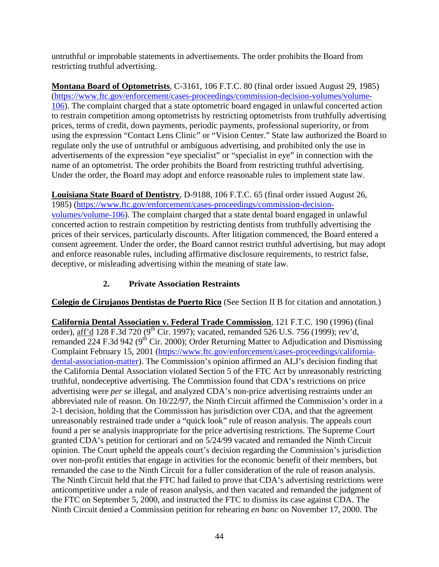untruthful or improbable statements in advertisements. The order prohibits the Board from restricting truthful advertising.

**Montana Board of Optometrists**, C-3161, 106 F.T.C. 80 (final order issued August 29, 1985) [\(https://www.ftc.gov/enforcement/cases-proceedings/commission-decision-volumes/volume-](https://www.ftc.gov/enforcement/cases-proceedings/commission-decision-volumes/volume-106)[106\)](https://www.ftc.gov/enforcement/cases-proceedings/commission-decision-volumes/volume-106). The complaint charged that a state optometric board engaged in unlawful concerted action to restrain competition among optometrists by restricting optometrists from truthfully advertising prices, terms of credit, down payments, periodic payments, professional superiority, or from using the expression "Contact Lens Clinic" or "Vision Center." State law authorized the Board to regulate only the use of untruthful or ambiguous advertising, and prohibited only the use in advertisements of the expression "eye specialist" or "specialist in eye" in connection with the name of an optometrist. The order prohibits the Board from restricting truthful advertising. Under the order, the Board may adopt and enforce reasonable rules to implement state law.

**Louisiana State Board of Dentistry**, D-9188, 106 F.T.C. 65 (final order issued August 26, 1985) [\(https://www.ftc.gov/enforcement/cases-proceedings/commission-decision](https://www.ftc.gov/enforcement/cases-proceedings/commission-decision-volumes/volume-106)[volumes/volume-106\)](https://www.ftc.gov/enforcement/cases-proceedings/commission-decision-volumes/volume-106). The complaint charged that a state dental board engaged in unlawful concerted action to restrain competition by restricting dentists from truthfully advertising the prices of their services, particularly discounts. After litigation commenced, the Board entered a consent agreement. Under the order, the Board cannot restrict truthful advertising, but may adopt and enforce reasonable rules, including affirmative disclosure requirements, to restrict false, deceptive, or misleading advertising within the meaning of state law.

# **2. Private Association Restraints**

**Colegio de Cirujanos Dentistas de Puerto Rico** (See Section II B for citation and annotation.)

**California Dental Association v. Federal Trade Commission**, 121 F.T.C. 190 (1996) (final order), aff'd 128 F.3d 720 (9<sup>th</sup> Cir. 1997); vacated, remanded 526 U.S. 756 (1999); rev'd, remanded 224 F.3d 942 ( $9<sup>th</sup>$  Cir. 2000); Order Returning Matter to Adjudication and Dismissing Complaint February 15, 2001 [\(https://www.ftc.gov/enforcement/cases-proceedings/california](https://www.ftc.gov/enforcement/cases-proceedings/california-dental-association-matter)[dental-association-matter\)](https://www.ftc.gov/enforcement/cases-proceedings/california-dental-association-matter). The Commission's opinion affirmed an ALJ's decision finding that the California Dental Association violated Section 5 of the FTC Act by unreasonably restricting truthful, nondeceptive advertising. The Commission found that CDA's restrictions on price advertising were *per se* illegal, and analyzed CDA's non-price advertising restraints under an abbreviated rule of reason. On 10/22/97, the Ninth Circuit affirmed the Commission's order in a 2-1 decision, holding that the Commission has jurisdiction over CDA, and that the agreement unreasonably restrained trade under a "quick look" rule of reason analysis. The appeals court found a per se analysis inappropriate for the price advertising restrictions. The Supreme Court granted CDA's petition for certiorari and on 5/24/99 vacated and remanded the Ninth Circuit opinion. The Court upheld the appeals court's decision regarding the Commission's jurisdiction over non-profit entities that engage in activities for the economic benefit of their members, but remanded the case to the Ninth Circuit for a fuller consideration of the rule of reason analysis. The Ninth Circuit held that the FTC had failed to prove that CDA's advertising restrictions were anticompetitive under a rule of reason analysis, and then vacated and remanded the judgment of the FTC on September 5, 2000, and instructed the FTC to dismiss its case against CDA. The Ninth Circuit denied a Commission petition for rehearing *en banc* on November 17, 2000. The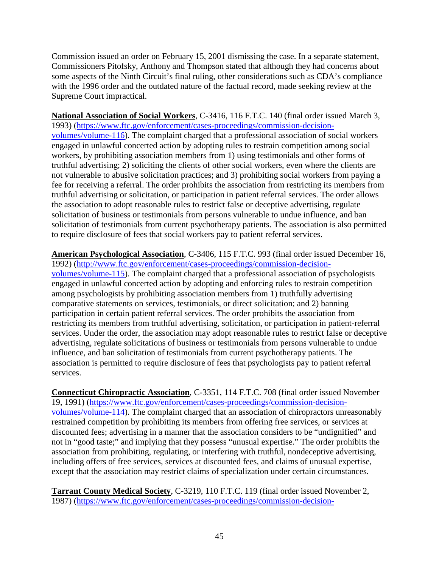Commission issued an order on February 15, 2001 dismissing the case. In a separate statement, Commissioners Pitofsky, Anthony and Thompson stated that although they had concerns about some aspects of the Ninth Circuit's final ruling, other considerations such as CDA's compliance with the 1996 order and the outdated nature of the factual record, made seeking review at the Supreme Court impractical.

**National Association of Social Workers**, C-3416, 116 F.T.C. 140 (final order issued March 3, 1993) [\(https://www.ftc.gov/enforcement/cases-proceedings/commission-decision](https://www.ftc.gov/enforcement/cases-proceedings/commission-decision-volumes/volume-116)[volumes/volume-116\)](https://www.ftc.gov/enforcement/cases-proceedings/commission-decision-volumes/volume-116). The complaint charged that a professional association of social workers engaged in unlawful concerted action by adopting rules to restrain competition among social workers, by prohibiting association members from 1) using testimonials and other forms of truthful advertising; 2) soliciting the clients of other social workers, even where the clients are not vulnerable to abusive solicitation practices; and 3) prohibiting social workers from paying a fee for receiving a referral. The order prohibits the association from restricting its members from truthful advertising or solicitation, or participation in patient referral services. The order allows the association to adopt reasonable rules to restrict false or deceptive advertising, regulate solicitation of business or testimonials from persons vulnerable to undue influence, and ban solicitation of testimonials from current psychotherapy patients. The association is also permitted to require disclosure of fees that social workers pay to patient referral services.

**American Psychological Association**, C-3406, 115 F.T.C. 993 (final order issued December 16, 1992) [\(http://www.ftc.gov/enforcement/cases-proceedings/commission-decision](http://www.ftc.gov/enforcement/cases-proceedings/commission-decision-volumes/volume-115)[volumes/volume-115\)](http://www.ftc.gov/enforcement/cases-proceedings/commission-decision-volumes/volume-115). The complaint charged that a professional association of psychologists engaged in unlawful concerted action by adopting and enforcing rules to restrain competition among psychologists by prohibiting association members from 1) truthfully advertising comparative statements on services, testimonials, or direct solicitation; and 2) banning participation in certain patient referral services. The order prohibits the association from restricting its members from truthful advertising, solicitation, or participation in patient-referral services. Under the order, the association may adopt reasonable rules to restrict false or deceptive advertising, regulate solicitations of business or testimonials from persons vulnerable to undue influence, and ban solicitation of testimonials from current psychotherapy patients. The association is permitted to require disclosure of fees that psychologists pay to patient referral services.

**Connecticut Chiropractic Association**, C-3351, 114 F.T.C. 708 (final order issued November 19, 1991) [\(https://www.ftc.gov/enforcement/cases-proceedings/commission-decision](https://www.ftc.gov/enforcement/cases-proceedings/commission-decision-volumes/volume-114)[volumes/volume-114\)](https://www.ftc.gov/enforcement/cases-proceedings/commission-decision-volumes/volume-114). The complaint charged that an association of chiropractors unreasonably restrained competition by prohibiting its members from offering free services, or services at discounted fees; advertising in a manner that the association considers to be "undignified" and not in "good taste;" and implying that they possess "unusual expertise." The order prohibits the association from prohibiting, regulating, or interfering with truthful, nondeceptive advertising, including offers of free services, services at discounted fees, and claims of unusual expertise, except that the association may restrict claims of specialization under certain circumstances.

**Tarrant County Medical Society**, C-3219, 110 F.T.C. 119 (final order issued November 2, 1987) [\(https://www.ftc.gov/enforcement/cases-proceedings/commission-decision-](https://www.ftc.gov/enforcement/cases-proceedings/commission-decision-volumes/volume-110)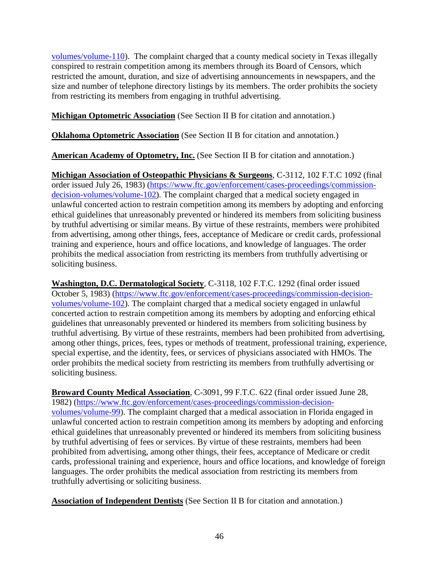[volumes/volume-110\)](https://www.ftc.gov/enforcement/cases-proceedings/commission-decision-volumes/volume-110). The complaint charged that a county medical society in Texas illegally conspired to restrain competition among its members through its Board of Censors, which restricted the amount, duration, and size of advertising announcements in newspapers, and the size and number of telephone directory listings by its members. The order prohibits the society from restricting its members from engaging in truthful advertising.

**Michigan Optometric Association** (See Section II B for citation and annotation.)

**Oklahoma Optometric Association** (See Section II B for citation and annotation.)

**American Academy of Optometry, Inc.** (See Section II B for citation and annotation.)

**Michigan Association of Osteopathic Physicians & Surgeons**, C-3112, 102 F.T.C 1092 (final order issued July 26, 1983) [\(https://www.ftc.gov/enforcement/cases-proceedings/commission](https://www.ftc.gov/enforcement/cases-proceedings/commission-decision-volumes/volume-102)[decision-volumes/volume-102\)](https://www.ftc.gov/enforcement/cases-proceedings/commission-decision-volumes/volume-102). The complaint charged that a medical society engaged in unlawful concerted action to restrain competition among its members by adopting and enforcing ethical guidelines that unreasonably prevented or hindered its members from soliciting business by truthful advertising or similar means. By virtue of these restraints, members were prohibited from advertising, among other things, fees, acceptance of Medicare or credit cards, professional training and experience, hours and office locations, and knowledge of languages. The order prohibits the medical association from restricting its members from truthfully advertising or soliciting business.

**Washington, D.C. Dermatological Society**, C-3118, 102 F.T.C. 1292 (final order issued October 5, 1983) [\(https://www.ftc.gov/enforcement/cases-proceedings/commission-decision](https://www.ftc.gov/enforcement/cases-proceedings/commission-decision-volumes/volume-102)[volumes/volume-102\)](https://www.ftc.gov/enforcement/cases-proceedings/commission-decision-volumes/volume-102). The complaint charged that a medical society engaged in unlawful concerted action to restrain competition among its members by adopting and enforcing ethical guidelines that unreasonably prevented or hindered its members from soliciting business by truthful advertising. By virtue of these restraints, members had been prohibited from advertising, among other things, prices, fees, types or methods of treatment, professional training, experience, special expertise, and the identity, fees, or services of physicians associated with HMOs. The order prohibits the medical society from restricting its members from truthfully advertising or soliciting business.

**Broward County Medical Association**, C-3091, 99 F.T.C. 622 (final order issued June 28, 1982) [\(https://www.ftc.gov/enforcement/cases-proceedings/commission-decision](https://www.ftc.gov/enforcement/cases-proceedings/commission-decision-volumes/volume-99)[volumes/volume-99\)](https://www.ftc.gov/enforcement/cases-proceedings/commission-decision-volumes/volume-99). The complaint charged that a medical association in Florida engaged in unlawful concerted action to restrain competition among its members by adopting and enforcing ethical guidelines that unreasonably prevented or hindered its members from soliciting business by truthful advertising of fees or services. By virtue of these restraints, members had been prohibited from advertising, among other things, their fees, acceptance of Medicare or credit cards, professional training and experience, hours and office locations, and knowledge of foreign languages. The order prohibits the medical association from restricting its members from truthfully advertising or soliciting business.

**Association of Independent Dentists** (See Section II B for citation and annotation.)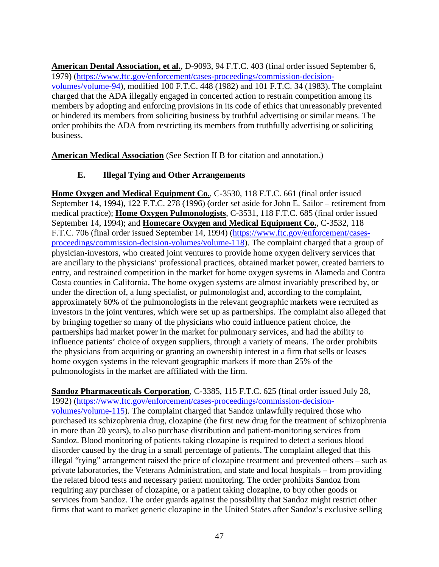**American Dental Association, et al.**, D-9093, 94 F.T.C. 403 (final order issued September 6, 1979) [\(https://www.ftc.gov/enforcement/cases-proceedings/commission-decision](https://www.ftc.gov/enforcement/cases-proceedings/commission-decision-volumes/volume-94)[volumes/volume-94\)](https://www.ftc.gov/enforcement/cases-proceedings/commission-decision-volumes/volume-94), modified 100 F.T.C. 448 (1982) and 101 F.T.C. 34 (1983). The complaint charged that the ADA illegally engaged in concerted action to restrain competition among its members by adopting and enforcing provisions in its code of ethics that unreasonably prevented or hindered its members from soliciting business by truthful advertising or similar means. The order prohibits the ADA from restricting its members from truthfully advertising or soliciting business.

**American Medical Association** (See Section II B for citation and annotation.)

## **E. Illegal Tying and Other Arrangements**

**Home Oxygen and Medical Equipment Co.**, C-3530, 118 F.T.C. 661 (final order issued September 14, 1994), 122 F.T.C. 278 (1996) (order set aside for John E. Sailor – retirement from medical practice); **Home Oxygen Pulmonologists**, C-3531, 118 F.T.C. 685 (final order issued September 14, 1994); and **Homecare Oxygen and Medical Equipment Co.**, C-3532, 118 F.T.C. 706 (final order issued September 14, 1994) [\(https://www.ftc.gov/enforcement/cases](https://www.ftc.gov/enforcement/cases-proceedings/commission-decision-volumes/volume-118)[proceedings/commission-decision-volumes/volume-118\)](https://www.ftc.gov/enforcement/cases-proceedings/commission-decision-volumes/volume-118). The complaint charged that a group of physician-investors, who created joint ventures to provide home oxygen delivery services that are ancillary to the physicians' professional practices, obtained market power, created barriers to entry, and restrained competition in the market for home oxygen systems in Alameda and Contra Costa counties in California. The home oxygen systems are almost invariably prescribed by, or under the direction of, a lung specialist, or pulmonologist and, according to the complaint, approximately 60% of the pulmonologists in the relevant geographic markets were recruited as investors in the joint ventures, which were set up as partnerships. The complaint also alleged that by bringing together so many of the physicians who could influence patient choice, the partnerships had market power in the market for pulmonary services, and had the ability to influence patients' choice of oxygen suppliers, through a variety of means. The order prohibits the physicians from acquiring or granting an ownership interest in a firm that sells or leases home oxygen systems in the relevant geographic markets if more than 25% of the pulmonologists in the market are affiliated with the firm.

**Sandoz Pharmaceuticals Corporation**, C-3385, 115 F.T.C. 625 (final order issued July 28, 1992) [\(https://www.ftc.gov/enforcement/cases-proceedings/commission-decision](https://www.ftc.gov/enforcement/cases-proceedings/commission-decision-volumes/volume-115)[volumes/volume-115\)](https://www.ftc.gov/enforcement/cases-proceedings/commission-decision-volumes/volume-115). The complaint charged that Sandoz unlawfully required those who purchased its schizophrenia drug, clozapine (the first new drug for the treatment of schizophrenia in more than 20 years), to also purchase distribution and patient-monitoring services from Sandoz. Blood monitoring of patients taking clozapine is required to detect a serious blood disorder caused by the drug in a small percentage of patients. The complaint alleged that this illegal "tying" arrangement raised the price of clozapine treatment and prevented others – such as private laboratories, the Veterans Administration, and state and local hospitals – from providing the related blood tests and necessary patient monitoring. The order prohibits Sandoz from requiring any purchaser of clozapine, or a patient taking clozapine, to buy other goods or services from Sandoz. The order guards against the possibility that Sandoz might restrict other firms that want to market generic clozapine in the United States after Sandoz's exclusive selling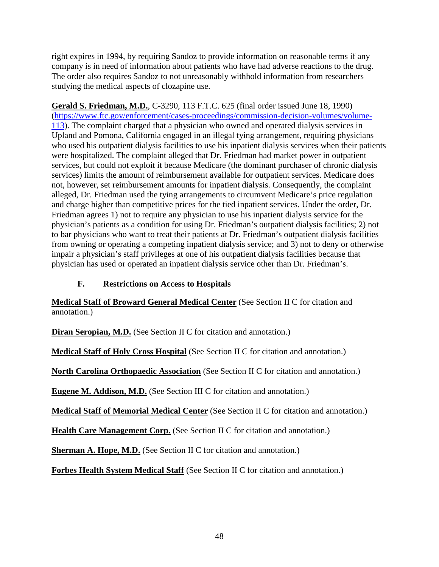right expires in 1994, by requiring Sandoz to provide information on reasonable terms if any company is in need of information about patients who have had adverse reactions to the drug. The order also requires Sandoz to not unreasonably withhold information from researchers studying the medical aspects of clozapine use.

**Gerald S. Friedman, M.D.**, C-3290, 113 F.T.C. 625 (final order issued June 18, 1990) [\(https://www.ftc.gov/enforcement/cases-proceedings/commission-decision-volumes/volume-](https://www.ftc.gov/enforcement/cases-proceedings/commission-decision-volumes/volume-113)[113\)](https://www.ftc.gov/enforcement/cases-proceedings/commission-decision-volumes/volume-113). The complaint charged that a physician who owned and operated dialysis services in Upland and Pomona, California engaged in an illegal tying arrangement, requiring physicians who used his outpatient dialysis facilities to use his inpatient dialysis services when their patients were hospitalized. The complaint alleged that Dr. Friedman had market power in outpatient services, but could not exploit it because Medicare (the dominant purchaser of chronic dialysis services) limits the amount of reimbursement available for outpatient services. Medicare does not, however, set reimbursement amounts for inpatient dialysis. Consequently, the complaint alleged, Dr. Friedman used the tying arrangements to circumvent Medicare's price regulation and charge higher than competitive prices for the tied inpatient services. Under the order, Dr. Friedman agrees 1) not to require any physician to use his inpatient dialysis service for the physician's patients as a condition for using Dr. Friedman's outpatient dialysis facilities; 2) not to bar physicians who want to treat their patients at Dr. Friedman's outpatient dialysis facilities from owning or operating a competing inpatient dialysis service; and 3) not to deny or otherwise impair a physician's staff privileges at one of his outpatient dialysis facilities because that physician has used or operated an inpatient dialysis service other than Dr. Friedman's.

## **F. Restrictions on Access to Hospitals**

**Medical Staff of Broward General Medical Center** (See Section II C for citation and annotation.)

**Diran Seropian, M.D.** (See Section II C for citation and annotation.)

**Medical Staff of Holy Cross Hospital** (See Section II C for citation and annotation.)

**North Carolina Orthopaedic Association** (See Section II C for citation and annotation.)

**Eugene M. Addison, M.D.** (See Section III C for citation and annotation.)

**Medical Staff of Memorial Medical Center** (See Section II C for citation and annotation.)

**Health Care Management Corp.** (See Section II C for citation and annotation.)

**Sherman A. Hope, M.D.** (See Section II C for citation and annotation.)

**Forbes Health System Medical Staff** (See Section II C for citation and annotation.)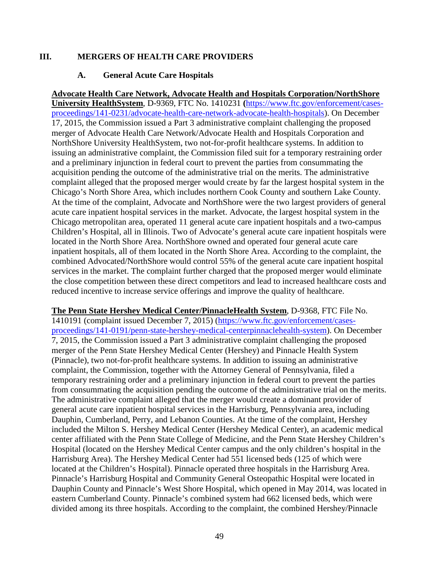#### **III. MERGERS OF HEALTH CARE PROVIDERS**

#### **A. General Acute Care Hospitals**

**Advocate Health Care Network, Advocate Health and Hospitals Corporation/NorthShore University HealthSystem**, D-9369, FTC No. 1410231 **(**[https://www.ftc.gov/enforcement/cases](https://www.ftc.gov/enforcement/cases-proceedings/141-0231/advocate-health-care-network-advocate-health-hospitals)[proceedings/141-0231/advocate-health-care-network-advocate-health-hospitals\)](https://www.ftc.gov/enforcement/cases-proceedings/141-0231/advocate-health-care-network-advocate-health-hospitals). On December 17, 2015, the Commission issued a Part 3 administrative complaint challenging the proposed merger of Advocate Health Care Network/Advocate Health and Hospitals Corporation and NorthShore University HealthSystem, two not-for-profit healthcare systems. In addition to issuing an administrative complaint, the Commission filed suit for a temporary restraining order and a preliminary injunction in federal court to prevent the parties from consummating the acquisition pending the outcome of the administrative trial on the merits. The administrative complaint alleged that the proposed merger would create by far the largest hospital system in the Chicago's North Shore Area, which includes northern Cook County and southern Lake County. At the time of the complaint, Advocate and NorthShore were the two largest providers of general acute care inpatient hospital services in the market. Advocate, the largest hospital system in the Chicago metropolitan area, operated 11 general acute care inpatient hospitals and a two-campus Children's Hospital, all in Illinois. Two of Advocate's general acute care inpatient hospitals were located in the North Shore Area. NorthShore owned and operated four general acute care inpatient hospitals, all of them located in the North Shore Area. According to the complaint, the combined Advocated/NorthShore would control 55% of the general acute care inpatient hospital services in the market. The complaint further charged that the proposed merger would eliminate the close competition between these direct competitors and lead to increased healthcare costs and reduced incentive to increase service offerings and improve the quality of healthcare.

**The Penn State Hershey Medical Center/PinnacleHealth System**, D-9368, FTC File No. 1410191 (complaint issued December 7, 2015) [\(https://www.ftc.gov/enforcement/cases](https://www.ftc.gov/enforcement/cases-proceedings/141-0191/penn-state-hershey-medical-centerpinnaclehealth-system)[proceedings/141-0191/penn-state-hershey-medical-centerpinnaclehealth-system\)](https://www.ftc.gov/enforcement/cases-proceedings/141-0191/penn-state-hershey-medical-centerpinnaclehealth-system). On December 7, 2015, the Commission issued a Part 3 administrative complaint challenging the proposed merger of the Penn State Hershey Medical Center (Hershey) and Pinnacle Health System (Pinnacle), two not-for-profit healthcare systems. In addition to issuing an administrative complaint, the Commission, together with the Attorney General of Pennsylvania, filed a temporary restraining order and a preliminary injunction in federal court to prevent the parties from consummating the acquisition pending the outcome of the administrative trial on the merits. The administrative complaint alleged that the merger would create a dominant provider of general acute care inpatient hospital services in the Harrisburg, Pennsylvania area, including Dauphin, Cumberland, Perry, and Lebanon Counties. At the time of the complaint, Hershey included the Milton S. Hershey Medical Center (Hershey Medical Center), an academic medical center affiliated with the Penn State College of Medicine, and the Penn State Hershey Children's Hospital (located on the Hershey Medical Center campus and the only children's hospital in the Harrisburg Area). The Hershey Medical Center had 551 licensed beds (125 of which were located at the Children's Hospital). Pinnacle operated three hospitals in the Harrisburg Area. Pinnacle's Harrisburg Hospital and Community General Osteopathic Hospital were located in Dauphin County and Pinnacle's West Shore Hospital, which opened in May 2014, was located in eastern Cumberland County. Pinnacle's combined system had 662 licensed beds, which were divided among its three hospitals. According to the complaint, the combined Hershey/Pinnacle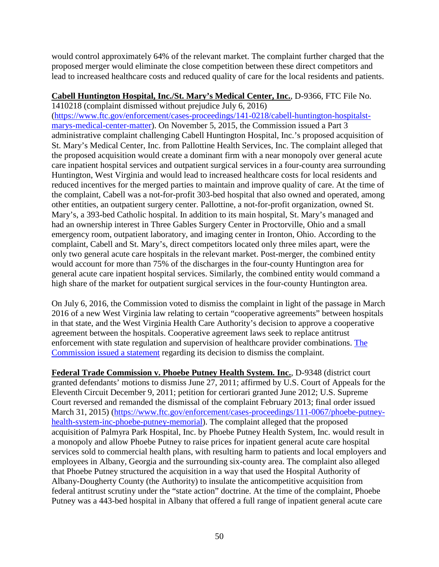would control approximately 64% of the relevant market. The complaint further charged that the proposed merger would eliminate the close competition between these direct competitors and lead to increased healthcare costs and reduced quality of care for the local residents and patients.

### **Cabell Huntington Hospital, Inc./St. Mary's Medical Center, Inc.**, D-9366, FTC File No.

1410218 (complaint dismissed without prejudice July 6, 2016) [\(https://www.ftc.gov/enforcement/cases-proceedings/141-0218/cabell-huntington-hospitalst](https://www.ftc.gov/enforcement/cases-proceedings/141-0218/cabell-huntington-hospitalst-marys-medical-center-matter)[marys-medical-center-matter\)](https://www.ftc.gov/enforcement/cases-proceedings/141-0218/cabell-huntington-hospitalst-marys-medical-center-matter). On November 5, 2015, the Commission issued a Part 3 administrative complaint challenging Cabell Huntington Hospital, Inc.'s proposed acquisition of St. Mary's Medical Center, Inc. from Pallottine Health Services, Inc. The complaint alleged that the proposed acquisition would create a dominant firm with a near monopoly over general acute care inpatient hospital services and outpatient surgical services in a four-county area surrounding Huntington, West Virginia and would lead to increased healthcare costs for local residents and reduced incentives for the merged parties to maintain and improve quality of care. At the time of the complaint, Cabell was a not-for-profit 303-bed hospital that also owned and operated, among other entities, an outpatient surgery center. Pallottine, a not-for-profit organization, owned St. Mary's, a 393-bed Catholic hospital. In addition to its main hospital, St. Mary's managed and had an ownership interest in Three Gables Surgery Center in Proctorville, Ohio and a small emergency room, outpatient laboratory, and imaging center in Ironton, Ohio. According to the complaint, Cabell and St. Mary's, direct competitors located only three miles apart, were the only two general acute care hospitals in the relevant market. Post-merger, the combined entity would account for more than 75% of the discharges in the four-county Huntington area for general acute care inpatient hospital services. Similarly, the combined entity would command a high share of the market for outpatient surgical services in the four-county Huntington area.

On July 6, 2016, the Commission voted to dismiss the complaint in light of the passage in March 2016 of a new West Virginia law relating to certain "cooperative agreements" between hospitals in that state, and the West Virginia Health Care Authority's decision to approve a cooperative agreement between the hospitals. Cooperative agreement laws seek to replace antitrust enforcement with state regulation and supervision of healthcare provider combinations. [The](https://www.ftc.gov/public-statements/2016/07/statement-federal-trade-commission-matter-cabell-huntington-hospital-inc)  [Commission issued a statement](https://www.ftc.gov/public-statements/2016/07/statement-federal-trade-commission-matter-cabell-huntington-hospital-inc) regarding its decision to dismiss the complaint.

**Federal Trade Commission v. Phoebe Putney Health System. Inc.**, D-9348 (district court granted defendants' motions to dismiss June 27, 2011; affirmed by U.S. Court of Appeals for the Eleventh Circuit December 9, 2011; petition for certiorari granted June 2012; U.S. Supreme Court reversed and remanded the dismissal of the complaint February 2013; final order issued March 31, 2015) [\(https://www.ftc.gov/enforcement/cases-proceedings/111-0067/phoebe-putney](https://www.ftc.gov/enforcement/cases-proceedings/111-0067/phoebe-putney-health-system-inc-phoebe-putney-memorial)[health-system-inc-phoebe-putney-memorial\)](https://www.ftc.gov/enforcement/cases-proceedings/111-0067/phoebe-putney-health-system-inc-phoebe-putney-memorial). The complaint alleged that the proposed acquisition of Palmyra Park Hospital, Inc. by Phoebe Putney Health System, Inc. would result in a monopoly and allow Phoebe Putney to raise prices for inpatient general acute care hospital services sold to commercial health plans, with resulting harm to patients and local employers and employees in Albany, Georgia and the surrounding six-county area. The complaint also alleged that Phoebe Putney structured the acquisition in a way that used the Hospital Authority of Albany-Dougherty County (the Authority) to insulate the anticompetitive acquisition from federal antitrust scrutiny under the "state action" doctrine. At the time of the complaint, Phoebe Putney was a 443-bed hospital in Albany that offered a full range of inpatient general acute care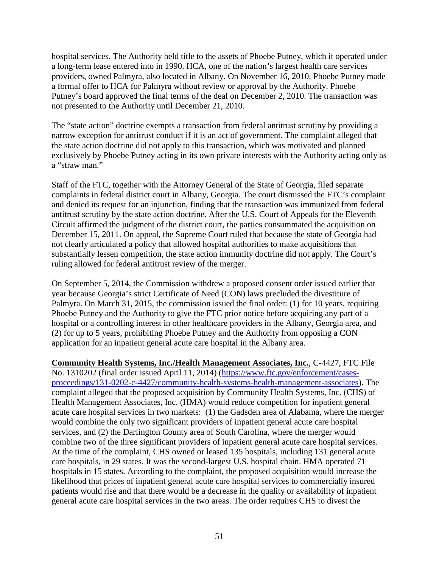hospital services. The Authority held title to the assets of Phoebe Putney, which it operated under a long-term lease entered into in 1990. HCA, one of the nation's largest health care services providers, owned Palmyra, also located in Albany. On November 16, 2010, Phoebe Putney made a formal offer to HCA for Palmyra without review or approval by the Authority. Phoebe Putney's board approved the final terms of the deal on December 2, 2010. The transaction was not presented to the Authority until December 21, 2010.

The "state action" doctrine exempts a transaction from federal antitrust scrutiny by providing a narrow exception for antitrust conduct if it is an act of government. The complaint alleged that the state action doctrine did not apply to this transaction, which was motivated and planned exclusively by Phoebe Putney acting in its own private interests with the Authority acting only as a "straw man."

Staff of the FTC, together with the Attorney General of the State of Georgia, filed separate complaints in federal district court in Albany, Georgia. The court dismissed the FTC's complaint and denied its request for an injunction, finding that the transaction was immunized from federal antitrust scrutiny by the state action doctrine. After the U.S. Court of Appeals for the Eleventh Circuit affirmed the judgment of the district court, the parties consummated the acquisition on December 15, 2011. On appeal, the Supreme Court ruled that because the state of Georgia had not clearly articulated a policy that allowed hospital authorities to make acquisitions that substantially lessen competition, the state action immunity doctrine did not apply. The Court's ruling allowed for federal antitrust review of the merger.

On September 5, 2014, the Commission withdrew a proposed consent order issued earlier that year because Georgia's strict Certificate of Need (CON) laws precluded the divestiture of Palmyra. On March 31, 2015, the commission issued the final order: (1) for 10 years, requiring Phoebe Putney and the Authority to give the FTC prior notice before acquiring any part of a hospital or a controlling interest in other healthcare providers in the Albany, Georgia area, and (2) for up to 5 years, prohibiting Phoebe Putney and the Authority from opposing a CON application for an inpatient general acute care hospital in the Albany area.

**Community Health Systems, Inc./Health Management Associates, Inc.**, C-4427, FTC File No. 1310202 (final order issued April 11, 2014) [\(https://www.ftc.gov/enforcement/cases](https://www.ftc.gov/enforcement/cases-proceedings/131-0202-c-4427/community-health-systems-health-management-associates)[proceedings/131-0202-c-4427/community-health-systems-health-management-associates\)](https://www.ftc.gov/enforcement/cases-proceedings/131-0202-c-4427/community-health-systems-health-management-associates). The complaint alleged that the proposed acquisition by Community Health Systems, Inc. (CHS) of Health Management Associates, Inc. (HMA) would reduce competition for inpatient general acute care hospital services in two markets: (1) the Gadsden area of Alabama, where the merger would combine the only two significant providers of inpatient general acute care hospital services, and (2) the Darlington County area of South Carolina, where the merger would combine two of the three significant providers of inpatient general acute care hospital services. At the time of the complaint, CHS owned or leased 135 hospitals, including 131 general acute care hospitals, in 29 states. It was the second-largest U.S. hospital chain. HMA operated 71 hospitals in 15 states. According to the complaint, the proposed acquisition would increase the likelihood that prices of inpatient general acute care hospital services to commercially insured patients would rise and that there would be a decrease in the quality or availability of inpatient general acute care hospital services in the two areas. The order requires CHS to divest the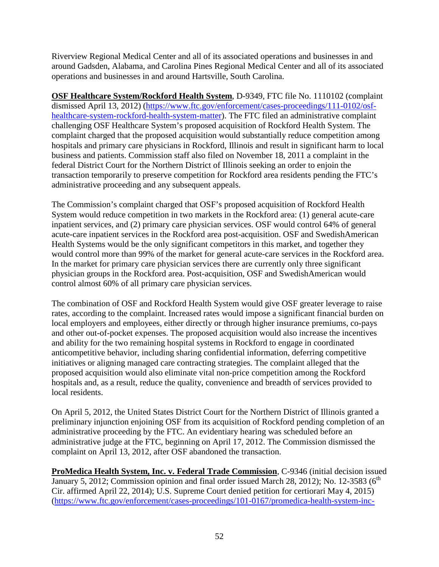Riverview Regional Medical Center and all of its associated operations and businesses in and around Gadsden, Alabama, and Carolina Pines Regional Medical Center and all of its associated operations and businesses in and around Hartsville, South Carolina.

**OSF Healthcare System/Rockford Health System**, D-9349, FTC file No. 1110102 (complaint dismissed April 13, 2012) [\(https://www.ftc.gov/enforcement/cases-proceedings/111-0102/osf](https://www.ftc.gov/enforcement/cases-proceedings/111-0102/osf-healthcare-system-rockford-health-system-matter)[healthcare-system-rockford-health-system-matter\)](https://www.ftc.gov/enforcement/cases-proceedings/111-0102/osf-healthcare-system-rockford-health-system-matter). The FTC filed an administrative complaint challenging OSF Healthcare System's proposed acquisition of Rockford Health System. The complaint charged that the proposed acquisition would substantially reduce competition among hospitals and primary care physicians in Rockford, Illinois and result in significant harm to local business and patients. Commission staff also filed on November 18, 2011 a complaint in the federal District Court for the Northern District of Illinois seeking an order to enjoin the transaction temporarily to preserve competition for Rockford area residents pending the FTC's administrative proceeding and any subsequent appeals.

The Commission's complaint charged that OSF's proposed acquisition of Rockford Health System would reduce competition in two markets in the Rockford area: (1) general acute-care inpatient services, and (2) primary care physician services. OSF would control 64% of general acute-care inpatient services in the Rockford area post-acquisition. OSF and SwedishAmerican Health Systems would be the only significant competitors in this market, and together they would control more than 99% of the market for general acute-care services in the Rockford area. In the market for primary care physician services there are currently only three significant physician groups in the Rockford area. Post-acquisition, OSF and SwedishAmerican would control almost 60% of all primary care physician services.

The combination of OSF and Rockford Health System would give OSF greater leverage to raise rates, according to the complaint. Increased rates would impose a significant financial burden on local employers and employees, either directly or through higher insurance premiums, co-pays and other out-of-pocket expenses. The proposed acquisition would also increase the incentives and ability for the two remaining hospital systems in Rockford to engage in coordinated anticompetitive behavior, including sharing confidential information, deferring competitive initiatives or aligning managed care contracting strategies. The complaint alleged that the proposed acquisition would also eliminate vital non-price competition among the Rockford hospitals and, as a result, reduce the quality, convenience and breadth of services provided to local residents.

On April 5, 2012, the United States District Court for the Northern District of Illinois granted a preliminary injunction enjoining OSF from its acquisition of Rockford pending completion of an administrative proceeding by the FTC. An evidentiary hearing was scheduled before an administrative judge at the FTC, beginning on April 17, 2012. The Commission dismissed the complaint on April 13, 2012, after OSF abandoned the transaction.

**ProMedica Health System, Inc. v. Federal Trade Commission**, C-9346 (initial decision issued January 5, 2012; Commission opinion and final order issued March 28, 2012); No. 12-3583 ( $6<sup>th</sup>$ Cir. affirmed April 22, 2014); U.S. Supreme Court denied petition for certiorari May 4, 2015) [\(https://www.ftc.gov/enforcement/cases-proceedings/101-0167/promedica-health-system-inc-](https://www.ftc.gov/enforcement/cases-proceedings/101-0167/promedica-health-system-inc-corporation-matter)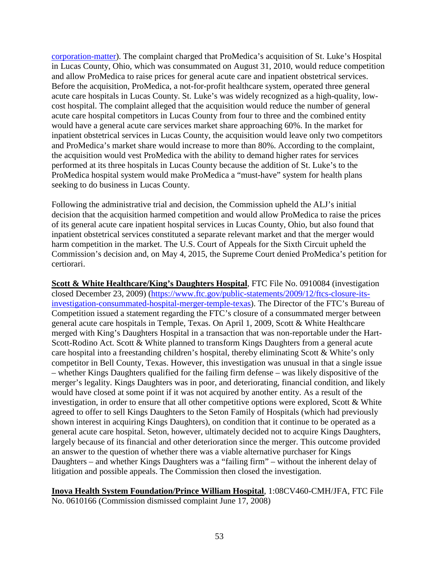[corporation-matter\)](https://www.ftc.gov/enforcement/cases-proceedings/101-0167/promedica-health-system-inc-corporation-matter). The complaint charged that ProMedica's acquisition of St. Luke's Hospital in Lucas County, Ohio, which was consummated on August 31, 2010, would reduce competition and allow ProMedica to raise prices for general acute care and inpatient obstetrical services. Before the acquisition, ProMedica, a not-for-profit healthcare system, operated three general acute care hospitals in Lucas County. St. Luke's was widely recognized as a high-quality, lowcost hospital. The complaint alleged that the acquisition would reduce the number of general acute care hospital competitors in Lucas County from four to three and the combined entity would have a general acute care services market share approaching 60%. In the market for inpatient obstetrical services in Lucas County, the acquisition would leave only two competitors and ProMedica's market share would increase to more than 80%. According to the complaint, the acquisition would vest ProMedica with the ability to demand higher rates for services performed at its three hospitals in Lucas County because the addition of St. Luke's to the ProMedica hospital system would make ProMedica a "must-have" system for health plans seeking to do business in Lucas County.

Following the administrative trial and decision, the Commission upheld the ALJ's initial decision that the acquisition harmed competition and would allow ProMedica to raise the prices of its general acute care inpatient hospital services in Lucas County, Ohio, but also found that inpatient obstetrical services constituted a separate relevant market and that the merger would harm competition in the market. The U.S. Court of Appeals for the Sixth Circuit upheld the Commission's decision and, on May 4, 2015, the Supreme Court denied ProMedica's petition for certiorari.

**Scott & White Healthcare/King's Daughters Hospital**, FTC File No. 0910084 (investigation closed December 23, 2009) [\(https://www.ftc.gov/public-statements/2009/12/ftcs-closure-its](https://www.ftc.gov/public-statements/2009/12/ftcs-closure-its-investigation-consummated-hospital-merger-temple-texas)[investigation-consummated-hospital-merger-temple-texas\)](https://www.ftc.gov/public-statements/2009/12/ftcs-closure-its-investigation-consummated-hospital-merger-temple-texas). The Director of the FTC's Bureau of Competition issued a statement regarding the FTC's closure of a consummated merger between general acute care hospitals in Temple, Texas. On April 1, 2009, Scott & White Healthcare merged with King's Daughters Hospital in a transaction that was non-reportable under the Hart-Scott-Rodino Act. Scott & White planned to transform Kings Daughters from a general acute care hospital into a freestanding children's hospital, thereby eliminating Scott & White's only competitor in Bell County, Texas. However, this investigation was unusual in that a single issue – whether Kings Daughters qualified for the failing firm defense – was likely dispositive of the merger's legality. Kings Daughters was in poor, and deteriorating, financial condition, and likely would have closed at some point if it was not acquired by another entity. As a result of the investigation, in order to ensure that all other competitive options were explored, Scott & White agreed to offer to sell Kings Daughters to the Seton Family of Hospitals (which had previously shown interest in acquiring Kings Daughters), on condition that it continue to be operated as a general acute care hospital. Seton, however, ultimately decided not to acquire Kings Daughters, largely because of its financial and other deterioration since the merger. This outcome provided an answer to the question of whether there was a viable alternative purchaser for Kings Daughters – and whether Kings Daughters was a "failing firm" – without the inherent delay of litigation and possible appeals. The Commission then closed the investigation.

**Inova Health System Foundation/Prince William Hospital**, 1:08CV460-CMH/JFA, FTC File No. 0610166 (Commission dismissed complaint June 17, 2008)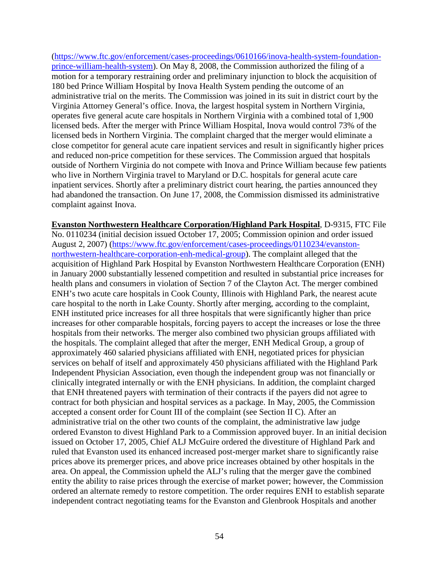[\(https://www.ftc.gov/enforcement/cases-proceedings/0610166/inova-health-system-foundation](https://www.ftc.gov/enforcement/cases-proceedings/0610166/inova-health-system-foundation-prince-william-health-system)[prince-william-health-system\)](https://www.ftc.gov/enforcement/cases-proceedings/0610166/inova-health-system-foundation-prince-william-health-system). On May 8, 2008, the Commission authorized the filing of a motion for a temporary restraining order and preliminary injunction to block the acquisition of 180 bed Prince William Hospital by Inova Health System pending the outcome of an administrative trial on the merits. The Commission was joined in its suit in district court by the Virginia Attorney General's office. Inova, the largest hospital system in Northern Virginia, operates five general acute care hospitals in Northern Virginia with a combined total of 1,900 licensed beds. After the merger with Prince William Hospital, Inova would control 73% of the licensed beds in Northern Virginia. The complaint charged that the merger would eliminate a close competitor for general acute care inpatient services and result in significantly higher prices and reduced non-price competition for these services. The Commission argued that hospitals outside of Northern Virginia do not compete with Inova and Prince William because few patients who live in Northern Virginia travel to Maryland or D.C. hospitals for general acute care inpatient services. Shortly after a preliminary district court hearing, the parties announced they had abandoned the transaction. On June 17, 2008, the Commission dismissed its administrative complaint against Inova.

**Evanston Northwestern Healthcare Corporation/Highland Park Hospital**, D-9315, FTC File No. 0110234 (initial decision issued October 17, 2005; Commission opinion and order issued August 2, 2007) [\(https://www.ftc.gov/enforcement/cases-proceedings/0110234/evanston](https://www.ftc.gov/enforcement/cases-proceedings/0110234/evanston-northwestern-healthcare-corporation-enh-medical-group)[northwestern-healthcare-corporation-enh-medical-group\)](https://www.ftc.gov/enforcement/cases-proceedings/0110234/evanston-northwestern-healthcare-corporation-enh-medical-group). The complaint alleged that the acquisition of Highland Park Hospital by Evanston Northwestern Healthcare Corporation (ENH) in January 2000 substantially lessened competition and resulted in substantial price increases for health plans and consumers in violation of Section 7 of the Clayton Act. The merger combined ENH's two acute care hospitals in Cook County, Illinois with Highland Park, the nearest acute care hospital to the north in Lake County. Shortly after merging, according to the complaint, ENH instituted price increases for all three hospitals that were significantly higher than price increases for other comparable hospitals, forcing payers to accept the increases or lose the three hospitals from their networks. The merger also combined two physician groups affiliated with the hospitals. The complaint alleged that after the merger, ENH Medical Group, a group of approximately 460 salaried physicians affiliated with ENH, negotiated prices for physician services on behalf of itself and approximately 450 physicians affiliated with the Highland Park Independent Physician Association, even though the independent group was not financially or clinically integrated internally or with the ENH physicians. In addition, the complaint charged that ENH threatened payers with termination of their contracts if the payers did not agree to contract for both physician and hospital services as a package. In May, 2005, the Commission accepted a consent order for Count III of the complaint (see Section II C). After an administrative trial on the other two counts of the complaint, the administrative law judge ordered Evanston to divest Highland Park to a Commission approved buyer. In an initial decision issued on October 17, 2005, Chief ALJ McGuire ordered the divestiture of Highland Park and ruled that Evanston used its enhanced increased post-merger market share to significantly raise prices above its premerger prices, and above price increases obtained by other hospitals in the area. On appeal, the Commission upheld the ALJ's ruling that the merger gave the combined entity the ability to raise prices through the exercise of market power; however, the Commission ordered an alternate remedy to restore competition. The order requires ENH to establish separate independent contract negotiating teams for the Evanston and Glenbrook Hospitals and another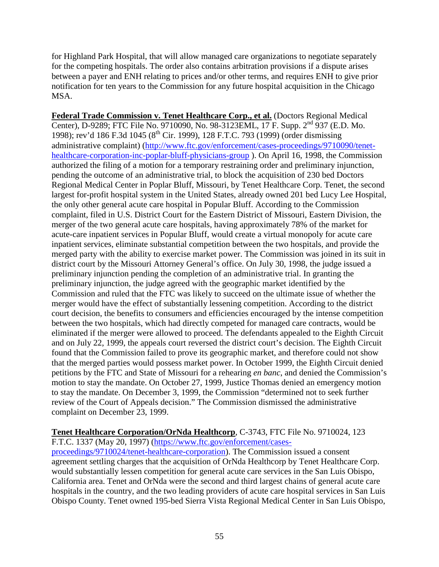for Highland Park Hospital, that will allow managed care organizations to negotiate separately for the competing hospitals. The order also contains arbitration provisions if a dispute arises between a payer and ENH relating to prices and/or other terms, and requires ENH to give prior notification for ten years to the Commission for any future hospital acquisition in the Chicago MSA.

**Federal Trade Commission v. Tenet Healthcare Corp., et al.** (Doctors Regional Medical Center), D-9289; FTC File No. 9710090, No. 98-3123EML, 17 F. Supp. 2nd 937 (E.D. Mo. 1998); rev'd 186 F.3d 1045 (8<sup>th</sup> Cir. 1999), 128 F.T.C. 793 (1999) (order dismissing administrative complaint) [\(http://www.ftc.gov/enforcement/cases-proceedings/9710090/tenet](http://www.ftc.gov/enforcement/cases-proceedings/9710090/tenet-healthcare-corporation-inc-poplar-bluff-physicians-group)[healthcare-corporation-inc-poplar-bluff-physicians-group](http://www.ftc.gov/enforcement/cases-proceedings/9710090/tenet-healthcare-corporation-inc-poplar-bluff-physicians-group) ). On April 16, 1998, the Commission authorized the filing of a motion for a temporary restraining order and preliminary injunction, pending the outcome of an administrative trial, to block the acquisition of 230 bed Doctors Regional Medical Center in Poplar Bluff, Missouri, by Tenet Healthcare Corp. Tenet, the second largest for-profit hospital system in the United States, already owned 201 bed Lucy Lee Hospital, the only other general acute care hospital in Popular Bluff. According to the Commission complaint, filed in U.S. District Court for the Eastern District of Missouri, Eastern Division, the merger of the two general acute care hospitals, having approximately 78% of the market for acute-care inpatient services in Popular Bluff, would create a virtual monopoly for acute care inpatient services, eliminate substantial competition between the two hospitals, and provide the merged party with the ability to exercise market power. The Commission was joined in its suit in district court by the Missouri Attorney General's office. On July 30, 1998, the judge issued a preliminary injunction pending the completion of an administrative trial. In granting the preliminary injunction, the judge agreed with the geographic market identified by the Commission and ruled that the FTC was likely to succeed on the ultimate issue of whether the merger would have the effect of substantially lessening competition. According to the district court decision, the benefits to consumers and efficiencies encouraged by the intense competition between the two hospitals, which had directly competed for managed care contracts, would be eliminated if the merger were allowed to proceed. The defendants appealed to the Eighth Circuit and on July 22, 1999, the appeals court reversed the district court's decision. The Eighth Circuit found that the Commission failed to prove its geographic market, and therefore could not show that the merged parties would possess market power. In October 1999, the Eighth Circuit denied petitions by the FTC and State of Missouri for a rehearing *en banc*, and denied the Commission's motion to stay the mandate. On October 27, 1999, Justice Thomas denied an emergency motion to stay the mandate. On December 3, 1999, the Commission "determined not to seek further review of the Court of Appeals decision." The Commission dismissed the administrative complaint on December 23, 1999.

#### **Tenet Healthcare Corporation/OrNda Healthcorp**, C-3743, FTC File No. 9710024, 123

F.T.C. 1337 (May 20, 1997) [\(https://www.ftc.gov/enforcement/cases](https://www.ftc.gov/enforcement/cases-proceedings/9710024/tenet-healthcare-corporation)[proceedings/9710024/tenet-healthcare-corporation\)](https://www.ftc.gov/enforcement/cases-proceedings/9710024/tenet-healthcare-corporation). The Commission issued a consent agreement settling charges that the acquisition of OrNda Healthcorp by Tenet Healthcare Corp. would substantially lessen competition for general acute care services in the San Luis Obispo, California area. Tenet and OrNda were the second and third largest chains of general acute care hospitals in the country, and the two leading providers of acute care hospital services in San Luis Obispo County. Tenet owned 195-bed Sierra Vista Regional Medical Center in San Luis Obispo,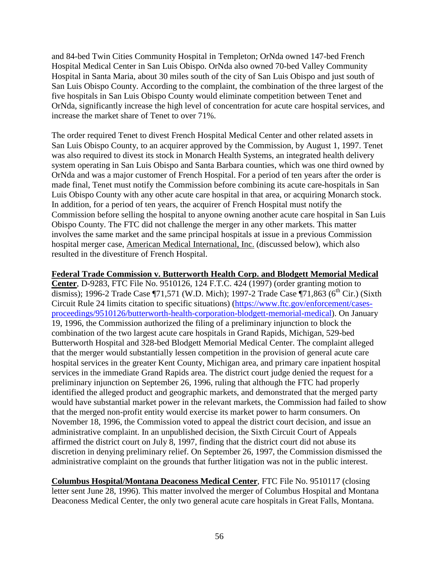and 84-bed Twin Cities Community Hospital in Templeton; OrNda owned 147-bed French Hospital Medical Center in San Luis Obispo. OrNda also owned 70-bed Valley Community Hospital in Santa Maria, about 30 miles south of the city of San Luis Obispo and just south of San Luis Obispo County. According to the complaint, the combination of the three largest of the five hospitals in San Luis Obispo County would eliminate competition between Tenet and OrNda, significantly increase the high level of concentration for acute care hospital services, and increase the market share of Tenet to over 71%.

The order required Tenet to divest French Hospital Medical Center and other related assets in San Luis Obispo County, to an acquirer approved by the Commission, by August 1, 1997. Tenet was also required to divest its stock in Monarch Health Systems, an integrated health delivery system operating in San Luis Obispo and Santa Barbara counties, which was one third owned by OrNda and was a major customer of French Hospital. For a period of ten years after the order is made final, Tenet must notify the Commission before combining its acute care-hospitals in San Luis Obispo County with any other acute care hospital in that area, or acquiring Monarch stock. In addition, for a period of ten years, the acquirer of French Hospital must notify the Commission before selling the hospital to anyone owning another acute care hospital in San Luis Obispo County. The FTC did not challenge the merger in any other markets. This matter involves the same market and the same principal hospitals at issue in a previous Commission hospital merger case, American Medical International, Inc. (discussed below), which also resulted in the divestiture of French Hospital.

#### **Federal Trade Commission v. Butterworth Health Corp. and Blodgett Memorial Medical**

**Center**, D-9283, FTC File No. 9510126, 124 F.T.C. 424 (1997) (order granting motion to dismiss); 1996-2 Trade Case  $\P$ 71,571 (W.D. Mich); 1997-2 Trade Case  $\P$ 71,863 (6<sup>th</sup> Cir.) (Sixth Circuit Rule 24 limits citation to specific situations) [\(https://www.ftc.gov/enforcement/cases](https://www.ftc.gov/enforcement/cases-proceedings/9510126/butterworth-health-corporation-blodgett-memorial-medical)[proceedings/9510126/butterworth-health-corporation-blodgett-memorial-medical\)](https://www.ftc.gov/enforcement/cases-proceedings/9510126/butterworth-health-corporation-blodgett-memorial-medical). On January 19, 1996, the Commission authorized the filing of a preliminary injunction to block the combination of the two largest acute care hospitals in Grand Rapids, Michigan, 529-bed Butterworth Hospital and 328-bed Blodgett Memorial Medical Center. The complaint alleged that the merger would substantially lessen competition in the provision of general acute care hospital services in the greater Kent County, Michigan area, and primary care inpatient hospital services in the immediate Grand Rapids area. The district court judge denied the request for a preliminary injunction on September 26, 1996, ruling that although the FTC had properly identified the alleged product and geographic markets, and demonstrated that the merged party would have substantial market power in the relevant markets, the Commission had failed to show that the merged non-profit entity would exercise its market power to harm consumers. On November 18, 1996, the Commission voted to appeal the district court decision, and issue an administrative complaint. In an unpublished decision, the Sixth Circuit Court of Appeals affirmed the district court on July 8, 1997, finding that the district court did not abuse its discretion in denying preliminary relief. On September 26, 1997, the Commission dismissed the administrative complaint on the grounds that further litigation was not in the public interest.

**Columbus Hospital/Montana Deaconess Medical Center**, FTC File No. 9510117 (closing letter sent June 28, 1996). This matter involved the merger of Columbus Hospital and Montana Deaconess Medical Center, the only two general acute care hospitals in Great Falls, Montana.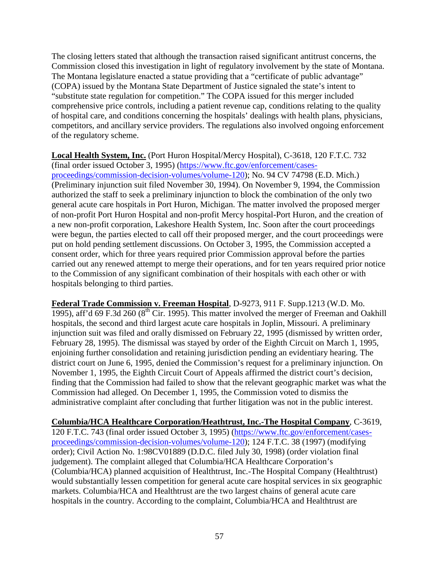The closing letters stated that although the transaction raised significant antitrust concerns, the Commission closed this investigation in light of regulatory involvement by the state of Montana. The Montana legislature enacted a statue providing that a "certificate of public advantage" (COPA) issued by the Montana State Department of Justice signaled the state's intent to "substitute state regulation for competition." The COPA issued for this merger included comprehensive price controls, including a patient revenue cap, conditions relating to the quality of hospital care, and conditions concerning the hospitals' dealings with health plans, physicians, competitors, and ancillary service providers. The regulations also involved ongoing enforcement of the regulatory scheme.

# **Local Health System, Inc.** (Port Huron Hospital/Mercy Hospital), C-3618, 120 F.T.C. 732

(final order issued October 3, 1995) [\(https://www.ftc.gov/enforcement/cases](https://www.ftc.gov/enforcement/cases-proceedings/commission-decision-volumes/volume-120)[proceedings/commission-decision-volumes/volume-120\)](https://www.ftc.gov/enforcement/cases-proceedings/commission-decision-volumes/volume-120); No. 94 CV 74798 (E.D. Mich.) (Preliminary injunction suit filed November 30, 1994). On November 9, 1994, the Commission authorized the staff to seek a preliminary injunction to block the combination of the only two general acute care hospitals in Port Huron, Michigan. The matter involved the proposed merger of non-profit Port Huron Hospital and non-profit Mercy hospital-Port Huron, and the creation of a new non-profit corporation, Lakeshore Health System, Inc. Soon after the court proceedings were begun, the parties elected to call off their proposed merger, and the court proceedings were put on hold pending settlement discussions. On October 3, 1995, the Commission accepted a consent order, which for three years required prior Commission approval before the parties carried out any renewed attempt to merge their operations, and for ten years required prior notice to the Commission of any significant combination of their hospitals with each other or with hospitals belonging to third parties.

**Federal Trade Commission v. Freeman Hospital**, D-9273, 911 F. Supp.1213 (W.D. Mo. 1995), aff'd 69 F.3d 260 ( $8<sup>th</sup>$  Cir. 1995). This matter involved the merger of Freeman and Oakhill hospitals, the second and third largest acute care hospitals in Joplin, Missouri. A preliminary injunction suit was filed and orally dismissed on February 22, 1995 (dismissed by written order, February 28, 1995). The dismissal was stayed by order of the Eighth Circuit on March 1, 1995, enjoining further consolidation and retaining jurisdiction pending an evidentiary hearing. The district court on June 6, 1995, denied the Commission's request for a preliminary injunction. On November 1, 1995, the Eighth Circuit Court of Appeals affirmed the district court's decision, finding that the Commission had failed to show that the relevant geographic market was what the Commission had alleged. On December 1, 1995, the Commission voted to dismiss the administrative complaint after concluding that further litigation was not in the public interest.

**Columbia/HCA Healthcare Corporation/Heathtrust, Inc.-The Hospital Company**, C-3619, 120 F.T.C. 743 (final order issued October 3, 1995) [\(https://www.ftc.gov/enforcement/cases](https://www.ftc.gov/enforcement/cases-proceedings/commission-decision-volumes/volume-120)[proceedings/commission-decision-volumes/volume-120\)](https://www.ftc.gov/enforcement/cases-proceedings/commission-decision-volumes/volume-120); 124 F.T.C. 38 (1997) (modifying order); Civil Action No. 1:98CV01889 (D.D.C. filed July 30, 1998) (order violation final judgement). The complaint alleged that Columbia/HCA Healthcare Corporation's (Columbia/HCA) planned acquisition of Healthtrust, Inc.-The Hospital Company (Healthtrust) would substantially lessen competition for general acute care hospital services in six geographic markets. Columbia/HCA and Healthtrust are the two largest chains of general acute care hospitals in the country. According to the complaint, Columbia/HCA and Healthtrust are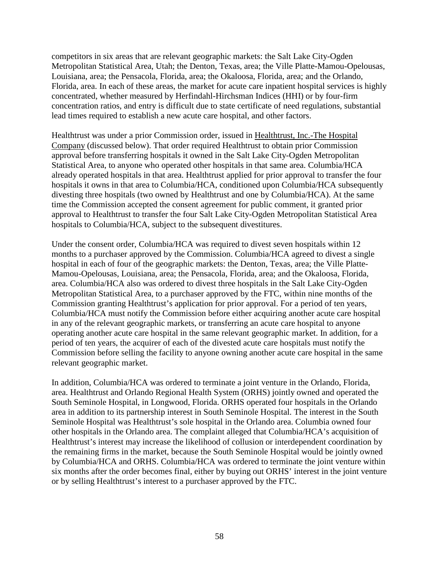competitors in six areas that are relevant geographic markets: the Salt Lake City-Ogden Metropolitan Statistical Area, Utah; the Denton, Texas, area; the Ville Platte-Mamou-Opelousas, Louisiana, area; the Pensacola, Florida, area; the Okaloosa, Florida, area; and the Orlando, Florida, area. In each of these areas, the market for acute care inpatient hospital services is highly concentrated, whether measured by Herfindahl-Hirchsman Indices (HHI) or by four-firm concentration ratios, and entry is difficult due to state certificate of need regulations, substantial lead times required to establish a new acute care hospital, and other factors.

Healthtrust was under a prior Commission order, issued in Healthtrust, Inc.-The Hospital Company (discussed below). That order required Healthtrust to obtain prior Commission approval before transferring hospitals it owned in the Salt Lake City-Ogden Metropolitan Statistical Area, to anyone who operated other hospitals in that same area. Columbia/HCA already operated hospitals in that area. Healthtrust applied for prior approval to transfer the four hospitals it owns in that area to Columbia/HCA, conditioned upon Columbia/HCA subsequently divesting three hospitals (two owned by Healthtrust and one by Columbia/HCA). At the same time the Commission accepted the consent agreement for public comment, it granted prior approval to Healthtrust to transfer the four Salt Lake City-Ogden Metropolitan Statistical Area hospitals to Columbia/HCA, subject to the subsequent divestitures.

Under the consent order, Columbia/HCA was required to divest seven hospitals within 12 months to a purchaser approved by the Commission. Columbia/HCA agreed to divest a single hospital in each of four of the geographic markets: the Denton, Texas, area; the Ville Platte-Mamou-Opelousas, Louisiana, area; the Pensacola, Florida, area; and the Okaloosa, Florida, area. Columbia/HCA also was ordered to divest three hospitals in the Salt Lake City-Ogden Metropolitan Statistical Area, to a purchaser approved by the FTC, within nine months of the Commission granting Healthtrust's application for prior approval. For a period of ten years, Columbia/HCA must notify the Commission before either acquiring another acute care hospital in any of the relevant geographic markets, or transferring an acute care hospital to anyone operating another acute care hospital in the same relevant geographic market. In addition, for a period of ten years, the acquirer of each of the divested acute care hospitals must notify the Commission before selling the facility to anyone owning another acute care hospital in the same relevant geographic market.

In addition, Columbia/HCA was ordered to terminate a joint venture in the Orlando, Florida, area. Healthtrust and Orlando Regional Health System (ORHS) jointly owned and operated the South Seminole Hospital, in Longwood, Florida. ORHS operated four hospitals in the Orlando area in addition to its partnership interest in South Seminole Hospital. The interest in the South Seminole Hospital was Healthtrust's sole hospital in the Orlando area. Columbia owned four other hospitals in the Orlando area. The complaint alleged that Columbia/HCA's acquisition of Healthtrust's interest may increase the likelihood of collusion or interdependent coordination by the remaining firms in the market, because the South Seminole Hospital would be jointly owned by Columbia/HCA and ORHS. Columbia/HCA was ordered to terminate the joint venture within six months after the order becomes final, either by buying out ORHS' interest in the joint venture or by selling Healthtrust's interest to a purchaser approved by the FTC.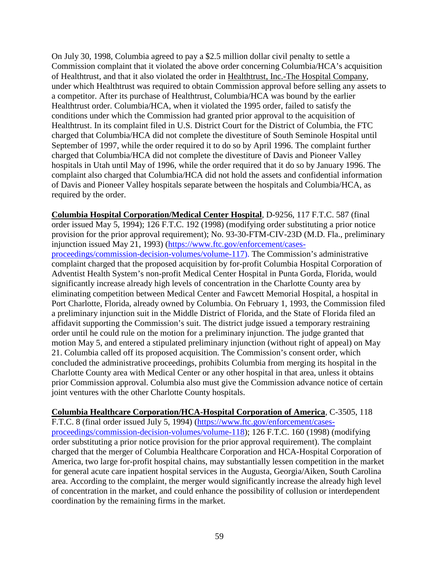On July 30, 1998, Columbia agreed to pay a \$2.5 million dollar civil penalty to settle a Commission complaint that it violated the above order concerning Columbia/HCA's acquisition of Healthtrust, and that it also violated the order in Healthtrust, Inc.-The Hospital Company, under which Healthtrust was required to obtain Commission approval before selling any assets to a competitor. After its purchase of Healthtrust, Columbia/HCA was bound by the earlier Healthtrust order. Columbia/HCA, when it violated the 1995 order, failed to satisfy the conditions under which the Commission had granted prior approval to the acquisition of Healthtrust. In its complaint filed in U.S. District Court for the District of Columbia, the FTC charged that Columbia/HCA did not complete the divestiture of South Seminole Hospital until September of 1997, while the order required it to do so by April 1996. The complaint further charged that Columbia/HCA did not complete the divestiture of Davis and Pioneer Valley hospitals in Utah until May of 1996, while the order required that it do so by January 1996. The complaint also charged that Columbia/HCA did not hold the assets and confidential information of Davis and Pioneer Valley hospitals separate between the hospitals and Columbia/HCA, as required by the order.

**Columbia Hospital Corporation/Medical Center Hospital**, D-9256, 117 F.T.C. 587 (final order issued May 5, 1994); 126 F.T.C. 192 (1998) (modifying order substituting a prior notice provision for the prior approval requirement); No. 93-30-FTM-CIV-23D (M.D. Fla., preliminary injunction issued May 21, 1993) [\(https://www.ftc.gov/enforcement/cases](https://www.ftc.gov/enforcement/cases-proceedings/commission-decision-volumes/volume-117)[proceedings/commission-decision-volumes/volume-117\)](https://www.ftc.gov/enforcement/cases-proceedings/commission-decision-volumes/volume-117). The Commission's administrative complaint charged that the proposed acquisition by for-profit Columbia Hospital Corporation of Adventist Health System's non-profit Medical Center Hospital in Punta Gorda, Florida, would significantly increase already high levels of concentration in the Charlotte County area by eliminating competition between Medical Center and Fawcett Memorial Hospital, a hospital in Port Charlotte, Florida, already owned by Columbia. On February 1, 1993, the Commission filed a preliminary injunction suit in the Middle District of Florida, and the State of Florida filed an affidavit supporting the Commission's suit. The district judge issued a temporary restraining order until he could rule on the motion for a preliminary injunction. The judge granted that motion May 5, and entered a stipulated preliminary injunction (without right of appeal) on May 21. Columbia called off its proposed acquisition. The Commission's consent order, which concluded the administrative proceedings, prohibits Columbia from merging its hospital in the Charlotte County area with Medical Center or any other hospital in that area, unless it obtains prior Commission approval. Columbia also must give the Commission advance notice of certain joint ventures with the other Charlotte County hospitals.

**Columbia Healthcare Corporation/HCA-Hospital Corporation of America**, C-3505, 118 F.T.C. 8 (final order issued July 5, 1994) [\(https://www.ftc.gov/enforcement/cases](https://www.ftc.gov/enforcement/cases-proceedings/commission-decision-volumes/volume-118)[proceedings/commission-decision-volumes/volume-118\)](https://www.ftc.gov/enforcement/cases-proceedings/commission-decision-volumes/volume-118); 126 F.T.C. 160 (1998) (modifying order substituting a prior notice provision for the prior approval requirement). The complaint charged that the merger of Columbia Healthcare Corporation and HCA-Hospital Corporation of America, two large for-profit hospital chains, may substantially lessen competition in the market for general acute care inpatient hospital services in the Augusta, Georgia/Aiken, South Carolina area. According to the complaint, the merger would significantly increase the already high level of concentration in the market, and could enhance the possibility of collusion or interdependent coordination by the remaining firms in the market.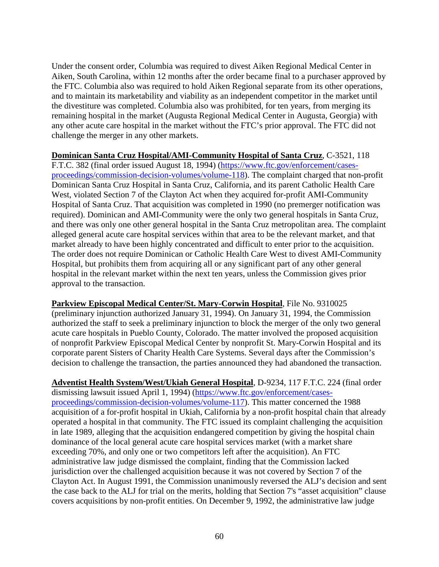Under the consent order, Columbia was required to divest Aiken Regional Medical Center in Aiken, South Carolina, within 12 months after the order became final to a purchaser approved by the FTC. Columbia also was required to hold Aiken Regional separate from its other operations, and to maintain its marketability and viability as an independent competitor in the market until the divestiture was completed. Columbia also was prohibited, for ten years, from merging its remaining hospital in the market (Augusta Regional Medical Center in Augusta, Georgia) with any other acute care hospital in the market without the FTC's prior approval. The FTC did not challenge the merger in any other markets.

#### **Dominican Santa Cruz Hospital/AMI-Community Hospital of Santa Cruz**, C-3521, 118 F.T.C. 382 (final order issued August 18, 1994) [\(https://www.ftc.gov/enforcement/cases](https://www.ftc.gov/enforcement/cases-proceedings/commission-decision-volumes/volume-118)[proceedings/commission-decision-volumes/volume-118\)](https://www.ftc.gov/enforcement/cases-proceedings/commission-decision-volumes/volume-118). The complaint charged that non-profit Dominican Santa Cruz Hospital in Santa Cruz, California, and its parent Catholic Health Care West, violated Section 7 of the Clayton Act when they acquired for-profit AMI-Community Hospital of Santa Cruz. That acquisition was completed in 1990 (no premerger notification was required). Dominican and AMI-Community were the only two general hospitals in Santa Cruz, and there was only one other general hospital in the Santa Cruz metropolitan area. The complaint alleged general acute care hospital services within that area to be the relevant market, and that market already to have been highly concentrated and difficult to enter prior to the acquisition. The order does not require Dominican or Catholic Health Care West to divest AMI-Community Hospital, but prohibits them from acquiring all or any significant part of any other general hospital in the relevant market within the next ten years, unless the Commission gives prior approval to the transaction.

**Parkview Episcopal Medical Center/St. Mary-Corwin Hospital**, File No. 9310025 (preliminary injunction authorized January 31, 1994). On January 31, 1994, the Commission authorized the staff to seek a preliminary injunction to block the merger of the only two general acute care hospitals in Pueblo County, Colorado. The matter involved the proposed acquisition of nonprofit Parkview Episcopal Medical Center by nonprofit St. Mary-Corwin Hospital and its corporate parent Sisters of Charity Health Care Systems. Several days after the Commission's decision to challenge the transaction, the parties announced they had abandoned the transaction.

**Adventist Health System/West/Ukiah General Hospital**, D-9234, 117 F.T.C. 224 (final order dismissing lawsuit issued April 1, 1994) [\(https://www.ftc.gov/enforcement/cases](https://www.ftc.gov/enforcement/cases-proceedings/commission-decision-volumes/volume-117)[proceedings/commission-decision-volumes/volume-117\)](https://www.ftc.gov/enforcement/cases-proceedings/commission-decision-volumes/volume-117). This matter concerned the 1988 acquisition of a for-profit hospital in Ukiah, California by a non-profit hospital chain that already operated a hospital in that community. The FTC issued its complaint challenging the acquisition in late 1989, alleging that the acquisition endangered competition by giving the hospital chain dominance of the local general acute care hospital services market (with a market share exceeding 70%, and only one or two competitors left after the acquisition). An FTC administrative law judge dismissed the complaint, finding that the Commission lacked jurisdiction over the challenged acquisition because it was not covered by Section 7 of the Clayton Act. In August 1991, the Commission unanimously reversed the ALJ's decision and sent the case back to the ALJ for trial on the merits, holding that Section 7's "asset acquisition" clause covers acquisitions by non-profit entities. On December 9, 1992, the administrative law judge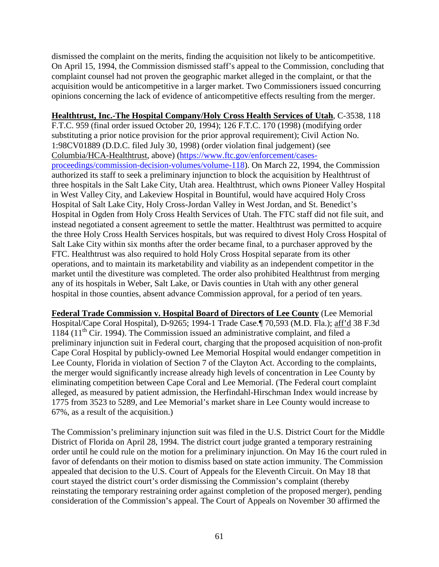dismissed the complaint on the merits, finding the acquisition not likely to be anticompetitive. On April 15, 1994, the Commission dismissed staff's appeal to the Commission, concluding that complaint counsel had not proven the geographic market alleged in the complaint, or that the acquisition would be anticompetitive in a larger market. Two Commissioners issued concurring opinions concerning the lack of evidence of anticompetitive effects resulting from the merger.

**Healthtrust, Inc.-The Hospital Company/Holy Cross Health Services of Utah**, C-3538, 118 F.T.C. 959 (final order issued October 20, 1994); 126 F.T.C. 170 (1998) (modifying order

substituting a prior notice provision for the prior approval requirement); Civil Action No. 1:98CV01889 (D.D.C. filed July 30, 1998) (order violation final judgement) (see Columbia/HCA-Healthtrust, above) [\(https://www.ftc.gov/enforcement/cases](https://www.ftc.gov/enforcement/cases-proceedings/commission-decision-volumes/volume-118)[proceedings/commission-decision-volumes/volume-118\)](https://www.ftc.gov/enforcement/cases-proceedings/commission-decision-volumes/volume-118). On March 22, 1994, the Commission

authorized its staff to seek a preliminary injunction to block the acquisition by Healthtrust of three hospitals in the Salt Lake City, Utah area. Healthtrust, which owns Pioneer Valley Hospital in West Valley City, and Lakeview Hospital in Bountiful, would have acquired Holy Cross Hospital of Salt Lake City, Holy Cross-Jordan Valley in West Jordan, and St. Benedict's Hospital in Ogden from Holy Cross Health Services of Utah. The FTC staff did not file suit, and instead negotiated a consent agreement to settle the matter. Healthtrust was permitted to acquire the three Holy Cross Health Services hospitals, but was required to divest Holy Cross Hospital of Salt Lake City within six months after the order became final, to a purchaser approved by the FTC. Healthtrust was also required to hold Holy Cross Hospital separate from its other operations, and to maintain its marketability and viability as an independent competitor in the market until the divestiture was completed. The order also prohibited Healthtrust from merging any of its hospitals in Weber, Salt Lake, or Davis counties in Utah with any other general hospital in those counties, absent advance Commission approval, for a period of ten years.

**Federal Trade Commission v. Hospital Board of Directors of Lee County** (Lee Memorial Hospital/Cape Coral Hospital), D-9265; 1994-1 Trade Case.¶ 70,593 (M.D. Fla.); aff'd 38 F.3d 1184 ( $11<sup>th</sup>$  Cir. 1994). The Commission issued an administrative complaint, and filed a preliminary injunction suit in Federal court, charging that the proposed acquisition of non-profit Cape Coral Hospital by publicly-owned Lee Memorial Hospital would endanger competition in Lee County, Florida in violation of Section 7 of the Clayton Act. According to the complaints, the merger would significantly increase already high levels of concentration in Lee County by eliminating competition between Cape Coral and Lee Memorial. (The Federal court complaint alleged, as measured by patient admission, the Herfindahl-Hirschman Index would increase by 1775 from 3523 to 5289, and Lee Memorial's market share in Lee County would increase to 67%, as a result of the acquisition.)

The Commission's preliminary injunction suit was filed in the U.S. District Court for the Middle District of Florida on April 28, 1994. The district court judge granted a temporary restraining order until he could rule on the motion for a preliminary injunction. On May 16 the court ruled in favor of defendants on their motion to dismiss based on state action immunity. The Commission appealed that decision to the U.S. Court of Appeals for the Eleventh Circuit. On May 18 that court stayed the district court's order dismissing the Commission's complaint (thereby reinstating the temporary restraining order against completion of the proposed merger), pending consideration of the Commission's appeal. The Court of Appeals on November 30 affirmed the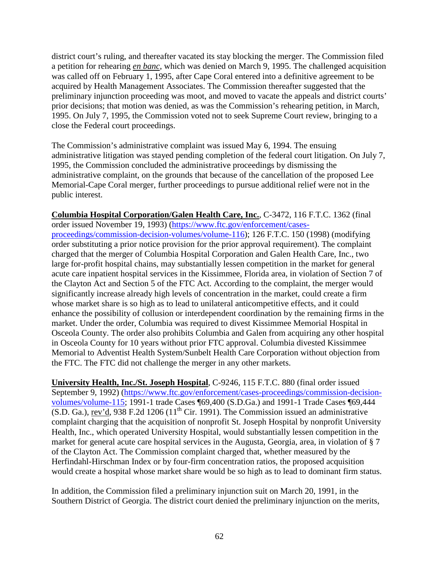district court's ruling, and thereafter vacated its stay blocking the merger. The Commission filed a petition for rehearing *en banc*, which was denied on March 9, 1995. The challenged acquisition was called off on February 1, 1995, after Cape Coral entered into a definitive agreement to be acquired by Health Management Associates. The Commission thereafter suggested that the preliminary injunction proceeding was moot, and moved to vacate the appeals and district courts' prior decisions; that motion was denied, as was the Commission's rehearing petition, in March, 1995. On July 7, 1995, the Commission voted not to seek Supreme Court review, bringing to a close the Federal court proceedings.

The Commission's administrative complaint was issued May 6, 1994. The ensuing administrative litigation was stayed pending completion of the federal court litigation. On July 7, 1995, the Commission concluded the administrative proceedings by dismissing the administrative complaint, on the grounds that because of the cancellation of the proposed Lee Memorial-Cape Coral merger, further proceedings to pursue additional relief were not in the public interest.

**Columbia Hospital Corporation/Galen Health Care, Inc.**, C-3472, 116 F.T.C. 1362 (final order issued November 19, 1993) [\(https://www.ftc.gov/enforcement/cases](https://www.ftc.gov/enforcement/cases-proceedings/commission-decision-volumes/volume-116)[proceedings/commission-decision-volumes/volume-116\)](https://www.ftc.gov/enforcement/cases-proceedings/commission-decision-volumes/volume-116); 126 F.T.C. 150 (1998) (modifying order substituting a prior notice provision for the prior approval requirement). The complaint charged that the merger of Columbia Hospital Corporation and Galen Health Care, Inc., two large for-profit hospital chains, may substantially lessen competition in the market for general acute care inpatient hospital services in the Kissimmee, Florida area, in violation of Section 7 of the Clayton Act and Section 5 of the FTC Act. According to the complaint, the merger would significantly increase already high levels of concentration in the market, could create a firm whose market share is so high as to lead to unilateral anticompetitive effects, and it could enhance the possibility of collusion or interdependent coordination by the remaining firms in the market. Under the order, Columbia was required to divest Kissimmee Memorial Hospital in Osceola County. The order also prohibits Columbia and Galen from acquiring any other hospital in Osceola County for 10 years without prior FTC approval. Columbia divested Kissimmee Memorial to Adventist Health System/Sunbelt Health Care Corporation without objection from the FTC. The FTC did not challenge the merger in any other markets.

**University Health, Inc./St. Joseph Hospital**, C-9246, 115 F.T.C. 880 (final order issued September 9, 1992) [\(https://www.ftc.gov/enforcement/cases-proceedings/commission-decision](https://www.ftc.gov/enforcement/cases-proceedings/commission-decision-volumes/volume-115)[volumes/volume-115;](https://www.ftc.gov/enforcement/cases-proceedings/commission-decision-volumes/volume-115) 1991-1 trade Cases ¶69,400 (S.D.Ga.) and 1991-1 Trade Cases ¶69,444  $(S.D. Ga.), rev'd, 938 F.2d 1206 (11<sup>th</sup> Cir. 1991).$  The Commission issued an administrative complaint charging that the acquisition of nonprofit St. Joseph Hospital by nonprofit University Health, Inc., which operated University Hospital, would substantially lessen competition in the market for general acute care hospital services in the Augusta, Georgia, area, in violation of § 7 of the Clayton Act. The Commission complaint charged that, whether measured by the Herfindahl-Hirschman Index or by four-firm concentration ratios, the proposed acquisition would create a hospital whose market share would be so high as to lead to dominant firm status.

In addition, the Commission filed a preliminary injunction suit on March 20, 1991, in the Southern District of Georgia. The district court denied the preliminary injunction on the merits,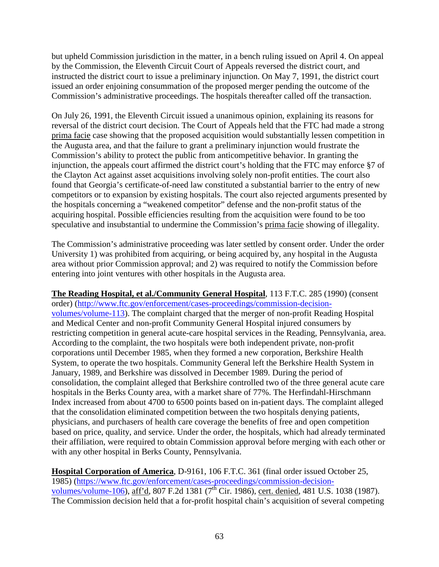but upheld Commission jurisdiction in the matter, in a bench ruling issued on April 4. On appeal by the Commission, the Eleventh Circuit Court of Appeals reversed the district court, and instructed the district court to issue a preliminary injunction. On May 7, 1991, the district court issued an order enjoining consummation of the proposed merger pending the outcome of the Commission's administrative proceedings. The hospitals thereafter called off the transaction.

On July 26, 1991, the Eleventh Circuit issued a unanimous opinion, explaining its reasons for reversal of the district court decision. The Court of Appeals held that the FTC had made a strong prima facie case showing that the proposed acquisition would substantially lessen competition in the Augusta area, and that the failure to grant a preliminary injunction would frustrate the Commission's ability to protect the public from anticompetitive behavior. In granting the injunction, the appeals court affirmed the district court's holding that the FTC may enforce §7 of the Clayton Act against asset acquisitions involving solely non-profit entities. The court also found that Georgia's certificate-of-need law constituted a substantial barrier to the entry of new competitors or to expansion by existing hospitals. The court also rejected arguments presented by the hospitals concerning a "weakened competitor" defense and the non-profit status of the acquiring hospital. Possible efficiencies resulting from the acquisition were found to be too speculative and insubstantial to undermine the Commission's prima facie showing of illegality.

The Commission's administrative proceeding was later settled by consent order. Under the order University 1) was prohibited from acquiring, or being acquired by, any hospital in the Augusta area without prior Commission approval; and 2) was required to notify the Commission before entering into joint ventures with other hospitals in the Augusta area.

**The Reading Hospital, et al./Community General Hospital**, 113 F.T.C. 285 (1990) (consent order) [\(http://www.ftc.gov/enforcement/cases-proceedings/commission-decision](http://www.ftc.gov/enforcement/cases-proceedings/commission-decision-volumes/volume-113)[volumes/volume-113\)](http://www.ftc.gov/enforcement/cases-proceedings/commission-decision-volumes/volume-113). The complaint charged that the merger of non-profit Reading Hospital and Medical Center and non-profit Community General Hospital injured consumers by restricting competition in general acute-care hospital services in the Reading, Pennsylvania, area. According to the complaint, the two hospitals were both independent private, non-profit corporations until December 1985, when they formed a new corporation, Berkshire Health System, to operate the two hospitals. Community General left the Berkshire Health System in January, 1989, and Berkshire was dissolved in December 1989. During the period of consolidation, the complaint alleged that Berkshire controlled two of the three general acute care hospitals in the Berks County area, with a market share of 77%. The Herfindahl-Hirschmann Index increased from about 4700 to 6500 points based on in-patient days. The complaint alleged that the consolidation eliminated competition between the two hospitals denying patients, physicians, and purchasers of health care coverage the benefits of free and open competition based on price, quality, and service. Under the order, the hospitals, which had already terminated their affiliation, were required to obtain Commission approval before merging with each other or with any other hospital in Berks County, Pennsylvania.

**Hospital Corporation of America**, D-9161, 106 F.T.C. 361 (final order issued October 25, 1985) [\(https://www.ftc.gov/enforcement/cases-proceedings/commission-decision](https://www.ftc.gov/enforcement/cases-proceedings/commission-decision-volumes/volume-106)[volumes/volume-106\)](https://www.ftc.gov/enforcement/cases-proceedings/commission-decision-volumes/volume-106), aff'd, 807 F.2d 1381 (7<sup>th</sup> Cir. 1986), cert. denied, 481 U.S. 1038 (1987). The Commission decision held that a for-profit hospital chain's acquisition of several competing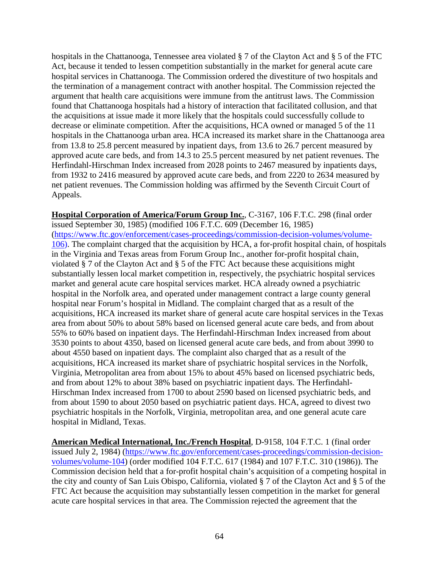hospitals in the Chattanooga, Tennessee area violated § 7 of the Clayton Act and § 5 of the FTC Act, because it tended to lessen competition substantially in the market for general acute care hospital services in Chattanooga. The Commission ordered the divestiture of two hospitals and the termination of a management contract with another hospital. The Commission rejected the argument that health care acquisitions were immune from the antitrust laws. The Commission found that Chattanooga hospitals had a history of interaction that facilitated collusion, and that the acquisitions at issue made it more likely that the hospitals could successfully collude to decrease or eliminate competition. After the acquisitions, HCA owned or managed 5 of the 11 hospitals in the Chattanooga urban area. HCA increased its market share in the Chattanooga area from 13.8 to 25.8 percent measured by inpatient days, from 13.6 to 26.7 percent measured by approved acute care beds, and from 14.3 to 25.5 percent measured by net patient revenues. The Herfindahl-Hirschman Index increased from 2028 points to 2467 measured by inpatients days, from 1932 to 2416 measured by approved acute care beds, and from 2220 to 2634 measured by net patient revenues. The Commission holding was affirmed by the Seventh Circuit Court of Appeals.

**Hospital Corporation of America/Forum Group Inc.**, C-3167, 106 F.T.C. 298 (final order issued September 30, 1985) (modified 106 F.T.C. 609 (December 16, 1985) [\(https://www.ftc.gov/enforcement/cases-proceedings/commission-decision-volumes/volume-](https://www.ftc.gov/enforcement/cases-proceedings/commission-decision-volumes/volume-106)[106\)](https://www.ftc.gov/enforcement/cases-proceedings/commission-decision-volumes/volume-106). The complaint charged that the acquisition by HCA, a for-profit hospital chain, of hospitals in the Virginia and Texas areas from Forum Group Inc., another for-profit hospital chain, violated § 7 of the Clayton Act and § 5 of the FTC Act because these acquisitions might substantially lessen local market competition in, respectively, the psychiatric hospital services market and general acute care hospital services market. HCA already owned a psychiatric hospital in the Norfolk area, and operated under management contract a large county general hospital near Forum's hospital in Midland. The complaint charged that as a result of the acquisitions, HCA increased its market share of general acute care hospital services in the Texas area from about 50% to about 58% based on licensed general acute care beds, and from about 55% to 60% based on inpatient days. The Herfindahl-Hirschman Index increased from about 3530 points to about 4350, based on licensed general acute care beds, and from about 3990 to about 4550 based on inpatient days. The complaint also charged that as a result of the acquisitions, HCA increased its market share of psychiatric hospital services in the Norfolk, Virginia, Metropolitan area from about 15% to about 45% based on licensed psychiatric beds, and from about 12% to about 38% based on psychiatric inpatient days. The Herfindahl-Hirschman Index increased from 1700 to about 2590 based on licensed psychiatric beds, and from about 1590 to about 2050 based on psychiatric patient days. HCA, agreed to divest two psychiatric hospitals in the Norfolk, Virginia, metropolitan area, and one general acute care hospital in Midland, Texas.

**American Medical International, Inc./French Hospital**, D-9158, 104 F.T.C. 1 (final order issued July 2, 1984) [\(https://www.ftc.gov/enforcement/cases-proceedings/commission-decision](https://www.ftc.gov/enforcement/cases-proceedings/commission-decision-volumes/volume-104)[volumes/volume-104\)](https://www.ftc.gov/enforcement/cases-proceedings/commission-decision-volumes/volume-104) (order modified 104 F.T.C. 617 (1984) and 107 F.T.C. 310 (1986)). The Commission decision held that a for-profit hospital chain's acquisition of a competing hospital in the city and county of San Luis Obispo, California, violated § 7 of the Clayton Act and § 5 of the FTC Act because the acquisition may substantially lessen competition in the market for general acute care hospital services in that area. The Commission rejected the agreement that the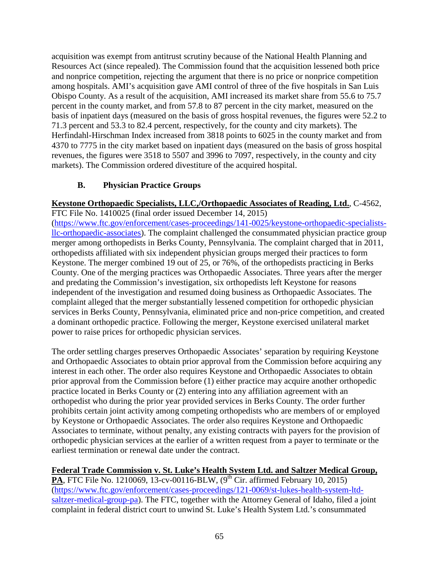acquisition was exempt from antitrust scrutiny because of the National Health Planning and Resources Act (since repealed). The Commission found that the acquisition lessened both price and nonprice competition, rejecting the argument that there is no price or nonprice competition among hospitals. AMI's acquisition gave AMI control of three of the five hospitals in San Luis Obispo County. As a result of the acquisition, AMI increased its market share from 55.6 to 75.7 percent in the county market, and from 57.8 to 87 percent in the city market, measured on the basis of inpatient days (measured on the basis of gross hospital revenues, the figures were 52.2 to 71.3 percent and 53.3 to 82.4 percent, respectively, for the county and city markets). The Herfindahl-Hirschman Index increased from 3818 points to 6025 in the county market and from 4370 to 7775 in the city market based on inpatient days (measured on the basis of gross hospital revenues, the figures were 3518 to 5507 and 3996 to 7097, respectively, in the county and city markets). The Commission ordered divestiture of the acquired hospital.

# **B. Physician Practice Groups**

**Keystone Orthopaedic Specialists, LLC,/Orthopaedic Associates of Reading, Ltd.**, C-4562,

FTC File No. 1410025 (final order issued December 14, 2015) [\(https://www.ftc.gov/enforcement/cases-proceedings/141-0025/keystone-orthopaedic-specialists](https://www.ftc.gov/enforcement/cases-proceedings/141-0025/keystone-orthopaedic-specialists-llc-orthopaedic-associates)[llc-orthopaedic-associates\)](https://www.ftc.gov/enforcement/cases-proceedings/141-0025/keystone-orthopaedic-specialists-llc-orthopaedic-associates). The complaint challenged the consummated physician practice group merger among orthopedists in Berks County, Pennsylvania. The complaint charged that in 2011, orthopedists affiliated with six independent physician groups merged their practices to form Keystone. The merger combined 19 out of 25, or 76%, of the orthopedists practicing in Berks County. One of the merging practices was Orthopaedic Associates. Three years after the merger and predating the Commission's investigation, six orthopedists left Keystone for reasons independent of the investigation and resumed doing business as Orthopaedic Associates. The complaint alleged that the merger substantially lessened competition for orthopedic physician services in Berks County, Pennsylvania, eliminated price and non-price competition, and created a dominant orthopedic practice. Following the merger, Keystone exercised unilateral market power to raise prices for orthopedic physician services.

The order settling charges preserves Orthopaedic Associates' separation by requiring Keystone and Orthopaedic Associates to obtain prior approval from the Commission before acquiring any interest in each other. The order also requires Keystone and Orthopaedic Associates to obtain prior approval from the Commission before (1) either practice may acquire another orthopedic practice located in Berks County or (2) entering into any affiliation agreement with an orthopedist who during the prior year provided services in Berks County. The order further prohibits certain joint activity among competing orthopedists who are members of or employed by Keystone or Orthopaedic Associates. The order also requires Keystone and Orthopaedic Associates to terminate, without penalty, any existing contracts with payers for the provision of orthopedic physician services at the earlier of a written request from a payer to terminate or the earliest termination or renewal date under the contract.

#### **Federal Trade Commission v. St. Luke's Health System Ltd. and Saltzer Medical Group, PA**, FTC File No. 1210069, 13-cv-00116-BLW,  $(9^{th}$  Cir. affirmed February 10, 2015)

[\(https://www.ftc.gov/enforcement/cases-proceedings/121-0069/st-lukes-health-system-ltd](https://www.ftc.gov/enforcement/cases-proceedings/121-0069/st-lukes-health-system-ltd-saltzer-medical-group-pa)[saltzer-medical-group-pa\)](https://www.ftc.gov/enforcement/cases-proceedings/121-0069/st-lukes-health-system-ltd-saltzer-medical-group-pa). The FTC, together with the Attorney General of Idaho, filed a joint complaint in federal district court to unwind St. Luke's Health System Ltd.'s consummated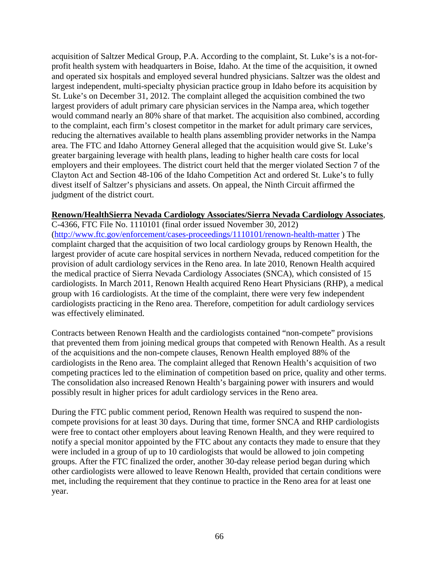acquisition of Saltzer Medical Group, P.A. According to the complaint, St. Luke's is a not-forprofit health system with headquarters in Boise, Idaho. At the time of the acquisition, it owned and operated six hospitals and employed several hundred physicians. Saltzer was the oldest and largest independent, multi-specialty physician practice group in Idaho before its acquisition by St. Luke's on December 31, 2012. The complaint alleged the acquisition combined the two largest providers of adult primary care physician services in the Nampa area, which together would command nearly an 80% share of that market. The acquisition also combined, according to the complaint, each firm's closest competitor in the market for adult primary care services, reducing the alternatives available to health plans assembling provider networks in the Nampa area. The FTC and Idaho Attorney General alleged that the acquisition would give St. Luke's greater bargaining leverage with health plans, leading to higher health care costs for local employers and their employees. The district court held that the merger violated Section 7 of the Clayton Act and Section 48-106 of the Idaho Competition Act and ordered St. Luke's to fully divest itself of Saltzer's physicians and assets. On appeal, the Ninth Circuit affirmed the judgment of the district court.

#### **Renown/HealthSierra Nevada Cardiology Associates/Sierra Nevada Cardiology Associates**,

C-4366, FTC File No. 1110101 (final order issued November 30, 2012) [\(http://www.ftc.gov/enforcement/cases-proceedings/1110101/renown-health-matter](http://www.ftc.gov/enforcement/cases-proceedings/1110101/renown-health-matter) ) The complaint charged that the acquisition of two local cardiology groups by Renown Health, the largest provider of acute care hospital services in northern Nevada, reduced competition for the provision of adult cardiology services in the Reno area. In late 2010, Renown Health acquired the medical practice of Sierra Nevada Cardiology Associates (SNCA), which consisted of 15 cardiologists. In March 2011, Renown Health acquired Reno Heart Physicians (RHP), a medical group with 16 cardiologists. At the time of the complaint, there were very few independent cardiologists practicing in the Reno area. Therefore, competition for adult cardiology services was effectively eliminated.

Contracts between Renown Health and the cardiologists contained "non-compete" provisions that prevented them from joining medical groups that competed with Renown Health. As a result of the acquisitions and the non-compete clauses, Renown Health employed 88% of the cardiologists in the Reno area. The complaint alleged that Renown Health's acquisition of two competing practices led to the elimination of competition based on price, quality and other terms. The consolidation also increased Renown Health's bargaining power with insurers and would possibly result in higher prices for adult cardiology services in the Reno area.

During the FTC public comment period, Renown Health was required to suspend the noncompete provisions for at least 30 days. During that time, former SNCA and RHP cardiologists were free to contact other employers about leaving Renown Health, and they were required to notify a special monitor appointed by the FTC about any contacts they made to ensure that they were included in a group of up to 10 cardiologists that would be allowed to join competing groups. After the FTC finalized the order, another 30-day release period began during which other cardiologists were allowed to leave Renown Health, provided that certain conditions were met, including the requirement that they continue to practice in the Reno area for at least one year.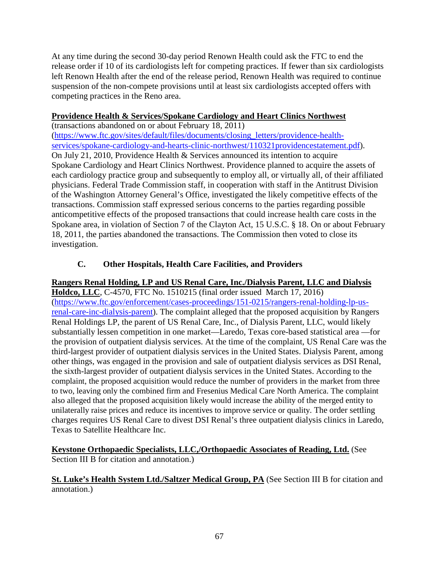At any time during the second 30-day period Renown Health could ask the FTC to end the release order if 10 of its cardiologists left for competing practices. If fewer than six cardiologists left Renown Health after the end of the release period, Renown Health was required to continue suspension of the non-compete provisions until at least six cardiologists accepted offers with competing practices in the Reno area.

## **Providence Health & Services/Spokane Cardiology and Heart Clinics Northwest**

(transactions abandoned on or about February 18, 2011) [\(https://www.ftc.gov/sites/default/files/documents/closing\\_letters/providence-health](https://www.ftc.gov/sites/default/files/documents/closing_letters/providence-health-services/spokane-cardiology-and-hearts-clinic-northwest/110321providencestatement.pdf)[services/spokane-cardiology-and-hearts-clinic-northwest/110321providencestatement.pdf\)](https://www.ftc.gov/sites/default/files/documents/closing_letters/providence-health-services/spokane-cardiology-and-hearts-clinic-northwest/110321providencestatement.pdf). On July 21, 2010, Providence Health & Services announced its intention to acquire Spokane Cardiology and Heart Clinics Northwest. Providence planned to acquire the assets of each cardiology practice group and subsequently to employ all, or virtually all, of their affiliated physicians. Federal Trade Commission staff, in cooperation with staff in the Antitrust Division of the Washington Attorney General's Office, investigated the likely competitive effects of the transactions. Commission staff expressed serious concerns to the parties regarding possible anticompetitive effects of the proposed transactions that could increase health care costs in the Spokane area, in violation of Section 7 of the Clayton Act, 15 U.S.C. § 18. On or about February 18, 2011, the parties abandoned the transactions. The Commission then voted to close its investigation.

# **C. Other Hospitals, Health Care Facilities, and Providers**

## **Rangers Renal Holding, LP and US Renal Care, Inc./Dialysis Parent, LLC and Dialysis**

**Holdco, LLC**, C-4570, FTC No. 1510215 (final order issued March 17, 2016) [\(https://www.ftc.gov/enforcement/cases-proceedings/151-0215/rangers-renal-holding-lp-us](https://www.ftc.gov/enforcement/cases-proceedings/151-0215/rangers-renal-holding-lp-us-renal-care-inc-dialysis-parent)[renal-care-inc-dialysis-parent\)](https://www.ftc.gov/enforcement/cases-proceedings/151-0215/rangers-renal-holding-lp-us-renal-care-inc-dialysis-parent). The complaint alleged that the proposed acquisition by Rangers Renal Holdings LP, the parent of US Renal Care, Inc., of Dialysis Parent, LLC, would likely substantially lessen competition in one market—Laredo, Texas core-based statistical area —for the provision of outpatient dialysis services. At the time of the complaint, US Renal Care was the third-largest provider of outpatient dialysis services in the United States. Dialysis Parent, among other things, was engaged in the provision and sale of outpatient dialysis services as DSI Renal, the sixth-largest provider of outpatient dialysis services in the United States. According to the complaint, the proposed acquisition would reduce the number of providers in the market from three to two, leaving only the combined firm and Fresenius Medical Care North America. The complaint also alleged that the proposed acquisition likely would increase the ability of the merged entity to unilaterally raise prices and reduce its incentives to improve service or quality. The order settling charges requires US Renal Care to divest DSI Renal's three outpatient dialysis clinics in Laredo, Texas to Satellite Healthcare Inc.

### **Keystone Orthopaedic Specialists, LLC,/Orthopaedic Associates of Reading, Ltd.** (See Section III B for citation and annotation.)

### **St. Luke's Health System Ltd./Saltzer Medical Group, PA** (See Section III B for citation and annotation.)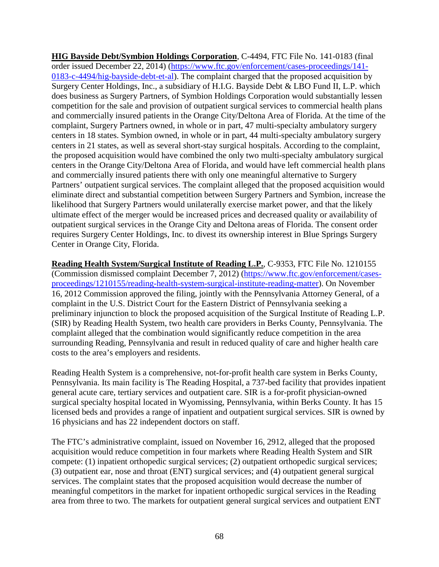**HIG Bayside Debt/Symbion Holdings Corporation**, C-4494, FTC File No. 141-0183 (final order issued December 22, 2014) [\(https://www.ftc.gov/enforcement/cases-proceedings/141-](https://www.ftc.gov/enforcement/cases-proceedings/141-0183-c-4494/hig-bayside-debt-et-al) [0183-c-4494/hig-bayside-debt-et-al\)](https://www.ftc.gov/enforcement/cases-proceedings/141-0183-c-4494/hig-bayside-debt-et-al). The complaint charged that the proposed acquisition by Surgery Center Holdings, Inc., a subsidiary of H.I.G. Bayside Debt & LBO Fund II, L.P. which does business as Surgery Partners, of Symbion Holdings Corporation would substantially lessen competition for the sale and provision of outpatient surgical services to commercial health plans and commercially insured patients in the Orange City/Deltona Area of Florida. At the time of the complaint, Surgery Partners owned, in whole or in part, 47 multi-specialty ambulatory surgery centers in 18 states. Symbion owned, in whole or in part, 44 multi-specialty ambulatory surgery centers in 21 states, as well as several short-stay surgical hospitals. According to the complaint, the proposed acquisition would have combined the only two multi-specialty ambulatory surgical centers in the Orange City/Deltona Area of Florida, and would have left commercial health plans and commercially insured patients there with only one meaningful alternative to Surgery Partners' outpatient surgical services. The complaint alleged that the proposed acquisition would eliminate direct and substantial competition between Surgery Partners and Symbion, increase the likelihood that Surgery Partners would unilaterally exercise market power, and that the likely ultimate effect of the merger would be increased prices and decreased quality or availability of outpatient surgical services in the Orange City and Deltona areas of Florida. The consent order requires Surgery Center Holdings, Inc. to divest its ownership interest in Blue Springs Surgery Center in Orange City, Florida.

**Reading Health System/Surgical Institute of Reading L.P.**, C-9353, FTC File No. 1210155 (Commission dismissed complaint December 7, 2012) [\(https://www.ftc.gov/enforcement/cases](https://www.ftc.gov/enforcement/cases-proceedings/1210155/reading-health-system-surgical-institute-reading-matter)[proceedings/1210155/reading-health-system-surgical-institute-reading-matter\)](https://www.ftc.gov/enforcement/cases-proceedings/1210155/reading-health-system-surgical-institute-reading-matter). On November 16, 2012 Commission approved the filing, jointly with the Pennsylvania Attorney General, of a complaint in the U.S. District Court for the Eastern District of Pennsylvania seeking a preliminary injunction to block the proposed acquisition of the Surgical Institute of Reading L.P. (SIR) by Reading Health System, two health care providers in Berks County, Pennsylvania. The complaint alleged that the combination would significantly reduce competition in the area surrounding Reading, Pennsylvania and result in reduced quality of care and higher health care costs to the area's employers and residents.

Reading Health System is a comprehensive, not-for-profit health care system in Berks County, Pennsylvania. Its main facility is The Reading Hospital, a 737-bed facility that provides inpatient general acute care, tertiary services and outpatient care. SIR is a for-profit physician-owned surgical specialty hospital located in Wyomissing, Pennsylvania, within Berks County. It has 15 licensed beds and provides a range of inpatient and outpatient surgical services. SIR is owned by 16 physicians and has 22 independent doctors on staff.

The FTC's administrative complaint, issued on November 16, 2912, alleged that the proposed acquisition would reduce competition in four markets where Reading Health System and SIR compete: (1) inpatient orthopedic surgical services; (2) outpatient orthopedic surgical services; (3) outpatient ear, nose and throat (ENT) surgical services; and (4) outpatient general surgical services. The complaint states that the proposed acquisition would decrease the number of meaningful competitors in the market for inpatient orthopedic surgical services in the Reading area from three to two. The markets for outpatient general surgical services and outpatient ENT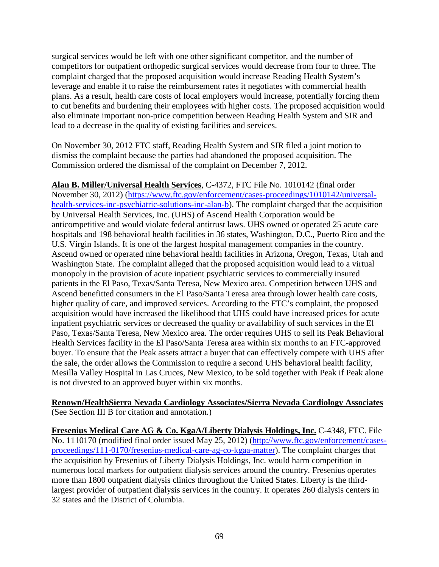surgical services would be left with one other significant competitor, and the number of competitors for outpatient orthopedic surgical services would decrease from four to three. The complaint charged that the proposed acquisition would increase Reading Health System's leverage and enable it to raise the reimbursement rates it negotiates with commercial health plans. As a result, health care costs of local employers would increase, potentially forcing them to cut benefits and burdening their employees with higher costs. The proposed acquisition would also eliminate important non-price competition between Reading Health System and SIR and lead to a decrease in the quality of existing facilities and services.

On November 30, 2012 FTC staff, Reading Health System and SIR filed a joint motion to dismiss the complaint because the parties had abandoned the proposed acquisition. The Commission ordered the dismissal of the complaint on December 7, 2012.

**Alan B. Miller/Universal Health Services**, C-4372, FTC File No. 1010142 (final order November 30, 2012) [\(https://www.ftc.gov/enforcement/cases-proceedings/1010142/universal](https://www.ftc.gov/enforcement/cases-proceedings/1010142/universal-health-services-inc-psychiatric-solutions-inc-alan-b)[health-services-inc-psychiatric-solutions-inc-alan-b\)](https://www.ftc.gov/enforcement/cases-proceedings/1010142/universal-health-services-inc-psychiatric-solutions-inc-alan-b). The complaint charged that the acquisition by Universal Health Services, Inc. (UHS) of Ascend Health Corporation would be anticompetitive and would violate federal antitrust laws. UHS owned or operated 25 acute care hospitals and 198 behavioral health facilities in 36 states, Washington, D.C., Puerto Rico and the U.S. Virgin Islands. It is one of the largest hospital management companies in the country. Ascend owned or operated nine behavioral health facilities in Arizona, Oregon, Texas, Utah and Washington State. The complaint alleged that the proposed acquisition would lead to a virtual monopoly in the provision of acute inpatient psychiatric services to commercially insured patients in the El Paso, Texas/Santa Teresa, New Mexico area. Competition between UHS and Ascend benefitted consumers in the El Paso/Santa Teresa area through lower health care costs, higher quality of care, and improved services. According to the FTC's complaint, the proposed acquisition would have increased the likelihood that UHS could have increased prices for acute inpatient psychiatric services or decreased the quality or availability of such services in the El Paso, Texas/Santa Teresa, New Mexico area. The order requires UHS to sell its Peak Behavioral Health Services facility in the El Paso/Santa Teresa area within six months to an FTC-approved buyer. To ensure that the Peak assets attract a buyer that can effectively compete with UHS after the sale, the order allows the Commission to require a second UHS behavioral health facility, Mesilla Valley Hospital in Las Cruces, New Mexico, to be sold together with Peak if Peak alone is not divested to an approved buyer within six months.

**Renown/HealthSierra Nevada Cardiology Associates/Sierra Nevada Cardiology Associates** (See Section III B for citation and annotation.)

**Fresenius Medical Care AG & Co. KgaA/Liberty Dialysis Holdings, Inc.** C-4348, FTC. File No. 1110170 (modified final order issued May 25, 2012) [\(http://www.ftc.gov/enforcement/cases](http://www.ftc.gov/enforcement/cases-proceedings/111-0170/fresenius-medical-care-ag-co-kgaa-matter)[proceedings/111-0170/fresenius-medical-care-ag-co-kgaa-matter\)](http://www.ftc.gov/enforcement/cases-proceedings/111-0170/fresenius-medical-care-ag-co-kgaa-matter). The complaint charges that the acquisition by Fresenius of Liberty Dialysis Holdings, Inc. would harm competition in numerous local markets for outpatient dialysis services around the country. Fresenius operates more than 1800 outpatient dialysis clinics throughout the United States. Liberty is the thirdlargest provider of outpatient dialysis services in the country. It operates 260 dialysis centers in 32 states and the District of Columbia.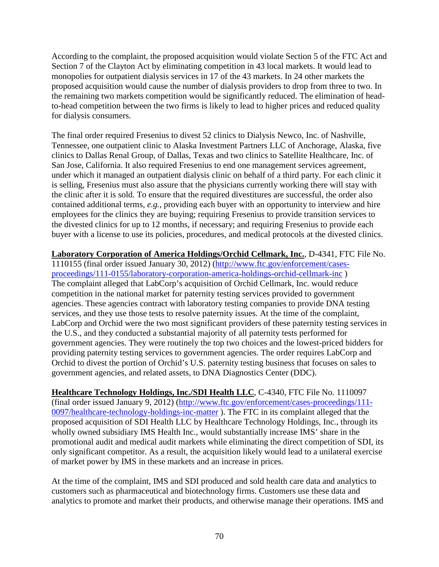According to the complaint, the proposed acquisition would violate Section 5 of the FTC Act and Section 7 of the Clayton Act by eliminating competition in 43 local markets. It would lead to monopolies for outpatient dialysis services in 17 of the 43 markets. In 24 other markets the proposed acquisition would cause the number of dialysis providers to drop from three to two. In the remaining two markets competition would be significantly reduced. The elimination of headto-head competition between the two firms is likely to lead to higher prices and reduced quality for dialysis consumers.

The final order required Fresenius to divest 52 clinics to Dialysis Newco, Inc. of Nashville, Tennessee, one outpatient clinic to Alaska Investment Partners LLC of Anchorage, Alaska, five clinics to Dallas Renal Group, of Dallas, Texas and two clinics to Satellite Healthcare, Inc. of San Jose, California. It also required Fresenius to end one management services agreement, under which it managed an outpatient dialysis clinic on behalf of a third party. For each clinic it is selling, Fresenius must also assure that the physicians currently working there will stay with the clinic after it is sold. To ensure that the required divestitures are successful, the order also contained additional terms, *e.g.*, providing each buyer with an opportunity to interview and hire employees for the clinics they are buying; requiring Fresenius to provide transition services to the divested clinics for up to 12 months, if necessary; and requiring Fresenius to provide each buyer with a license to use its policies, procedures, and medical protocols at the divested clinics.

**Laboratory Corporation of America Holdings/Orchid Cellmark, Inc.**, D-4341, FTC File No. 1110155 (final order issued January 30, 2012) [\(http://www.ftc.gov/enforcement/cases](http://www.ftc.gov/enforcement/cases-proceedings/111-0155/laboratory-corporation-america-holdings-orchid-cellmark-inc)[proceedings/111-0155/laboratory-corporation-america-holdings-orchid-cellmark-inc](http://www.ftc.gov/enforcement/cases-proceedings/111-0155/laboratory-corporation-america-holdings-orchid-cellmark-inc) ) The complaint alleged that LabCorp's acquisition of Orchid Cellmark, Inc. would reduce competition in the national market for paternity testing services provided to government agencies. These agencies contract with laboratory testing companies to provide DNA testing services, and they use those tests to resolve paternity issues. At the time of the complaint, LabCorp and Orchid were the two most significant providers of these paternity testing services in the U.S., and they conducted a substantial majority of all paternity tests performed for government agencies. They were routinely the top two choices and the lowest-priced bidders for providing paternity testing services to government agencies. The order requires LabCorp and Orchid to divest the portion of Orchid's U.S. paternity testing business that focuses on sales to government agencies, and related assets, to DNA Diagnostics Center (DDC).

**Healthcare Technology Holdings, Inc./SDI Health LLC**, C-4340, FTC File No. 1110097 (final order issued January 9, 2012) [\(http://www.ftc.gov/enforcement/cases-proceedings/111-](http://www.ftc.gov/enforcement/cases-proceedings/111-0097/healthcare-technology-holdings-inc-matter) [0097/healthcare-technology-holdings-inc-matter](http://www.ftc.gov/enforcement/cases-proceedings/111-0097/healthcare-technology-holdings-inc-matter) ). The FTC in its complaint alleged that the proposed acquisition of SDI Health LLC by Healthcare Technology Holdings, Inc., through its wholly owned subsidiary IMS Health Inc., would substantially increase IMS' share in the promotional audit and medical audit markets while eliminating the direct competition of SDI, its only significant competitor. As a result, the acquisition likely would lead to a unilateral exercise of market power by IMS in these markets and an increase in prices.

At the time of the complaint, IMS and SDI produced and sold health care data and analytics to customers such as pharmaceutical and biotechnology firms. Customers use these data and analytics to promote and market their products, and otherwise manage their operations. IMS and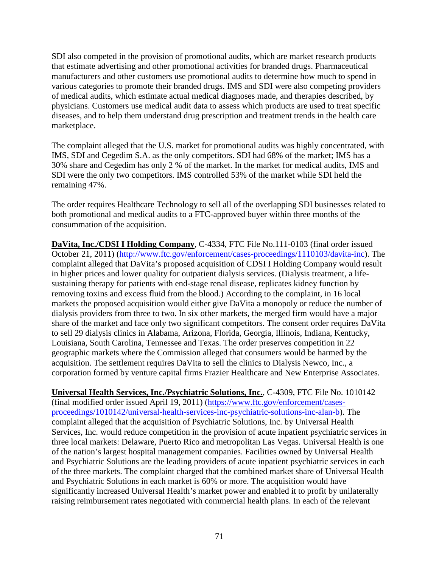SDI also competed in the provision of promotional audits, which are market research products that estimate advertising and other promotional activities for branded drugs. Pharmaceutical manufacturers and other customers use promotional audits to determine how much to spend in various categories to promote their branded drugs. IMS and SDI were also competing providers of medical audits, which estimate actual medical diagnoses made, and therapies described, by physicians. Customers use medical audit data to assess which products are used to treat specific diseases, and to help them understand drug prescription and treatment trends in the health care marketplace.

The complaint alleged that the U.S. market for promotional audits was highly concentrated, with IMS, SDI and Cegedim S.A. as the only competitors. SDI had 68% of the market; IMS has a 30% share and Cegedim has only 2 % of the market. In the market for medical audits, IMS and SDI were the only two competitors. IMS controlled 53% of the market while SDI held the remaining 47%.

The order requires Healthcare Technology to sell all of the overlapping SDI businesses related to both promotional and medical audits to a FTC-approved buyer within three months of the consummation of the acquisition.

**DaVita, Inc./CDSI I Holding Company**, C-4334, FTC File No.111-0103 (final order issued October 21, 2011) [\(http://www.ftc.gov/enforcement/cases-proceedings/1110103/davita-inc\)](http://www.ftc.gov/enforcement/cases-proceedings/1110103/davita-inc). The complaint alleged that DaVita's proposed acquisition of CDSI I Holding Company would result in higher prices and lower quality for outpatient dialysis services. (Dialysis treatment, a lifesustaining therapy for patients with end-stage renal disease, replicates kidney function by removing toxins and excess fluid from the blood.) According to the complaint, in 16 local markets the proposed acquisition would either give DaVita a monopoly or reduce the number of dialysis providers from three to two. In six other markets, the merged firm would have a major share of the market and face only two significant competitors. The consent order requires DaVita to sell 29 dialysis clinics in Alabama, Arizona, Florida, Georgia, Illinois, Indiana, Kentucky, Louisiana, South Carolina, Tennessee and Texas. The order preserves competition in 22 geographic markets where the Commission alleged that consumers would be harmed by the acquisition. The settlement requires DaVita to sell the clinics to Dialysis Newco, Inc., a corporation formed by venture capital firms Frazier Healthcare and New Enterprise Associates.

**Universal Health Services, Inc./Psychiatric Solutions, Inc.**, C-4309, FTC File No. 1010142 (final modified order issued April 19, 2011) [\(https://www.ftc.gov/enforcement/cases](https://www.ftc.gov/enforcement/cases-proceedings/1010142/universal-health-services-inc-psychiatric-solutions-inc-alan-b)[proceedings/1010142/universal-health-services-inc-psychiatric-solutions-inc-alan-b\)](https://www.ftc.gov/enforcement/cases-proceedings/1010142/universal-health-services-inc-psychiatric-solutions-inc-alan-b). The complaint alleged that the acquisition of Psychiatric Solutions, Inc. by Universal Health Services, Inc. would reduce competition in the provision of acute inpatient psychiatric services in three local markets: Delaware, Puerto Rico and metropolitan Las Vegas. Universal Health is one of the nation's largest hospital management companies. Facilities owned by Universal Health and Psychiatric Solutions are the leading providers of acute inpatient psychiatric services in each of the three markets. The complaint charged that the combined market share of Universal Health and Psychiatric Solutions in each market is 60% or more. The acquisition would have significantly increased Universal Health's market power and enabled it to profit by unilaterally raising reimbursement rates negotiated with commercial health plans. In each of the relevant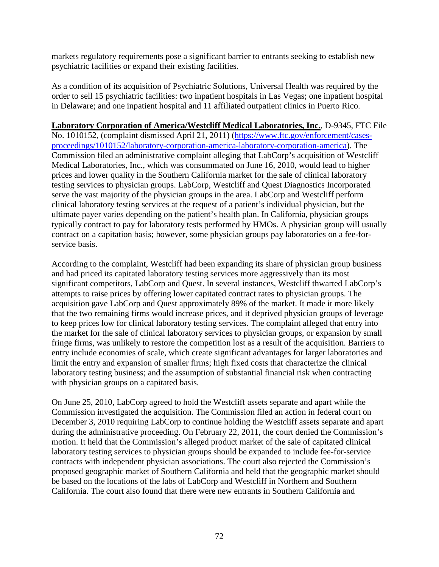markets regulatory requirements pose a significant barrier to entrants seeking to establish new psychiatric facilities or expand their existing facilities.

As a condition of its acquisition of Psychiatric Solutions, Universal Health was required by the order to sell 15 psychiatric facilities: two inpatient hospitals in Las Vegas; one inpatient hospital in Delaware; and one inpatient hospital and 11 affiliated outpatient clinics in Puerto Rico.

## **Laboratory Corporation of America/Westcliff Medical Laboratories, Inc.**, D-9345, FTC File

No. 1010152, (complaint dismissed April 21, 2011) [\(https://www.ftc.gov/enforcement/cases](https://www.ftc.gov/enforcement/cases-proceedings/1010152/laboratory-corporation-america-laboratory-corporation-america)[proceedings/1010152/laboratory-corporation-america-laboratory-corporation-america\)](https://www.ftc.gov/enforcement/cases-proceedings/1010152/laboratory-corporation-america-laboratory-corporation-america). The Commission filed an administrative complaint alleging that LabCorp's acquisition of Westcliff Medical Laboratories, Inc., which was consummated on June 16, 2010, would lead to higher prices and lower quality in the Southern California market for the sale of clinical laboratory testing services to physician groups. LabCorp, Westcliff and Quest Diagnostics Incorporated serve the vast majority of the physician groups in the area. LabCorp and Westcliff perform clinical laboratory testing services at the request of a patient's individual physician, but the ultimate payer varies depending on the patient's health plan. In California, physician groups typically contract to pay for laboratory tests performed by HMOs. A physician group will usually contract on a capitation basis; however, some physician groups pay laboratories on a fee-forservice basis.

According to the complaint, Westcliff had been expanding its share of physician group business and had priced its capitated laboratory testing services more aggressively than its most significant competitors, LabCorp and Quest. In several instances, Westcliff thwarted LabCorp's attempts to raise prices by offering lower capitated contract rates to physician groups. The acquisition gave LabCorp and Quest approximately 89% of the market. It made it more likely that the two remaining firms would increase prices, and it deprived physician groups of leverage to keep prices low for clinical laboratory testing services. The complaint alleged that entry into the market for the sale of clinical laboratory services to physician groups, or expansion by small fringe firms, was unlikely to restore the competition lost as a result of the acquisition. Barriers to entry include economies of scale, which create significant advantages for larger laboratories and limit the entry and expansion of smaller firms; high fixed costs that characterize the clinical laboratory testing business; and the assumption of substantial financial risk when contracting with physician groups on a capitated basis.

On June 25, 2010, LabCorp agreed to hold the Westcliff assets separate and apart while the Commission investigated the acquisition. The Commission filed an action in federal court on December 3, 2010 requiring LabCorp to continue holding the Westcliff assets separate and apart during the administrative proceeding. On February 22, 2011, the court denied the Commission's motion. It held that the Commission's alleged product market of the sale of capitated clinical laboratory testing services to physician groups should be expanded to include fee-for-service contracts with independent physician associations. The court also rejected the Commission's proposed geographic market of Southern California and held that the geographic market should be based on the locations of the labs of LabCorp and Westcliff in Northern and Southern California. The court also found that there were new entrants in Southern California and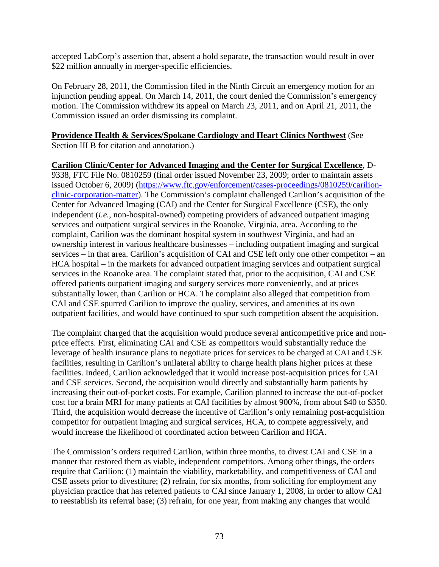accepted LabCorp's assertion that, absent a hold separate, the transaction would result in over \$22 million annually in merger-specific efficiencies.

On February 28, 2011, the Commission filed in the Ninth Circuit an emergency motion for an injunction pending appeal. On March 14, 2011, the court denied the Commission's emergency motion. The Commission withdrew its appeal on March 23, 2011, and on April 21, 2011, the Commission issued an order dismissing its complaint.

#### **Providence Health & Services/Spokane Cardiology and Heart Clinics Northwest** (See Section III B for citation and annotation.)

**Carilion Clinic/Center for Advanced Imaging and the Center for Surgical Excellence**, D-9338, FTC File No. 0810259 (final order issued November 23, 2009; order to maintain assets issued October 6, 2009) [\(https://www.ftc.gov/enforcement/cases-proceedings/0810259/carilion](https://www.ftc.gov/enforcement/cases-proceedings/0810259/carilion-clinic-corporation-matter)[clinic-corporation-matter\)](https://www.ftc.gov/enforcement/cases-proceedings/0810259/carilion-clinic-corporation-matter). The Commission's complaint challenged Carilion's acquisition of the Center for Advanced Imaging (CAI) and the Center for Surgical Excellence (CSE), the only independent (*i.e.*, non-hospital-owned) competing providers of advanced outpatient imaging services and outpatient surgical services in the Roanoke, Virginia, area. According to the complaint, Carilion was the dominant hospital system in southwest Virginia, and had an ownership interest in various healthcare businesses – including outpatient imaging and surgical services – in that area. Carilion's acquisition of CAI and CSE left only one other competitor – an HCA hospital – in the markets for advanced outpatient imaging services and outpatient surgical services in the Roanoke area. The complaint stated that, prior to the acquisition, CAI and CSE offered patients outpatient imaging and surgery services more conveniently, and at prices substantially lower, than Carilion or HCA. The complaint also alleged that competition from CAI and CSE spurred Carilion to improve the quality, services, and amenities at its own outpatient facilities, and would have continued to spur such competition absent the acquisition.

The complaint charged that the acquisition would produce several anticompetitive price and nonprice effects. First, eliminating CAI and CSE as competitors would substantially reduce the leverage of health insurance plans to negotiate prices for services to be charged at CAI and CSE facilities, resulting in Carilion's unilateral ability to charge health plans higher prices at these facilities. Indeed, Carilion acknowledged that it would increase post-acquisition prices for CAI and CSE services. Second, the acquisition would directly and substantially harm patients by increasing their out-of-pocket costs. For example, Carilion planned to increase the out-of-pocket cost for a brain MRI for many patients at CAI facilities by almost 900%, from about \$40 to \$350. Third, the acquisition would decrease the incentive of Carilion's only remaining post-acquisition competitor for outpatient imaging and surgical services, HCA, to compete aggressively, and would increase the likelihood of coordinated action between Carilion and HCA.

The Commission's orders required Carilion, within three months, to divest CAI and CSE in a manner that restored them as viable, independent competitors. Among other things, the orders require that Carilion: (1) maintain the viability, marketability, and competitiveness of CAI and CSE assets prior to divestiture; (2) refrain, for six months, from soliciting for employment any physician practice that has referred patients to CAI since January 1, 2008, in order to allow CAI to reestablish its referral base; (3) refrain, for one year, from making any changes that would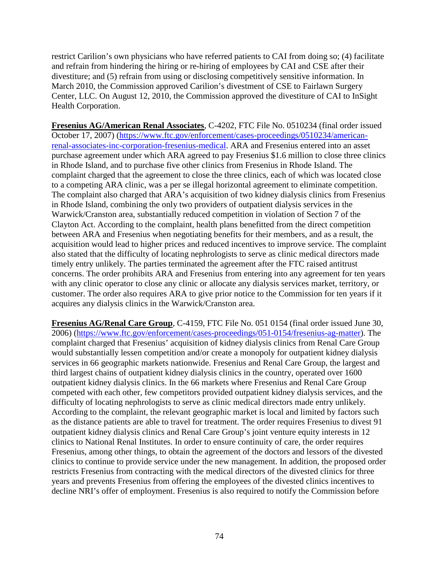restrict Carilion's own physicians who have referred patients to CAI from doing so; (4) facilitate and refrain from hindering the hiring or re-hiring of employees by CAI and CSE after their divestiture; and (5) refrain from using or disclosing competitively sensitive information. In March 2010, the Commission approved Carilion's divestment of CSE to Fairlawn Surgery Center, LLC. On August 12, 2010, the Commission approved the divestiture of CAI to InSight Health Corporation.

**Fresenius AG/American Renal Associates**, C-4202, FTC File No. 0510234 (final order issued October 17, 2007) [\(https://www.ftc.gov/enforcement/cases-proceedings/0510234/american](https://www.ftc.gov/enforcement/cases-proceedings/0510234/american-renal-associates-inc-corporation-fresenius-medical)[renal-associates-inc-corporation-fresenius-medical.](https://www.ftc.gov/enforcement/cases-proceedings/0510234/american-renal-associates-inc-corporation-fresenius-medical) ARA and Fresenius entered into an asset purchase agreement under which ARA agreed to pay Fresenius \$1.6 million to close three clinics in Rhode Island, and to purchase five other clinics from Fresenius in Rhode Island. The complaint charged that the agreement to close the three clinics, each of which was located close to a competing ARA clinic, was a per se illegal horizontal agreement to eliminate competition. The complaint also charged that ARA's acquisition of two kidney dialysis clinics from Fresenius in Rhode Island, combining the only two providers of outpatient dialysis services in the Warwick/Cranston area, substantially reduced competition in violation of Section 7 of the Clayton Act. According to the complaint, health plans benefitted from the direct competition between ARA and Fresenius when negotiating benefits for their members, and as a result, the acquisition would lead to higher prices and reduced incentives to improve service. The complaint also stated that the difficulty of locating nephrologists to serve as clinic medical directors made timely entry unlikely. The parties terminated the agreement after the FTC raised antitrust concerns. The order prohibits ARA and Fresenius from entering into any agreement for ten years with any clinic operator to close any clinic or allocate any dialysis services market, territory, or customer. The order also requires ARA to give prior notice to the Commission for ten years if it acquires any dialysis clinics in the Warwick/Cranston area.

**Fresenius AG/Renal Care Group**, C-4159, FTC File No. 051 0154 (final order issued June 30, 2006) [\(https://www.ftc.gov/enforcement/cases-proceedings/051-0154/fresenius-ag-matter\)](https://www.ftc.gov/enforcement/cases-proceedings/051-0154/fresenius-ag-matter). The complaint charged that Fresenius' acquisition of kidney dialysis clinics from Renal Care Group would substantially lessen competition and/or create a monopoly for outpatient kidney dialysis services in 66 geographic markets nationwide. Fresenius and Renal Care Group, the largest and third largest chains of outpatient kidney dialysis clinics in the country, operated over 1600 outpatient kidney dialysis clinics. In the 66 markets where Fresenius and Renal Care Group competed with each other, few competitors provided outpatient kidney dialysis services, and the difficulty of locating nephrologists to serve as clinic medical directors made entry unlikely. According to the complaint, the relevant geographic market is local and limited by factors such as the distance patients are able to travel for treatment. The order requires Fresenius to divest 91 outpatient kidney dialysis clinics and Renal Care Group's joint venture equity interests in 12 clinics to National Renal Institutes. In order to ensure continuity of care, the order requires Fresenius, among other things, to obtain the agreement of the doctors and lessors of the divested clinics to continue to provide service under the new management. In addition, the proposed order restricts Fresenius from contracting with the medical directors of the divested clinics for three years and prevents Fresenius from offering the employees of the divested clinics incentives to decline NRI's offer of employment. Fresenius is also required to notify the Commission before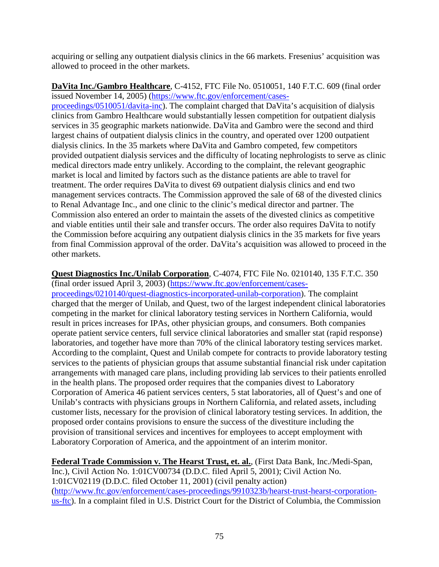acquiring or selling any outpatient dialysis clinics in the 66 markets. Fresenius' acquisition was allowed to proceed in the other markets.

**DaVita Inc./Gambro Healthcare**, C-4152, FTC File No. 0510051, 140 F.T.C. 609 (final order issued November 14, 2005) [\(https://www.ftc.gov/enforcement/cases-](https://www.ftc.gov/enforcement/cases-proceedings/0510051/davita-inc)

[proceedings/0510051/davita-inc\)](https://www.ftc.gov/enforcement/cases-proceedings/0510051/davita-inc). The complaint charged that DaVita's acquisition of dialysis clinics from Gambro Healthcare would substantially lessen competition for outpatient dialysis services in 35 geographic markets nationwide. DaVita and Gambro were the second and third largest chains of outpatient dialysis clinics in the country, and operated over 1200 outpatient dialysis clinics. In the 35 markets where DaVita and Gambro competed, few competitors provided outpatient dialysis services and the difficulty of locating nephrologists to serve as clinic medical directors made entry unlikely. According to the complaint, the relevant geographic market is local and limited by factors such as the distance patients are able to travel for treatment. The order requires DaVita to divest 69 outpatient dialysis clinics and end two management services contracts. The Commission approved the sale of 68 of the divested clinics to Renal Advantage Inc., and one clinic to the clinic's medical director and partner. The Commission also entered an order to maintain the assets of the divested clinics as competitive and viable entities until their sale and transfer occurs. The order also requires DaVita to notify the Commission before acquiring any outpatient dialysis clinics in the 35 markets for five years from final Commission approval of the order. DaVita's acquisition was allowed to proceed in the other markets.

## **Quest Diagnostics Inc./Unilab Corporation**, C-4074, FTC File No. 0210140, 135 F.T.C. 350 (final order issued April 3, 2003) [\(https://www.ftc.gov/enforcement/cases-](https://www.ftc.gov/enforcement/cases-proceedings/0210140/quest-diagnostics-incorporated-unilab-corporation)

[proceedings/0210140/quest-diagnostics-incorporated-unilab-corporation\)](https://www.ftc.gov/enforcement/cases-proceedings/0210140/quest-diagnostics-incorporated-unilab-corporation). The complaint charged that the merger of Unilab, and Quest, two of the largest independent clinical laboratories competing in the market for clinical laboratory testing services in Northern California, would result in prices increases for IPAs, other physician groups, and consumers. Both companies operate patient service centers, full service clinical laboratories and smaller stat (rapid response) laboratories, and together have more than 70% of the clinical laboratory testing services market. According to the complaint, Quest and Unilab compete for contracts to provide laboratory testing services to the patients of physician groups that assume substantial financial risk under capitation arrangements with managed care plans, including providing lab services to their patients enrolled in the health plans. The proposed order requires that the companies divest to Laboratory Corporation of America 46 patient services centers, 5 stat laboratories, all of Quest's and one of Unilab's contracts with physicians groups in Northern California, and related assets, including customer lists, necessary for the provision of clinical laboratory testing services. In addition, the proposed order contains provisions to ensure the success of the divestiture including the provision of transitional services and incentives for employees to accept employment with Laboratory Corporation of America, and the appointment of an interim monitor.

**Federal Trade Commission v. The Hearst Trust, et. al.**, (First Data Bank, Inc./Medi-Span, Inc.), Civil Action No. 1:01CV00734 (D.D.C. filed April 5, 2001); Civil Action No. 1:01CV02119 (D.D.C. filed October 11, 2001) (civil penalty action) [\(http://www.ftc.gov/enforcement/cases-proceedings/9910323b/hearst-trust-hearst-corporation](http://www.ftc.gov/enforcement/cases-proceedings/9910323b/hearst-trust-hearst-corporation-us-ftc)[us-ftc\)](http://www.ftc.gov/enforcement/cases-proceedings/9910323b/hearst-trust-hearst-corporation-us-ftc). In a complaint filed in U.S. District Court for the District of Columbia, the Commission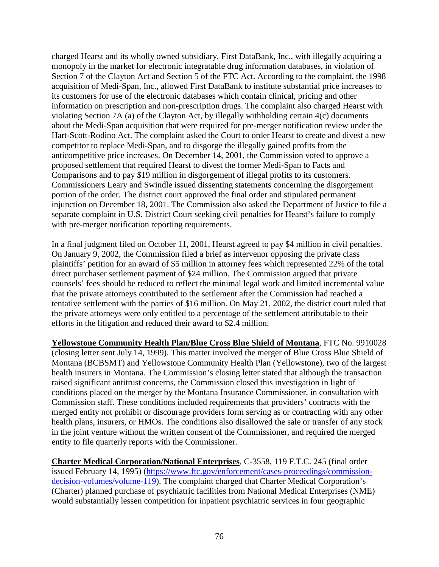charged Hearst and its wholly owned subsidiary, First DataBank, Inc., with illegally acquiring a monopoly in the market for electronic integratable drug information databases, in violation of Section 7 of the Clayton Act and Section 5 of the FTC Act. According to the complaint, the 1998 acquisition of Medi-Span, Inc., allowed First DataBank to institute substantial price increases to its customers for use of the electronic databases which contain clinical, pricing and other information on prescription and non-prescription drugs. The complaint also charged Hearst with violating Section 7A (a) of the Clayton Act, by illegally withholding certain 4(c) documents about the Medi-Span acquisition that were required for pre-merger notification review under the Hart-Scott-Rodino Act. The complaint asked the Court to order Hearst to create and divest a new competitor to replace Medi-Span, and to disgorge the illegally gained profits from the anticompetitive price increases. On December 14, 2001, the Commission voted to approve a proposed settlement that required Hearst to divest the former Medi-Span to Facts and Comparisons and to pay \$19 million in disgorgement of illegal profits to its customers. Commissioners Leary and Swindle issued dissenting statements concerning the disgorgement portion of the order. The district court approved the final order and stipulated permanent injunction on December 18, 2001. The Commission also asked the Department of Justice to file a separate complaint in U.S. District Court seeking civil penalties for Hearst's failure to comply with pre-merger notification reporting requirements.

In a final judgment filed on October 11, 2001, Hearst agreed to pay \$4 million in civil penalties. On January 9, 2002, the Commission filed a brief as intervenor opposing the private class plaintiffs' petition for an award of \$5 million in attorney fees which represented 22% of the total direct purchaser settlement payment of \$24 million. The Commission argued that private counsels' fees should be reduced to reflect the minimal legal work and limited incremental value that the private attorneys contributed to the settlement after the Commission had reached a tentative settlement with the parties of \$16 million. On May 21, 2002, the district court ruled that the private attorneys were only entitled to a percentage of the settlement attributable to their efforts in the litigation and reduced their award to \$2.4 million.

**Yellowstone Community Health Plan/Blue Cross Blue Shield of Montana**, FTC No. 9910028 (closing letter sent July 14, 1999). This matter involved the merger of Blue Cross Blue Shield of Montana (BCBSMT) and Yellowstone Community Health Plan (Yellowstone), two of the largest health insurers in Montana. The Commission's closing letter stated that although the transaction raised significant antitrust concerns, the Commission closed this investigation in light of conditions placed on the merger by the Montana Insurance Commissioner, in consultation with Commission staff. These conditions included requirements that providers' contracts with the merged entity not prohibit or discourage providers form serving as or contracting with any other health plans, insurers, or HMOs. The conditions also disallowed the sale or transfer of any stock in the joint venture without the written consent of the Commissioner, and required the merged entity to file quarterly reports with the Commissioner.

**Charter Medical Corporation/National Enterprises**, C-3558, 119 F.T.C. 245 (final order issued February 14, 1995) [\(https://www.ftc.gov/enforcement/cases-proceedings/commission](https://www.ftc.gov/enforcement/cases-proceedings/commission-decision-volumes/volume-119)[decision-volumes/volume-119\)](https://www.ftc.gov/enforcement/cases-proceedings/commission-decision-volumes/volume-119). The complaint charged that Charter Medical Corporation's (Charter) planned purchase of psychiatric facilities from National Medical Enterprises (NME) would substantially lessen competition for inpatient psychiatric services in four geographic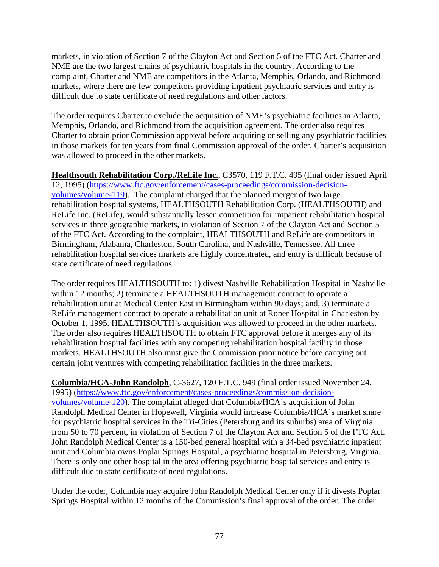markets, in violation of Section 7 of the Clayton Act and Section 5 of the FTC Act. Charter and NME are the two largest chains of psychiatric hospitals in the country. According to the complaint, Charter and NME are competitors in the Atlanta, Memphis, Orlando, and Richmond markets, where there are few competitors providing inpatient psychiatric services and entry is difficult due to state certificate of need regulations and other factors.

The order requires Charter to exclude the acquisition of NME's psychiatric facilities in Atlanta, Memphis, Orlando, and Richmond from the acquisition agreement. The order also requires Charter to obtain prior Commission approval before acquiring or selling any psychiatric facilities in those markets for ten years from final Commission approval of the order. Charter's acquisition was allowed to proceed in the other markets.

**Healthsouth Rehabilitation Corp./ReLife Inc.**, C3570, 119 F.T.C. 495 (final order issued April 12, 1995) [\(https://www.ftc.gov/enforcement/cases-proceedings/commission-decision](https://www.ftc.gov/enforcement/cases-proceedings/commission-decision-volumes/volume-119)[volumes/volume-119\)](https://www.ftc.gov/enforcement/cases-proceedings/commission-decision-volumes/volume-119). The complaint charged that the planned merger of two large rehabilitation hospital systems, HEALTHSOUTH Rehabilitation Corp. (HEALTHSOUTH) and ReLife Inc. (ReLife), would substantially lessen competition for impatient rehabilitation hospital services in three geographic markets, in violation of Section 7 of the Clayton Act and Section 5 of the FTC Act. According to the complaint, HEALTHSOUTH and ReLife are competitors in Birmingham, Alabama, Charleston, South Carolina, and Nashville, Tennessee. All three rehabilitation hospital services markets are highly concentrated, and entry is difficult because of state certificate of need regulations.

The order requires HEALTHSOUTH to: 1) divest Nashville Rehabilitation Hospital in Nashville within 12 months; 2) terminate a HEALTHSOUTH management contract to operate a rehabilitation unit at Medical Center East in Birmingham within 90 days; and, 3) terminate a ReLife management contract to operate a rehabilitation unit at Roper Hospital in Charleston by October 1, 1995. HEALTHSOUTH's acquisition was allowed to proceed in the other markets. The order also requires HEALTHSOUTH to obtain FTC approval before it merges any of its rehabilitation hospital facilities with any competing rehabilitation hospital facility in those markets. HEALTHSOUTH also must give the Commission prior notice before carrying out certain joint ventures with competing rehabilitation facilities in the three markets.

**Columbia/HCA-John Randolph**, C-3627, 120 F.T.C. 949 (final order issued November 24, 1995) [\(https://www.ftc.gov/enforcement/cases-proceedings/commission-decision](https://www.ftc.gov/enforcement/cases-proceedings/commission-decision-volumes/volume-120)[volumes/volume-120\)](https://www.ftc.gov/enforcement/cases-proceedings/commission-decision-volumes/volume-120). The complaint alleged that Columbia/HCA's acquisition of John Randolph Medical Center in Hopewell, Virginia would increase Columbia/HCA's market share for psychiatric hospital services in the Tri-Cities (Petersburg and its suburbs) area of Virginia from 50 to 70 percent, in violation of Section 7 of the Clayton Act and Section 5 of the FTC Act. John Randolph Medical Center is a 150-bed general hospital with a 34-bed psychiatric inpatient unit and Columbia owns Poplar Springs Hospital, a psychiatric hospital in Petersburg, Virginia. There is only one other hospital in the area offering psychiatric hospital services and entry is difficult due to state certificate of need regulations.

Under the order, Columbia may acquire John Randolph Medical Center only if it divests Poplar Springs Hospital within 12 months of the Commission's final approval of the order. The order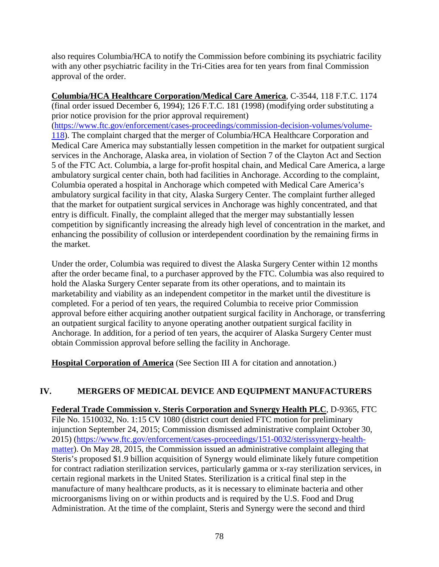also requires Columbia/HCA to notify the Commission before combining its psychiatric facility with any other psychiatric facility in the Tri-Cities area for ten years from final Commission approval of the order.

**Columbia/HCA Healthcare Corporation/Medical Care America**, C-3544, 118 F.T.C. 1174 (final order issued December 6, 1994); 126 F.T.C. 181 (1998) (modifying order substituting a prior notice provision for the prior approval requirement) [\(https://www.ftc.gov/enforcement/cases-proceedings/commission-decision-volumes/volume-](https://www.ftc.gov/enforcement/cases-proceedings/commission-decision-volumes/volume-118)[118\)](https://www.ftc.gov/enforcement/cases-proceedings/commission-decision-volumes/volume-118). The complaint charged that the merger of Columbia/HCA Healthcare Corporation and Medical Care America may substantially lessen competition in the market for outpatient surgical services in the Anchorage, Alaska area, in violation of Section 7 of the Clayton Act and Section 5 of the FTC Act. Columbia, a large for-profit hospital chain, and Medical Care America, a large ambulatory surgical center chain, both had facilities in Anchorage. According to the complaint, Columbia operated a hospital in Anchorage which competed with Medical Care America's ambulatory surgical facility in that city, Alaska Surgery Center. The complaint further alleged that the market for outpatient surgical services in Anchorage was highly concentrated, and that entry is difficult. Finally, the complaint alleged that the merger may substantially lessen competition by significantly increasing the already high level of concentration in the market, and enhancing the possibility of collusion or interdependent coordination by the remaining firms in the market.

Under the order, Columbia was required to divest the Alaska Surgery Center within 12 months after the order became final, to a purchaser approved by the FTC. Columbia was also required to hold the Alaska Surgery Center separate from its other operations, and to maintain its marketability and viability as an independent competitor in the market until the divestiture is completed. For a period of ten years, the required Columbia to receive prior Commission approval before either acquiring another outpatient surgical facility in Anchorage, or transferring an outpatient surgical facility to anyone operating another outpatient surgical facility in Anchorage. In addition, for a period of ten years, the acquirer of Alaska Surgery Center must obtain Commission approval before selling the facility in Anchorage.

**Hospital Corporation of America** (See Section III A for citation and annotation.)

# **IV. MERGERS OF MEDICAL DEVICE AND EQUIPMENT MANUFACTURERS**

**Federal Trade Commission v. Steris Corporation and Synergy Health PLC**, D-9365, FTC File No. 1510032, No. 1:15 CV 1080 (district court denied FTC motion for preliminary injunction September 24, 2015; Commission dismissed administrative complaint October 30, 2015) [\(https://www.ftc.gov/enforcement/cases-proceedings/151-0032/sterissynergy-health](https://www.ftc.gov/enforcement/cases-proceedings/151-0032/sterissynergy-health-matter)[matter\)](https://www.ftc.gov/enforcement/cases-proceedings/151-0032/sterissynergy-health-matter). On May 28, 2015, the Commission issued an administrative complaint alleging that Steris's proposed \$1.9 billion acquisition of Synergy would eliminate likely future competition for contract radiation sterilization services, particularly gamma or x-ray sterilization services, in certain regional markets in the United States. Sterilization is a critical final step in the manufacture of many healthcare products, as it is necessary to eliminate bacteria and other microorganisms living on or within products and is required by the U.S. Food and Drug Administration. At the time of the complaint, Steris and Synergy were the second and third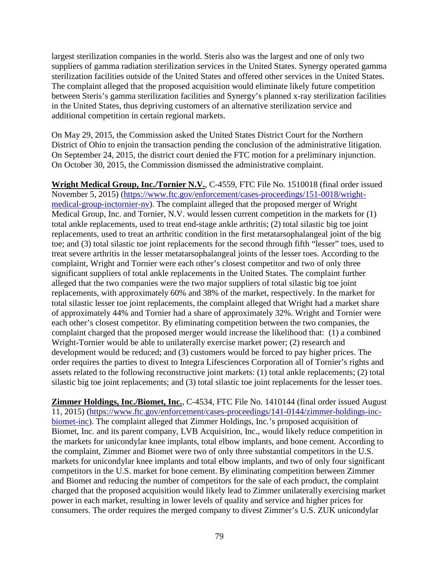largest sterilization companies in the world. Steris also was the largest and one of only two suppliers of gamma radiation sterilization services in the United States. Synergy operated gamma sterilization facilities outside of the United States and offered other services in the United States. The complaint alleged that the proposed acquisition would eliminate likely future competition between Steris's gamma sterilization facilities and Synergy's planned x-ray sterilization facilities in the United States, thus depriving customers of an alternative sterilization service and additional competition in certain regional markets.

On May 29, 2015, the Commission asked the United States District Court for the Northern District of Ohio to enjoin the transaction pending the conclusion of the administrative litigation. On September 24, 2015, the district court denied the FTC motion for a preliminary injunction. On October 30, 2015, the Commission dismissed the administrative complaint.

**Wright Medical Group, Inc./Tornier N.V.**, C-4559, FTC File No. 1510018 (final order issued November 5, 2015) [\(https://www.ftc.gov/enforcement/cases-proceedings/151-0018/wright](https://www.ftc.gov/enforcement/cases-proceedings/151-0018/wright-medical-group-inctornier-nv)[medical-group-inctornier-nv\)](https://www.ftc.gov/enforcement/cases-proceedings/151-0018/wright-medical-group-inctornier-nv). The complaint alleged that the proposed merger of Wright Medical Group, Inc. and Tornier, N.V. would lessen current competition in the markets for (1) total ankle replacements, used to treat end-stage ankle arthritis; (2) total silastic big toe joint replacements, used to treat an arthritic condition in the first metatarsophalangeal joint of the big toe; and (3) total silastic toe joint replacements for the second through fifth "lesser" toes, used to treat severe arthritis in the lesser metatarsophalangeal joints of the lesser toes. According to the complaint, Wright and Tornier were each other's closest competitor and two of only three significant suppliers of total ankle replacements in the United States. The complaint further alleged that the two companies were the two major suppliers of total silastic big toe joint replacements, with approximately 60% and 38% of the market, respectively. In the market for total silastic lesser toe joint replacements, the complaint alleged that Wright had a market share of approximately 44% and Tornier had a share of approximately 32%. Wright and Tornier were each other's closest competitor. By eliminating competition between the two companies, the complaint charged that the proposed merger would increase the likelihood that: (1) a combined Wright-Tornier would be able to unilaterally exercise market power; (2) research and development would be reduced; and (3) customers would be forced to pay higher prices. The order requires the parties to divest to Integra Lifesciences Corporation all of Tornier's rights and assets related to the following reconstructive joint markets: (1) total ankle replacements; (2) total silastic big toe joint replacements; and (3) total silastic toe joint replacements for the lesser toes.

**Zimmer Holdings, Inc./Biomet, Inc.**, C-4534, FTC File No. 1410144 (final order issued August 11, 2015) [\(https://www.ftc.gov/enforcement/cases-proceedings/141-0144/zimmer-holdings-inc](https://www.ftc.gov/enforcement/cases-proceedings/141-0144/zimmer-holdings-inc-biomet-inc)[biomet-inc\)](https://www.ftc.gov/enforcement/cases-proceedings/141-0144/zimmer-holdings-inc-biomet-inc). The complaint alleged that Zimmer Holdings, Inc.'s proposed acquisition of Biomet, Inc. and its parent company, LVB Acquisition, Inc., would likely reduce competition in the markets for unicondylar knee implants, total elbow implants, and bone cement. According to the complaint, Zimmer and Biomet were two of only three substantial competitors in the U.S. markets for unicondylar knee implants and total elbow implants, and two of only four significant competitors in the U.S. market for bone cement. By eliminating competition between Zimmer and Biomet and reducing the number of competitors for the sale of each product, the complaint charged that the proposed acquisition would likely lead to Zimmer unilaterally exercising market power in each market, resulting in lower levels of quality and service and higher prices for consumers. The order requires the merged company to divest Zimmer's U.S. ZUK unicondylar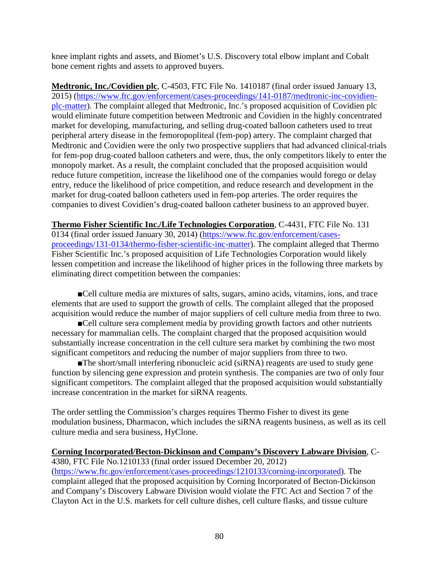knee implant rights and assets, and Biomet's U.S. Discovery total elbow implant and Cobalt bone cement rights and assets to approved buyers.

**Medtronic, Inc./Covidien plc**, C-4503, FTC File No. 1410187 (final order issued January 13, 2015) [\(https://www.ftc.gov/enforcement/cases-proceedings/141-0187/medtronic-inc-covidien](https://www.ftc.gov/enforcement/cases-proceedings/141-0187/medtronic-inc-covidien-plc-matter)[plc-matter\)](https://www.ftc.gov/enforcement/cases-proceedings/141-0187/medtronic-inc-covidien-plc-matter). The complaint alleged that Medtronic, Inc.'s proposed acquisition of Covidien plc would eliminate future competition between Medtronic and Covidien in the highly concentrated market for developing, manufacturing, and selling drug-coated balloon catheters used to treat peripheral artery disease in the femoropopliteal (fem-pop) artery. The complaint charged that Medtronic and Covidien were the only two prospective suppliers that had advanced clinical-trials for fem-pop drug-coated balloon catheters and were, thus, the only competitors likely to enter the monopoly market. As a result, the complaint concluded that the proposed acquisition would reduce future competition, increase the likelihood one of the companies would forego or delay entry, reduce the likelihood of price competition, and reduce research and development in the market for drug-coated balloon catheters used in fem-pop arteries. The order requires the companies to divest Covidien's drug-coated balloon catheter business to an approved buyer.

**Thermo Fisher Scientific Inc./Life Technologies Corporation**, C-4431, FTC File No. 131 0134 (final order issued January 30, 2014) [\(https://www.ftc.gov/enforcement/cases](https://www.ftc.gov/enforcement/cases-proceedings/131-0134/thermo-fisher-scientific-inc-matter)[proceedings/131-0134/thermo-fisher-scientific-inc-matter\)](https://www.ftc.gov/enforcement/cases-proceedings/131-0134/thermo-fisher-scientific-inc-matter). The complaint alleged that Thermo Fisher Scientific Inc.'s proposed acquisition of Life Technologies Corporation would likely lessen competition and increase the likelihood of higher prices in the following three markets by eliminating direct competition between the companies:

■Cell culture media are mixtures of salts, sugars, amino acids, vitamins, ions, and trace elements that are used to support the growth of cells. The complaint alleged that the proposed acquisition would reduce the number of major suppliers of cell culture media from three to two.

■Cell culture sera complement media by providing growth factors and other nutrients necessary for mammalian cells. The complaint charged that the proposed acquisition would substantially increase concentration in the cell culture sera market by combining the two most significant competitors and reducing the number of major suppliers from three to two.

■The short/small interfering ribonucleic acid (siRNA) reagents are used to study gene function by silencing gene expression and protein synthesis. The companies are two of only four significant competitors. The complaint alleged that the proposed acquisition would substantially increase concentration in the market for siRNA reagents.

The order settling the Commission's charges requires Thermo Fisher to divest its gene modulation business, Dharmacon, which includes the siRNA reagents business, as well as its cell culture media and sera business, HyClone.

#### **Corning Incorporated/Becton-Dickinson and Company's Discovery Labware Division**, C-

4380, FTC File No.1210133 (final order issued December 20, 2012) [\(https://www.ftc.gov/enforcement/cases-proceedings/1210133/corning-incorporated\)](https://www.ftc.gov/enforcement/cases-proceedings/1210133/corning-incorporated). The complaint alleged that the proposed acquisition by Corning Incorporated of Becton-Dickinson and Company's Discovery Labware Division would violate the FTC Act and Section 7 of the Clayton Act in the U.S. markets for cell culture dishes, cell culture flasks, and tissue culture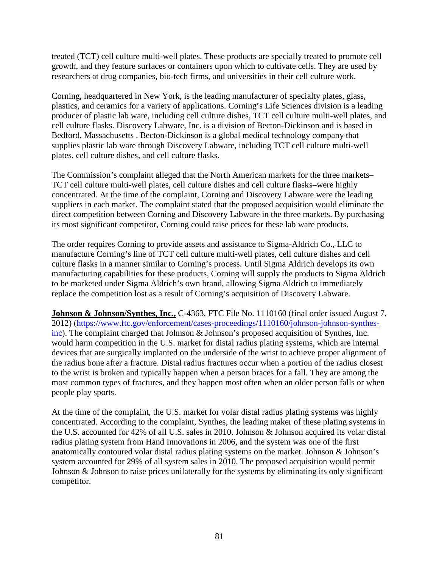treated (TCT) cell culture multi-well plates. These products are specially treated to promote cell growth, and they feature surfaces or containers upon which to cultivate cells. They are used by researchers at drug companies, bio-tech firms, and universities in their cell culture work.

Corning, headquartered in New York, is the leading manufacturer of specialty plates, glass, plastics, and ceramics for a variety of applications. Corning's Life Sciences division is a leading producer of plastic lab ware, including cell culture dishes, TCT cell culture multi-well plates, and cell culture flasks. Discovery Labware, Inc. is a division of Becton-Dickinson and is based in Bedford, Massachusetts . Becton-Dickinson is a global medical technology company that supplies plastic lab ware through Discovery Labware, including TCT cell culture multi-well plates, cell culture dishes, and cell culture flasks.

The Commission's complaint alleged that the North American markets for the three markets– TCT cell culture multi-well plates, cell culture dishes and cell culture flasks–were highly concentrated. At the time of the complaint, Corning and Discovery Labware were the leading suppliers in each market. The complaint stated that the proposed acquisition would eliminate the direct competition between Corning and Discovery Labware in the three markets. By purchasing its most significant competitor, Corning could raise prices for these lab ware products.

The order requires Corning to provide assets and assistance to Sigma-Aldrich Co., LLC to manufacture Corning's line of TCT cell culture multi-well plates, cell culture dishes and cell culture flasks in a manner similar to Corning's process. Until Sigma Aldrich develops its own manufacturing capabilities for these products, Corning will supply the products to Sigma Aldrich to be marketed under Sigma Aldrich's own brand, allowing Sigma Aldrich to immediately replace the competition lost as a result of Corning's acquisition of Discovery Labware.

**Johnson & Johnson/Synthes, Inc.,** C-4363, FTC File No. 1110160 (final order issued August 7, 2012) [\(https://www.ftc.gov/enforcement/cases-proceedings/1110160/johnson-johnson-synthes](https://www.ftc.gov/enforcement/cases-proceedings/1110160/johnson-johnson-synthes-inc)[inc\)](https://www.ftc.gov/enforcement/cases-proceedings/1110160/johnson-johnson-synthes-inc). The complaint charged that Johnson & Johnson's proposed acquisition of Synthes, Inc. would harm competition in the U.S. market for distal radius plating systems, which are internal devices that are surgically implanted on the underside of the wrist to achieve proper alignment of the radius bone after a fracture. Distal radius fractures occur when a portion of the radius closest to the wrist is broken and typically happen when a person braces for a fall. They are among the most common types of fractures, and they happen most often when an older person falls or when people play sports.

At the time of the complaint, the U.S. market for volar distal radius plating systems was highly concentrated. According to the complaint, Synthes, the leading maker of these plating systems in the U.S. accounted for 42% of all U.S. sales in 2010. Johnson & Johnson acquired its volar distal radius plating system from Hand Innovations in 2006, and the system was one of the first anatomically contoured volar distal radius plating systems on the market. Johnson & Johnson's system accounted for 29% of all system sales in 2010. The proposed acquisition would permit Johnson & Johnson to raise prices unilaterally for the systems by eliminating its only significant competitor.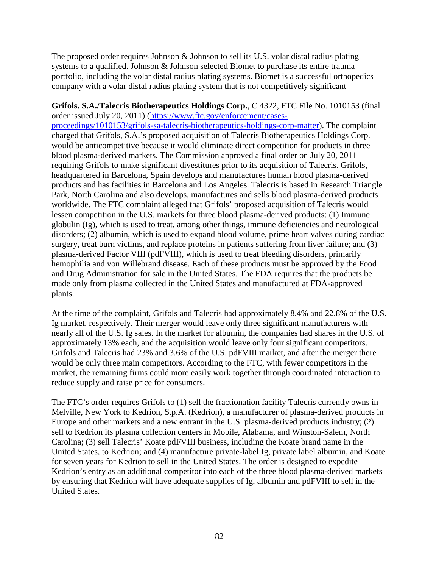The proposed order requires Johnson & Johnson to sell its U.S. volar distal radius plating systems to a qualified. Johnson & Johnson selected Biomet to purchase its entire trauma portfolio, including the volar distal radius plating systems. Biomet is a successful orthopedics company with a volar distal radius plating system that is not competitively significant

**Grifols. S.A./Talecris Biotherapeutics Holdings Corp.**, C 4322, FTC File No. 1010153 (final order issued July 20, 2011) [\(https://www.ftc.gov/enforcement/cases](https://www.ftc.gov/enforcement/cases-proceedings/1010153/grifols-sa-talecris-biotherapeutics-holdings-corp-matter)[proceedings/1010153/grifols-sa-talecris-biotherapeutics-holdings-corp-matter\)](https://www.ftc.gov/enforcement/cases-proceedings/1010153/grifols-sa-talecris-biotherapeutics-holdings-corp-matter). The complaint charged that Grifols, S.A.'s proposed acquisition of Talecris Biotherapeutics Holdings Corp. would be anticompetitive because it would eliminate direct competition for products in three blood plasma-derived markets. The Commission approved a final order on July 20, 2011 requiring Grifols to make significant divestitures prior to its acquisition of Talecris. Grifols, headquartered in Barcelona, Spain develops and manufactures human blood plasma-derived products and has facilities in Barcelona and Los Angeles. Talecris is based in Research Triangle Park, North Carolina and also develops, manufactures and sells blood plasma-derived products worldwide. The FTC complaint alleged that Grifols' proposed acquisition of Talecris would lessen competition in the U.S. markets for three blood plasma-derived products: (1) Immune globulin (Ig), which is used to treat, among other things, immune deficiencies and neurological disorders; (2) albumin, which is used to expand blood volume, prime heart valves during cardiac surgery, treat burn victims, and replace proteins in patients suffering from liver failure; and (3) plasma-derived Factor VIII (pdFVIII), which is used to treat bleeding disorders, primarily hemophilia and von Willebrand disease. Each of these products must be approved by the Food and Drug Administration for sale in the United States. The FDA requires that the products be made only from plasma collected in the United States and manufactured at FDA-approved plants.

At the time of the complaint, Grifols and Talecris had approximately 8.4% and 22.8% of the U.S. Ig market, respectively. Their merger would leave only three significant manufacturers with nearly all of the U.S. Ig sales. In the market for albumin, the companies had shares in the U.S. of approximately 13% each, and the acquisition would leave only four significant competitors. Grifols and Talecris had 23% and 3.6% of the U.S. pdFVIII market, and after the merger there would be only three main competitors. According to the FTC, with fewer competitors in the market, the remaining firms could more easily work together through coordinated interaction to reduce supply and raise price for consumers.

The FTC's order requires Grifols to (1) sell the fractionation facility Talecris currently owns in Melville, New York to Kedrion, S.p.A. (Kedrion), a manufacturer of plasma-derived products in Europe and other markets and a new entrant in the U.S. plasma-derived products industry; (2) sell to Kedrion its plasma collection centers in Mobile, Alabama, and Winston-Salem, North Carolina; (3) sell Talecris' Koate pdFVIII business, including the Koate brand name in the United States, to Kedrion; and (4) manufacture private-label Ig, private label albumin, and Koate for seven years for Kedrion to sell in the United States. The order is designed to expedite Kedrion's entry as an additional competitor into each of the three blood plasma-derived markets by ensuring that Kedrion will have adequate supplies of Ig, albumin and pdFVIII to sell in the United States.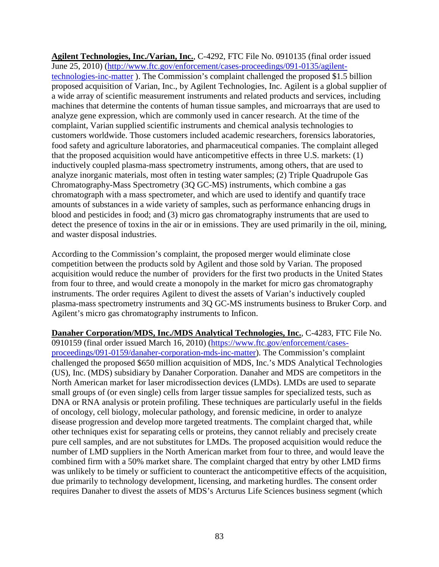**Agilent Technologies, Inc./Varian, Inc.**, C-4292, FTC File No. 0910135 (final order issued June 25, 2010) [\(http://www.ftc.gov/enforcement/cases-proceedings/091-0135/agilent](http://www.ftc.gov/enforcement/cases-proceedings/091-0135/agilent-technologies-inc-matter)[technologies-inc-matter](http://www.ftc.gov/enforcement/cases-proceedings/091-0135/agilent-technologies-inc-matter) ). The Commission's complaint challenged the proposed \$1.5 billion proposed acquisition of Varian, Inc., by Agilent Technologies, Inc. Agilent is a global supplier of a wide array of scientific measurement instruments and related products and services, including machines that determine the contents of human tissue samples, and microarrays that are used to analyze gene expression, which are commonly used in cancer research. At the time of the complaint, Varian supplied scientific instruments and chemical analysis technologies to customers worldwide. Those customers included academic researchers, forensics laboratories, food safety and agriculture laboratories, and pharmaceutical companies. The complaint alleged that the proposed acquisition would have anticompetitive effects in three U.S. markets: (1) inductively coupled plasma-mass spectrometry instruments, among others, that are used to analyze inorganic materials, most often in testing water samples; (2) Triple Quadrupole Gas Chromatography-Mass Spectrometry (3Q GC-MS) instruments, which combine a gas chromatograph with a mass spectrometer, and which are used to identify and quantify trace amounts of substances in a wide variety of samples, such as performance enhancing drugs in blood and pesticides in food; and (3) micro gas chromatography instruments that are used to detect the presence of toxins in the air or in emissions. They are used primarily in the oil, mining, and waster disposal industries.

According to the Commission's complaint, the proposed merger would eliminate close competition between the products sold by Agilent and those sold by Varian. The proposed acquisition would reduce the number of providers for the first two products in the United States from four to three, and would create a monopoly in the market for micro gas chromatography instruments. The order requires Agilent to divest the assets of Varian's inductively coupled plasma-mass spectrometry instruments and 3Q GC-MS instruments business to Bruker Corp. and Agilent's micro gas chromatography instruments to Inficon.

**Danaher Corporation/MDS, Inc./MDS Analytical Technologies, Inc.**, C-4283, FTC File No. 0910159 (final order issued March 16, 2010) [\(https://www.ftc.gov/enforcement/cases](https://www.ftc.gov/enforcement/cases-proceedings/091-0159/danaher-corporation-mds-inc-matter)[proceedings/091-0159/danaher-corporation-mds-inc-matter\)](https://www.ftc.gov/enforcement/cases-proceedings/091-0159/danaher-corporation-mds-inc-matter). The Commission's complaint challenged the proposed \$650 million acquisition of MDS, Inc.'s MDS Analytical Technologies (US), Inc. (MDS) subsidiary by Danaher Corporation. Danaher and MDS are competitors in the North American market for laser microdissection devices (LMDs). LMDs are used to separate small groups of (or even single) cells from larger tissue samples for specialized tests, such as DNA or RNA analysis or protein profiling. These techniques are particularly useful in the fields of oncology, cell biology, molecular pathology, and forensic medicine, in order to analyze disease progression and develop more targeted treatments. The complaint charged that, while other techniques exist for separating cells or proteins, they cannot reliably and precisely create pure cell samples, and are not substitutes for LMDs. The proposed acquisition would reduce the number of LMD suppliers in the North American market from four to three, and would leave the combined firm with a 50% market share. The complaint charged that entry by other LMD firms was unlikely to be timely or sufficient to counteract the anticompetitive effects of the acquisition, due primarily to technology development, licensing, and marketing hurdles. The consent order requires Danaher to divest the assets of MDS's Arcturus Life Sciences business segment (which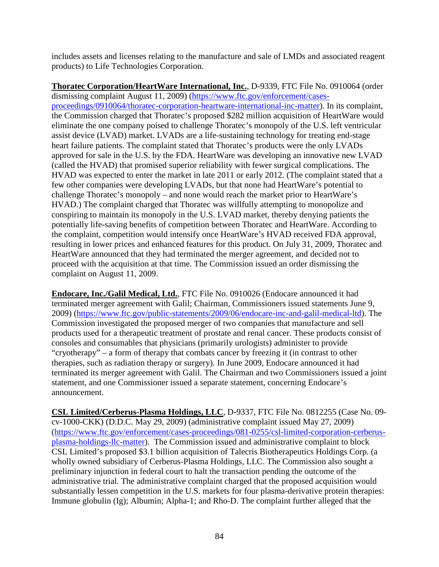includes assets and licenses relating to the manufacture and sale of LMDs and associated reagent products) to Life Technologies Corporation.

**Thoratec Corporation/HeartWare International, Inc.**, D-9339, FTC File No. 0910064 (order dismissing complaint August 11, 2009) [\(https://www.ftc.gov/enforcement/cases](https://www.ftc.gov/enforcement/cases-proceedings/0910064/thoratec-corporation-heartware-international-inc-matter)[proceedings/0910064/thoratec-corporation-heartware-international-inc-matter\)](https://www.ftc.gov/enforcement/cases-proceedings/0910064/thoratec-corporation-heartware-international-inc-matter). In its complaint, the Commission charged that Thoratec's proposed \$282 million acquisition of HeartWare would eliminate the one company poised to challenge Thoratec's monopoly of the U.S. left ventricular assist device (LVAD) market. LVADs are a life-sustaining technology for treating end-stage heart failure patients. The complaint stated that Thoratec's products were the only LVADs approved for sale in the U.S. by the FDA. HeartWare was developing an innovative new LVAD (called the HVAD) that promised superior reliability with fewer surgical complications. The HVAD was expected to enter the market in late 2011 or early 2012. (The complaint stated that a few other companies were developing LVADs, but that none had HeartWare's potential to challenge Thoratec's monopoly – and none would reach the market prior to HeartWare's HVAD.) The complaint charged that Thoratec was willfully attempting to monopolize and conspiring to maintain its monopoly in the U.S. LVAD market, thereby denying patients the potentially life-saving benefits of competition between Thoratec and HeartWare. According to the complaint, competition would intensify once HeartWare's HVAD received FDA approval, resulting in lower prices and enhanced features for this product. On July 31, 2009, Thoratec and HeartWare announced that they had terminated the merger agreement, and decided not to proceed with the acquisition at that time. The Commission issued an order dismissing the complaint on August 11, 2009.

**Endocare, Inc./Galil Medical, Ltd.**, FTC File No. 0910026 (Endocare announced it had terminated merger agreement with Galil; Chairman, Commissioners issued statements June 9, 2009) [\(https://www.ftc.gov/public-statements/2009/06/endocare-inc-and-galil-medical-ltd\)](https://www.ftc.gov/public-statements/2009/06/endocare-inc-and-galil-medical-ltd). The Commission investigated the proposed merger of two companies that manufacture and sell products used for a therapeutic treatment of prostate and renal cancer. These products consist of consoles and consumables that physicians (primarily urologists) administer to provide "cryotherapy" – a form of therapy that combats cancer by freezing it (in contrast to other therapies, such as radiation therapy or surgery). In June 2009, Endocare announced it had terminated its merger agreement with Galil. The Chairman and two Commissioners issued a joint statement, and one Commissioner issued a separate statement, concerning Endocare's announcement.

**CSL Limited/Cerberus-Plasma Holdings, LLC**, D-9337, FTC File No. 0812255 (Case No. 09 cv-1000-CKK) (D.D.C. May 29, 2009) (administrative complaint issued May 27, 2009) [\(https://www.ftc.gov/enforcement/cases-proceedings/081-0255/csl-limited-corporation-cerberus](https://www.ftc.gov/enforcement/cases-proceedings/081-0255/csl-limited-corporation-cerberus-plasma-holdings-llc-matter)[plasma-holdings-llc-matter\)](https://www.ftc.gov/enforcement/cases-proceedings/081-0255/csl-limited-corporation-cerberus-plasma-holdings-llc-matter). The Commission issued and administrative complaint to block CSL Limited's proposed \$3.1 billion acquisition of Talecris Biotherapeutics Holdings Corp. (a wholly owned subsidiary of Cerberus-Plasma Holdings, LLC. The Commission also sought a preliminary injunction in federal court to halt the transaction pending the outcome of the administrative trial. The administrative complaint charged that the proposed acquisition would substantially lessen competition in the U.S. markets for four plasma-derivative protein therapies: Immune globulin (Ig); Albumin; Alpha-1; and Rho-D. The complaint further alleged that the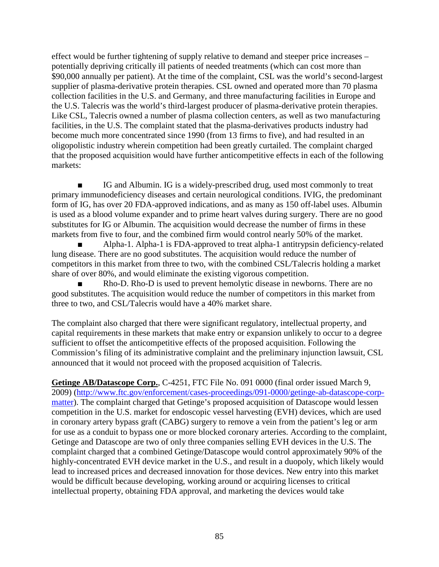effect would be further tightening of supply relative to demand and steeper price increases – potentially depriving critically ill patients of needed treatments (which can cost more than \$90,000 annually per patient). At the time of the complaint, CSL was the world's second-largest supplier of plasma-derivative protein therapies. CSL owned and operated more than 70 plasma collection facilities in the U.S. and Germany, and three manufacturing facilities in Europe and the U.S. Talecris was the world's third-largest producer of plasma-derivative protein therapies. Like CSL, Talecris owned a number of plasma collection centers, as well as two manufacturing facilities, in the U.S. The complaint stated that the plasma-derivatives products industry had become much more concentrated since 1990 (from 13 firms to five), and had resulted in an oligopolistic industry wherein competition had been greatly curtailed. The complaint charged that the proposed acquisition would have further anticompetitive effects in each of the following markets:

IG and Albumin. IG is a widely-prescribed drug, used most commonly to treat primary immunodeficiency diseases and certain neurological conditions. IVIG, the predominant form of IG, has over 20 FDA-approved indications, and as many as 150 off-label uses. Albumin is used as a blood volume expander and to prime heart valves during surgery. There are no good substitutes for IG or Albumin. The acquisition would decrease the number of firms in these markets from five to four, and the combined firm would control nearly 50% of the market.

Alpha-1. Alpha-1 is FDA-approved to treat alpha-1 antitrypsin deficiency-related lung disease. There are no good substitutes. The acquisition would reduce the number of competitors in this market from three to two, with the combined CSL/Talecris holding a market share of over 80%, and would eliminate the existing vigorous competition.

Rho-D. Rho-D is used to prevent hemolytic disease in newborns. There are no good substitutes. The acquisition would reduce the number of competitors in this market from three to two, and CSL/Talecris would have a 40% market share.

The complaint also charged that there were significant regulatory, intellectual property, and capital requirements in these markets that make entry or expansion unlikely to occur to a degree sufficient to offset the anticompetitive effects of the proposed acquisition. Following the Commission's filing of its administrative complaint and the preliminary injunction lawsuit, CSL announced that it would not proceed with the proposed acquisition of Talecris.

**Getinge AB/Datascope Corp.**, C-4251, FTC File No. 091 0000 (final order issued March 9, 2009) [\(http://www.ftc.gov/enforcement/cases-proceedings/091-0000/getinge-ab-datascope-corp](http://www.ftc.gov/enforcement/cases-proceedings/091-0000/getinge-ab-datascope-corp-matter)[matter\)](http://www.ftc.gov/enforcement/cases-proceedings/091-0000/getinge-ab-datascope-corp-matter). The complaint charged that Getinge's proposed acquisition of Datascope would lessen competition in the U.S. market for endoscopic vessel harvesting (EVH) devices, which are used in coronary artery bypass graft (CABG) surgery to remove a vein from the patient's leg or arm for use as a conduit to bypass one or more blocked coronary arteries. According to the complaint, Getinge and Datascope are two of only three companies selling EVH devices in the U.S. The complaint charged that a combined Getinge/Datascope would control approximately 90% of the highly-concentrated EVH device market in the U.S., and result in a duopoly, which likely would lead to increased prices and decreased innovation for those devices. New entry into this market would be difficult because developing, working around or acquiring licenses to critical intellectual property, obtaining FDA approval, and marketing the devices would take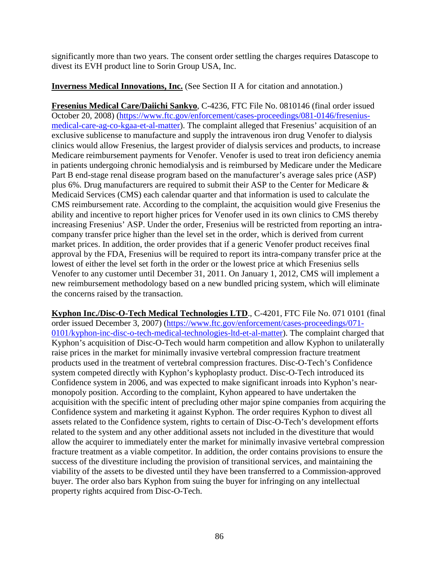significantly more than two years. The consent order settling the charges requires Datascope to divest its EVH product line to Sorin Group USA, Inc.

### **Inverness Medical Innovations, Inc.** (See Section II A for citation and annotation.)

**Fresenius Medical Care/Daiichi Sankyo**, C-4236, FTC File No. 0810146 (final order issued October 20, 2008) [\(https://www.ftc.gov/enforcement/cases-proceedings/081-0146/fresenius](https://www.ftc.gov/enforcement/cases-proceedings/081-0146/fresenius-medical-care-ag-co-kgaa-et-al-matter)[medical-care-ag-co-kgaa-et-al-matter\)](https://www.ftc.gov/enforcement/cases-proceedings/081-0146/fresenius-medical-care-ag-co-kgaa-et-al-matter). The complaint alleged that Fresenius' acquisition of an exclusive sublicense to manufacture and supply the intravenous iron drug Venofer to dialysis clinics would allow Fresenius, the largest provider of dialysis services and products, to increase Medicare reimbursement payments for Venofer. Venofer is used to treat iron deficiency anemia in patients undergoing chronic hemodialysis and is reimbursed by Medicare under the Medicare Part B end-stage renal disease program based on the manufacturer's average sales price (ASP) plus 6%. Drug manufacturers are required to submit their ASP to the Center for Medicare & Medicaid Services (CMS) each calendar quarter and that information is used to calculate the CMS reimbursement rate. According to the complaint, the acquisition would give Fresenius the ability and incentive to report higher prices for Venofer used in its own clinics to CMS thereby increasing Fresenius' ASP. Under the order, Fresenius will be restricted from reporting an intracompany transfer price higher than the level set in the order, which is derived from current market prices. In addition, the order provides that if a generic Venofer product receives final approval by the FDA, Fresenius will be required to report its intra-company transfer price at the lowest of either the level set forth in the order or the lowest price at which Fresenius sells Venofer to any customer until December 31, 2011. On January 1, 2012, CMS will implement a new reimbursement methodology based on a new bundled pricing system, which will eliminate the concerns raised by the transaction.

**Kyphon Inc./Disc-O-Tech Medical Technologies LTD**., C-4201, FTC File No. 071 0101 (final order issued December 3, 2007) [\(https://www.ftc.gov/enforcement/cases-proceedings/071-](https://www.ftc.gov/enforcement/cases-proceedings/071-0101/kyphon-inc-disc-o-tech-medical-technologies-ltd-et-al-matter) [0101/kyphon-inc-disc-o-tech-medical-technologies-ltd-et-al-matter\)](https://www.ftc.gov/enforcement/cases-proceedings/071-0101/kyphon-inc-disc-o-tech-medical-technologies-ltd-et-al-matter). The complaint charged that Kyphon's acquisition of Disc-O-Tech would harm competition and allow Kyphon to unilaterally raise prices in the market for minimally invasive vertebral compression fracture treatment products used in the treatment of vertebral compression fractures. Disc-O-Tech's Confidence system competed directly with Kyphon's kyphoplasty product. Disc-O-Tech introduced its Confidence system in 2006, and was expected to make significant inroads into Kyphon's nearmonopoly position. According to the complaint, Kyhon appeared to have undertaken the acquisition with the specific intent of precluding other major spine companies from acquiring the Confidence system and marketing it against Kyphon. The order requires Kyphon to divest all assets related to the Confidence system, rights to certain of Disc-O-Tech's development efforts related to the system and any other additional assets not included in the divestiture that would allow the acquirer to immediately enter the market for minimally invasive vertebral compression fracture treatment as a viable competitor. In addition, the order contains provisions to ensure the success of the divestiture including the provision of transitional services, and maintaining the viability of the assets to be divested until they have been transferred to a Commission-approved buyer. The order also bars Kyphon from suing the buyer for infringing on any intellectual property rights acquired from Disc-O-Tech.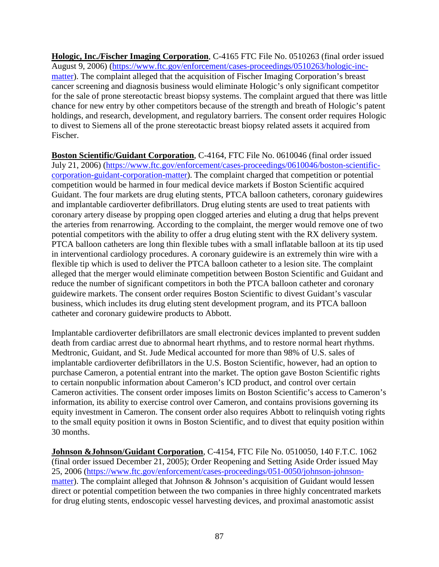**Hologic, Inc./Fischer Imaging Corporation**, C-4165 FTC File No. 0510263 (final order issued August 9, 2006) [\(https://www.ftc.gov/enforcement/cases-proceedings/0510263/hologic-inc](https://www.ftc.gov/enforcement/cases-proceedings/0510263/hologic-inc-matter)[matter\)](https://www.ftc.gov/enforcement/cases-proceedings/0510263/hologic-inc-matter). The complaint alleged that the acquisition of Fischer Imaging Corporation's breast cancer screening and diagnosis business would eliminate Hologic's only significant competitor for the sale of prone stereotactic breast biopsy systems. The complaint argued that there was little chance for new entry by other competitors because of the strength and breath of Hologic's patent holdings, and research, development, and regulatory barriers. The consent order requires Hologic to divest to Siemens all of the prone stereotactic breast biopsy related assets it acquired from Fischer.

**Boston Scientific/Guidant Corporation**, C-4164, FTC File No. 0610046 (final order issued July 21, 2006) [\(https://www.ftc.gov/enforcement/cases-proceedings/0610046/boston-scientific](https://www.ftc.gov/enforcement/cases-proceedings/0610046/boston-scientific-corporation-guidant-corporation-matter)[corporation-guidant-corporation-matter\)](https://www.ftc.gov/enforcement/cases-proceedings/0610046/boston-scientific-corporation-guidant-corporation-matter). The complaint charged that competition or potential competition would be harmed in four medical device markets if Boston Scientific acquired Guidant. The four markets are drug eluting stents, PTCA balloon catheters, coronary guidewires and implantable cardioverter defibrillators. Drug eluting stents are used to treat patients with coronary artery disease by propping open clogged arteries and eluting a drug that helps prevent the arteries from renarrowing. According to the complaint, the merger would remove one of two potential competitors with the ability to offer a drug eluting stent with the RX delivery system. PTCA balloon catheters are long thin flexible tubes with a small inflatable balloon at its tip used in interventional cardiology procedures. A coronary guidewire is an extremely thin wire with a flexible tip which is used to deliver the PTCA balloon catheter to a lesion site. The complaint alleged that the merger would eliminate competition between Boston Scientific and Guidant and reduce the number of significant competitors in both the PTCA balloon catheter and coronary guidewire markets. The consent order requires Boston Scientific to divest Guidant's vascular business, which includes its drug eluting stent development program, and its PTCA balloon catheter and coronary guidewire products to Abbott.

Implantable cardioverter defibrillators are small electronic devices implanted to prevent sudden death from cardiac arrest due to abnormal heart rhythms, and to restore normal heart rhythms. Medtronic, Guidant, and St. Jude Medical accounted for more than 98% of U.S. sales of implantable cardioverter defibrillators in the U.S. Boston Scientific, however, had an option to purchase Cameron, a potential entrant into the market. The option gave Boston Scientific rights to certain nonpublic information about Cameron's ICD product, and control over certain Cameron activities. The consent order imposes limits on Boston Scientific's access to Cameron's information, its ability to exercise control over Cameron, and contains provisions governing its equity investment in Cameron. The consent order also requires Abbott to relinquish voting rights to the small equity position it owns in Boston Scientific, and to divest that equity position within 30 months.

**Johnson &Johnson/Guidant Corporation**, C-4154, FTC File No. 0510050, 140 F.T.C. 1062 (final order issued December 21, 2005); Order Reopening and Setting Aside Order issued May 25, 2006 [\(https://www.ftc.gov/enforcement/cases-proceedings/051-0050/johnson-johnson](https://www.ftc.gov/enforcement/cases-proceedings/051-0050/johnson-johnson-matter)[matter\)](https://www.ftc.gov/enforcement/cases-proceedings/051-0050/johnson-johnson-matter). The complaint alleged that Johnson & Johnson's acquisition of Guidant would lessen direct or potential competition between the two companies in three highly concentrated markets for drug eluting stents, endoscopic vessel harvesting devices, and proximal anastomotic assist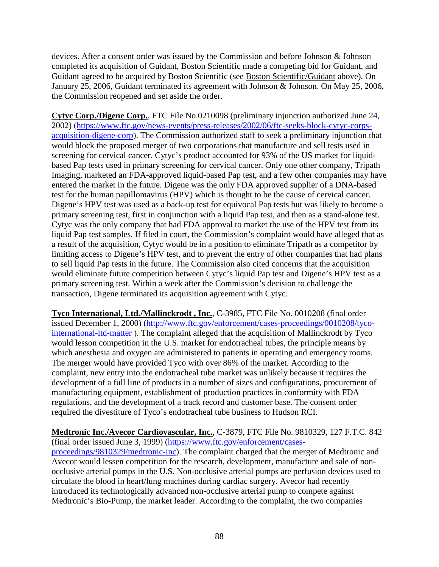devices. After a consent order was issued by the Commission and before Johnson & Johnson completed its acquisition of Guidant, Boston Scientific made a competing bid for Guidant, and Guidant agreed to be acquired by Boston Scientific (see Boston Scientific/Guidant above). On January 25, 2006, Guidant terminated its agreement with Johnson & Johnson. On May 25, 2006, the Commission reopened and set aside the order.

**Cytyc Corp./Digene Corp.**, FTC File No.0210098 (preliminary injunction authorized June 24, 2002) [\(https://www.ftc.gov/news-events/press-releases/2002/06/ftc-seeks-block-cytyc-corps](https://www.ftc.gov/news-events/press-releases/2002/06/ftc-seeks-block-cytyc-corps-acquisition-digene-corp)[acquisition-digene-corp\)](https://www.ftc.gov/news-events/press-releases/2002/06/ftc-seeks-block-cytyc-corps-acquisition-digene-corp). The Commission authorized staff to seek a preliminary injunction that would block the proposed merger of two corporations that manufacture and sell tests used in screening for cervical cancer. Cytyc's product accounted for 93% of the US market for liquidbased Pap tests used in primary screening for cervical cancer. Only one other company, Tripath Imaging, marketed an FDA-approved liquid-based Pap test, and a few other companies may have entered the market in the future. Digene was the only FDA approved supplier of a DNA-based test for the human papillomavirus (HPV) which is thought to be the cause of cervical cancer. Digene's HPV test was used as a back-up test for equivocal Pap tests but was likely to become a primary screening test, first in conjunction with a liquid Pap test, and then as a stand-alone test. Cytyc was the only company that had FDA approval to market the use of the HPV test from its liquid Pap test samples. If filed in court, the Commission's complaint would have alleged that as a result of the acquisition, Cytyc would be in a position to eliminate Tripath as a competitor by limiting access to Digene's HPV test, and to prevent the entry of other companies that had plans to sell liquid Pap tests in the future. The Commission also cited concerns that the acquisition would eliminate future competition between Cytyc's liquid Pap test and Digene's HPV test as a primary screening test. Within a week after the Commission's decision to challenge the transaction, Digene terminated its acquisition agreement with Cytyc.

**Tyco International, Ltd./Mallinckrodt , Inc.**, C-3985, FTC File No. 0010208 (final order issued December 1, 2000) [\(http://www.ftc.gov/enforcement/cases-proceedings/0010208/tyco](http://www.ftc.gov/enforcement/cases-proceedings/0010208/tyco-international-ltd-matter)[international-ltd-matter](http://www.ftc.gov/enforcement/cases-proceedings/0010208/tyco-international-ltd-matter) ). The complaint alleged that the acquisition of Mallinckrodt by Tyco would lesson competition in the U.S. market for endotracheal tubes, the principle means by which anesthesia and oxygen are administered to patients in operating and emergency rooms. The merger would have provided Tyco with over 86% of the market. According to the complaint, new entry into the endotracheal tube market was unlikely because it requires the development of a full line of products in a number of sizes and configurations, procurement of manufacturing equipment, establishment of production practices in conformity with FDA regulations, and the development of a track record and customer base. The consent order required the divestiture of Tyco's endotracheal tube business to Hudson RCI.

**Medtronic Inc./Avecor Cardiovascular, Inc.**, C-3879, FTC File No. 9810329, 127 F.T.C. 842 (final order issued June 3, 1999) [\(https://www.ftc.gov/enforcement/cases](https://www.ftc.gov/enforcement/cases-proceedings/9810329/medtronic-inc)[proceedings/9810329/medtronic-inc\)](https://www.ftc.gov/enforcement/cases-proceedings/9810329/medtronic-inc). The complaint charged that the merger of Medtronic and Avecor would lessen competition for the research, development, manufacture and sale of nonocclusive arterial pumps in the U.S. Non-occlusive arterial pumps are perfusion devices used to circulate the blood in heart/lung machines during cardiac surgery. Avecor had recently introduced its technologically advanced non-occlusive arterial pump to compete against Medtronic's Bio-Pump, the market leader. According to the complaint, the two companies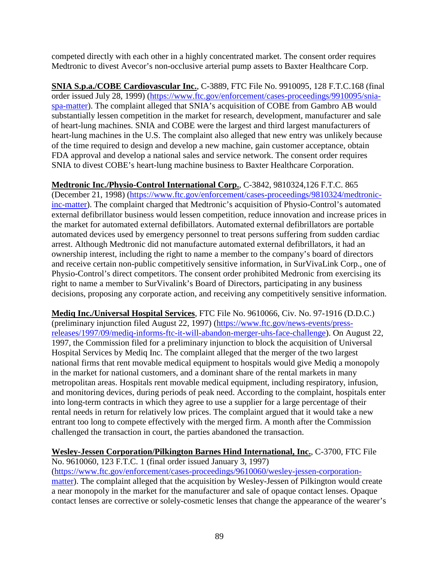competed directly with each other in a highly concentrated market. The consent order requires Medtronic to divest Avecor's non-occlusive arterial pump assets to Baxter Healthcare Corp.

**SNIA S.p.a./COBE Cardiovascular Inc.**, C-3889, FTC File No. 9910095, 128 F.T.C.168 (final order issued July 28, 1999) [\(https://www.ftc.gov/enforcement/cases-proceedings/9910095/snia](https://www.ftc.gov/enforcement/cases-proceedings/9910095/snia-spa-matter)[spa-matter\)](https://www.ftc.gov/enforcement/cases-proceedings/9910095/snia-spa-matter). The complaint alleged that SNIA's acquisition of COBE from Gambro AB would substantially lessen competition in the market for research, development, manufacturer and sale of heart-lung machines. SNIA and COBE were the largest and third largest manufacturers of heart-lung machines in the U.S. The complaint also alleged that new entry was unlikely because of the time required to design and develop a new machine, gain customer acceptance, obtain FDA approval and develop a national sales and service network. The consent order requires SNIA to divest COBE's heart-lung machine business to Baxter Healthcare Corporation.

## **Medtronic Inc./Physio-Control International Corp.**, C-3842, 9810324,126 F.T.C. 865

(December 21, 1998) [\(https://www.ftc.gov/enforcement/cases-proceedings/9810324/medtronic](https://www.ftc.gov/enforcement/cases-proceedings/9810324/medtronic-inc-matter)[inc-matter\)](https://www.ftc.gov/enforcement/cases-proceedings/9810324/medtronic-inc-matter). The complaint charged that Medtronic's acquisition of Physio-Control's automated external defibrillator business would lessen competition, reduce innovation and increase prices in the market for automated external defibillators. Automated external defibrillators are portable automated devices used by emergency personnel to treat persons suffering from sudden cardiac arrest. Although Medtronic did not manufacture automated external defibrillators, it had an ownership interest, including the right to name a member to the company's board of directors and receive certain non-public competitively sensitive information, in SurVivaLink Corp., one of Physio-Control's direct competitors. The consent order prohibited Medronic from exercising its right to name a member to SurVivalink's Board of Directors, participating in any business decisions, proposing any corporate action, and receiving any competitively sensitive information.

**Mediq Inc./Universal Hospital Services**, FTC File No. 9610066, Civ. No. 97-1916 (D.D.C.) (preliminary injunction filed August 22, 1997) [\(https://www.ftc.gov/news-events/press](https://www.ftc.gov/news-events/press-releases/1997/09/mediq-informs-ftc-it-will-abandon-merger-uhs-face-challenge)[releases/1997/09/mediq-informs-ftc-it-will-abandon-merger-uhs-face-challenge\)](https://www.ftc.gov/news-events/press-releases/1997/09/mediq-informs-ftc-it-will-abandon-merger-uhs-face-challenge). On August 22, 1997, the Commission filed for a preliminary injunction to block the acquisition of Universal Hospital Services by Mediq Inc. The complaint alleged that the merger of the two largest national firms that rent movable medical equipment to hospitals would give Mediq a monopoly in the market for national customers, and a dominant share of the rental markets in many metropolitan areas. Hospitals rent movable medical equipment, including respiratory, infusion, and monitoring devices, during periods of peak need. According to the complaint, hospitals enter into long-term contracts in which they agree to use a supplier for a large percentage of their rental needs in return for relatively low prices. The complaint argued that it would take a new entrant too long to compete effectively with the merged firm. A month after the Commission challenged the transaction in court, the parties abandoned the transaction.

## **Wesley-Jessen Corporation/Pilkington Barnes Hind International, Inc.**, C-3700, FTC File

No. 9610060, 123 F.T.C. 1 (final order issued January 3, 1997) [\(https://www.ftc.gov/enforcement/cases-proceedings/9610060/wesley-jessen-corporation](https://www.ftc.gov/enforcement/cases-proceedings/9610060/wesley-jessen-corporation-matter)[matter\)](https://www.ftc.gov/enforcement/cases-proceedings/9610060/wesley-jessen-corporation-matter). The complaint alleged that the acquisition by Wesley-Jessen of Pilkington would create a near monopoly in the market for the manufacturer and sale of opaque contact lenses. Opaque contact lenses are corrective or solely-cosmetic lenses that change the appearance of the wearer's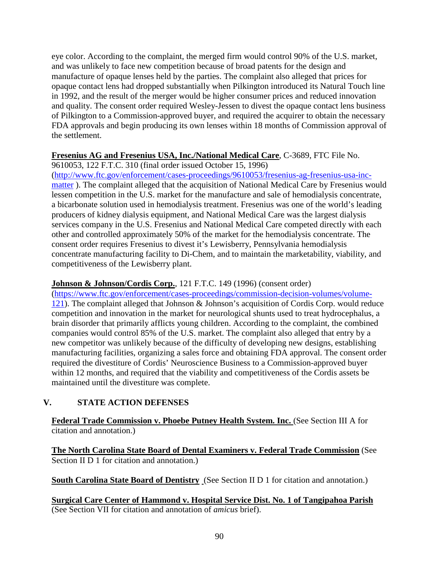eye color. According to the complaint, the merged firm would control 90% of the U.S. market, and was unlikely to face new competition because of broad patents for the design and manufacture of opaque lenses held by the parties. The complaint also alleged that prices for opaque contact lens had dropped substantially when Pilkington introduced its Natural Touch line in 1992, and the result of the merger would be higher consumer prices and reduced innovation and quality. The consent order required Wesley-Jessen to divest the opaque contact lens business of Pilkington to a Commission-approved buyer, and required the acquirer to obtain the necessary FDA approvals and begin producing its own lenses within 18 months of Commission approval of the settlement.

## **Fresenius AG and Fresenius USA, Inc./National Medical Care**, C-3689, FTC File No.

9610053, 122 F.T.C. 310 (final order issued October 15, 1996)

[\(http://www.ftc.gov/enforcement/cases-proceedings/9610053/fresenius-ag-fresenius-usa-inc](http://www.ftc.gov/enforcement/cases-proceedings/9610053/fresenius-ag-fresenius-usa-inc-matter)[matter](http://www.ftc.gov/enforcement/cases-proceedings/9610053/fresenius-ag-fresenius-usa-inc-matter) ). The complaint alleged that the acquisition of National Medical Care by Fresenius would lessen competition in the U.S. market for the manufacture and sale of hemodialysis concentrate, a bicarbonate solution used in hemodialysis treatment. Fresenius was one of the world's leading producers of kidney dialysis equipment, and National Medical Care was the largest dialysis services company in the U.S. Fresenius and National Medical Care competed directly with each other and controlled approximately 50% of the market for the hemodialysis concentrate. The consent order requires Fresenius to divest it's Lewisberry, Pennsylvania hemodialysis concentrate manufacturing facility to Di-Chem, and to maintain the marketability, viability, and competitiveness of the Lewisberry plant.

## **Johnson & Johnson/Cordis Corp.**, 121 F.T.C. 149 (1996) (consent order)

[\(https://www.ftc.gov/enforcement/cases-proceedings/commission-decision-volumes/volume-](https://www.ftc.gov/enforcement/cases-proceedings/commission-decision-volumes/volume-121)[121\)](https://www.ftc.gov/enforcement/cases-proceedings/commission-decision-volumes/volume-121). The complaint alleged that Johnson & Johnson's acquisition of Cordis Corp. would reduce competition and innovation in the market for neurological shunts used to treat hydrocephalus, a brain disorder that primarily afflicts young children. According to the complaint, the combined companies would control 85% of the U.S. market. The complaint also alleged that entry by a new competitor was unlikely because of the difficulty of developing new designs, establishing manufacturing facilities, organizing a sales force and obtaining FDA approval. The consent order required the divestiture of Cordis' Neuroscience Business to a Commission-approved buyer within 12 months, and required that the viability and competitiveness of the Cordis assets be maintained until the divestiture was complete.

# **V. STATE ACTION DEFENSES**

**Federal Trade Commission v. Phoebe Putney Health System. Inc.** (See Section III A for citation and annotation.)

**The North Carolina State Board of Dental Examiners v. Federal Trade Commission** (See Section II D 1 for citation and annotation.)

**South Carolina State Board of Dentistry** (See Section II D 1 for citation and annotation.)

**Surgical Care Center of Hammond v. Hospital Service Dist. No. 1 of Tangipahoa Parish** (See Section VII for citation and annotation of *amicus* brief).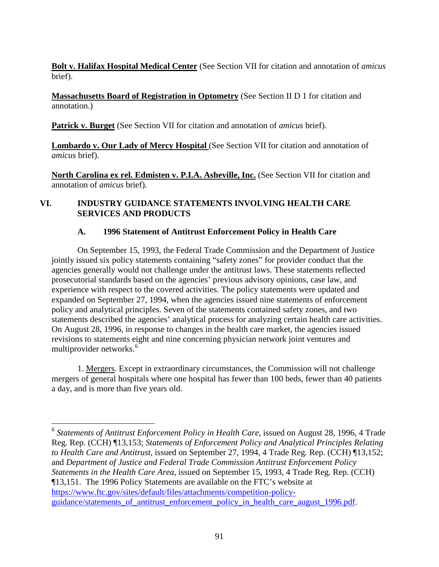**Bolt v. Halifax Hospital Medical Center** (See Section VII for citation and annotation of *amicus* brief).

**Massachusetts Board of Registration in Optometry** (See Section II D 1 for citation and annotation.)

**Patrick v. Burget** (See Section VII for citation and annotation of *amicus* brief).

**Lombardo v. Our Lady of Mercy Hospital** (See Section VII for citation and annotation of *amicus* brief).

**North Carolina ex rel. Edmisten v. P.I.A. Asheville, Inc.** (See Section VII for citation and annotation of *amicus* brief).

## **VI. INDUSTRY GUIDANCE STATEMENTS INVOLVING HEALTH CARE SERVICES AND PRODUCTS**

## **A. 1996 Statement of Antitrust Enforcement Policy in Health Care**

On September 15, 1993, the Federal Trade Commission and the Department of Justice jointly issued six policy statements containing "safety zones" for provider conduct that the agencies generally would not challenge under the antitrust laws. These statements reflected prosecutorial standards based on the agencies' previous advisory opinions, case law, and experience with respect to the covered activities. The policy statements were updated and expanded on September 27, 1994, when the agencies issued nine statements of enforcement policy and analytical principles. Seven of the statements contained safety zones, and two statements described the agencies' analytical process for analyzing certain health care activities. On August 28, 1996, in response to changes in the health care market, the agencies issued revisions to statements eight and nine concerning physician network joint ventures and multiprovider networks.<sup>[6](#page-93-0)</sup>

1. Mergers. Except in extraordinary circumstances, the Commission will not challenge mergers of general hospitals where one hospital has fewer than 100 beds, fewer than 40 patients a day, and is more than five years old.

<span id="page-93-0"></span> 6 *Statements of Antitrust Enforcement Policy in Health Care*, issued on August 28, 1996, 4 Trade Reg. Rep. (CCH) ¶13,153; *Statements of Enforcement Policy and Analytical Principles Relating to Health Care and Antitrust*, issued on September 27, 1994, 4 Trade Reg. Rep. (CCH) ¶13,152; and *Department of Justice and Federal Trade Commission Antitrust Enforcement Policy Statements in the Health Care Area*, issued on September 15, 1993, 4 Trade Reg. Rep. (CCH) ¶13,151. The 1996 Policy Statements are available on the FTC's website at [https://www.ftc.gov/sites/default/files/attachments/competition-policy](https://www.ftc.gov/sites/default/files/attachments/competition-policy-guidance/statements_of_antitrust_enforcement_policy_in_health_care_august_1996.pdf)[guidance/statements\\_of\\_antitrust\\_enforcement\\_policy\\_in\\_health\\_care\\_august\\_1996.pdf.](https://www.ftc.gov/sites/default/files/attachments/competition-policy-guidance/statements_of_antitrust_enforcement_policy_in_health_care_august_1996.pdf)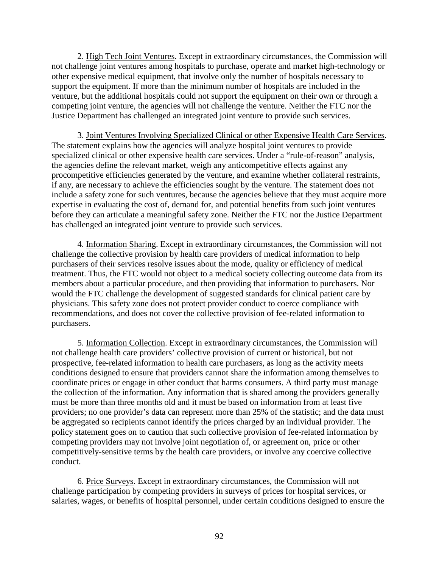2. High Tech Joint Ventures. Except in extraordinary circumstances, the Commission will not challenge joint ventures among hospitals to purchase, operate and market high-technology or other expensive medical equipment, that involve only the number of hospitals necessary to support the equipment. If more than the minimum number of hospitals are included in the venture, but the additional hospitals could not support the equipment on their own or through a competing joint venture, the agencies will not challenge the venture. Neither the FTC nor the Justice Department has challenged an integrated joint venture to provide such services.

3. Joint Ventures Involving Specialized Clinical or other Expensive Health Care Services. The statement explains how the agencies will analyze hospital joint ventures to provide specialized clinical or other expensive health care services. Under a "rule-of-reason" analysis, the agencies define the relevant market, weigh any anticompetitive effects against any procompetitive efficiencies generated by the venture, and examine whether collateral restraints, if any, are necessary to achieve the efficiencies sought by the venture. The statement does not include a safety zone for such ventures, because the agencies believe that they must acquire more expertise in evaluating the cost of, demand for, and potential benefits from such joint ventures before they can articulate a meaningful safety zone. Neither the FTC nor the Justice Department has challenged an integrated joint venture to provide such services.

4. Information Sharing. Except in extraordinary circumstances, the Commission will not challenge the collective provision by health care providers of medical information to help purchasers of their services resolve issues about the mode, quality or efficiency of medical treatment. Thus, the FTC would not object to a medical society collecting outcome data from its members about a particular procedure, and then providing that information to purchasers. Nor would the FTC challenge the development of suggested standards for clinical patient care by physicians. This safety zone does not protect provider conduct to coerce compliance with recommendations, and does not cover the collective provision of fee-related information to purchasers.

5. Information Collection. Except in extraordinary circumstances, the Commission will not challenge health care providers' collective provision of current or historical, but not prospective, fee-related information to health care purchasers, as long as the activity meets conditions designed to ensure that providers cannot share the information among themselves to coordinate prices or engage in other conduct that harms consumers. A third party must manage the collection of the information. Any information that is shared among the providers generally must be more than three months old and it must be based on information from at least five providers; no one provider's data can represent more than 25% of the statistic; and the data must be aggregated so recipients cannot identify the prices charged by an individual provider. The policy statement goes on to caution that such collective provision of fee-related information by competing providers may not involve joint negotiation of, or agreement on, price or other competitively-sensitive terms by the health care providers, or involve any coercive collective conduct.

6. Price Surveys. Except in extraordinary circumstances, the Commission will not challenge participation by competing providers in surveys of prices for hospital services, or salaries, wages, or benefits of hospital personnel, under certain conditions designed to ensure the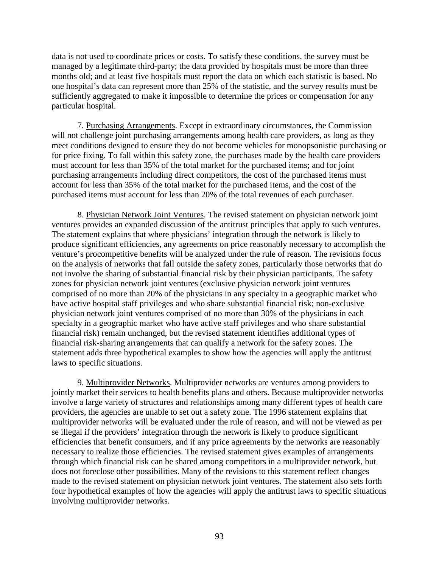data is not used to coordinate prices or costs. To satisfy these conditions, the survey must be managed by a legitimate third-party; the data provided by hospitals must be more than three months old; and at least five hospitals must report the data on which each statistic is based. No one hospital's data can represent more than 25% of the statistic, and the survey results must be sufficiently aggregated to make it impossible to determine the prices or compensation for any particular hospital.

7. Purchasing Arrangements. Except in extraordinary circumstances, the Commission will not challenge joint purchasing arrangements among health care providers, as long as they meet conditions designed to ensure they do not become vehicles for monopsonistic purchasing or for price fixing. To fall within this safety zone, the purchases made by the health care providers must account for less than 35% of the total market for the purchased items; and for joint purchasing arrangements including direct competitors, the cost of the purchased items must account for less than 35% of the total market for the purchased items, and the cost of the purchased items must account for less than 20% of the total revenues of each purchaser.

8. Physician Network Joint Ventures. The revised statement on physician network joint ventures provides an expanded discussion of the antitrust principles that apply to such ventures. The statement explains that where physicians' integration through the network is likely to produce significant efficiencies, any agreements on price reasonably necessary to accomplish the venture's procompetitive benefits will be analyzed under the rule of reason. The revisions focus on the analysis of networks that fall outside the safety zones, particularly those networks that do not involve the sharing of substantial financial risk by their physician participants. The safety zones for physician network joint ventures (exclusive physician network joint ventures comprised of no more than 20% of the physicians in any specialty in a geographic market who have active hospital staff privileges and who share substantial financial risk; non-exclusive physician network joint ventures comprised of no more than 30% of the physicians in each specialty in a geographic market who have active staff privileges and who share substantial financial risk) remain unchanged, but the revised statement identifies additional types of financial risk-sharing arrangements that can qualify a network for the safety zones. The statement adds three hypothetical examples to show how the agencies will apply the antitrust laws to specific situations.

9. Multiprovider Networks. Multiprovider networks are ventures among providers to jointly market their services to health benefits plans and others. Because multiprovider networks involve a large variety of structures and relationships among many different types of health care providers, the agencies are unable to set out a safety zone. The 1996 statement explains that multiprovider networks will be evaluated under the rule of reason, and will not be viewed as per se illegal if the providers' integration through the network is likely to produce significant efficiencies that benefit consumers, and if any price agreements by the networks are reasonably necessary to realize those efficiencies. The revised statement gives examples of arrangements through which financial risk can be shared among competitors in a multiprovider network, but does not foreclose other possibilities. Many of the revisions to this statement reflect changes made to the revised statement on physician network joint ventures. The statement also sets forth four hypothetical examples of how the agencies will apply the antitrust laws to specific situations involving multiprovider networks.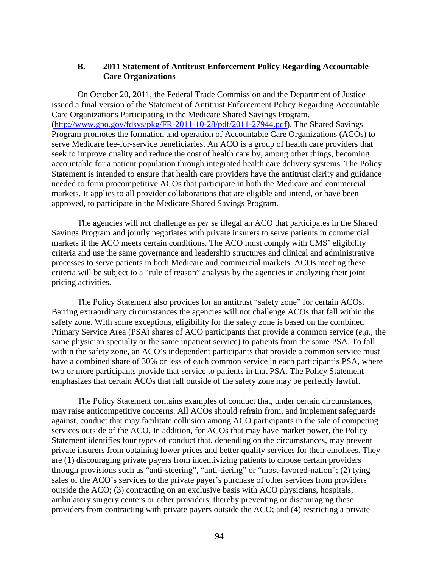#### **B. 2011 Statement of Antitrust Enforcement Policy Regarding Accountable Care Organizations**

On October 20, 2011, the Federal Trade Commission and the Department of Justice issued a final version of the Statement of Antitrust Enforcement Policy Regarding Accountable Care Organizations Participating in the Medicare Shared Savings Program. [\(http://www.gpo.gov/fdsys/pkg/FR-2011-10-28/pdf/2011-27944.pdf\)](http://www.gpo.gov/fdsys/pkg/FR-2011-10-28/pdf/2011-27944.pdf). The Shared Savings Program promotes the formation and operation of Accountable Care Organizations (ACOs) to serve Medicare fee-for-service beneficiaries. An ACO is a group of health care providers that seek to improve quality and reduce the cost of health care by, among other things, becoming accountable for a patient population through integrated health care delivery systems. The Policy Statement is intended to ensure that health care providers have the antitrust clarity and guidance needed to form procompetitive ACOs that participate in both the Medicare and commercial markets. It applies to all provider collaborations that are eligible and intend, or have been approved, to participate in the Medicare Shared Savings Program.

The agencies will not challenge as *per se* illegal an ACO that participates in the Shared Savings Program and jointly negotiates with private insurers to serve patients in commercial markets if the ACO meets certain conditions. The ACO must comply with CMS' eligibility criteria and use the same governance and leadership structures and clinical and administrative processes to serve patients in both Medicare and commercial markets. ACOs meeting these criteria will be subject to a "rule of reason" analysis by the agencies in analyzing their joint pricing activities.

The Policy Statement also provides for an antitrust "safety zone" for certain ACOs. Barring extraordinary circumstances the agencies will not challenge ACOs that fall within the safety zone. With some exceptions, eligibility for the safety zone is based on the combined Primary Service Area (PSA) shares of ACO participants that provide a common service (*e.g.*, the same physician specialty or the same inpatient service) to patients from the same PSA. To fall within the safety zone, an ACO's independent participants that provide a common service must have a combined share of 30% or less of each common service in each participant's PSA, where two or more participants provide that service to patients in that PSA. The Policy Statement emphasizes that certain ACOs that fall outside of the safety zone may be perfectly lawful.

The Policy Statement contains examples of conduct that, under certain circumstances, may raise anticompetitive concerns. All ACOs should refrain from, and implement safeguards against, conduct that may facilitate collusion among ACO participants in the sale of competing services outside of the ACO. In addition, for ACOs that may have market power, the Policy Statement identifies four types of conduct that, depending on the circumstances, may prevent private insurers from obtaining lower prices and better quality services for their enrollees. They are (1) discouraging private payers from incentivizing patients to choose certain providers through provisions such as "anti-steering", "anti-tiering" or "most-favored-nation"; (2) tying sales of the ACO's services to the private payer's purchase of other services from providers outside the ACO; (3) contracting on an exclusive basis with ACO physicians, hospitals, ambulatory surgery centers or other providers, thereby preventing or discouraging these providers from contracting with private payers outside the ACO; and (4) restricting a private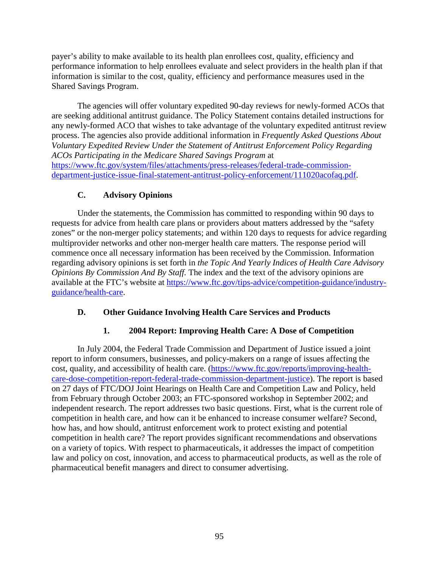payer's ability to make available to its health plan enrollees cost, quality, efficiency and performance information to help enrollees evaluate and select providers in the health plan if that information is similar to the cost, quality, efficiency and performance measures used in the Shared Savings Program.

The agencies will offer voluntary expedited 90-day reviews for newly-formed ACOs that are seeking additional antitrust guidance. The Policy Statement contains detailed instructions for any newly-formed ACO that wishes to take advantage of the voluntary expedited antitrust review process. The agencies also provide additional information in *Frequently Asked Questions About Voluntary Expedited Review Under the Statement of Antitrust Enforcement Policy Regarding ACOs Participating in the Medicare Shared Savings Program* at [https://www.ftc.gov/system/files/attachments/press-releases/federal-trade-commission](https://www.ftc.gov/system/files/attachments/press-releases/federal-trade-commission-department-justice-issue-final-statement-antitrust-policy-enforcement/111020acofaq.pdf)[department-justice-issue-final-statement-antitrust-policy-enforcement/111020acofaq.pdf.](https://www.ftc.gov/system/files/attachments/press-releases/federal-trade-commission-department-justice-issue-final-statement-antitrust-policy-enforcement/111020acofaq.pdf)

## **C. Advisory Opinions**

Under the statements, the Commission has committed to responding within 90 days to requests for advice from health care plans or providers about matters addressed by the "safety zones" or the non-merger policy statements; and within 120 days to requests for advice regarding multiprovider networks and other non-merger health care matters. The response period will commence once all necessary information has been received by the Commission. Information regarding advisory opinions is set forth in *the Topic And Yearly Indices of Health Care Advisory Opinions By Commission And By Staff.* The index and the text of the advisory opinions are available at the FTC's website at [https://www.ftc.gov/tips-advice/competition-guidance/industry](https://www.ftc.gov/tips-advice/competition-guidance/industry-guidance/health-care)[guidance/health-care.](https://www.ftc.gov/tips-advice/competition-guidance/industry-guidance/health-care)

## **D. Other Guidance Involving Health Care Services and Products**

## **1. 2004 Report: Improving Health Care: A Dose of Competition**

In July 2004, the Federal Trade Commission and Department of Justice issued a joint report to inform consumers, businesses, and policy-makers on a range of issues affecting the cost, quality, and accessibility of health care. [\(https://www.ftc.gov/reports/improving-health](https://www.ftc.gov/reports/improving-health-care-dose-competition-report-federal-trade-commission-department-justice)[care-dose-competition-report-federal-trade-commission-department-justice\)](https://www.ftc.gov/reports/improving-health-care-dose-competition-report-federal-trade-commission-department-justice). The report is based on 27 days of FTC/DOJ Joint Hearings on Health Care and Competition Law and Policy, held from February through October 2003; an FTC-sponsored workshop in September 2002; and independent research. The report addresses two basic questions. First, what is the current role of competition in health care, and how can it be enhanced to increase consumer welfare? Second, how has, and how should, antitrust enforcement work to protect existing and potential competition in health care? The report provides significant recommendations and observations on a variety of topics. With respect to pharmaceuticals, it addresses the impact of competition law and policy on cost, innovation, and access to pharmaceutical products, as well as the role of pharmaceutical benefit managers and direct to consumer advertising.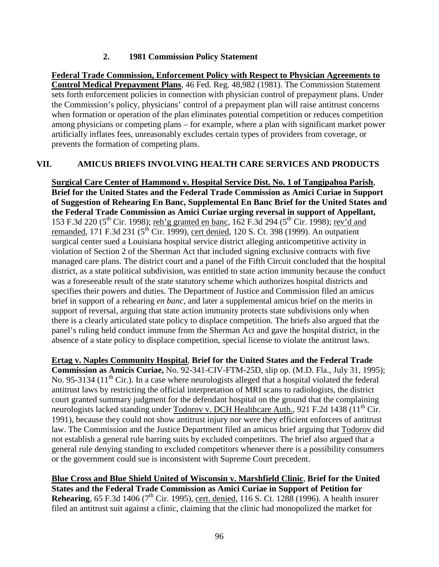## **2. 1981 Commission Policy Statement**

**Federal Trade Commission, Enforcement Policy with Respect to Physician Agreements to Control Medical Prepayment Plans**, 46 Fed. Reg. 48,982 (1981). The Commission Statement sets forth enforcement policies in connection with physician control of prepayment plans. Under the Commission's policy, physicians' control of a prepayment plan will raise antitrust concerns when formation or operation of the plan eliminates potential competition or reduces competition among physicians or competing plans – for example, where a plan with significant market power artificially inflates fees, unreasonably excludes certain types of providers from coverage, or prevents the formation of competing plans.

## **VII. AMICUS BRIEFS INVOLVING HEALTH CARE SERVICES AND PRODUCTS**

**Surgical Care Center of Hammond v. Hospital Service Dist. No. 1 of Tangipahoa Parish**, **Brief for the United States and the Federal Trade Commission as Amici Curiae in Support of Suggestion of Rehearing En Banc, Supplemental En Banc Brief for the United States and the Federal Trade Commission as Amici Curiae urging reversal in support of Appellant,**  153 F.3d 220 (5<sup>th</sup> Cir. 1998); reh'g granted en banc, 162 F.3d 294 (5<sup>th</sup> Cir. 1998); rev'd and remanded, 171 F.3d 231 ( $5^{th}$  Cir. 1999), cert denied, 120 S. Ct. 398 (1999). An outpatient surgical center sued a Louisiana hospital service district alleging anticompetitive activity in violation of Section 2 of the Sherman Act that included signing exclusive contracts with five managed care plans. The district court and a panel of the Fifth Circuit concluded that the hospital district, as a state political subdivision, was entitled to state action immunity because the conduct was a foreseeable result of the state statutory scheme which authorizes hospital districts and specifies their powers and duties. The Department of Justice and Commission filed an amicus brief in support of a rehearing *en banc*, and later a supplemental amicus brief on the merits in support of reversal, arguing that state action immunity protects state subdivisions only when there is a clearly articulated state policy to displace competition. The briefs also argued that the panel's ruling held conduct immune from the Sherman Act and gave the hospital district, in the absence of a state policy to displace competition, special license to violate the antitrust laws.

**Ertag v. Naples Community Hospital**, **Brief for the United States and the Federal Trade Commission as Amicis Curiae,** No. 92-341-CIV-FTM-25D, slip op. (M.D. Fla., July 31, 1995); No. 95-3134 (11<sup>th</sup> Cir.). In a case where neurologists alleged that a hospital violated the federal antitrust laws by restricting the official interpretation of MRI scans to radiologists, the district court granted summary judgment for the defendant hospital on the ground that the complaining neurologists lacked standing under Todorov v. DCH Healthcare Auth., 921 F.2d 1438 (11<sup>th</sup> Cir. 1991), because they could not show antitrust injury nor were they efficient enforcers of antitrust law. The Commission and the Justice Department filed an amicus brief arguing that Todorov did not establish a general rule barring suits by excluded competitors. The brief also argued that a general rule denying standing to excluded competitors whenever there is a possibility consumers or the government could sue is inconsistent with Supreme Court precedent.

**Blue Cross and Blue Shield United of Wisconsin v. Marshfield Clinic**, **Brief for the United States and the Federal Trade Commission as Amici Curiae in Support of Petition for Rehearing**, 65 F.3d 1406 (7<sup>th</sup> Cir. 1995), cert. denied, 116 S. Ct. 1288 (1996). A health insurer filed an antitrust suit against a clinic, claiming that the clinic had monopolized the market for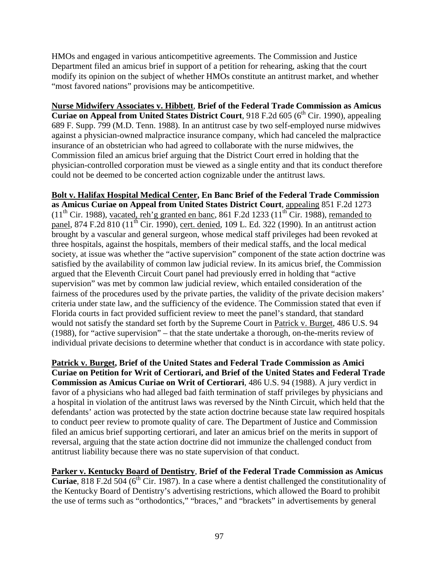HMOs and engaged in various anticompetitive agreements. The Commission and Justice Department filed an amicus brief in support of a petition for rehearing, asking that the court modify its opinion on the subject of whether HMOs constitute an antitrust market, and whether "most favored nations" provisions may be anticompetitive.

**Nurse Midwifery Associates v. Hibbett**, **Brief of the Federal Trade Commission as Amicus Curiae on Appeal from United States District Court**, 918 F.2d 605 (6<sup>th</sup> Cir. 1990), appealing 689 F. Supp. 799 (M.D. Tenn. 1988). In an antitrust case by two self-employed nurse midwives against a physician-owned malpractice insurance company, which had canceled the malpractice insurance of an obstetrician who had agreed to collaborate with the nurse midwives, the Commission filed an amicus brief arguing that the District Court erred in holding that the physician-controlled corporation must be viewed as a single entity and that its conduct therefore could not be deemed to be concerted action cognizable under the antitrust laws.

**Bolt v. Halifax Hospital Medical Center, En Banc Brief of the Federal Trade Commission as Amicus Curiae on Appeal from United States District Court**, appealing 851 F.2d 1273  $(11<sup>th</sup> Cir. 1988)$ , vacated, reh'g granted en banc, 861 F.2d 1233  $(11<sup>th</sup> Cir. 1988)$ , remanded to panel, 874 F.2d 810 (11<sup>th</sup> Cir. 1990), cert. denied, 109 L. Ed. 322 (1990). In an antitrust action brought by a vascular and general surgeon, whose medical staff privileges had been revoked at three hospitals, against the hospitals, members of their medical staffs, and the local medical society, at issue was whether the "active supervision" component of the state action doctrine was satisfied by the availability of common law judicial review. In its amicus brief, the Commission argued that the Eleventh Circuit Court panel had previously erred in holding that "active supervision" was met by common law judicial review, which entailed consideration of the fairness of the procedures used by the private parties, the validity of the private decision makers' criteria under state law, and the sufficiency of the evidence. The Commission stated that even if Florida courts in fact provided sufficient review to meet the panel's standard, that standard would not satisfy the standard set forth by the Supreme Court in Patrick v. Burget, 486 U.S. 94 (1988), for "active supervision" – that the state undertake a thorough, on-the-merits review of individual private decisions to determine whether that conduct is in accordance with state policy.

**Patrick v. Burget, Brief of the United States and Federal Trade Commission as Amici Curiae on Petition for Writ of Certiorari, and Brief of the United States and Federal Trade Commission as Amicus Curiae on Writ of Certiorari**, 486 U.S. 94 (1988). A jury verdict in favor of a physicians who had alleged bad faith termination of staff privileges by physicians and a hospital in violation of the antitrust laws was reversed by the Ninth Circuit, which held that the defendants' action was protected by the state action doctrine because state law required hospitals to conduct peer review to promote quality of care. The Department of Justice and Commission filed an amicus brief supporting certiorari, and later an amicus brief on the merits in support of reversal, arguing that the state action doctrine did not immunize the challenged conduct from antitrust liability because there was no state supervision of that conduct.

**Parker v. Kentucky Board of Dentistry**, **Brief of the Federal Trade Commission as Amicus Curiae**, 818 F.2d 504 (6<sup>th</sup> Cir. 1987). In a case where a dentist challenged the constitutionality of the Kentucky Board of Dentistry's advertising restrictions, which allowed the Board to prohibit the use of terms such as "orthodontics," "braces," and "brackets" in advertisements by general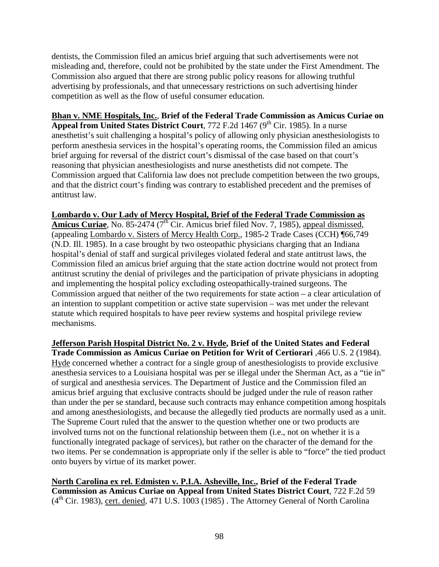dentists, the Commission filed an amicus brief arguing that such advertisements were not misleading and, therefore, could not be prohibited by the state under the First Amendment. The Commission also argued that there are strong public policy reasons for allowing truthful advertising by professionals, and that unnecessary restrictions on such advertising hinder competition as well as the flow of useful consumer education.

**Bhan v. NME Hospitals, Inc.**, **Brief of the Federal Trade Commission as Amicus Curiae on Appeal from United States District Court**, 772 F.2d 1467 (9<sup>th</sup> Cir. 1985). In a nurse anesthetist's suit challenging a hospital's policy of allowing only physician anesthesiologists to perform anesthesia services in the hospital's operating rooms, the Commission filed an amicus brief arguing for reversal of the district court's dismissal of the case based on that court's reasoning that physician anesthesiologists and nurse anesthetists did not compete. The Commission argued that California law does not preclude competition between the two groups, and that the district court's finding was contrary to established precedent and the premises of antitrust law.

### **Lombardo v. Our Lady of Mercy Hospital, Brief of the Federal Trade Commission as**

Amicus Curiae, No. 85-2474 (7<sup>th</sup> Cir. Amicus brief filed Nov. 7, 1985), appeal dismissed, (appealing Lombardo v. Sisters of Mercy Health Corp., 1985-2 Trade Cases (CCH) ¶66,749 (N.D. Ill. 1985). In a case brought by two osteopathic physicians charging that an Indiana hospital's denial of staff and surgical privileges violated federal and state antitrust laws, the Commission filed an amicus brief arguing that the state action doctrine would not protect from antitrust scrutiny the denial of privileges and the participation of private physicians in adopting and implementing the hospital policy excluding osteopathically-trained surgeons. The Commission argued that neither of the two requirements for state action – a clear articulation of an intention to supplant competition or active state supervision – was met under the relevant statute which required hospitals to have peer review systems and hospital privilege review mechanisms.

**Jefferson Parish Hospital District No. 2 v. Hyde, Brief of the United States and Federal Trade Commission as Amicus Curiae on Petition for Writ of Certiorari** ,466 U.S. 2 (1984). Hyde concerned whether a contract for a single group of anesthesiologists to provide exclusive anesthesia services to a Louisiana hospital was per se illegal under the Sherman Act, as a "tie in" of surgical and anesthesia services. The Department of Justice and the Commission filed an amicus brief arguing that exclusive contracts should be judged under the rule of reason rather than under the per se standard, because such contracts may enhance competition among hospitals and among anesthesiologists, and because the allegedly tied products are normally used as a unit. The Supreme Court ruled that the answer to the question whether one or two products are involved turns not on the functional relationship between them (i.e., not on whether it is a functionally integrated package of services), but rather on the character of the demand for the two items. Per se condemnation is appropriate only if the seller is able to "force" the tied product onto buyers by virtue of its market power.

**North Carolina ex rel. Edmisten v. P.I.A. Asheville, Inc., Brief of the Federal Trade Commission as Amicus Curiae on Appeal from United States District Court**, 722 F.2d 59  $(4<sup>th</sup> Cir. 1983)$ , cert. denied, 471 U.S. 1003 (1985). The Attorney General of North Carolina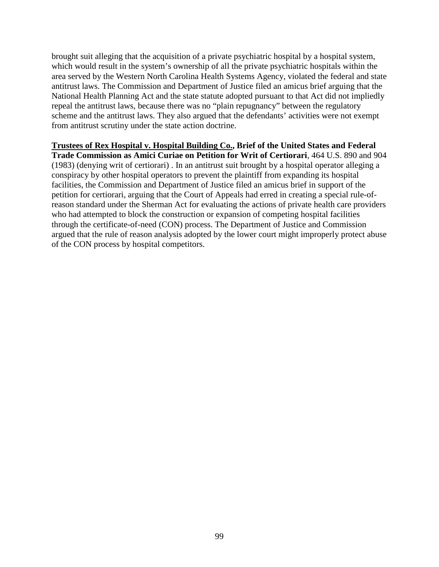brought suit alleging that the acquisition of a private psychiatric hospital by a hospital system, which would result in the system's ownership of all the private psychiatric hospitals within the area served by the Western North Carolina Health Systems Agency, violated the federal and state antitrust laws. The Commission and Department of Justice filed an amicus brief arguing that the National Health Planning Act and the state statute adopted pursuant to that Act did not impliedly repeal the antitrust laws, because there was no "plain repugnancy" between the regulatory scheme and the antitrust laws. They also argued that the defendants' activities were not exempt from antitrust scrutiny under the state action doctrine.

# **Trustees of Rex Hospital v. Hospital Building Co., Brief of the United States and Federal**

**Trade Commission as Amici Curiae on Petition for Writ of Certiorari**, 464 U.S. 890 and 904 (1983) (denying writ of certiorari) . In an antitrust suit brought by a hospital operator alleging a conspiracy by other hospital operators to prevent the plaintiff from expanding its hospital facilities, the Commission and Department of Justice filed an amicus brief in support of the petition for certiorari, arguing that the Court of Appeals had erred in creating a special rule-ofreason standard under the Sherman Act for evaluating the actions of private health care providers who had attempted to block the construction or expansion of competing hospital facilities through the certificate-of-need (CON) process. The Department of Justice and Commission argued that the rule of reason analysis adopted by the lower court might improperly protect abuse of the CON process by hospital competitors.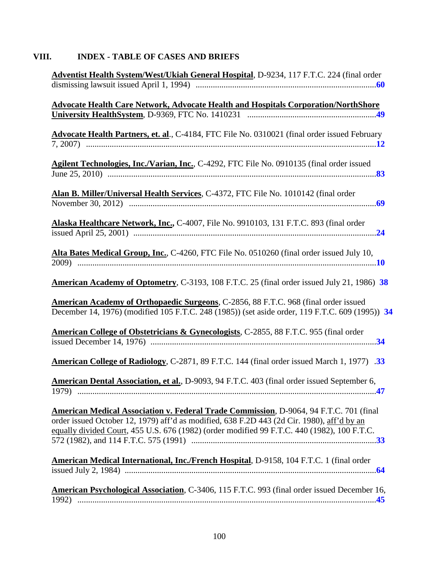# **VIII. INDEX - TABLE OF CASES AND BRIEFS**

| Adventist Health System/West/Ukiah General Hospital, D-9234, 117 F.T.C. 224 (final order                                                                                                                                                                                            |
|-------------------------------------------------------------------------------------------------------------------------------------------------------------------------------------------------------------------------------------------------------------------------------------|
|                                                                                                                                                                                                                                                                                     |
| <b>Advocate Health Care Network, Advocate Health and Hospitals Corporation/NorthShore</b>                                                                                                                                                                                           |
|                                                                                                                                                                                                                                                                                     |
| Advocate Health Partners, et. al., C-4184, FTC File No. 0310021 (final order issued February                                                                                                                                                                                        |
| Agilent Technologies, Inc./Varian, Inc., C-4292, FTC File No. 0910135 (final order issued                                                                                                                                                                                           |
| Alan B. Miller/Universal Health Services, C-4372, FTC File No. 1010142 (final order                                                                                                                                                                                                 |
| Alaska Healthcare Network, Inc., C-4007, File No. 9910103, 131 F.T.C. 893 (final order                                                                                                                                                                                              |
| Alta Bates Medical Group, Inc., C-4260, FTC File No. 0510260 (final order issued July 10,                                                                                                                                                                                           |
| American Academy of Optometry, C-3193, 108 F.T.C. 25 (final order issued July 21, 1986) 38                                                                                                                                                                                          |
| American Academy of Orthopaedic Surgeons, C-2856, 88 F.T.C. 968 (final order issued<br>December 14, 1976) (modified 105 F.T.C. 248 (1985)) (set aside order, 119 F.T.C. 609 (1995)) 34                                                                                              |
| American College of Obstetricians & Gynecologists, C-2855, 88 F.T.C. 955 (final order                                                                                                                                                                                               |
| American College of Radiology, C-2871, 89 F.T.C. 144 (final order issued March 1, 1977) .33                                                                                                                                                                                         |
| American Dental Association, et al., D-9093, 94 F.T.C. 403 (final order issued September 6,                                                                                                                                                                                         |
| American Medical Association v. Federal Trade Commission, D-9064, 94 F.T.C. 701 (final<br>order issued October 12, 1979) aff'd as modified, 638 F.2D 443 (2d Cir. 1980), aff'd by an<br>equally divided Court, 455 U.S. 676 (1982) (order modified 99 F.T.C. 440 (1982), 100 F.T.C. |
| American Medical International, Inc./French Hospital, D-9158, 104 F.T.C. 1 (final order                                                                                                                                                                                             |
| American Psychological Association, C-3406, 115 F.T.C. 993 (final order issued December 16,                                                                                                                                                                                         |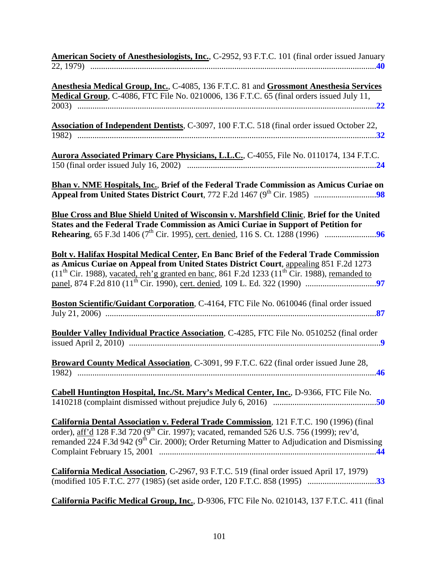| American Society of Anesthesiologists, Inc., C-2952, 93 F.T.C. 101 (final order issued January |  |  |  |
|------------------------------------------------------------------------------------------------|--|--|--|
|                                                                                                |  |  |  |

| Anesthesia Medical Group, Inc., C-4085, 136 F.T.C. 81 and Grossmont Anesthesia Services                                                                                                                                                                                                               |
|-------------------------------------------------------------------------------------------------------------------------------------------------------------------------------------------------------------------------------------------------------------------------------------------------------|
| Medical Group, C-4086, FTC File No. 0210006, 136 F.T.C. 65 (final orders issued July 11,                                                                                                                                                                                                              |
|                                                                                                                                                                                                                                                                                                       |
| Association of Independent Dentists, C-3097, 100 F.T.C. 518 (final order issued October 22,                                                                                                                                                                                                           |
| Aurora Associated Primary Care Physicians, L.L.C., C-4055, File No. 0110174, 134 F.T.C.                                                                                                                                                                                                               |
| <b>Bhan v. NME Hospitals, Inc., Brief of the Federal Trade Commission as Amicus Curiae on</b>                                                                                                                                                                                                         |
| Blue Cross and Blue Shield United of Wisconsin v. Marshfield Clinic, Brief for the United<br>States and the Federal Trade Commission as Amici Curiae in Support of Petition for                                                                                                                       |
| <b>Bolt v. Halifax Hospital Medical Center, En Banc Brief of the Federal Trade Commission</b><br>as Amicus Curiae on Appeal from United States District Court, appealing 851 F.2d 1273<br>$(11th$ Cir. 1988), vacated, reh'g granted en banc, 861 F.2d 1233 (11 <sup>th</sup> Cir. 1988), remanded to |
| Boston Scientific/Guidant Corporation, C-4164, FTC File No. 0610046 (final order issued                                                                                                                                                                                                               |
| Boulder Valley Individual Practice Association, C-4285, FTC File No. 0510252 (final order                                                                                                                                                                                                             |
| Broward County Medical Association, C-3091, 99 F.T.C. 622 (final order issued June 28,                                                                                                                                                                                                                |
| Cabell Huntington Hospital, Inc./St. Mary's Medical Center, Inc., D-9366, FTC File No.                                                                                                                                                                                                                |
| California Dental Association v. Federal Trade Commission, 121 F.T.C. 190 (1996) (final<br>order), aff'd 128 F.3d 720 (9 <sup>th</sup> Cir. 1997); vacated, remanded 526 U.S. 756 (1999); rev'd,<br>remanded 224 F.3d 942 ( $9th$ Cir. 2000); Order Returning Matter to Adjudication and Dismissing   |
| California Medical Association, C-2967, 93 F.T.C. 519 (final order issued April 17, 1979)                                                                                                                                                                                                             |
| California Pacific Medical Group, Inc., D-9306, FTC File No. 0210143, 137 F.T.C. 411 (final                                                                                                                                                                                                           |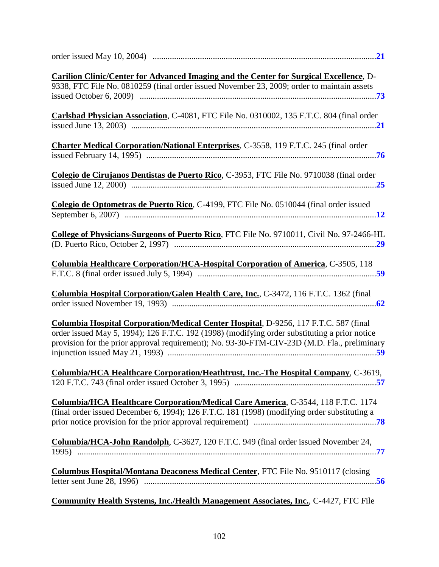| Carilion Clinic/Center for Advanced Imaging and the Center for Surgical Excellence, D-<br>9338, FTC File No. 0810259 (final order issued November 23, 2009; order to maintain assets                                                                                                  |
|---------------------------------------------------------------------------------------------------------------------------------------------------------------------------------------------------------------------------------------------------------------------------------------|
| Carlsbad Physician Association, C-4081, FTC File No. 0310002, 135 F.T.C. 804 (final order                                                                                                                                                                                             |
| Charter Medical Corporation/National Enterprises, C-3558, 119 F.T.C. 245 (final order                                                                                                                                                                                                 |
| Colegio de Cirujanos Dentistas de Puerto Rico, C-3953, FTC File No. 9710038 (final order                                                                                                                                                                                              |
| Colegio de Optometras de Puerto Rico, C-4199, FTC File No. 0510044 (final order issued                                                                                                                                                                                                |
| College of Physicians-Surgeons of Puerto Rico, FTC File No. 9710011, Civil No. 97-2466-HL                                                                                                                                                                                             |
| <b>Columbia Healthcare Corporation/HCA-Hospital Corporation of America, C-3505, 118</b>                                                                                                                                                                                               |
| Columbia Hospital Corporation/Galen Health Care, Inc., C-3472, 116 F.T.C. 1362 (final                                                                                                                                                                                                 |
| Columbia Hospital Corporation/Medical Center Hospital, D-9256, 117 F.T.C. 587 (final<br>order issued May 5, 1994); 126 F.T.C. 192 (1998) (modifying order substituting a prior notice<br>provision for the prior approval requirement); No. 93-30-FTM-CIV-23D (M.D. Fla., preliminary |
| Columbia/HCA Healthcare Corporation/Heathtrust, Inc.-The Hospital Company, C-3619,                                                                                                                                                                                                    |
| <b>Columbia/HCA Healthcare Corporation/Medical Care America, C-3544, 118 F.T.C. 1174</b><br>(final order issued December 6, 1994); 126 F.T.C. 181 (1998) (modifying order substituting a                                                                                              |
| Columbia/HCA-John Randolph, C-3627, 120 F.T.C. 949 (final order issued November 24,                                                                                                                                                                                                   |
| <b>Columbus Hospital/Montana Deaconess Medical Center, FTC File No. 9510117 (closing</b>                                                                                                                                                                                              |

# **Community Health Systems, Inc./Health Management Associates, Inc.**, C-4427, FTC File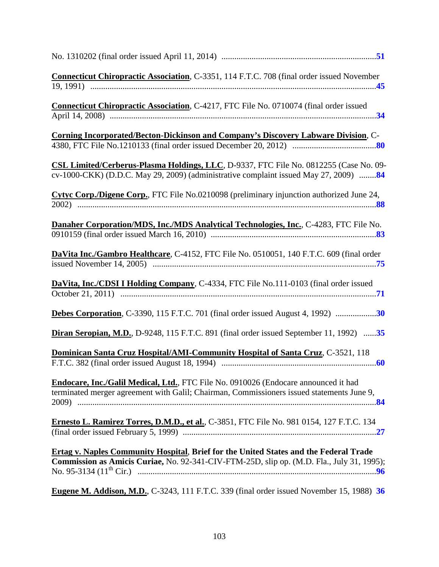| Connecticut Chiropractic Association, C-3351, 114 F.T.C. 708 (final order issued November                                                                                                 |  |
|-------------------------------------------------------------------------------------------------------------------------------------------------------------------------------------------|--|
| Connecticut Chiropractic Association, C-4217, FTC File No. 0710074 (final order issued                                                                                                    |  |
| <b>Corning Incorporated/Becton-Dickinson and Company's Discovery Labware Division, C-</b>                                                                                                 |  |
| CSL Limited/Cerberus-Plasma Holdings, LLC, D-9337, FTC File No. 0812255 (Case No. 09-<br>cv-1000-CKK) (D.D.C. May 29, 2009) (administrative complaint issued May 27, 2009) 84             |  |
| Cytyc Corp./Digene Corp., FTC File No.0210098 (preliminary injunction authorized June 24,                                                                                                 |  |
| Danaher Corporation/MDS, Inc./MDS Analytical Technologies, Inc., C-4283, FTC File No.                                                                                                     |  |
| DaVita Inc./Gambro Healthcare, C-4152, FTC File No. 0510051, 140 F.T.C. 609 (final order                                                                                                  |  |
| DaVita, Inc./CDSI I Holding Company, C-4334, FTC File No.111-0103 (final order issued                                                                                                     |  |
| Debes Corporation, C-3390, 115 F.T.C. 701 (final order issued August 4, 1992) 30                                                                                                          |  |
| Diran Seropian, M.D., D-9248, 115 F.T.C. 891 (final order issued September 11, 1992) 35                                                                                                   |  |
| Dominican Santa Cruz Hospital/AMI-Community Hospital of Santa Cruz, C-3521, 118                                                                                                           |  |
| Endocare, Inc./Galil Medical, Ltd., FTC File No. 0910026 (Endocare announced it had<br>terminated merger agreement with Galil; Chairman, Commissioners issued statements June 9,          |  |
| Ernesto L. Ramirez Torres, D.M.D., et al., C-3851, FTC File No. 981 0154, 127 F.T.C. 134                                                                                                  |  |
| <b>Ertag v. Naples Community Hospital, Brief for the United States and the Federal Trade</b><br>Commission as Amicis Curiae, No. 92-341-CIV-FTM-25D, slip op. (M.D. Fla., July 31, 1995); |  |
| Eugene M. Addison, M.D., C-3243, 111 F.T.C. 339 (final order issued November 15, 1988) 36                                                                                                 |  |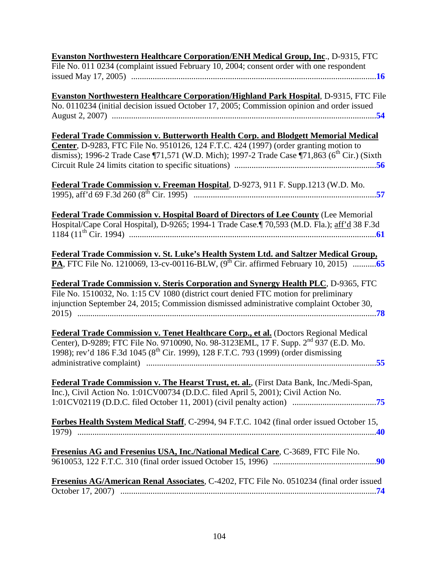| <b>Evanston Northwestern Healthcare Corporation/ENH Medical Group, Inc., D-9315, FTC</b>                                                                                                                                                                                                    |
|---------------------------------------------------------------------------------------------------------------------------------------------------------------------------------------------------------------------------------------------------------------------------------------------|
| File No. 011 0234 (complaint issued February 10, 2004; consent order with one respondent                                                                                                                                                                                                    |
|                                                                                                                                                                                                                                                                                             |
| <b>Evanston Northwestern Healthcare Corporation/Highland Park Hospital, D-9315, FTC File</b><br>No. 0110234 (initial decision issued October 17, 2005; Commission opinion and order issued                                                                                                  |
| Federal Trade Commission v. Butterworth Health Corp. and Blodgett Memorial Medical                                                                                                                                                                                                          |
| Center, D-9283, FTC File No. 9510126, 124 F.T.C. 424 (1997) (order granting motion to                                                                                                                                                                                                       |
| dismiss); 1996-2 Trade Case ¶71,571 (W.D. Mich); 1997-2 Trade Case ¶71,863 (6 <sup>th</sup> Cir.) (Sixth                                                                                                                                                                                    |
|                                                                                                                                                                                                                                                                                             |
|                                                                                                                                                                                                                                                                                             |
| Federal Trade Commission v. Freeman Hospital, D-9273, 911 F. Supp.1213 (W.D. Mo.                                                                                                                                                                                                            |
|                                                                                                                                                                                                                                                                                             |
| <b>Federal Trade Commission v. Hospital Board of Directors of Lee County (Lee Memorial</b><br>Hospital/Cape Coral Hospital), D-9265; 1994-1 Trade Case.¶ 70,593 (M.D. Fla.); aff'd 38 F.3d                                                                                                  |
| Federal Trade Commission v. St. Luke's Health System Ltd. and Saltzer Medical Group,                                                                                                                                                                                                        |
|                                                                                                                                                                                                                                                                                             |
|                                                                                                                                                                                                                                                                                             |
| <b>Federal Trade Commission v. Steris Corporation and Synergy Health PLC, D-9365, FTC</b><br>File No. 1510032, No. 1:15 CV 1080 (district court denied FTC motion for preliminary                                                                                                           |
| injunction September 24, 2015; Commission dismissed administrative complaint October 30,                                                                                                                                                                                                    |
|                                                                                                                                                                                                                                                                                             |
| Federal Trade Commission v. Tenet Healthcare Corp., et al. (Doctors Regional Medical<br>Center), D-9289; FTC File No. 9710090, No. 98-3123EML, 17 F. Supp. 2 <sup>nd</sup> 937 (E.D. Mo.<br>1998); rev'd 186 F.3d 1045 (8 <sup>th</sup> Cir. 1999), 128 F.T.C. 793 (1999) (order dismissing |
| Federal Trade Commission v. The Hearst Trust, et. al., (First Data Bank, Inc./Medi-Span,                                                                                                                                                                                                    |
| Inc.), Civil Action No. 1:01CV00734 (D.D.C. filed April 5, 2001); Civil Action No.                                                                                                                                                                                                          |
|                                                                                                                                                                                                                                                                                             |
|                                                                                                                                                                                                                                                                                             |
| Forbes Health System Medical Staff, C-2994, 94 F.T.C. 1042 (final order issued October 15,                                                                                                                                                                                                  |
| Fresenius AG and Fresenius USA, Inc./National Medical Care, C-3689, FTC File No.                                                                                                                                                                                                            |
|                                                                                                                                                                                                                                                                                             |
| Fresenius AG/American Renal Associates, C-4202, FTC File No. 0510234 (final order issued                                                                                                                                                                                                    |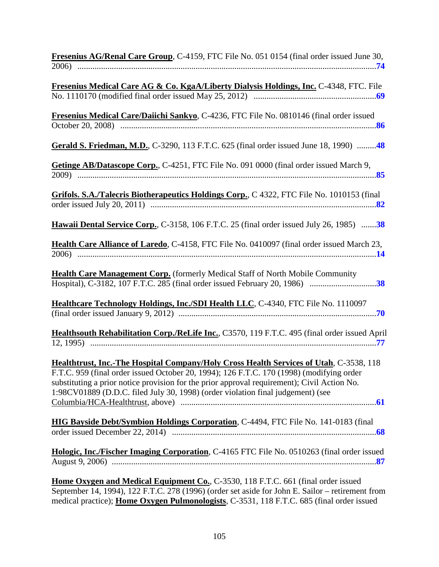| Fresenius AG/Renal Care Group, C-4159, FTC File No. 051 0154 (final order issued June 30,                                                                                                                                                                                                                                                                                   |
|-----------------------------------------------------------------------------------------------------------------------------------------------------------------------------------------------------------------------------------------------------------------------------------------------------------------------------------------------------------------------------|
| Fresenius Medical Care AG & Co. KgaA/Liberty Dialysis Holdings, Inc. C-4348, FTC. File                                                                                                                                                                                                                                                                                      |
| Fresenius Medical Care/Daiichi Sankyo, C-4236, FTC File No. 0810146 (final order issued                                                                                                                                                                                                                                                                                     |
| Gerald S. Friedman, M.D., C-3290, 113 F.T.C. 625 (final order issued June 18, 1990) 48                                                                                                                                                                                                                                                                                      |
| Getinge AB/Datascope Corp., C-4251, FTC File No. 091 0000 (final order issued March 9,                                                                                                                                                                                                                                                                                      |
| Grifols. S.A./Talecris Biotherapeutics Holdings Corp., C 4322, FTC File No. 1010153 (final                                                                                                                                                                                                                                                                                  |
| Hawaii Dental Service Corp., C-3158, 106 F.T.C. 25 (final order issued July 26, 1985) 38                                                                                                                                                                                                                                                                                    |
| Health Care Alliance of Laredo, C-4158, FTC File No. 0410097 (final order issued March 23,                                                                                                                                                                                                                                                                                  |
| Health Care Management Corp. (formerly Medical Staff of North Mobile Community<br>Hospital), C-3182, 107 F.T.C. 285 (final order issued February 20, 1986) 38                                                                                                                                                                                                               |
| Healthcare Technology Holdings, Inc./SDI Health LLC, C-4340, FTC File No. 1110097                                                                                                                                                                                                                                                                                           |
| Healthsouth Rehabilitation Corp./ReLife Inc., C3570, 119 F.T.C. 495 (final order issued April                                                                                                                                                                                                                                                                               |
| <b>Healthtrust, Inc.-The Hospital Company/Holy Cross Health Services of Utah, C-3538, 118</b><br>F.T.C. 959 (final order issued October 20, 1994); 126 F.T.C. 170 (1998) (modifying order<br>substituting a prior notice provision for the prior approval requirement); Civil Action No.<br>1:98CV01889 (D.D.C. filed July 30, 1998) (order violation final judgement) (see |
| HIG Bayside Debt/Symbion Holdings Corporation, C-4494, FTC File No. 141-0183 (final                                                                                                                                                                                                                                                                                         |
| Hologic, Inc./Fischer Imaging Corporation, C-4165 FTC File No. 0510263 (final order issued                                                                                                                                                                                                                                                                                  |
| <b>Home Oxygen and Medical Equipment Co., C-3530, 118 F.T.C. 661 (final order issued)</b><br>September 14, 1994), 122 F.T.C. 278 (1996) (order set aside for John E. Sailor – retirement from<br>medical practice); Home Oxygen Pulmonologists, C-3531, 118 F.T.C. 685 (final order issued                                                                                  |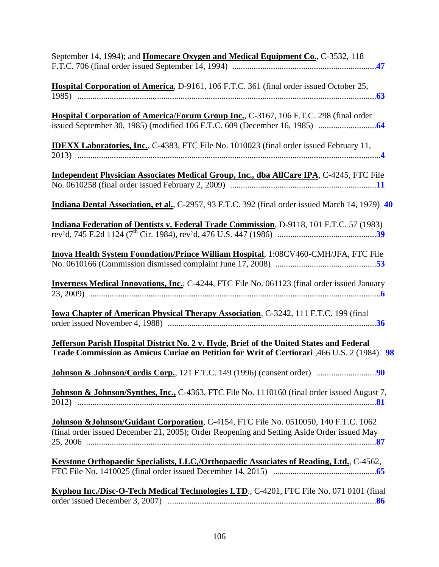| September 14, 1994); and <b>Homecare Oxygen and Medical Equipment Co.</b> , C-3532, 118                                                                                                 |
|-----------------------------------------------------------------------------------------------------------------------------------------------------------------------------------------|
| <b>Hospital Corporation of America</b> , D-9161, 106 F.T.C. 361 (final order issued October 25,                                                                                         |
| Hospital Corporation of America/Forum Group Inc., C-3167, 106 F.T.C. 298 (final order                                                                                                   |
| <b>IDEXX Laboratories, Inc., C-4383, FTC File No. 1010023 (final order issued February 11,</b>                                                                                          |
| Independent Physician Associates Medical Group, Inc., dba AllCare IPA, C-4245, FTC File                                                                                                 |
| Indiana Dental Association, et al., C-2957, 93 F.T.C. 392 (final order issued March 14, 1979) 40                                                                                        |
| Indiana Federation of Dentists v. Federal Trade Commission, D-9118, 101 F.T.C. 57 (1983)                                                                                                |
| Inova Health System Foundation/Prince William Hospital, 1:08CV460-CMH/JFA, FTC File                                                                                                     |
| <b>Inverness Medical Innovations, Inc., C-4244, FTC File No. 061123 (final order issued January</b>                                                                                     |
| <b>Iowa Chapter of American Physical Therapy Association, C-3242, 111 F.T.C. 199 (final</b>                                                                                             |
| Jefferson Parish Hospital District No. 2 v. Hyde, Brief of the United States and Federal<br>Trade Commission as Amicus Curiae on Petition for Writ of Certiorari, 466 U.S. 2 (1984). 98 |
|                                                                                                                                                                                         |
| Johnson & Johnson/Synthes, Inc., C-4363, FTC File No. 1110160 (final order issued August 7,                                                                                             |
| Johnson & Johnson/Guidant Corporation, C-4154, FTC File No. 0510050, 140 F.T.C. 1062<br>(final order issued December 21, 2005); Order Reopening and Setting Aside Order issued May      |
| Keystone Orthopaedic Specialists, LLC,/Orthopaedic Associates of Reading, Ltd., C-4562,                                                                                                 |
| Kyphon Inc./Disc-O-Tech Medical Technologies LTD., C-4201, FTC File No. 071 0101 (final                                                                                                 |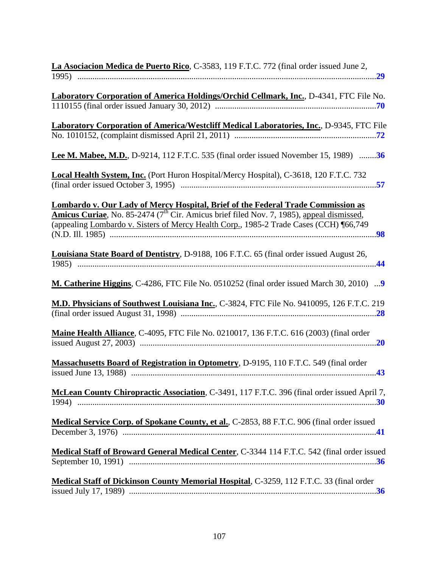| La Asociacion Medica de Puerto Rico, C-3583, 119 F.T.C. 772 (final order issued June 2,             |
|-----------------------------------------------------------------------------------------------------|
|                                                                                                     |
|                                                                                                     |
| Laboratory Corporation of America Holdings/Orchid Cellmark, Inc., D-4341, FTC File No.              |
|                                                                                                     |
| Laboratory Corporation of America/Westcliff Medical Laboratories, Inc., D-9345, FTC File            |
|                                                                                                     |
|                                                                                                     |
| <b>Lee M. Mabee, M.D., D-9214, 112 F.T.C. 535 (final order issued November 15, 1989)</b> 36         |
| Local Health System, Inc. (Port Huron Hospital/Mercy Hospital), C-3618, 120 F.T.C. 732              |
|                                                                                                     |
|                                                                                                     |
| Lombardo v. Our Lady of Mercy Hospital, Brief of the Federal Trade Commission as                    |
| <b>Amicus Curiae</b> , No. 85-2474 ( $7th$ Cir. Amicus brief filed Nov. 7, 1985), appeal dismissed, |
| (appealing Lombardo v. Sisters of Mercy Health Corp., 1985-2 Trade Cases (CCH) [66,749              |
|                                                                                                     |
|                                                                                                     |
| <b>Louisiana State Board of Dentistry</b> , D-9188, 106 F.T.C. 65 (final order issued August 26,    |
|                                                                                                     |
|                                                                                                     |
| <b>M. Catherine Higgins, C-4286, FTC File No. 0510252 (final order issued March 30, 2010) 9</b>     |
|                                                                                                     |
| M.D. Physicians of Southwest Louisiana Inc., C-3824, FTC File No. 9410095, 126 F.T.C. 219           |
|                                                                                                     |
| Maine Health Alliance, C-4095, FTC File No. 0210017, 136 F.T.C. 616 (2003) (final order             |
|                                                                                                     |
|                                                                                                     |
| <b>Massachusetts Board of Registration in Optometry, D-9195, 110 F.T.C. 549 (final order</b>        |
|                                                                                                     |
|                                                                                                     |
| McLean County Chiropractic Association, C-3491, 117 F.T.C. 396 (final order issued April 7,         |
|                                                                                                     |
|                                                                                                     |
| Medical Service Corp. of Spokane County, et al., C-2853, 88 F.T.C. 906 (final order issued          |
|                                                                                                     |
|                                                                                                     |
| Medical Staff of Broward General Medical Center, C-3344 114 F.T.C. 542 (final order issued          |
|                                                                                                     |
|                                                                                                     |
| Medical Staff of Dickinson County Memorial Hospital, C-3259, 112 F.T.C. 33 (final order             |
|                                                                                                     |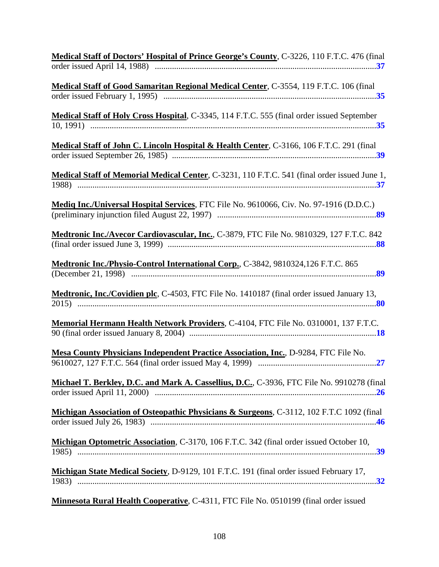| Medical Staff of Doctors' Hospital of Prince George's County, C-3226, 110 F.T.C. 476 (final  |
|----------------------------------------------------------------------------------------------|
| Medical Staff of Good Samaritan Regional Medical Center, C-3554, 119 F.T.C. 106 (final       |
| Medical Staff of Holy Cross Hospital, C-3345, 114 F.T.C. 555 (final order issued September   |
| Medical Staff of John C. Lincoln Hospital & Health Center, C-3166, 106 F.T.C. 291 (final     |
| Medical Staff of Memorial Medical Center, C-3231, 110 F.T.C. 541 (final order issued June 1, |
| Mediq Inc./Universal Hospital Services, FTC File No. 9610066, Civ. No. 97-1916 (D.D.C.)      |
| Medtronic Inc./Avecor Cardiovascular, Inc., C-3879, FTC File No. 9810329, 127 F.T.C. 842     |
| Medtronic Inc./Physio-Control International Corp., C-3842, 9810324,126 F.T.C. 865            |
| Medtronic, Inc./Covidien plc, C-4503, FTC File No. 1410187 (final order issued January 13,   |
| Memorial Hermann Health Network Providers, C-4104, FTC File No. 0310001, 137 F.T.C.          |
| Mesa County Physicians Independent Practice Association, Inc., D-9284, FTC File No.          |
| Michael T. Berkley, D.C. and Mark A. Cassellius, D.C., C-3936, FTC File No. 9910278 (final   |
| Michigan Association of Osteopathic Physicians & Surgeons, C-3112, 102 F.T.C 1092 (final     |
| Michigan Optometric Association, C-3170, 106 F.T.C. 342 (final order issued October 10,      |
| Michigan State Medical Society, D-9129, 101 F.T.C. 191 (final order issued February 17,      |
|                                                                                              |

**Minnesota Rural Health Cooperative**, C-4311, FTC File No. 0510199 (final order issued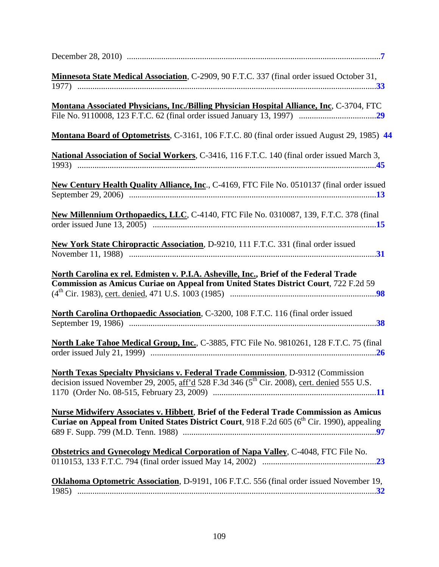| Minnesota State Medical Association, C-2909, 90 F.T.C. 337 (final order issued October 31,                                                                                                               |
|----------------------------------------------------------------------------------------------------------------------------------------------------------------------------------------------------------|
| <b>Montana Associated Physicians, Inc./Billing Physician Hospital Alliance, Inc. C-3704, FTC</b>                                                                                                         |
| Montana Board of Optometrists, C-3161, 106 F.T.C. 80 (final order issued August 29, 1985) 44                                                                                                             |
| National Association of Social Workers, C-3416, 116 F.T.C. 140 (final order issued March 3,                                                                                                              |
| New Century Health Quality Alliance, Inc., C-4169, FTC File No. 0510137 (final order issued                                                                                                              |
| New Millennium Orthopaedics, LLC, C-4140, FTC File No. 0310087, 139, F.T.C. 378 (final                                                                                                                   |
| New York State Chiropractic Association, D-9210, 111 F.T.C. 331 (final order issued                                                                                                                      |
| North Carolina ex rel. Edmisten v. P.I.A. Asheville, Inc., Brief of the Federal Trade<br>Commission as Amicus Curiae on Appeal from United States District Court, 722 F.2d 59                            |
| North Carolina Orthopaedic Association, C-3200, 108 F.T.C. 116 (final order issued                                                                                                                       |
| North Lake Tahoe Medical Group, Inc., C-3885, FTC File No. 9810261, 128 F.T.C. 75 (final                                                                                                                 |
| North Texas Specialty Physicians v. Federal Trade Commission, D-9312 (Commission<br>decision issued November 29, 2005, aff'd 528 F.3d 346 (5 <sup>th</sup> Cir. 2008), cert. denied 555 U.S.             |
| <b>Nurse Midwifery Associates v. Hibbett, Brief of the Federal Trade Commission as Amicus</b><br>Curiae on Appeal from United States District Court, 918 F.2d 605 (6 <sup>th</sup> Cir. 1990), appealing |
| <b>Obstetrics and Gynecology Medical Corporation of Napa Valley, C-4048, FTC File No.</b>                                                                                                                |
| Oklahoma Optometric Association, D-9191, 106 F.T.C. 556 (final order issued November 19,<br>1985)                                                                                                        |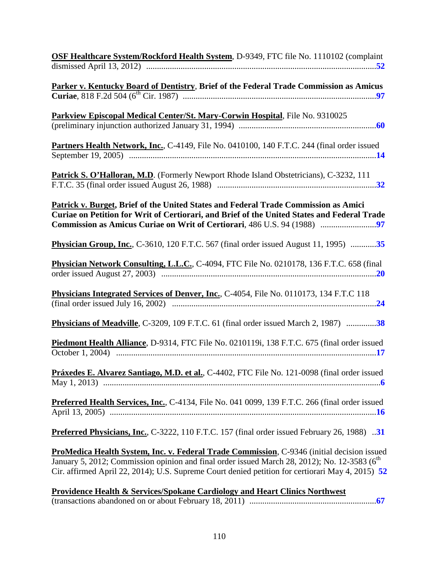| OSF Healthcare System/Rockford Health System, D-9349, FTC file No. 1110102 (complaint                                                                                                                                                                                                                      |
|------------------------------------------------------------------------------------------------------------------------------------------------------------------------------------------------------------------------------------------------------------------------------------------------------------|
| Parker v. Kentucky Board of Dentistry, Brief of the Federal Trade Commission as Amicus                                                                                                                                                                                                                     |
| Parkview Episcopal Medical Center/St. Mary-Corwin Hospital, File No. 9310025                                                                                                                                                                                                                               |
| Partners Health Network, Inc., C-4149, File No. 0410100, 140 F.T.C. 244 (final order issued                                                                                                                                                                                                                |
| Patrick S. O'Halloran, M.D. (Formerly Newport Rhode Island Obstetricians), C-3232, 111                                                                                                                                                                                                                     |
| Patrick v. Burget, Brief of the United States and Federal Trade Commission as Amici<br>Curiae on Petition for Writ of Certiorari, and Brief of the United States and Federal Trade                                                                                                                         |
| <b>Physician Group, Inc.</b> , C-3610, 120 F.T.C. 567 (final order issued August 11, 1995) 35                                                                                                                                                                                                              |
| Physician Network Consulting, L.L.C., C-4094, FTC File No. 0210178, 136 F.T.C. 658 (final                                                                                                                                                                                                                  |
| <b>Physicians Integrated Services of Denver, Inc., C-4054, File No. 0110173, 134 F.T.C 118</b>                                                                                                                                                                                                             |
|                                                                                                                                                                                                                                                                                                            |
| Piedmont Health Alliance, D-9314, FTC File No. 0210119i, 138 F.T.C. 675 (final order issued                                                                                                                                                                                                                |
| <b>Práxedes E. Alvarez Santiago, M.D. et al., C-4402, FTC File No. 121-0098 (final order issued</b>                                                                                                                                                                                                        |
| <b>Preferred Health Services, Inc., C-4134, File No. 041 0099, 139 F.T.C. 266 (final order issued</b>                                                                                                                                                                                                      |
| <b>Preferred Physicians, Inc., C-3222, 110 F.T.C. 157 (final order issued February 26, 1988)</b> 31                                                                                                                                                                                                        |
| ProMedica Health System, Inc. v. Federal Trade Commission, C-9346 (initial decision issued<br>January 5, 2012; Commission opinion and final order issued March 28, 2012); No. 12-3583 (6 <sup>th</sup><br>Cir. affirmed April 22, 2014); U.S. Supreme Court denied petition for certiorari May 4, 2015) 52 |
| <b>Providence Health &amp; Services/Spokane Cardiology and Heart Clinics Northwest</b>                                                                                                                                                                                                                     |

(transactions abandoned on or about February 18, 2011) ...........................................................**67**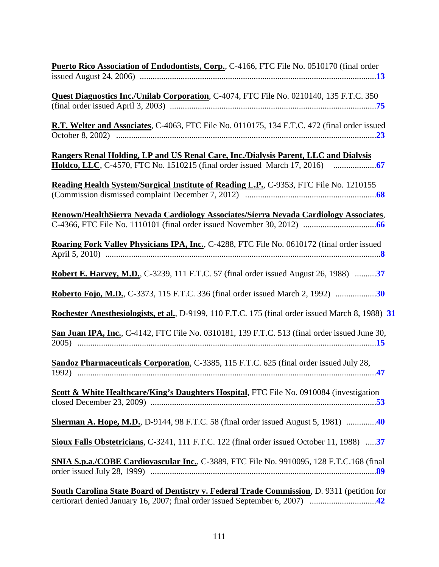| Puerto Rico Association of Endodontists, Corp., C-4166, FTC File No. 0510170 (final order         |
|---------------------------------------------------------------------------------------------------|
|                                                                                                   |
| <b>Quest Diagnostics Inc./Unilab Corporation, C-4074, FTC File No. 0210140, 135 F.T.C. 350</b>    |
|                                                                                                   |
| R.T. Welter and Associates, C-4063, FTC File No. 0110175, 134 F.T.C. 472 (final order issued      |
|                                                                                                   |
| Rangers Renal Holding, LP and US Renal Care, Inc./Dialysis Parent, LLC and Dialysis               |
|                                                                                                   |
| Reading Health System/Surgical Institute of Reading L.P., C-9353, FTC File No. 1210155            |
|                                                                                                   |
|                                                                                                   |
| Renown/HealthSierra Nevada Cardiology Associates/Sierra Nevada Cardiology Associates,             |
|                                                                                                   |
| Roaring Fork Valley Physicians IPA, Inc., C-4288, FTC File No. 0610172 (final order issued        |
|                                                                                                   |
|                                                                                                   |
| Robert E. Harvey, M.D., C-3239, 111 F.T.C. 57 (final order issued August 26, 1988) 37             |
| Roberto Fojo, M.D., C-3373, 115 F.T.C. 336 (final order issued March 2, 1992)                     |
| Rochester Anesthesiologists, et al., D-9199, 110 F.T.C. 175 (final order issued March 8, 1988) 31 |
| San Juan IPA, Inc., C-4142, FTC File No. 0310181, 139 F.T.C. 513 (final order issued June 30,     |
| Sandoz Pharmaceuticals Corporation, C-3385, 115 F.T.C. 625 (final order issued July 28,           |
| Scott & White Healthcare/King's Daughters Hospital, FTC File No. 0910084 (investigation           |
|                                                                                                   |
| <b>Sherman A. Hope, M.D., D-9144, 98 F.T.C. 58 (final order issued August 5, 1981)</b> 40         |
| Sioux Falls Obstetricians, C-3241, 111 F.T.C. 122 (final order issued October 11, 1988) 37        |
| SNIA S.p.a./COBE Cardiovascular Inc., C-3889, FTC File No. 9910095, 128 F.T.C.168 (final          |
| <b>South Carolina State Board of Dentistry v. Federal Trade Commission, D. 9311 (petition for</b> |

certiorari denied January 16, 2007; final order issued September 6, 2007) ...............................**42**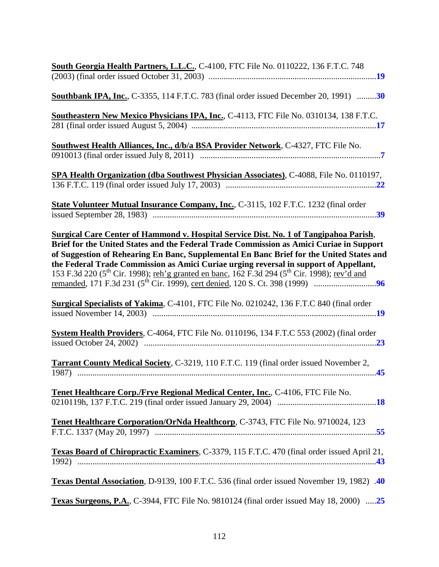| South Georgia Health Partners, L.L.C., C-4100, FTC File No. 0110222, 136 F.T.C. 748                                                                                                                                                                                                                                                                                                                                                                                                                                                                                                                             |
|-----------------------------------------------------------------------------------------------------------------------------------------------------------------------------------------------------------------------------------------------------------------------------------------------------------------------------------------------------------------------------------------------------------------------------------------------------------------------------------------------------------------------------------------------------------------------------------------------------------------|
| <b>Southbank IPA, Inc., C-3355, 114 F.T.C. 783 (final order issued December 20, 1991)</b> 30                                                                                                                                                                                                                                                                                                                                                                                                                                                                                                                    |
| Southeastern New Mexico Physicians IPA, Inc., C-4113, FTC File No. 0310134, 138 F.T.C.                                                                                                                                                                                                                                                                                                                                                                                                                                                                                                                          |
| <b>Southwest Health Alliances, Inc., d/b/a BSA Provider Network, C-4327, FTC File No.</b>                                                                                                                                                                                                                                                                                                                                                                                                                                                                                                                       |
| SPA Health Organization (dba Southwest Physician Associates), C-4088, File No. 0110197,                                                                                                                                                                                                                                                                                                                                                                                                                                                                                                                         |
| State Volunteer Mutual Insurance Company, Inc., C-3115, 102 F.T.C. 1232 (final order                                                                                                                                                                                                                                                                                                                                                                                                                                                                                                                            |
| <b>Surgical Care Center of Hammond v. Hospital Service Dist. No. 1 of Tangipahoa Parish,</b><br>Brief for the United States and the Federal Trade Commission as Amici Curiae in Support<br>of Suggestion of Rehearing En Banc, Supplemental En Banc Brief for the United States and<br>the Federal Trade Commission as Amici Curiae urging reversal in support of Appellant,<br>153 F.3d 220 (5 <sup>th</sup> Cir. 1998); <u>reh'g granted en banc</u> , 162 F.3d 294 (5 <sup>th</sup> Cir. 1998); <u>rev'd and</u><br>Surgical Specialists of Yakima, C-4101, FTC File No. 0210242, 136 F.T.C 840 (final order |
| System Health Providers, C-4064, FTC File No. 0110196, 134 F.T.C 553 (2002) (final order                                                                                                                                                                                                                                                                                                                                                                                                                                                                                                                        |
|                                                                                                                                                                                                                                                                                                                                                                                                                                                                                                                                                                                                                 |
| <b>Tarrant County Medical Society, C-3219, 110 F.T.C. 119 (final order issued November 2,</b>                                                                                                                                                                                                                                                                                                                                                                                                                                                                                                                   |
| Tenet Healthcare Corp./Frye Regional Medical Center, Inc., C-4106, FTC File No.                                                                                                                                                                                                                                                                                                                                                                                                                                                                                                                                 |
| Tenet Healthcare Corporation/OrNda Healthcorp, C-3743, FTC File No. 9710024, 123                                                                                                                                                                                                                                                                                                                                                                                                                                                                                                                                |
| Texas Board of Chiropractic Examiners, C-3379, 115 F.T.C. 470 (final order issued April 21,                                                                                                                                                                                                                                                                                                                                                                                                                                                                                                                     |
| Texas Dental Association, D-9139, 100 F.T.C. 536 (final order issued November 19, 1982) .40                                                                                                                                                                                                                                                                                                                                                                                                                                                                                                                     |
| Texas Surgeons, P.A., C-3944, FTC File No. 9810124 (final order issued May 18, 2000) 25                                                                                                                                                                                                                                                                                                                                                                                                                                                                                                                         |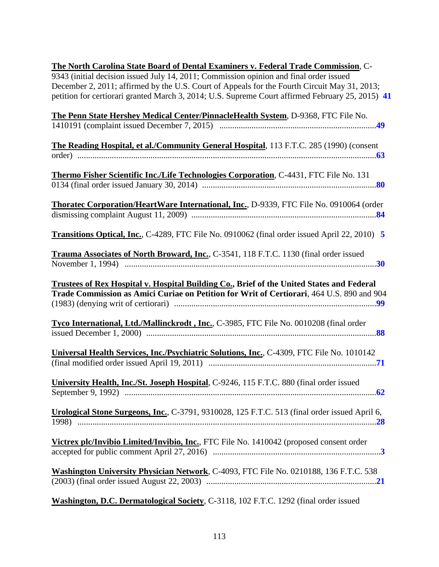| The North Carolina State Board of Dental Examiners v. Federal Trade Commission, C-                   |
|------------------------------------------------------------------------------------------------------|
| 9343 (initial decision issued July 14, 2011; Commission opinion and final order issued               |
| December 2, 2011; affirmed by the U.S. Court of Appeals for the Fourth Circuit May 31, 2013;         |
| petition for certiorari granted March 3, 2014; U.S. Supreme Court affirmed February 25, 2015) 41     |
| The Penn State Hershey Medical Center/PinnacleHealth System, D-9368, FTC File No.                    |
|                                                                                                      |
|                                                                                                      |
| The Reading Hospital, et al./Community General Hospital, 113 F.T.C. 285 (1990) (consent              |
|                                                                                                      |
|                                                                                                      |
| Thermo Fisher Scientific Inc./Life Technologies Corporation, C-4431, FTC File No. 131                |
|                                                                                                      |
|                                                                                                      |
| Thoratec Corporation/HeartWare International, Inc., D-9339, FTC File No. 0910064 (order              |
|                                                                                                      |
| <b>Transitions Optical, Inc., C-4289, FTC File No. 0910062 (final order issued April 22, 2010) 5</b> |
|                                                                                                      |
| Trauma Associates of North Broward, Inc., C-3541, 118 F.T.C. 1130 (final order issued                |
|                                                                                                      |
|                                                                                                      |
| Trustees of Rex Hospital v. Hospital Building Co., Brief of the United States and Federal            |
| Trade Commission as Amici Curiae on Petition for Writ of Certiorari, 464 U.S. 890 and 904            |
|                                                                                                      |
|                                                                                                      |
| Tyco International, Ltd./Mallinckrodt, Inc., C-3985, FTC File No. 0010208 (final order               |
|                                                                                                      |
|                                                                                                      |
| Universal Health Services, Inc./Psychiatric Solutions, Inc., C-4309, FTC File No. 1010142            |
|                                                                                                      |
|                                                                                                      |
| University Health, Inc./St. Joseph Hospital, C-9246, 115 F.T.C. 880 (final order issued              |
|                                                                                                      |
|                                                                                                      |
| Urological Stone Surgeons, Inc., C-3791, 9310028, 125 F.T.C. 513 (final order issued April 6,        |
|                                                                                                      |
|                                                                                                      |
| Victrex plc/Invibio Limited/Invibio, Inc., FTC File No. 1410042 (proposed consent order              |
|                                                                                                      |
|                                                                                                      |
| Washington University Physician Network, C-4093, FTC File No. 0210188, 136 F.T.C. 538                |
|                                                                                                      |
| Washington, D.C. Dermatological Society, C-3118, 102 F.T.C. 1292 (final order issued                 |
|                                                                                                      |